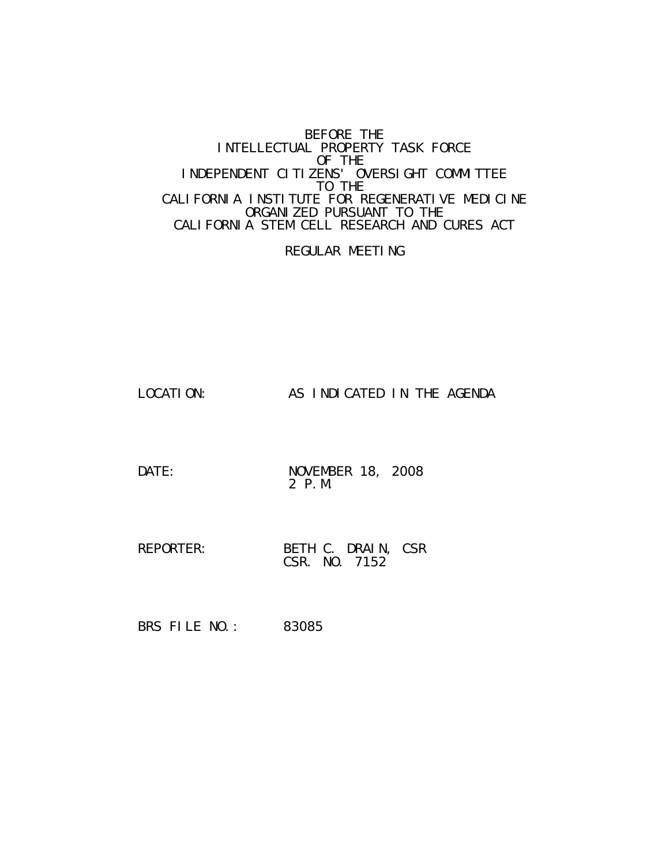#### BEFORE THE INTELLECTUAL PROPERTY TASK FORCE OF THE INDEPENDENT CITIZENS' OVERSIGHT COMMITTEE TO THE CALIFORNIA INSTITUTE FOR REGENERATIVE MEDICINE ORGANIZED PURSUANT TO THE CALIFORNIA STEM CELL RESEARCH AND CURES ACT

REGULAR MEETING

LOCATION: AS INDICATED IN THE AGENDA

DATE: NOVEMBER 18, 2008 2 P.M.

REPORTER: BETH C. DRAIN, CSR CSR. NO. 7152

BRS FILE NO.: 83085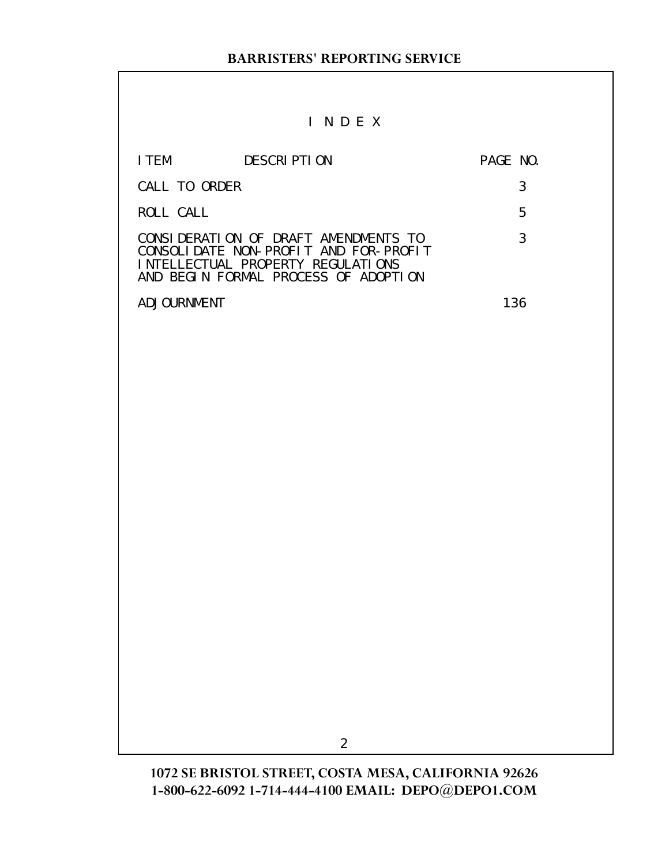# I N D E X

| I TFM         | DESCRIPTION                                                                                                                                                | PAGE NO. |   |
|---------------|------------------------------------------------------------------------------------------------------------------------------------------------------------|----------|---|
| CALL TO ORDER |                                                                                                                                                            |          |   |
| ROLL CALL     |                                                                                                                                                            |          | 5 |
|               | CONSIDERATION OF DRAFT AMENDMENTS TO<br>CONSOLIDATE NON-PROFIT AND FOR-PROFIT<br>INTELLECTUAL PROPERTY REGULATIONS<br>AND BEGIN FORMAL PROCESS OF ADOPTION |          |   |
| AD JOURNMENT  |                                                                                                                                                            | 136      |   |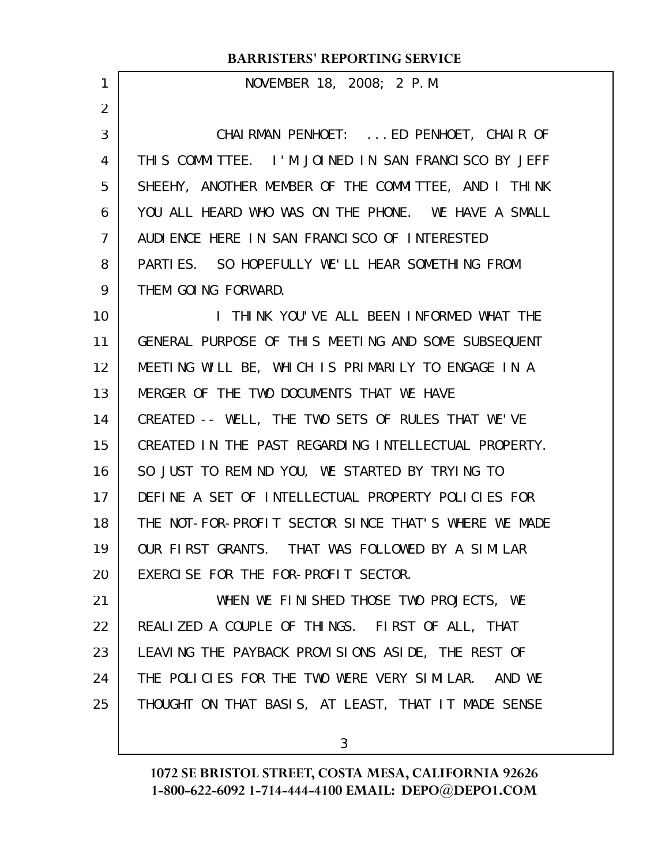|                   | KRISTERS REI ORTHVO SERVICE                           |
|-------------------|-------------------------------------------------------|
| 1                 | NOVEMBER 18, 2008; 2 P.M.                             |
| $\overline{2}$    |                                                       |
| 3                 | CHAIRMAN PENHOET:  ED PENHOET, CHAIR OF               |
| 4                 | THIS COMMITTEE. I'M JOINED IN SAN FRANCISCO BY JEFF   |
| 5                 | SHEEHY, ANOTHER MEMBER OF THE COMMITTEE, AND I THINK  |
| 6                 | YOU ALL HEARD WHO WAS ON THE PHONE. WE HAVE A SMALL   |
| $\overline{7}$    | AUDIENCE HERE IN SAN FRANCISCO OF INTERESTED          |
| 8                 | PARTIES. SO HOPEFULLY WE'LL HEAR SOMETHING FROM       |
| 9                 | THEM GOING FORWARD.                                   |
| 10                | I THINK YOU'VE ALL BEEN INFORMED WHAT THE             |
| 11                | GENERAL PURPOSE OF THIS MEETING AND SOME SUBSEQUENT   |
| $12 \overline{ }$ | MEETING WILL BE, WHICH IS PRIMARILY TO ENGAGE IN A    |
| 13                | MERGER OF THE TWO DOCUMENTS THAT WE HAVE              |
| 14                | CREATED -- WELL, THE TWO SETS OF RULES THAT WE'VE     |
| 15                | CREATED IN THE PAST REGARDING INTELLECTUAL PROPERTY.  |
| 16                | SO JUST TO REMIND YOU, WE STARTED BY TRYING TO        |
| 17                | DEFINE A SET OF INTELLECTUAL PROPERTY POLICIES FOR    |
| 18                | THE NOT-FOR-PROFIT SECTOR SINCE THAT'S WHERE WE MADE  |
| 19                | OUR FIRST GRANTS. THAT WAS FOLLOWED BY A SIMILAR      |
| 20                | EXERCISE FOR THE FOR-PROFIT SECTOR.                   |
| 21                | WHEN WE FINISHED THOSE TWO PROJECTS, WE               |
| 22                | REALIZED A COUPLE OF THINGS. FIRST OF ALL, THAT       |
| 23                | LEAVING THE PAYBACK PROVISIONS ASIDE, THE REST OF     |
| 24                | THE POLICIES FOR THE TWO WERE VERY SIMILAR.<br>AND WE |
| 25                | THOUGHT ON THAT BASIS, AT LEAST, THAT IT MADE SENSE   |
|                   |                                                       |

**1072 SE BRISTOL STREET, COSTA MESA, CALIFORNIA 92626 1-800-622-6092 1-714-444-4100 EMAIL: DEPO@DEPO1.COM**

3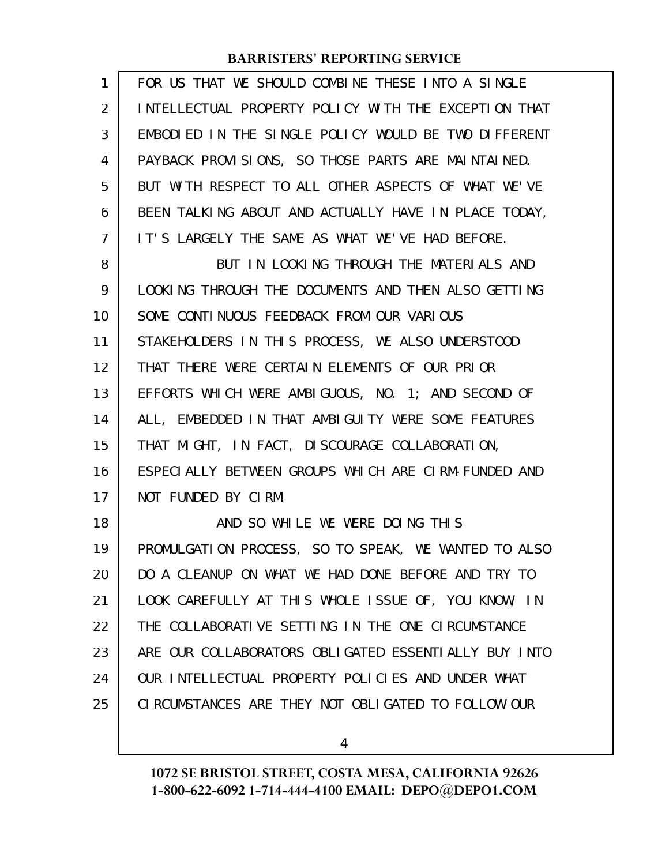| 1              | FOR US THAT WE SHOULD COMBINE THESE INTO A SINGLE    |
|----------------|------------------------------------------------------|
| 2              | INTELLECTUAL PROPERTY POLICY WITH THE EXCEPTION THAT |
| 3              | EMBODIED IN THE SINGLE POLICY WOULD BE TWO DIFFERENT |
| 4              | PAYBACK PROVISIONS, SO THOSE PARTS ARE MAINTAINED.   |
| 5              | BUT WITH RESPECT TO ALL OTHER ASPECTS OF WHAT WE'VE  |
| 6              | BEEN TALKING ABOUT AND ACTUALLY HAVE IN PLACE TODAY, |
| $\overline{7}$ | IT'S LARGELY THE SAME AS WHAT WE'VE HAD BEFORE.      |
| 8              | BUT IN LOOKING THROUGH THE MATERIALS AND             |
| 9              | LOOKING THROUGH THE DOCUMENTS AND THEN ALSO GETTING  |
| 10             | SOME CONTINUOUS FEEDBACK FROM OUR VARIOUS            |
| 11             | STAKEHOLDERS IN THIS PROCESS, WE ALSO UNDERSTOOD     |
| 12             | THAT THERE WERE CERTAIN ELEMENTS OF OUR PRIOR        |
| 13             | EFFORTS WHICH WERE AMBIGUOUS, NO. 1; AND SECOND OF   |
| 14             | ALL, EMBEDDED IN THAT AMBIGUITY WERE SOME FEATURES   |
| 15             | THAT MIGHT, IN FACT, DISCOURAGE COLLABORATION,       |
| 16             | ESPECIALLY BETWEEN GROUPS WHICH ARE CIRM-FUNDED AND  |
| 17             | NOT FUNDED BY CIRM.                                  |
| 18             | AND SO WHILE WE WERE DOING THIS                      |
| 19             | PROMULGATION PROCESS, SO TO SPEAK, WE WANTED TO ALSO |
| 20             | DO A CLEANUP ON WHAT WE HAD DONE BEFORE AND TRY TO   |
| 21             | LOOK CAREFULLY AT THIS WHOLE ISSUE OF, YOU KNOW, IN  |
| 22             | THE COLLABORATIVE SETTING IN THE ONE CIRCUMSTANCE    |
| 23             | ARE OUR COLLABORATORS OBLIGATED ESSENTIALLY BUY INTO |
| 24             | OUR INTELLECTUAL PROPERTY POLICIES AND UNDER WHAT    |
| 25             | CIRCUMSTANCES ARE THEY NOT OBLIGATED TO FOLLOW OUR   |
|                |                                                      |

4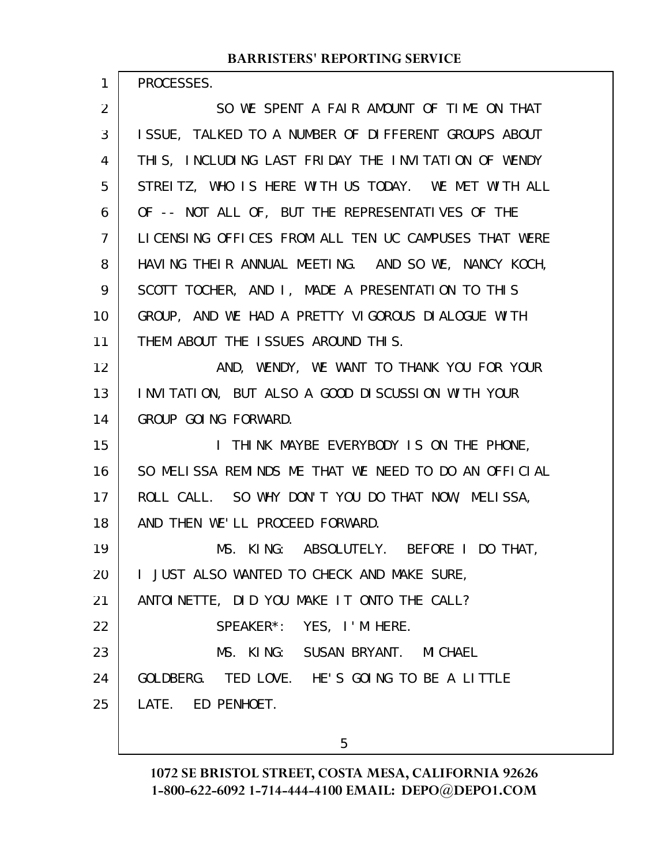PROCESSES.

1

SO WE SPENT A FAIR AMOUNT OF TIME ON THAT ISSUE, TALKED TO A NUMBER OF DIFFERENT GROUPS ABOUT THIS, INCLUDING LAST FRIDAY THE INVITATION OF WENDY STREITZ, WHO IS HERE WITH US TODAY. WE MET WITH ALL OF -- NOT ALL OF, BUT THE REPRESENTATIVES OF THE LICENSING OFFICES FROM ALL TEN UC CAMPUSES THAT WERE HAVING THEIR ANNUAL MEETING. AND SO WE, NANCY KOCH, SCOTT TOCHER, AND I, MADE A PRESENTATION TO THIS GROUP, AND WE HAD A PRETTY VIGOROUS DIALOGUE WITH THEM ABOUT THE ISSUES AROUND THIS. AND, WENDY, WE WANT TO THANK YOU FOR YOUR INVITATION, BUT ALSO A GOOD DISCUSSION WITH YOUR GROUP GOING FORWARD. I THINK MAYBE EVERYBODY IS ON THE PHONE, SO MELISSA REMINDS ME THAT WE NEED TO DO AN OFFICIAL ROLL CALL. SO WHY DON'T YOU DO THAT NOW, MELISSA, AND THEN WE'LL PROCEED FORWARD. MS. KING: ABSOLUTELY. BEFORE I DO THAT, I JUST ALSO WANTED TO CHECK AND MAKE SURE, ANTOINETTE, DID YOU MAKE IT ONTO THE CALL? SPEAKER\*: YES, I'M HERE. MS. KING: SUSAN BRYANT. MICHAEL GOLDBERG. TED LOVE. HE'S GOING TO BE A LITTLE LATE. ED PENHOET. 2 3 4 5 6 7 8 9 10 11 12 13 14 15 16 17 18 19 20 21 22 23 24 25

5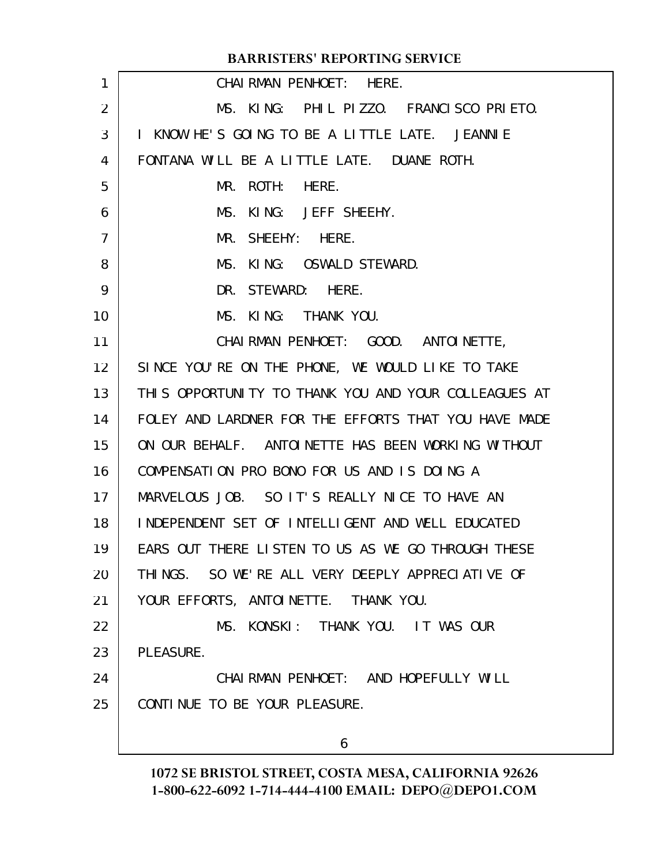| 1              | CHAIRMAN PENHOET: HERE.                              |
|----------------|------------------------------------------------------|
| 2              | MS. KING: PHIL PIZZO. FRANCISCO PRIETO.              |
| 3              | I KNOW HE'S GOING TO BE A LITTLE LATE. JEANNIE       |
| 4              | FONTANA WILL BE A LITTLE LATE. DUANE ROTH.           |
| 5              | MR. ROTH: HERE.                                      |
| 6              | MS. KING: JEFF SHEEHY.                               |
| $\overline{7}$ | MR. SHEEHY: HERE.                                    |
| 8              | MS. KING: OSWALD STEWARD.                            |
| 9              | DR. STEWARD: HERE.                                   |
| 10             | MS. KING: THANK YOU.                                 |
| 11             | CHAI RMAN PENHOET: GOOD. ANTOI NETTE,                |
| 12             | SINCE YOU'RE ON THE PHONE, WE WOULD LIKE TO TAKE     |
| 13             | THIS OPPORTUNITY TO THANK YOU AND YOUR COLLEAGUES AT |
| 14             | FOLEY AND LARDNER FOR THE EFFORTS THAT YOU HAVE MADE |
| 15             | ON OUR BEHALF. ANTOINETTE HAS BEEN WORKING WITHOUT   |
| 16             | COMPENSATION PRO BONO FOR US AND IS DOING A          |
| 17             | MARVELOUS JOB. SO IT'S REALLY NICE TO HAVE AN        |
| 18             | INDEPENDENT SET OF INTELLIGENT AND WELL EDUCATED     |
| 19             | EARS OUT THERE LISTEN TO US AS WE GO THROUGH THESE   |
| 20             | THINGS. SO WE'RE ALL VERY DEEPLY APPRECIATIVE OF     |
| 21             | YOUR EFFORTS, ANTOINETTE. THANK YOU.                 |
| 22             | MS. KONSKI: THANK YOU. IT WAS OUR                    |
| 23             | PLEASURE.                                            |
| 24             | CHAI RMAN PENHOET: AND HOPEFULLY WILL                |
| 25             | CONTINUE TO BE YOUR PLEASURE.                        |
|                | 6                                                    |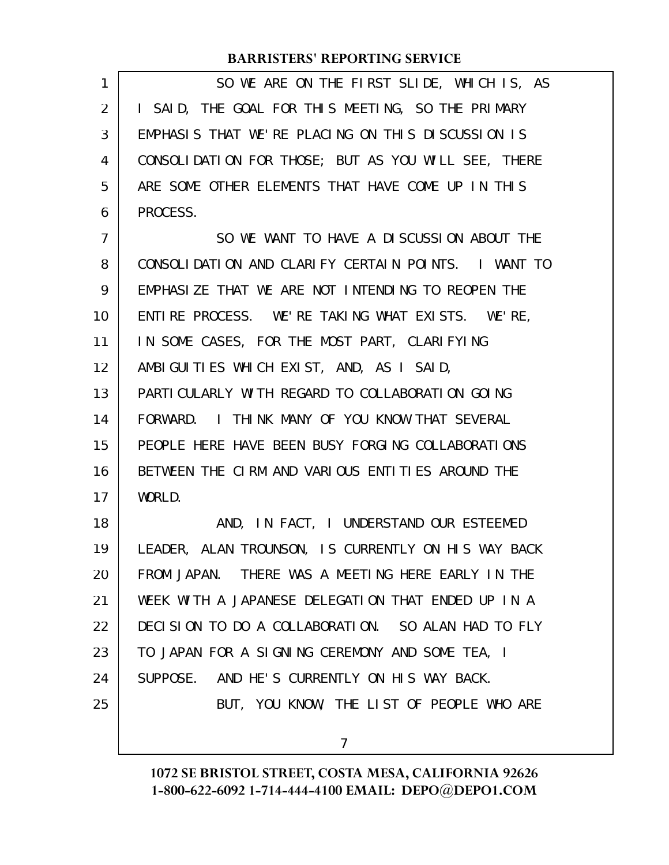| 1              | SO WE ARE ON THE FIRST SLIDE, WHICH IS, AS          |
|----------------|-----------------------------------------------------|
| 2              | I SAID, THE GOAL FOR THIS MEETING, SO THE PRIMARY   |
| 3              | EMPHASIS THAT WE'RE PLACING ON THIS DISCUSSION IS   |
| 4              | CONSOLIDATION FOR THOSE; BUT AS YOU WILL SEE, THERE |
| 5              | ARE SOME OTHER ELEMENTS THAT HAVE COME UP IN THIS   |
| 6              | PROCESS.                                            |
| $\overline{7}$ | SO WE WANT TO HAVE A DISCUSSION ABOUT THE           |
| 8              | CONSOLIDATION AND CLARIFY CERTAIN POINTS. I WANT TO |
| 9              | EMPHASIZE THAT WE ARE NOT INTENDING TO REOPEN THE   |
| 10             | ENTIRE PROCESS. WE'RE TAKING WHAT EXISTS. WE'RE,    |
| 11             | IN SOME CASES, FOR THE MOST PART, CLARIFYING        |
| 12             | AMBIGUITIES WHICH EXIST, AND, AS I SAID,            |
| 13             | PARTI CULARLY WITH REGARD TO COLLABORATION GOING    |
| 14             | FORWARD. I THINK MANY OF YOU KNOW THAT SEVERAL      |
| 15             | PEOPLE HERE HAVE BEEN BUSY FORGING COLLABORATIONS   |
| 16             | BETWEEN THE CIRM AND VARIOUS ENTITIES AROUND THE    |
| 17             | WORLD.                                              |
| 18             | AND, IN FACT, I UNDERSTAND OUR ESTEEMED             |
| 19             | LEADER, ALAN TROUNSON, IS CURRENTLY ON HIS WAY BACK |
| 20             | FROM JAPAN. THERE WAS A MEETING HERE EARLY IN THE   |
| 21             | WEEK WITH A JAPANESE DELEGATION THAT ENDED UP IN A  |
| 22             | DECISION TO DO A COLLABORATION. SO ALAN HAD TO FLY  |
| 23             | TO JAPAN FOR A SIGNING CEREMONY AND SOME TEA, I     |
| 24             | SUPPOSE. AND HE'S CURRENTLY ON HIS WAY BACK.        |
| 25             | BUT, YOU KNOW, THE LIST OF PEOPLE WHO ARE           |
|                | $\overline{7}$                                      |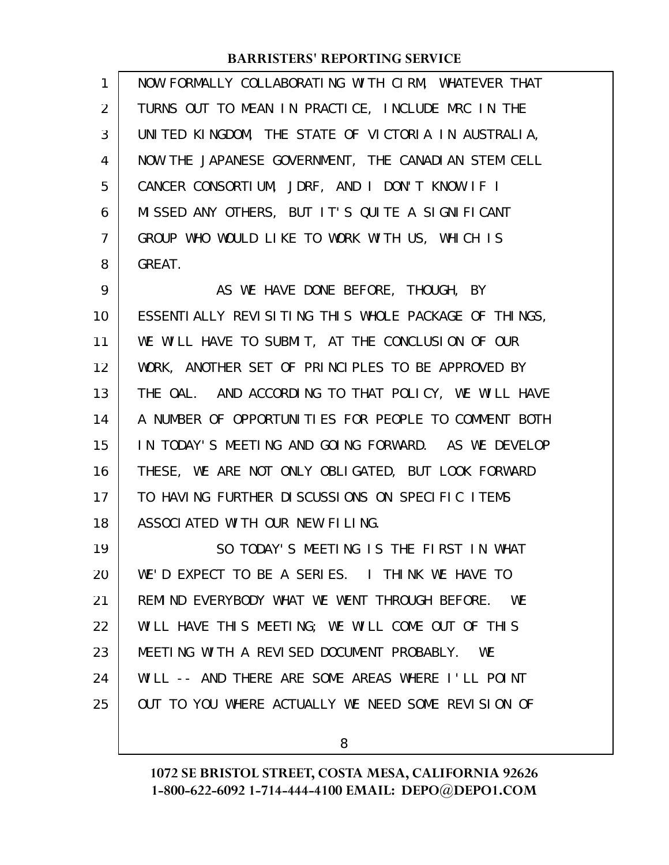| $\mathbf{1}$   | NOW FORMALLY COLLABORATING WITH CIRM, WHATEVER THAT  |
|----------------|------------------------------------------------------|
| $\overline{2}$ | TURNS OUT TO MEAN IN PRACTICE, INCLUDE MRC IN THE    |
| 3              | UNITED KINGDOM, THE STATE OF VICTORIA IN AUSTRALIA,  |
| 4              | NOW THE JAPANESE GOVERNMENT, THE CANADIAN STEM CELL  |
| 5              | CANCER CONSORTIUM, JDRF, AND I DON'T KNOW IF I       |
| 6              | MISSED ANY OTHERS, BUT IT'S QUITE A SIGNIFICANT      |
| $\overline{7}$ | GROUP WHO WOULD LIKE TO WORK WITH US, WHICH IS       |
| 8              | GREAT.                                               |
| 9              | AS WE HAVE DONE BEFORE, THOUGH, BY                   |
| 10             | ESSENTIALLY REVISITING THIS WHOLE PACKAGE OF THINGS, |
| 11             | WE WILL HAVE TO SUBMIT, AT THE CONCLUSION OF OUR     |
| 12             | WORK, ANOTHER SET OF PRINCIPLES TO BE APPROVED BY    |
| 13             | THE OAL. AND ACCORDING TO THAT POLICY, WE WILL HAVE  |
| 14             | A NUMBER OF OPPORTUNITIES FOR PEOPLE TO COMMENT BOTH |
| 15             | IN TODAY'S MEETING AND GOING FORWARD. AS WE DEVELOP  |
| 16             | THESE, WE ARE NOT ONLY OBLIGATED, BUT LOOK FORWARD   |
| 17             | TO HAVING FURTHER DISCUSSIONS ON SPECIFIC ITEMS      |
| 18             | ASSOCIATED WITH OUR NEW FILING.                      |
| 19             | SO TODAY'S MEETING IS THE FIRST IN WHAT              |
| 20             | WE'D EXPECT TO BE A SERIES. I THINK WE HAVE TO       |
| 21             | REMIND EVERYBODY WHAT WE WENT THROUGH BEFORE. WE     |
| 22             | WILL HAVE THIS MEETING; WE WILL COME OUT OF THIS     |
| 23             | MEETING WITH A REVISED DOCUMENT PROBABLY. WE         |
| 24             | WILL -- AND THERE ARE SOME AREAS WHERE I'LL POINT    |
| 25             | OUT TO YOU WHERE ACTUALLY WE NEED SOME REVISION OF   |

8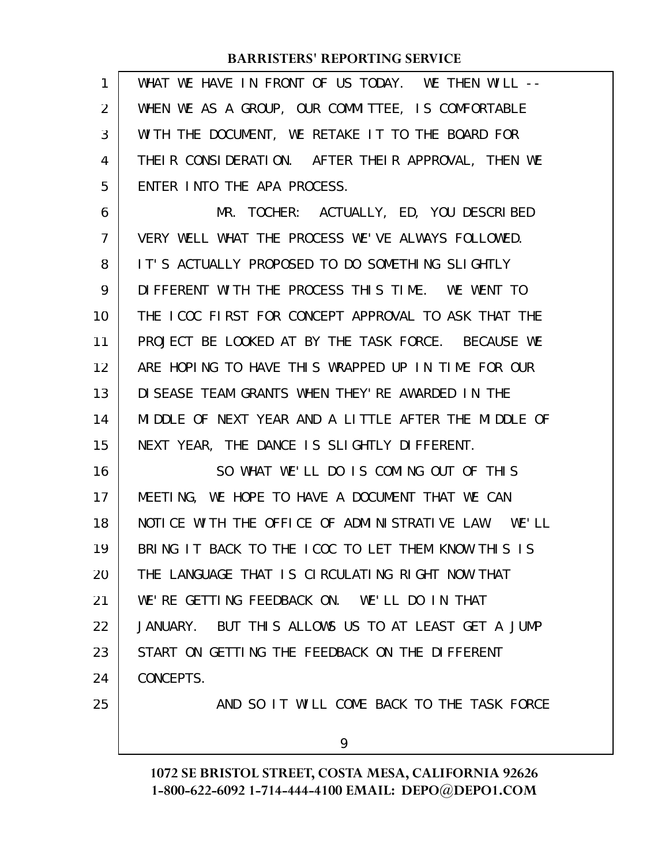| 1              | WHAT WE HAVE IN FRONT OF US TODAY. WE THEN WILL --   |
|----------------|------------------------------------------------------|
| 2              | WHEN WE AS A GROUP, OUR COMMITTEE, IS COMFORTABLE    |
| 3              | WITH THE DOCUMENT, WE RETAKE IT TO THE BOARD FOR     |
| 4              | THEIR CONSIDERATION. AFTER THEIR APPROVAL, THEN WE   |
| 5              | ENTER INTO THE APA PROCESS.                          |
| 6              | MR. TOCHER: ACTUALLY, ED, YOU DESCRIBED              |
| $\overline{7}$ | VERY WELL WHAT THE PROCESS WE'VE ALWAYS FOLLOWED.    |
| 8              | IT'S ACTUALLY PROPOSED TO DO SOMETHING SLIGHTLY      |
| 9              | DIFFERENT WITH THE PROCESS THIS TIME. WE WENT TO     |
| 10             | THE ICOC FIRST FOR CONCEPT APPROVAL TO ASK THAT THE  |
| 11             | PROJECT BE LOOKED AT BY THE TASK FORCE. BECAUSE WE   |
| 12             | ARE HOPING TO HAVE THIS WRAPPED UP IN TIME FOR OUR   |
| 13             | DI SEASE TEAM GRANTS WHEN THEY' RE AWARDED IN THE    |
| 14             | MIDDLE OF NEXT YEAR AND A LITTLE AFTER THE MIDDLE OF |
| 15             | NEXT YEAR, THE DANCE IS SLIGHTLY DIFFERENT.          |
| 16             | SO WHAT WE'LL DO IS COMING OUT OF THIS               |
| 17             | MEETING, WE HOPE TO HAVE A DOCUMENT THAT WE CAN      |
| 18             | NOTICE WITH THE OFFICE OF ADMINISTRATIVE LAW. WE'LL  |
| 19             | BRING IT BACK TO THE ICOC TO LET THEM KNOW THIS IS   |
| 20             | THE LANGUAGE THAT IS CIRCULATING RIGHT NOW THAT      |
| 21             | WE'RE GETTING FEEDBACK ON. WE'LL DO IN THAT          |
| 22             | JANUARY. BUT THIS ALLOWS US TO AT LEAST GET A JUMP   |
| 23             | START ON GETTING THE FEEDBACK ON THE DIFFERENT       |
| 24             | CONCEPTS.                                            |
| 25             | AND SO IT WILL COME BACK TO THE TASK FORCE           |
|                | 9                                                    |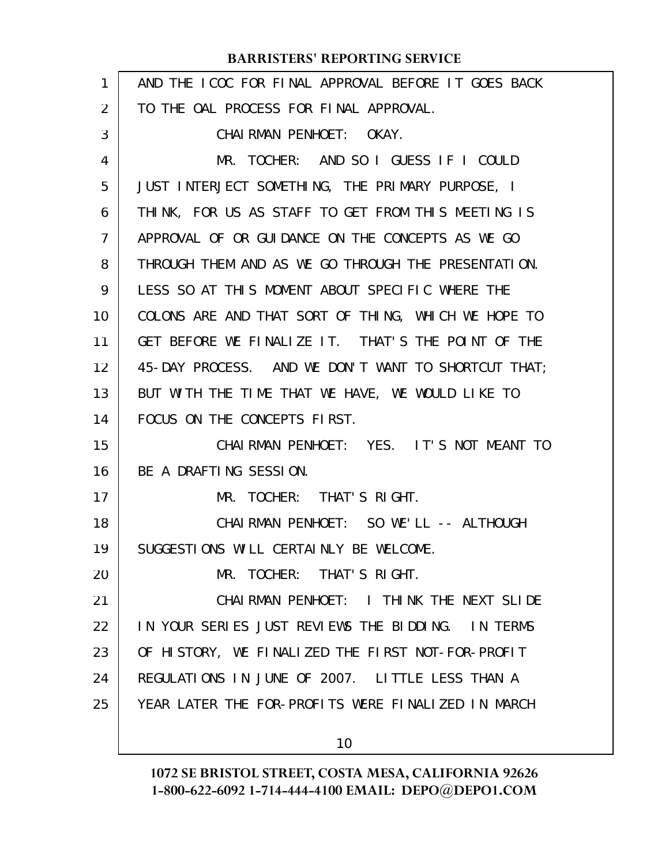| $\mathbf{1}$ | AND THE ICOC FOR FINAL APPROVAL BEFORE IT GOES BACK |
|--------------|-----------------------------------------------------|
| 2            | TO THE OAL PROCESS FOR FINAL APPROVAL.              |
| 3            | CHAIRMAN PENHOET: OKAY.                             |
| 4            | MR. TOCHER: AND SO I GUESS IF I COULD               |
| 5            | JUST INTERJECT SOMETHING, THE PRIMARY PURPOSE, I    |
| 6            | THINK, FOR US AS STAFF TO GET FROM THIS MEETING IS  |
| 7            | APPROVAL OF OR GUIDANCE ON THE CONCEPTS AS WE GO    |
| 8            | THROUGH THEM AND AS WE GO THROUGH THE PRESENTATION. |
| 9            | LESS SO AT THIS MOMENT ABOUT SPECIFIC WHERE THE     |
| 10           | COLONS ARE AND THAT SORT OF THING, WHICH WE HOPE TO |
| 11           | GET BEFORE WE FINALIZE IT. THAT'S THE POINT OF THE  |
| 12           | 45-DAY PROCESS. AND WE DON'T WANT TO SHORTCUT THAT; |
| 13           | BUT WITH THE TIME THAT WE HAVE, WE WOULD LIKE TO    |
| 14           | FOCUS ON THE CONCEPTS FIRST.                        |
| 15           | CHAIRMAN PENHOET: YES. IT'S NOT MEANT TO            |
| 16           | BE A DRAFTING SESSION.                              |
| 17           | MR. TOCHER: THAT'S RIGHT.                           |
| 18           | CHAI RMAN PENHOET: SO WE'LL -- ALTHOUGH             |
| 19           | SUGGESTIONS WILL CERTAINLY BE WELCOME.              |
| 20           | MR. TOCHER: THAT'S RIGHT.                           |
| 21           | CHAIRMAN PENHOET: I THINK THE NEXT SLIDE            |
| 22           | IN YOUR SERIES JUST REVIEWS THE BIDDING. IN TERMS   |
| 23           | OF HISTORY, WE FINALIZED THE FIRST NOT-FOR-PROFIT   |
| 24           | REGULATIONS IN JUNE OF 2007. LITTLE LESS THAN A     |
| 25           | YEAR LATER THE FOR-PROFITS WERE FINALIZED IN MARCH  |
|              | 10                                                  |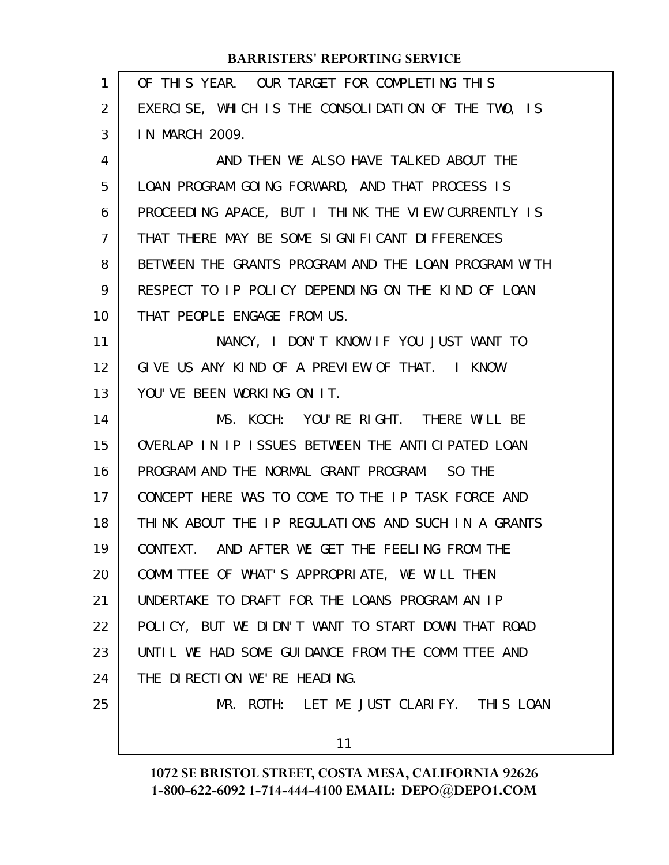| 1              | OF THIS YEAR. OUR TARGET FOR COMPLETING THIS         |
|----------------|------------------------------------------------------|
| $\overline{2}$ | EXERCISE, WHICH IS THE CONSOLIDATION OF THE TWO, IS  |
| 3              | IN MARCH 2009.                                       |
| 4              | AND THEN WE ALSO HAVE TALKED ABOUT THE               |
| 5              | LOAN PROGRAM GOING FORWARD, AND THAT PROCESS IS      |
| 6              | PROCEEDING APACE, BUT I THINK THE VIEW CURRENTLY IS  |
| $\overline{7}$ | THAT THERE MAY BE SOME SIGNIFICANT DIFFERENCES       |
| 8              | BETWEEN THE GRANTS PROGRAM AND THE LOAN PROGRAM WITH |
| 9              | RESPECT TO IP POLICY DEPENDING ON THE KIND OF LOAN   |
| 10             | THAT PEOPLE ENGAGE FROM US.                          |
| 11             | NANCY, I DON'T KNOW IF YOU JUST WANT TO              |
| 12             | GIVE US ANY KIND OF A PREVIEW OF THAT. I KNOW        |
| 13             | YOU'VE BEEN WORKING ON IT.                           |
| 14             | MS. KOCH: YOU'RE RIGHT. THERE WILL BE                |
| 15             | OVERLAP IN IP ISSUES BETWEEN THE ANTICIPATED LOAN    |
| 16             | PROGRAM AND THE NORMAL GRANT PROGRAM. SO THE         |
| 17             | CONCEPT HERE WAS TO COME TO THE IP TASK FORCE AND    |
| 18             | THINK ABOUT THE IP REGULATIONS AND SUCH IN A GRANTS  |
| 19             | CONTEXT. AND AFTER WE GET THE FEELING FROM THE       |
| 20             | COMMITTEE OF WHAT'S APPROPRIATE, WE WILL THEN        |
| 21             | UNDERTAKE TO DRAFT FOR THE LOANS PROGRAM AN IP       |
| 22             | POLICY, BUT WE DIDN'T WANT TO START DOWN THAT ROAD   |
| 23             | UNTIL WE HAD SOME GUIDANCE FROM THE COMMITTEE AND    |
| 24             | THE DIRECTION WE'RE HEADING.                         |
| 25             | MR. ROTH: LET ME JUST CLARIFY. THIS LOAN             |
|                | 11                                                   |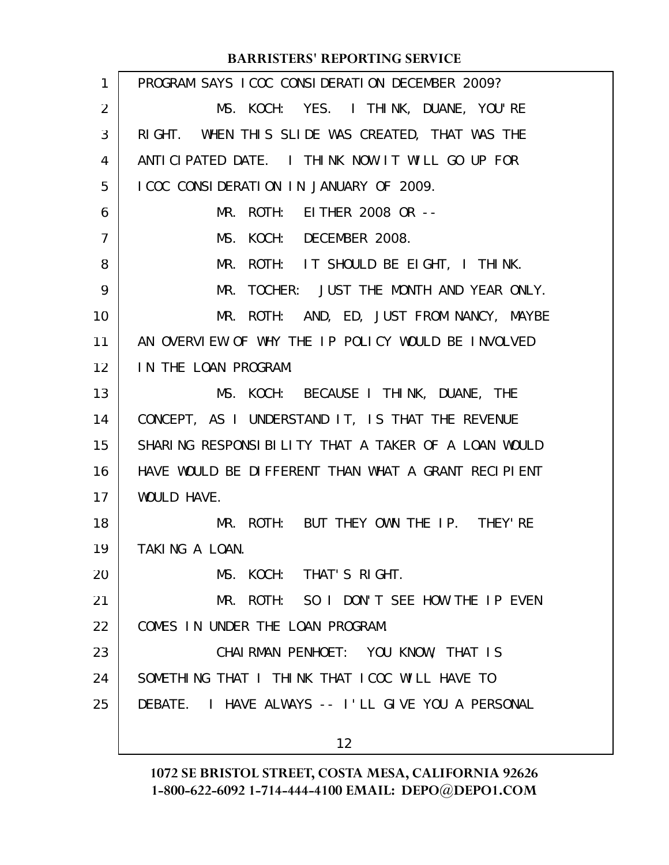| PROGRAM SAYS ICOC CONSIDERATION DECEMBER 2009?      |
|-----------------------------------------------------|
| MS. KOCH: YES. I THINK, DUANE, YOU'RE               |
| RIGHT. WHEN THIS SLIDE WAS CREATED, THAT WAS THE    |
| ANTICIPATED DATE. I THINK NOW IT WILL GO UP FOR     |
| I COC CONSIDERATION IN JANUARY OF 2009.             |
| MR. ROTH: EITHER 2008 OR --                         |
| MS. KOCH: DECEMBER 2008.                            |
| MR. ROTH: IT SHOULD BE EIGHT, I THINK.              |
| TOCHER: JUST THE MONTH AND YEAR ONLY.<br>MR.        |
| MR. ROTH: AND, ED, JUST FROM NANCY, MAYBE           |
| AN OVERVIEW OF WHY THE IP POLICY WOULD BE INVOLVED  |
| IN THE LOAN PROGRAM.                                |
| MS. KOCH: BECAUSE I THINK, DUANE, THE               |
| CONCEPT, AS I UNDERSTAND IT, IS THAT THE REVENUE    |
| SHARING RESPONSIBILITY THAT A TAKER OF A LOAN WOULD |
| HAVE WOULD BE DIFFERENT THAN WHAT A GRANT RECIPIENT |
| WOULD HAVE.                                         |
| MR. ROTH: BUT THEY OWN THE IP. THEY'RE              |
| TAKING A LOAN.                                      |
| MS. KOCH: THAT'S RIGHT.                             |
| MR. ROTH: SO I DON'T SEE HOW THE IP EVEN            |
| COMES IN UNDER THE LOAN PROGRAM.                    |
| CHAIRMAN PENHOET: YOU KNOW, THAT IS                 |
| SOMETHING THAT I THINK THAT ICOC WILL HAVE TO       |
| DEBATE. I HAVE ALWAYS -- I'LL GIVE YOU A PERSONAL   |
| 12 <sup>2</sup>                                     |
|                                                     |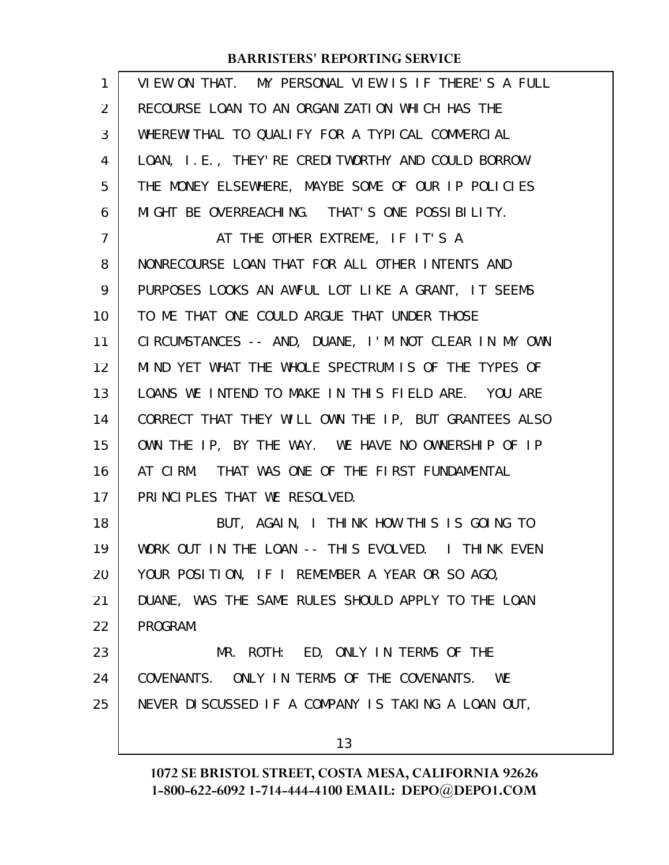| VIEW ON THAT. MY PERSONAL VIEW IS IF THERE'S A FULL  |
|------------------------------------------------------|
| RECOURSE LOAN TO AN ORGANIZATION WHICH HAS THE       |
| WHEREWITHAL TO QUALIFY FOR A TYPICAL COMMERCIAL      |
| LOAN, I.E., THEY'RE CREDITWORTHY AND COULD BORROW    |
| THE MONEY ELSEWHERE, MAYBE SOME OF OUR IP POLICIES   |
| MIGHT BE OVERREACHING. THAT'S ONE POSSIBILITY.       |
| AT THE OTHER EXTREME, IF IT'S A                      |
| NONRECOURSE LOAN THAT FOR ALL OTHER INTENTS AND      |
| PURPOSES LOOKS AN AWFUL LOT LIKE A GRANT, IT SEEMS   |
| TO ME THAT ONE COULD ARGUE THAT UNDER THOSE          |
| CIRCUMSTANCES -- AND, DUANE, I'M NOT CLEAR IN MY OWN |
| MIND YET WHAT THE WHOLE SPECTRUM IS OF THE TYPES OF  |
| LOANS WE INTEND TO MAKE IN THIS FIELD ARE. YOU ARE   |
| CORRECT THAT THEY WILL OWN THE IP, BUT GRANTEES ALSO |
| OWN THE IP, BY THE WAY. WE HAVE NO OWNERSHIP OF IP   |
| AT CIRM. THAT WAS ONE OF THE FIRST FUNDAMENTAL       |
| PRINCIPLES THAT WE RESOLVED.                         |
| BUT, AGAIN, I THINK HOW THIS IS GOING TO             |
| WORK OUT IN THE LOAN -- THIS EVOLVED. I THINK EVEN   |
| YOUR POSITION, IF I REMEMBER A YEAR OR SO AGO,       |
| DUANE, WAS THE SAME RULES SHOULD APPLY TO THE LOAN   |
| PROGRAM.                                             |
| MR. ROTH: ED, ONLY IN TERMS OF THE                   |
| COVENANTS. ONLY IN TERMS OF THE COVENANTS. WE        |
| NEVER DISCUSSED IF A COMPANY IS TAKING A LOAN OUT,   |
| 13                                                   |
|                                                      |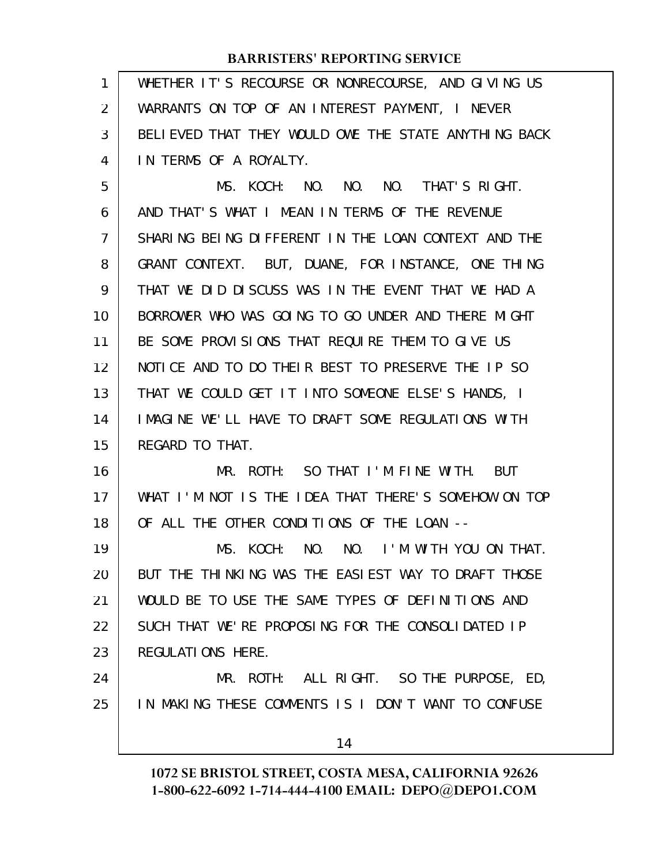WHETHER IT'S RECOURSE OR NONRECOURSE, AND GIVING US WARRANTS ON TOP OF AN INTEREST PAYMENT, I NEVER BELIEVED THAT THEY WOULD OWE THE STATE ANYTHING BACK IN TERMS OF A ROYALTY. MS. KOCH: NO. NO. NO. THAT'S RIGHT. AND THAT'S WHAT I MEAN IN TERMS OF THE REVENUE SHARING BEING DIFFERENT IN THE LOAN CONTEXT AND THE GRANT CONTEXT. BUT, DUANE, FOR INSTANCE, ONE THING THAT WE DID DISCUSS WAS IN THE EVENT THAT WE HAD A BORROWER WHO WAS GOING TO GO UNDER AND THERE MIGHT BE SOME PROVISIONS THAT REQUIRE THEM TO GIVE US NOTICE AND TO DO THEIR BEST TO PRESERVE THE IP SO THAT WE COULD GET IT INTO SOMEONE ELSE'S HANDS, I IMAGINE WE'LL HAVE TO DRAFT SOME REGULATIONS WITH REGARD TO THAT. MR. ROTH: SO THAT I'M FINE WITH. BUT WHAT I'M NOT IS THE IDEA THAT THERE'S SOMEHOW ON TOP OF ALL THE OTHER CONDITIONS OF THE LOAN -- MS. KOCH: NO. NO. I'M WITH YOU ON THAT. BUT THE THINKING WAS THE EASIEST WAY TO DRAFT THOSE WOULD BE TO USE THE SAME TYPES OF DEFINITIONS AND SUCH THAT WE'RE PROPOSING FOR THE CONSOLIDATED IP REGULATIONS HERE. MR. ROTH: ALL RIGHT. SO THE PURPOSE, ED, IN MAKING THESE COMMENTS IS I DON'T WANT TO CONFUSE 1 2 3 4 5 6 7 8 9 10 11 12 13 14 15 16 17 18 19 20 21 22 23 24 25

14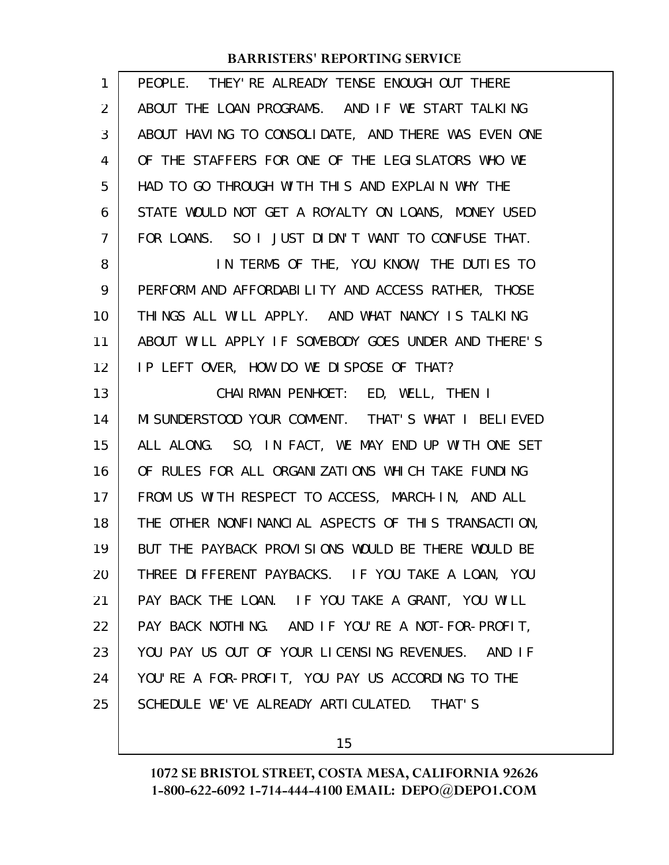| ABOUT THE LOAN PROGRAMS. AND IF WE START TALKING<br>ABOUT HAVING TO CONSOLIDATE, AND THERE WAS EVEN ONE<br>OF THE STAFFERS FOR ONE OF THE LEGISLATORS WHO WE<br>HAD TO GO THROUGH WITH THIS AND EXPLAIN WHY THE<br>STATE WOULD NOT GET A ROYALTY ON LOANS, MONEY USED<br>FOR LOANS. SO I JUST DIDN'T WANT TO CONFUSE THAT. |
|----------------------------------------------------------------------------------------------------------------------------------------------------------------------------------------------------------------------------------------------------------------------------------------------------------------------------|
|                                                                                                                                                                                                                                                                                                                            |
|                                                                                                                                                                                                                                                                                                                            |
|                                                                                                                                                                                                                                                                                                                            |
|                                                                                                                                                                                                                                                                                                                            |
|                                                                                                                                                                                                                                                                                                                            |
|                                                                                                                                                                                                                                                                                                                            |
| IN TERMS OF THE, YOU KNOW, THE DUTIES TO                                                                                                                                                                                                                                                                                   |
| PERFORM AND AFFORDABILITY AND ACCESS RATHER, THOSE                                                                                                                                                                                                                                                                         |
| THINGS ALL WILL APPLY. AND WHAT NANCY IS TALKING                                                                                                                                                                                                                                                                           |
| ABOUT WILL APPLY IF SOMEBODY GOES UNDER AND THERE'S                                                                                                                                                                                                                                                                        |
|                                                                                                                                                                                                                                                                                                                            |
|                                                                                                                                                                                                                                                                                                                            |
| MI SUNDERSTOOD YOUR COMMENT. THAT'S WHAT I BELIEVED                                                                                                                                                                                                                                                                        |
| ALL ALONG. SO, IN FACT, WE MAY END UP WITH ONE SET                                                                                                                                                                                                                                                                         |
| OF RULES FOR ALL ORGANIZATIONS WHICH TAKE FUNDING                                                                                                                                                                                                                                                                          |
| FROM US WITH RESPECT TO ACCESS, MARCH-IN, AND ALL                                                                                                                                                                                                                                                                          |
| THE OTHER NONFINANCIAL ASPECTS OF THIS TRANSACTION,                                                                                                                                                                                                                                                                        |
| BUT THE PAYBACK PROVISIONS WOULD BE THERE WOULD BE                                                                                                                                                                                                                                                                         |
|                                                                                                                                                                                                                                                                                                                            |
| THREE DIFFERENT PAYBACKS. IF YOU TAKE A LOAN, YOU                                                                                                                                                                                                                                                                          |
| PAY BACK THE LOAN. IF YOU TAKE A GRANT, YOU WILL                                                                                                                                                                                                                                                                           |
| PAY BACK NOTHING. AND IF YOU'RE A NOT-FOR-PROFIT,                                                                                                                                                                                                                                                                          |
| YOU PAY US OUT OF YOUR LICENSING REVENUES. AND IF                                                                                                                                                                                                                                                                          |
| YOU'RE A FOR-PROFIT, YOU PAY US ACCORDING TO THE                                                                                                                                                                                                                                                                           |
|                                                                                                                                                                                                                                                                                                                            |

15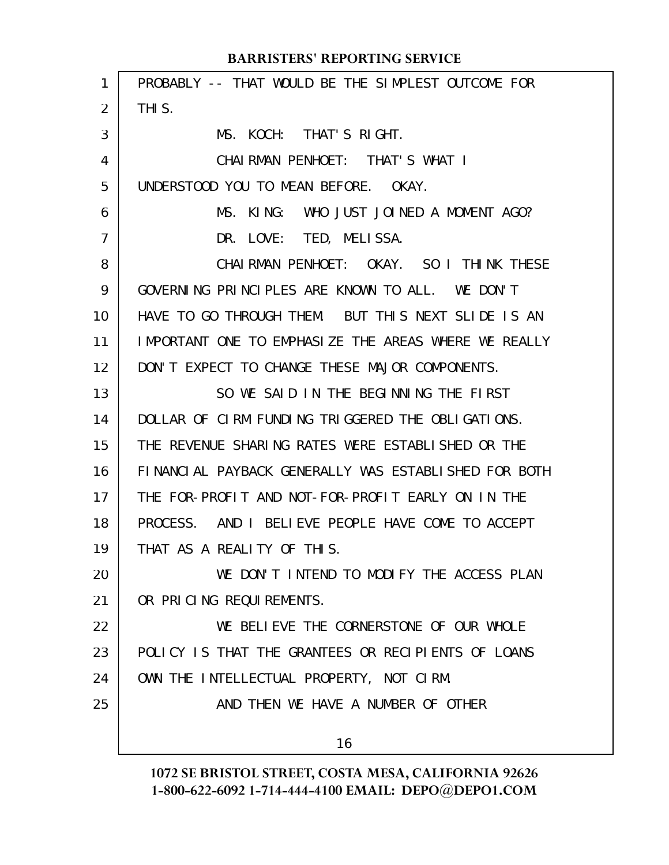| 1  | PROBABLY -- THAT WOULD BE THE SIMPLEST OUTCOME FOR   |
|----|------------------------------------------------------|
| 2  | THI S.                                               |
| 3  | MS. KOCH: THAT'S RIGHT.                              |
| 4  | CHAIRMAN PENHOET: THAT'S WHAT I                      |
| 5  | UNDERSTOOD YOU TO MEAN BEFORE. OKAY.                 |
| 6  | KI NG:<br>WHO JUST JOINED A MOMENT AGO?<br>MS.       |
| 7  | DR. LOVE: TED, MELISSA.                              |
| 8  | CHAIRMAN PENHOET: OKAY. SO I THINK THESE             |
| 9  | GOVERNING PRINCIPLES ARE KNOWN TO ALL. WE DON'T      |
| 10 | HAVE TO GO THROUGH THEM. BUT THIS NEXT SLIDE IS AN   |
| 11 | IMPORTANT ONE TO EMPHASIZE THE AREAS WHERE WE REALLY |
| 12 | DON'T EXPECT TO CHANGE THESE MAJOR COMPONENTS.       |
| 13 | SO WE SAID IN THE BEGINNING THE FIRST                |
| 14 | DOLLAR OF CIRM FUNDING TRIGGERED THE OBLIGATIONS.    |
| 15 | THE REVENUE SHARING RATES WERE ESTABLISHED OR THE    |
| 16 | FINANCIAL PAYBACK GENERALLY WAS ESTABLISHED FOR BOTH |
| 17 | THE FOR-PROFIT AND NOT-FOR-PROFIT EARLY ON IN THE    |
| 18 | PROCESS. AND I BELIEVE PEOPLE HAVE COME TO ACCEPT    |
| 19 | THAT AS A REALITY OF THIS.                           |
| 20 | WE DON'T INTEND TO MODIFY THE ACCESS PLAN            |
| 21 | OR PRICING REQUIREMENTS.                             |
| 22 | WE BELIEVE THE CORNERSTONE OF OUR WHOLE              |
| 23 | POLICY IS THAT THE GRANTEES OR RECIPIENTS OF LOANS   |
| 24 | OWN THE INTELLECTUAL PROPERTY, NOT CIRM.             |
| 25 | AND THEN WE HAVE A NUMBER OF OTHER                   |
|    | 16                                                   |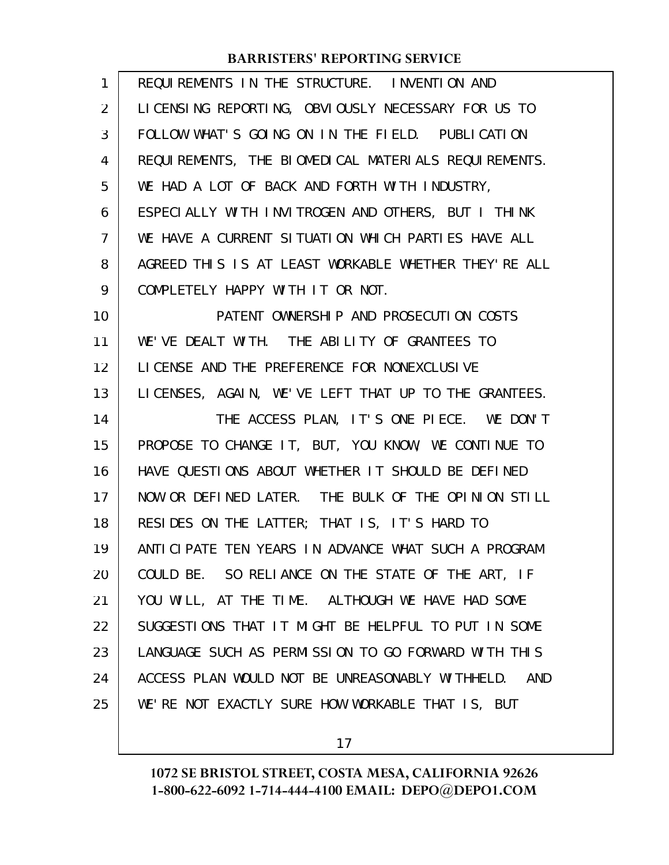| $\mathbf{1}$   | REQUIREMENTS IN THE STRUCTURE. INVENTION AND           |
|----------------|--------------------------------------------------------|
| 2              | LICENSING REPORTING, OBVIOUSLY NECESSARY FOR US TO     |
| 3              | FOLLOW WHAT'S GOING ON IN THE FIELD. PUBLICATION       |
| 4              | REQUIREMENTS, THE BIOMEDICAL MATERIALS REQUIREMENTS.   |
| 5              | WE HAD A LOT OF BACK AND FORTH WITH INDUSTRY,          |
| 6              | ESPECIALLY WITH INVITROGEN AND OTHERS, BUT I THINK     |
| $\overline{7}$ | WE HAVE A CURRENT SITUATION WHICH PARTIES HAVE ALL     |
| 8              | AGREED THIS IS AT LEAST WORKABLE WHETHER THEY'RE ALL   |
| 9              | COMPLETELY HAPPY WITH IT OR NOT.                       |
| 10             | PATENT OWNERSHIP AND PROSECUTION COSTS                 |
| 11             | WE'VE DEALT WITH. THE ABILITY OF GRANTEES TO           |
| 12             | LICENSE AND THE PREFERENCE FOR NONEXCLUSIVE            |
| 13             | LICENSES, AGAIN, WE'VE LEFT THAT UP TO THE GRANTEES.   |
| 14             | THE ACCESS PLAN, IT'S ONE PIECE. WE DON'T              |
| 15             | PROPOSE TO CHANGE IT, BUT, YOU KNOW, WE CONTINUE TO    |
| 16             | HAVE QUESTIONS ABOUT WHETHER IT SHOULD BE DEFINED      |
| 17             | NOW OR DEFINED LATER. THE BULK OF THE OPINION STILL    |
| 18             | RESIDES ON THE LATTER; THAT IS, IT'S HARD TO           |
| 19             | ANTICIPATE TEN YEARS IN ADVANCE WHAT SUCH A PROGRAM    |
| 20             | COULD BE. SO RELIANCE ON THE STATE OF THE ART, IF      |
| 21             | YOU WILL, AT THE TIME. ALTHOUGH WE HAVE HAD SOME       |
| 22             | SUGGESTIONS THAT IT MIGHT BE HELPFUL TO PUT IN SOME    |
| 23             | LANGUAGE SUCH AS PERMISSION TO GO FORWARD WITH THIS    |
| 24             | ACCESS PLAN WOULD NOT BE UNREASONABLY WITHHELD.<br>AND |
| 25             | WE'RE NOT EXACTLY SURE HOW WORKABLE THAT IS, BUT       |

17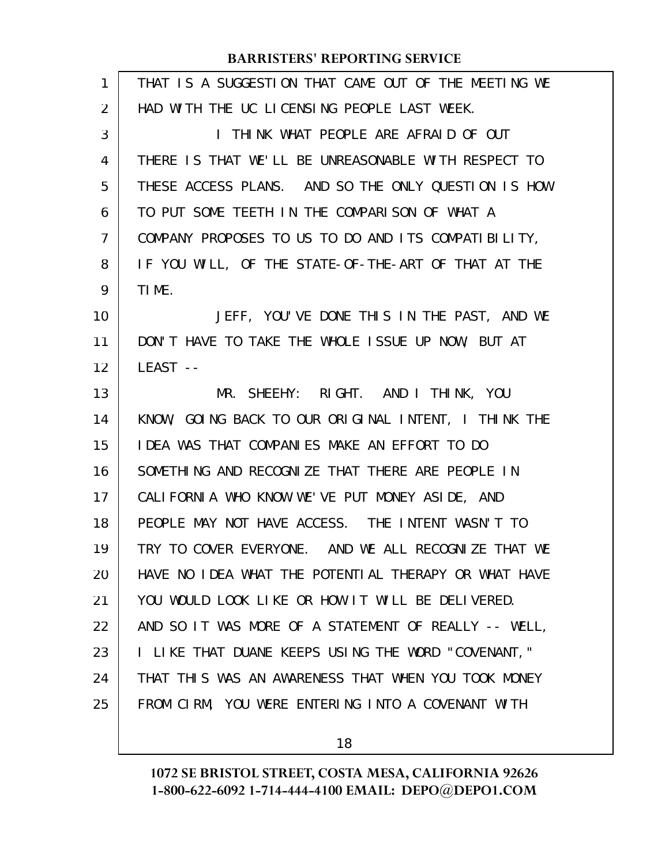| 1              | THAT IS A SUGGESTION THAT CAME OUT OF THE MEETING WE |
|----------------|------------------------------------------------------|
| 2              | HAD WITH THE UC LICENSING PEOPLE LAST WEEK.          |
| 3              | I THINK WHAT PEOPLE ARE AFRAID OF OUT                |
| 4              | THERE IS THAT WE'LL BE UNREASONABLE WITH RESPECT TO  |
| 5              | THESE ACCESS PLANS. AND SO THE ONLY QUESTION IS HOW  |
| 6              | TO PUT SOME TEETH IN THE COMPARISON OF WHAT A        |
| $\overline{7}$ | COMPANY PROPOSES TO US TO DO AND ITS COMPATIBILITY,  |
| 8              | IF YOU WILL, OF THE STATE-OF-THE-ART OF THAT AT THE  |
| 9              | TIME.                                                |
| 10             | JEFF, YOU'VE DONE THIS IN THE PAST, AND WE           |
| 11             | DON'T HAVE TO TAKE THE WHOLE ISSUE UP NOW, BUT AT    |
| 12             | LEAST --                                             |
| 13             | MR. SHEEHY: RIGHT. AND I THINK, YOU                  |
| 14             | KNOW, GOING BACK TO OUR ORIGINAL INTENT, I THINK THE |
| 15             | <b>IDEA WAS THAT COMPANIES MAKE AN EFFORT TO DO</b>  |
| 16             | SOMETHING AND RECOGNIZE THAT THERE ARE PEOPLE IN     |
| 17             | CALIFORNIA WHO KNOW WE'VE PUT MONEY ASIDE, AND       |
| 18             | PEOPLE MAY NOT HAVE ACCESS. THE INTENT WASN'T TO     |
| 19             | TRY TO COVER EVERYONE. AND WE ALL RECOGNIZE THAT WE  |
| 20             | HAVE NO IDEA WHAT THE POTENTIAL THERAPY OR WHAT HAVE |
| 21             | YOU WOULD LOOK LIKE OR HOW IT WILL BE DELIVERED.     |
| 22             | AND SO IT WAS MORE OF A STATEMENT OF REALLY -- WELL, |
| 23             | I LIKE THAT DUANE KEEPS USING THE WORD "COVENANT,"   |
| 24             | THAT THIS WAS AN AWARENESS THAT WHEN YOU TOOK MONEY  |
| 25             | FROM CIRM, YOU WERE ENTERING INTO A COVENANT WITH    |
|                |                                                      |

18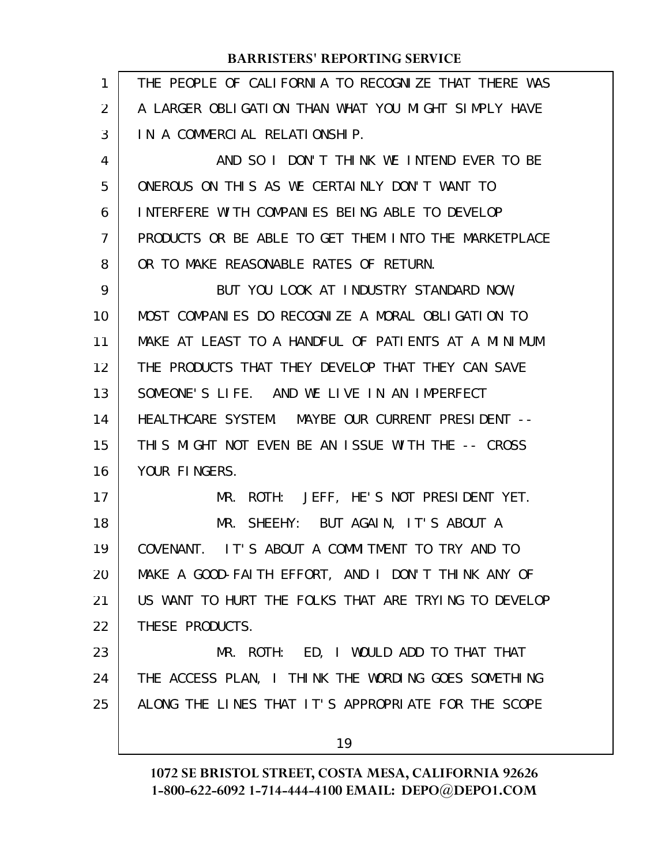| 1              | THE PEOPLE OF CALIFORNIA TO RECOGNIZE THAT THERE WAS |
|----------------|------------------------------------------------------|
| $\overline{2}$ | A LARGER OBLIGATION THAN WHAT YOU MIGHT SIMPLY HAVE  |
| 3              | IN A COMMERCIAL RELATIONSHIP.                        |
| 4              | AND SO I DON'T THINK WE INTEND EVER TO BE            |
| 5              | ONEROUS ON THIS AS WE CERTAINLY DON'T WANT TO        |
| 6              | INTERFERE WITH COMPANIES BEING ABLE TO DEVELOP       |
| 7              | PRODUCTS OR BE ABLE TO GET THEM INTO THE MARKETPLACE |
| 8              | OR TO MAKE REASONABLE RATES OF RETURN.               |
| 9              | BUT YOU LOOK AT INDUSTRY STANDARD NOW,               |
| 10             | MOST COMPANIES DO RECOGNIZE A MORAL OBLIGATION TO    |
| 11             | MAKE AT LEAST TO A HANDFUL OF PATIENTS AT A MINIMUM  |
| 12             | THE PRODUCTS THAT THEY DEVELOP THAT THEY CAN SAVE    |
| 13             | SOMEONE'S LIFE. AND WE LIVE IN AN IMPERFECT          |
| 14             | HEALTHCARE SYSTEM. MAYBE OUR CURRENT PRESIDENT --    |
| 15             | THIS MIGHT NOT EVEN BE AN ISSUE WITH THE -- CROSS    |
| 16             | YOUR FINGERS.                                        |
| 17             | ROTH: JEFF, HE'S NOT PRESIDENT YET.<br>MR.           |
| 18             | MR. SHEEHY: BUT AGAIN, IT'S ABOUT A                  |
| 19             | COVENANT. IT'S ABOUT A COMMITMENT TO TRY AND TO      |
| 20             | MAKE A GOOD-FAITH EFFORT, AND I DON'T THINK ANY OF   |
| 21             | US WANT TO HURT THE FOLKS THAT ARE TRYING TO DEVELOP |
| 22             | THESE PRODUCTS.                                      |
| 23             | MR. ROTH: ED, I WOULD ADD TO THAT THAT               |
| 24             | THE ACCESS PLAN, I THINK THE WORDING GOES SOMETHING  |
| 25             | ALONG THE LINES THAT IT'S APPROPRIATE FOR THE SCOPE  |
|                | 19                                                   |
|                |                                                      |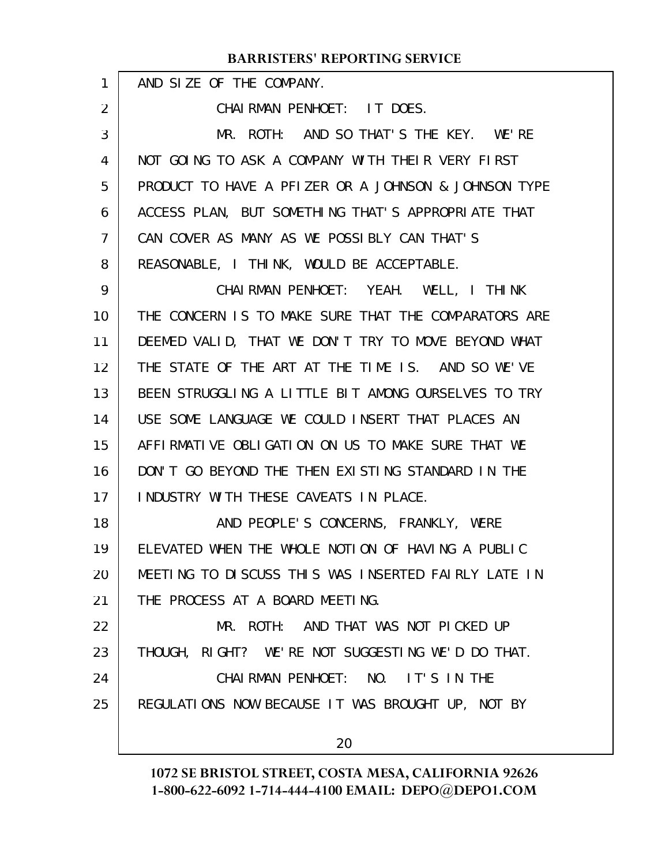| $\mathbf{1}$ | AND SIZE OF THE COMPANY.                             |
|--------------|------------------------------------------------------|
| 2            | CHAIRMAN PENHOET: IT DOES.                           |
| 3            | MR. ROTH: AND SO THAT'S THE KEY. WE'RE               |
| 4            | NOT GOING TO ASK A COMPANY WITH THEIR VERY FIRST     |
| 5            | PRODUCT TO HAVE A PFIZER OR A JOHNSON & JOHNSON TYPE |
| 6            | ACCESS PLAN, BUT SOMETHING THAT'S APPROPRIATE THAT   |
| 7            | CAN COVER AS MANY AS WE POSSIBLY CAN THAT'S          |
| 8            | REASONABLE, I THINK, WOULD BE ACCEPTABLE.            |
| 9            | CHAI RMAN PENHOET: YEAH. WELL, I THINK               |
| 10           | THE CONCERN IS TO MAKE SURE THAT THE COMPARATORS ARE |
| 11           | DEEMED VALID, THAT WE DON'T TRY TO MOVE BEYOND WHAT  |
| 12           | THE STATE OF THE ART AT THE TIME IS. AND SO WE'VE    |
| 13           | BEEN STRUGGLING A LITTLE BIT AMONG OURSELVES TO TRY  |
| 14           | USE SOME LANGUAGE WE COULD INSERT THAT PLACES AN     |
| 15           | AFFIRMATIVE OBLIGATION ON US TO MAKE SURE THAT WE    |
| 16           | DON'T GO BEYOND THE THEN EXISTING STANDARD IN THE    |
| 17           | INDUSTRY WITH THESE CAVEATS IN PLACE.                |
| 18           | AND PEOPLE'S CONCERNS, FRANKLY, WERE                 |
| 19           | ELEVATED WHEN THE WHOLE NOTION OF HAVING A PUBLIC    |
| 20           | MEETING TO DISCUSS THIS WAS INSERTED FAIRLY LATE IN  |
| 21           | THE PROCESS AT A BOARD MEETING.                      |
| 22           | MR. ROTH: AND THAT WAS NOT PICKED UP                 |
| 23           | THOUGH, RIGHT? WE'RE NOT SUGGESTING WE'D DO THAT.    |
| 24           | CHAIRMAN PENHOET: NO. IT'S IN THE                    |
| 25           | REGULATIONS NOW BECAUSE IT WAS BROUGHT UP, NOT BY    |
|              |                                                      |
|              | 20                                                   |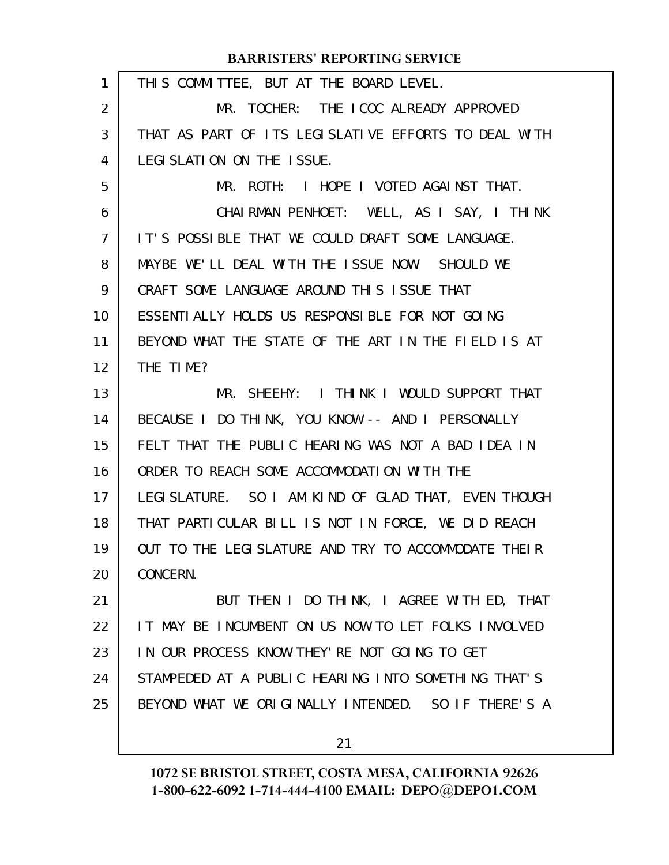| $\mathbf{1}$   | THIS COMMITTEE, BUT AT THE BOARD LEVEL.              |
|----------------|------------------------------------------------------|
| $\overline{2}$ | MR. TOCHER: THE ICOC ALREADY APPROVED                |
| 3              | THAT AS PART OF ITS LEGISLATIVE EFFORTS TO DEAL WITH |
| 4              | LEGI SLATION ON THE ISSUE.                           |
| 5              | MR. ROTH: I HOPE I VOTED AGAINST THAT.               |
| 6              | CHAIRMAN PENHOET: WELL, AS I SAY, I THINK            |
| $\overline{7}$ | IT'S POSSIBLE THAT WE COULD DRAFT SOME LANGUAGE.     |
| 8              | MAYBE WE'LL DEAL WITH THE ISSUE NOW. SHOULD WE       |
| 9              | CRAFT SOME LANGUAGE AROUND THIS ISSUE THAT           |
| 10             | ESSENTIALLY HOLDS US RESPONSIBLE FOR NOT GOING       |
| 11             | BEYOND WHAT THE STATE OF THE ART IN THE FIELD IS AT  |
| 12             | THE TIME?                                            |
| 13             | MR. SHEEHY: I THINK I WOULD SUPPORT THAT             |
| 14             | BECAUSE I DO THINK, YOU KNOW -- AND I PERSONALLY     |
| 15             | FELT THAT THE PUBLIC HEARING WAS NOT A BAD IDEA IN   |
| 16             | ORDER TO REACH SOME ACCOMMODATION WITH THE           |
| 17             | LEGI SLATURE. SO I AM KIND OF GLAD THAT, EVEN THOUGH |
| 18             | THAT PARTICULAR BILL IS NOT IN FORCE, WE DID REACH   |
| 19             | OUT TO THE LEGISLATURE AND TRY TO ACCOMMODATE THEIR  |
| 20             | CONCERN.                                             |
| 21             | BUT THEN I DO THINK, I AGREE WITH ED, THAT           |
| 22             | IT MAY BE INCUMBENT ON US NOW TO LET FOLKS INVOLVED  |
| 23             | IN OUR PROCESS KNOW THEY'RE NOT GOING TO GET         |
| 24             | STAMPEDED AT A PUBLIC HEARING INTO SOMETHING THAT'S  |
| 25             | BEYOND WHAT WE ORIGINALLY INTENDED. SO IF THERE'S A  |
|                |                                                      |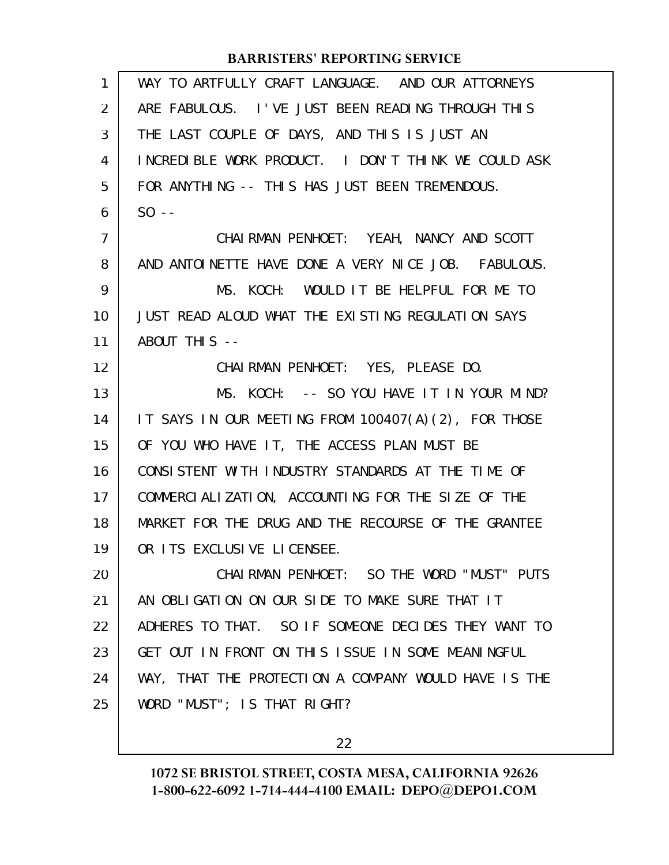| $\mathbf{1}$   | WAY TO ARTFULLY CRAFT LANGUAGE. AND OUR ATTORNEYS    |
|----------------|------------------------------------------------------|
| 2              | ARE FABULOUS. I'VE JUST BEEN READING THROUGH THIS    |
| 3              | THE LAST COUPLE OF DAYS, AND THIS IS JUST AN         |
| 4              | INCREDIBLE WORK PRODUCT. I DON'T THINK WE COULD ASK  |
| 5              | FOR ANYTHING -- THIS HAS JUST BEEN TREMENDOUS.       |
| 6              | $SO - -$                                             |
| $\overline{7}$ | CHAIRMAN PENHOET: YEAH, NANCY AND SCOTT              |
| 8              | AND ANTOINETTE HAVE DONE A VERY NICE JOB. FABULOUS.  |
| 9              | MS. KOCH: WOULD IT BE HELPFUL FOR ME TO              |
| 10             | JUST READ ALOUD WHAT THE EXISTING REGULATION SAYS    |
| 11             | ABOUT THIS --                                        |
| 12             | CHAIRMAN PENHOET: YES, PLEASE DO.                    |
| 13             | MS. KOCH: -- SO YOU HAVE IT IN YOUR MIND?            |
| 14             | IT SAYS IN OUR MEETING FROM 100407(A)(2), FOR THOSE  |
| 15             | OF YOU WHO HAVE IT, THE ACCESS PLAN MUST BE          |
| 16             | CONSISTENT WITH INDUSTRY STANDARDS AT THE TIME OF    |
| 17             | COMMERCIALIZATION, ACCOUNTING FOR THE SIZE OF THE    |
| 18             | MARKET FOR THE DRUG AND THE RECOURSE OF THE GRANTEE  |
| 19             | OR ITS EXCLUSIVE LICENSEE.                           |
| 20             | CHAIRMAN PENHOET: SO THE WORD "MUST" PUTS            |
| 21             | AN OBLIGATION ON OUR SIDE TO MAKE SURE THAT IT       |
| 22             | ADHERES TO THAT. SO IF SOMEONE DECIDES THEY WANT TO  |
| 23             | GET OUT IN FRONT ON THIS ISSUE IN SOME MEANINGFUL    |
| 24             | WAY, THAT THE PROTECTION A COMPANY WOULD HAVE IS THE |
| 25             | WORD "MUST"; IS THAT RIGHT?                          |
|                |                                                      |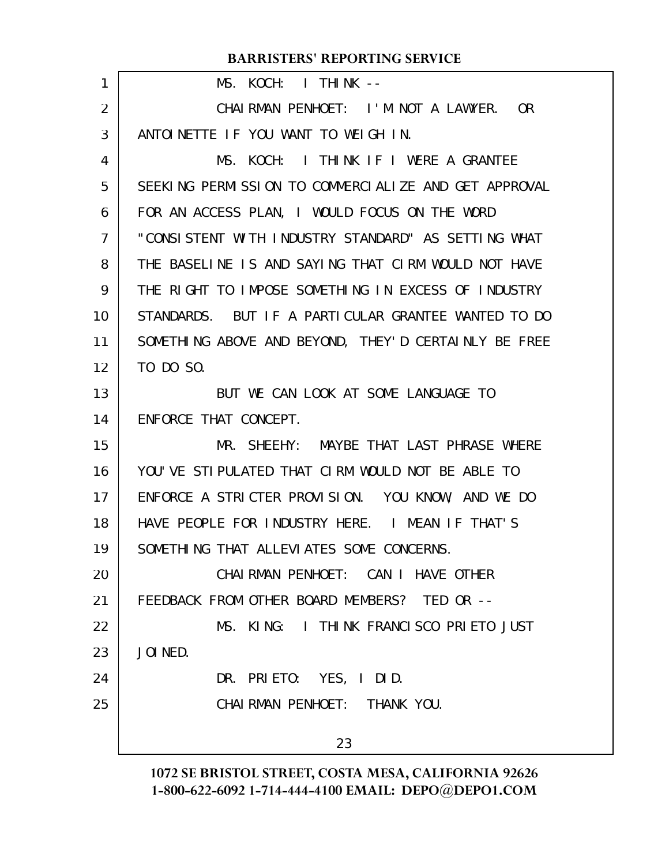| 1              | MS. KOCH: I THINK --                                 |
|----------------|------------------------------------------------------|
| $\overline{2}$ | CHAIRMAN PENHOET: I'M NOT A LAWYER. OR               |
| 3              | ANTOINETTE IF YOU WANT TO WEIGH IN.                  |
| 4              | MS. KOCH: I THINK IF I WERE A GRANTEE                |
| 5              | SEEKING PERMISSION TO COMMERCIALIZE AND GET APPROVAL |
| 6              | FOR AN ACCESS PLAN, I WOULD FOCUS ON THE WORD        |
| 7              | "CONSISTENT WITH INDUSTRY STANDARD" AS SETTING WHAT  |
| 8              | THE BASELINE IS AND SAYING THAT CIRM WOULD NOT HAVE  |
| 9              | THE RIGHT TO IMPOSE SOMETHING IN EXCESS OF INDUSTRY  |
| 10             | STANDARDS. BUT IF A PARTICULAR GRANTEE WANTED TO DO  |
| 11             | SOMETHING ABOVE AND BEYOND, THEY'D CERTAINLY BE FREE |
| 12             | TO DO SO.                                            |
| 13             | BUT WE CAN LOOK AT SOME LANGUAGE TO                  |
| 14             | ENFORCE THAT CONCEPT.                                |
| 15             | MR. SHEEHY: MAYBE THAT LAST PHRASE WHERE             |
| 16             | YOU'VE STIPULATED THAT CIRM WOULD NOT BE ABLE TO     |
| 17             | ENFORCE A STRICTER PROVISION. YOU KNOW, AND WE DO    |
| 18             | HAVE PEOPLE FOR INDUSTRY HERE. I MEAN IF THAT'S      |
| 19             | SOMETHING THAT ALLEVIATES SOME CONCERNS.             |
| 20             | CHAIRMAN PENHOET: CAN I HAVE OTHER                   |
| 21             | FEEDBACK FROM OTHER BOARD MEMBERS? TED OR --         |
| 22             | MS. KING: I THINK FRANCISCO PRIETO JUST              |
| 23             | JOI NED.                                             |
| 24             | DR. PRIETO: YES, I DID.                              |
| 25             | CHAI RMAN PENHOET: THANK YOU.                        |
|                | 23                                                   |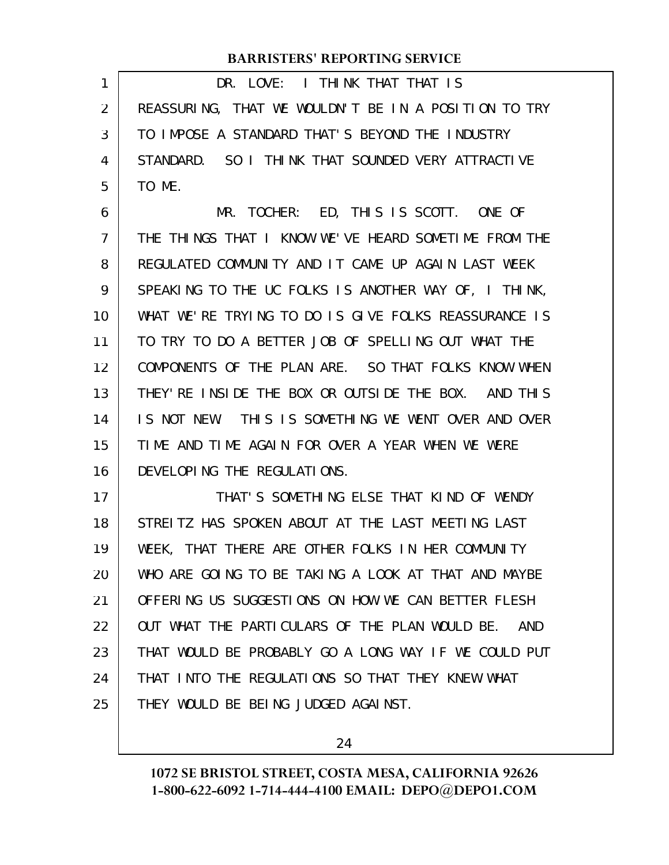DR. LOVE: I THINK THAT THAT IS REASSURING, THAT WE WOULDN'T BE IN A POSITION TO TRY TO IMPOSE A STANDARD THAT'S BEYOND THE INDUSTRY STANDARD. SO I THINK THAT SOUNDED VERY ATTRACTIVE TO ME. 1 2 3 4 5

MR. TOCHER: ED, THIS IS SCOTT. ONE OF THE THINGS THAT I KNOW WE'VE HEARD SOMETIME FROM THE REGULATED COMMUNITY AND IT CAME UP AGAIN LAST WEEK SPEAKING TO THE UC FOLKS IS ANOTHER WAY OF, I THINK, WHAT WE'RE TRYING TO DO IS GIVE FOLKS REASSURANCE IS TO TRY TO DO A BETTER JOB OF SPELLING OUT WHAT THE COMPONENTS OF THE PLAN ARE. SO THAT FOLKS KNOW WHEN THEY'RE INSIDE THE BOX OR OUTSIDE THE BOX. AND THIS IS NOT NEW. THIS IS SOMETHING WE WENT OVER AND OVER TIME AND TIME AGAIN FOR OVER A YEAR WHEN WE WERE DEVELOPING THE REGULATIONS. 6 7 8 9 10 11 12 13 14 15 16

THAT'S SOMETHING ELSE THAT KIND OF WENDY STREITZ HAS SPOKEN ABOUT AT THE LAST MEETING LAST WEEK, THAT THERE ARE OTHER FOLKS IN HER COMMUNITY WHO ARE GOING TO BE TAKING A LOOK AT THAT AND MAYBE OFFERING US SUGGESTIONS ON HOW WE CAN BETTER FLESH OUT WHAT THE PARTICULARS OF THE PLAN WOULD BE. AND THAT WOULD BE PROBABLY GO A LONG WAY IF WE COULD PUT THAT INTO THE REGULATIONS SO THAT THEY KNEW WHAT THEY WOULD BE BEING JUDGED AGAINST. 17 18 19 20 21 22 23 24 25

24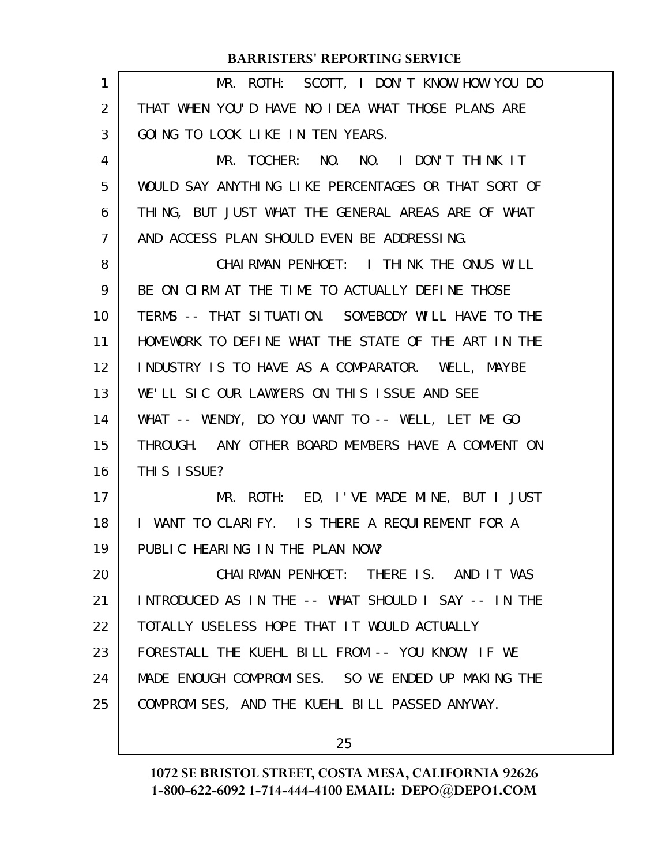|    | <b>BARRISTERS' REPORTING SERVICE</b>                |
|----|-----------------------------------------------------|
| 1  | MR. ROTH: SCOTT, I DON'T KNOW HOW YOU DO            |
| 2  | THAT WHEN YOU'D HAVE NO IDEA WHAT THOSE PLANS ARE   |
| 3  | GOING TO LOOK LIKE IN TEN YEARS.                    |
| 4  | MR. TOCHER: NO. NO. I DON'T THINK IT                |
| 5  | WOULD SAY ANYTHING LIKE PERCENTAGES OR THAT SORT OF |
| 6  | THING, BUT JUST WHAT THE GENERAL AREAS ARE OF WHAT  |
| 7  | AND ACCESS PLAN SHOULD EVEN BE ADDRESSING.          |
| 8  | CHAIRMAN PENHOET: I THINK THE ONUS WILL             |
| 9  | BE ON CIRM AT THE TIME TO ACTUALLY DEFINE THOSE     |
| 10 | TERMS -- THAT SITUATION. SOMEBODY WILL HAVE TO THE  |
| 11 | HOMEWORK TO DEFINE WHAT THE STATE OF THE ART IN THE |
| 12 | INDUSTRY IS TO HAVE AS A COMPARATOR. WELL, MAYBE    |
| 13 | WE'LL SIC OUR LAWYERS ON THIS ISSUE AND SEE         |
| 14 | WHAT -- WENDY, DO YOU WANT TO -- WELL, LET ME GO    |
| 15 | THROUGH. ANY OTHER BOARD MEMBERS HAVE A COMMENT ON  |
| 16 | THIS ISSUE?                                         |
| 17 | MR. ROTH: ED, I'VE MADE MINE, BUT I JUST            |
| 18 | I WANT TO CLARIFY. IS THERE A REQUIREMENT FOR A     |
| 19 | PUBLIC HEARING IN THE PLAN NOW?                     |
| 20 | CHAIRMAN PENHOET: THERE IS. AND IT WAS              |
| 21 | INTRODUCED AS IN THE -- WHAT SHOULD I SAY -- IN THE |
| 22 | TOTALLY USELESS HOPE THAT IT WOULD ACTUALLY         |
| 23 | FORESTALL THE KUEHL BILL FROM -- YOU KNOW, IF WE    |
| 24 | MADE ENOUGH COMPROMISES. SO WE ENDED UP MAKING THE  |
| 25 | COMPROMISES, AND THE KUEHL BILL PASSED ANYWAY.      |
|    |                                                     |

# **1072 SE BRISTOL STREET, COSTA MESA, CALIFORNIA 92626 1-800-622-6092 1-714-444-4100 EMAIL: DEPO@DEPO1.COM**

25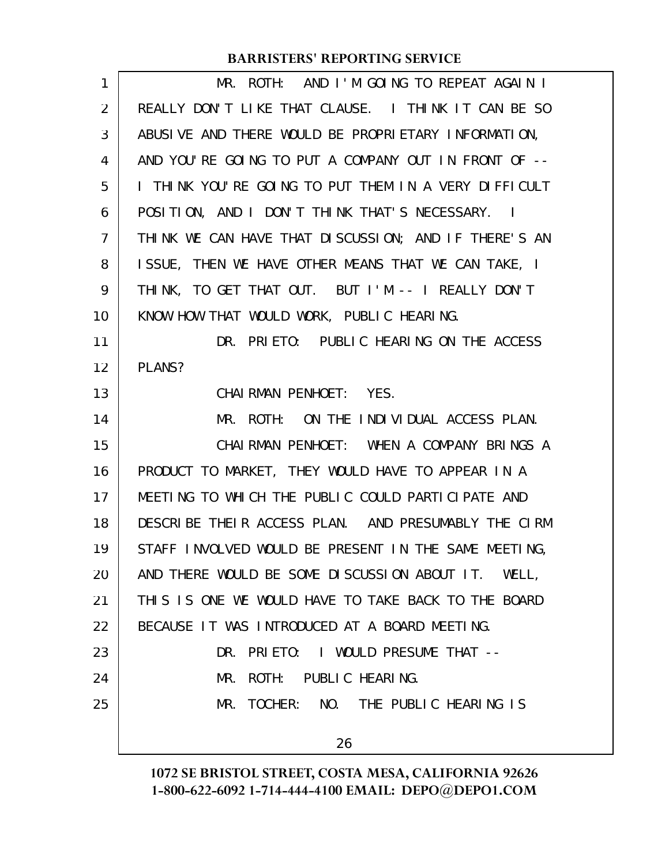| 1  | ROTH: AND I'M GOING TO REPEAT AGAIN I<br>MR.                    |
|----|-----------------------------------------------------------------|
| 2  | REALLY DON'T LIKE THAT CLAUSE. I THINK IT CAN BE SO             |
| 3  | ABUSIVE AND THERE WOULD BE PROPRIETARY INFORMATION,             |
| 4  | AND YOU'RE GOING TO PUT A COMPANY OUT IN FRONT OF --            |
| 5  | I THINK YOU'RE GOING TO PUT THEM IN A VERY DIFFICULT            |
| 6  | POSITION, AND I DON'T THINK THAT'S NECESSARY.<br>$\blacksquare$ |
| 7  | THINK WE CAN HAVE THAT DISCUSSION; AND IF THERE'S AN            |
| 8  | ISSUE, THEN WE HAVE OTHER MEANS THAT WE CAN TAKE, I             |
| 9  | THINK, TO GET THAT OUT. BUT I'M -- I REALLY DON'T               |
| 10 | KNOW HOW THAT WOULD WORK, PUBLIC HEARING.                       |
| 11 | DR. PRIETO: PUBLIC HEARING ON THE ACCESS                        |
| 12 | PLANS?                                                          |
| 13 | CHAIRMAN PENHOET: YES.                                          |
| 14 | MR. ROTH: ON THE INDIVIDUAL ACCESS PLAN.                        |
| 15 | CHAIRMAN PENHOET: WHEN A COMPANY BRINGS A                       |
| 16 | PRODUCT TO MARKET, THEY WOULD HAVE TO APPEAR IN A               |
| 17 | MEETING TO WHICH THE PUBLIC COULD PARTICIPATE AND               |
| 18 | DESCRIBE THEIR ACCESS PLAN. AND PRESUMABLY THE CIRM             |
| 19 | STAFF INVOLVED WOULD BE PRESENT IN THE SAME MEETING,            |
| 20 | AND THERE WOULD BE SOME DISCUSSION ABOUT IT. WELL,              |
| 21 | THIS IS ONE WE WOULD HAVE TO TAKE BACK TO THE BOARD             |
| 22 | BECAUSE IT WAS INTRODUCED AT A BOARD MEETING.                   |
| 23 | DR. PRIETO: I WOULD PRESUME THAT --                             |
| 24 | ROTH: PUBLIC HEARING.<br>MR.                                    |
| 25 | MR. TOCHER: NO. THE PUBLIC HEARING IS                           |
|    | 26                                                              |
|    |                                                                 |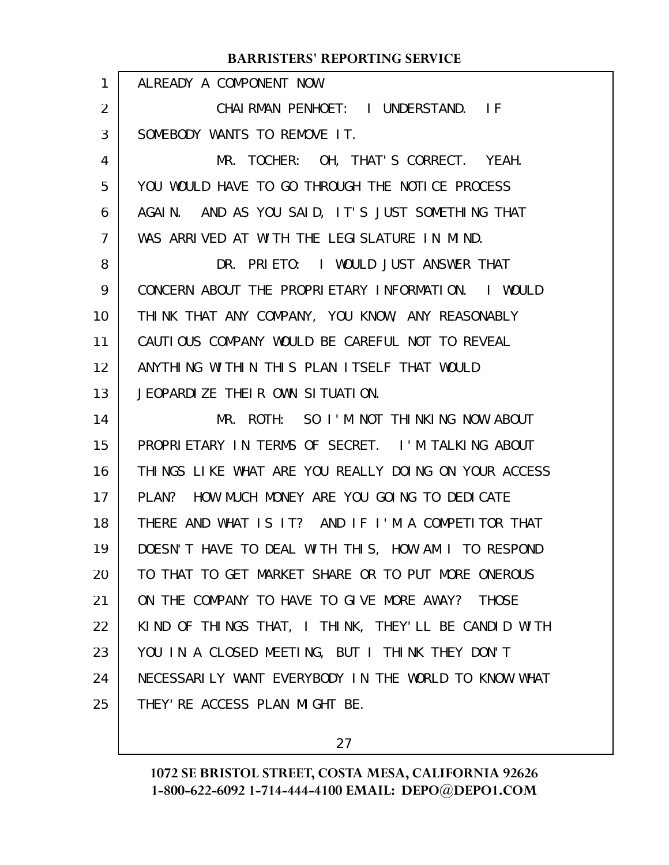|                | <b>BARRISTERS' REPORTING SERVICE</b>                 |
|----------------|------------------------------------------------------|
| 1              | ALREADY A COMPONENT NOW.                             |
| 2              | CHAIRMAN PENHOET: I UNDERSTAND. IF                   |
| 3              | SOMEBODY WANTS TO REMOVE IT.                         |
| 4              | MR. TOCHER: OH, THAT'S CORRECT. YEAH.                |
| 5              | YOU WOULD HAVE TO GO THROUGH THE NOTICE PROCESS      |
| 6              | AGAIN. AND AS YOU SAID, IT'S JUST SOMETHING THAT     |
| $\overline{7}$ | WAS ARRIVED AT WITH THE LEGISLATURE IN MIND.         |
| 8              | DR. PRIETO: I WOULD JUST ANSWER THAT                 |
| 9              | CONCERN ABOUT THE PROPRIETARY INFORMATION. I WOULD   |
| 10             | THINK THAT ANY COMPANY, YOU KNOW, ANY REASONABLY     |
| 11             | CAUTIOUS COMPANY WOULD BE CAREFUL NOT TO REVEAL      |
| 12             | ANYTHING WITHIN THIS PLAN ITSELF THAT WOULD          |
| 13             | JEOPARDIZE THEIR OWN SITUATION.                      |
| 14             | MR. ROTH: SO I'M NOT THINKING NOW ABOUT              |
| 15             | PROPRIETARY IN TERMS OF SECRET. I'M TALKING ABOUT    |
| 16             | THINGS LIKE WHAT ARE YOU REALLY DOING ON YOUR ACCESS |
| 17             | PLAN? HOW MUCH MONEY ARE YOU GOING TO DEDICATE       |
| 18             | THERE AND WHAT IS IT? AND IF I'M A COMPETITOR THAT   |
| 19             | DOESN'T HAVE TO DEAL WITH THIS, HOW AM I TO RESPOND  |
| 20             | TO THAT TO GET MARKET SHARE OR TO PUT MORE ONEROUS   |
| 21             | ON THE COMPANY TO HAVE TO GIVE MORE AWAY? THOSE      |
| 22             | KIND OF THINGS THAT, I THINK, THEY'LL BE CANDID WITH |
| 23             | YOU IN A CLOSED MEETING, BUT I THINK THEY DON'T      |
| 24             | NECESSARILY WANT EVERYBODY IN THE WORLD TO KNOW WHAT |
| 25             | THEY' RE ACCESS PLAN MIGHT BE.                       |

27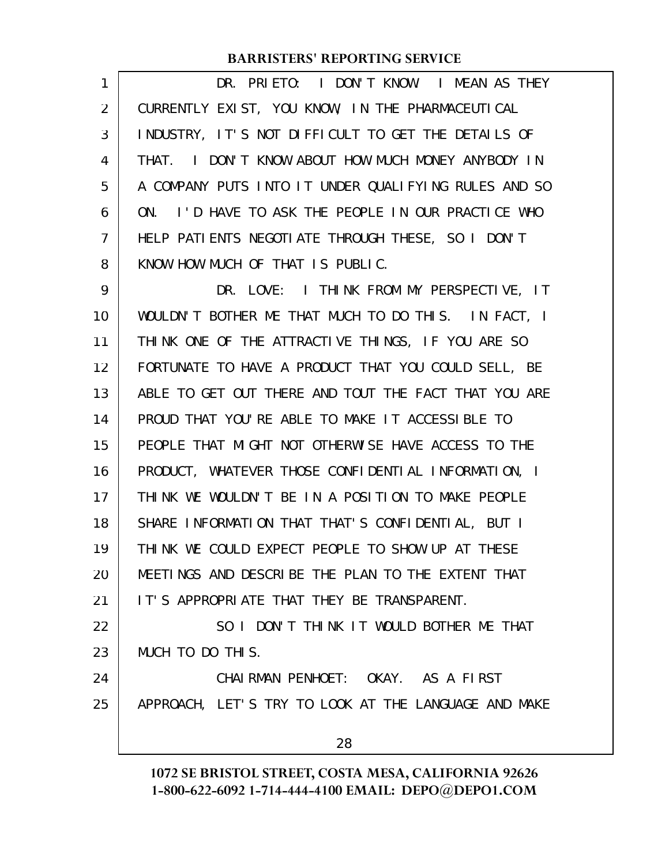| 1              | DR. PRIETO: I DON'T KNOW. I MEAN AS THEY              |
|----------------|-------------------------------------------------------|
| $\overline{2}$ | CURRENTLY EXIST, YOU KNOW, IN THE PHARMACEUTICAL      |
| 3              | INDUSTRY, IT'S NOT DIFFICULT TO GET THE DETAILS OF    |
| 4              | I DON'T KNOW ABOUT HOW MUCH MONEY ANYBODY IN<br>THAT. |
| 5              | A COMPANY PUTS INTO IT UNDER QUALIFYING RULES AND SO  |
| 6              | ON. I'D HAVE TO ASK THE PEOPLE IN OUR PRACTICE WHO    |
| $\overline{7}$ | HELP PATIENTS NEGOTIATE THROUGH THESE, SO I DON'T     |
| 8              | KNOW HOW MUCH OF THAT IS PUBLIC.                      |
| 9              | DR. LOVE: I THINK FROM MY PERSPECTIVE, IT             |
| 10             | WOULDN'T BOTHER ME THAT MUCH TO DO THIS. IN FACT, I   |
| 11             | THINK ONE OF THE ATTRACTIVE THINGS, IF YOU ARE SO     |
| 12             | FORTUNATE TO HAVE A PRODUCT THAT YOU COULD SELL, BE   |
| 13             | ABLE TO GET OUT THERE AND TOUT THE FACT THAT YOU ARE  |
| 14             | PROUD THAT YOU'RE ABLE TO MAKE IT ACCESSIBLE TO       |
| 15             | PEOPLE THAT MIGHT NOT OTHERWISE HAVE ACCESS TO THE    |
| 16             | PRODUCT, WHATEVER THOSE CONFIDENTIAL INFORMATION, I   |
| 17             | THINK WE WOULDN'T BE IN A POSITION TO MAKE PEOPLE     |
| 18             | SHARE INFORMATION THAT THAT'S CONFIDENTIAL, BUT I     |
| 19             | THINK WE COULD EXPECT PEOPLE TO SHOW UP AT THESE      |
| 20             | MEETINGS AND DESCRIBE THE PLAN TO THE EXTENT THAT     |
| 21             | IT'S APPROPRIATE THAT THEY BE TRANSPARENT.            |
| 22             | SO I DON'T THINK IT WOULD BOTHER ME THAT              |
| 23             | MUCH TO DO THIS.                                      |
| 24             | CHAIRMAN PENHOET: OKAY. AS A FIRST                    |
| 25             | APPROACH, LET'S TRY TO LOOK AT THE LANGUAGE AND MAKE  |
|                | 28                                                    |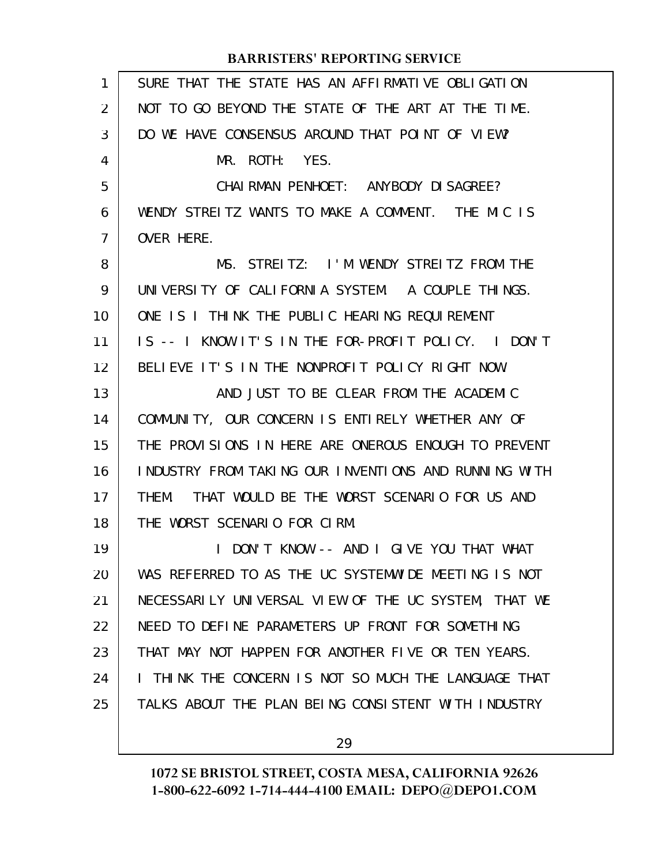| 1  | SURE THAT THE STATE HAS AN AFFIRMATIVE OBLIGATION    |
|----|------------------------------------------------------|
| 2  | NOT TO GO BEYOND THE STATE OF THE ART AT THE TIME.   |
| 3  | DO WE HAVE CONSENSUS AROUND THAT POINT OF VIEW?      |
| 4  | MR. ROTH: YES.                                       |
| 5  | CHAI RMAN PENHOET: ANYBODY DI SAGREE?                |
| 6  | WENDY STREITZ WANTS TO MAKE A COMMENT. THE MIC IS    |
| 7  | OVER HERE.                                           |
| 8  | MS. STREITZ: I'M WENDY STREITZ FROM THE              |
| 9  | UNIVERSITY OF CALIFORNIA SYSTEM. A COUPLE THINGS.    |
| 10 | ONE IS I THINK THE PUBLIC HEARING REQUIREMENT        |
| 11 | IS -- I KNOW IT'S IN THE FOR-PROFIT POLICY. I DON'T  |
| 12 | BELIEVE IT'S IN THE NONPROFIT POLICY RIGHT NOW.      |
| 13 | AND JUST TO BE CLEAR FROM THE ACADEMIC               |
| 14 | COMMUNITY, OUR CONCERN IS ENTIRELY WHETHER ANY OF    |
| 15 | THE PROVISIONS IN HERE ARE ONEROUS ENOUGH TO PREVENT |
| 16 | INDUSTRY FROM TAKING OUR INVENTIONS AND RUNNING WITH |
| 17 | THAT WOULD BE THE WORST SCENARIO FOR US AND<br>THEM. |
| 18 | THE WORST SCENARIO FOR CIRM.                         |
| 19 | DON'T KNOW -- AND I GIVE YOU THAT WHAT               |
| 20 | WAS REFERRED TO AS THE UC SYSTEMWIDE MEETING IS NOT  |
| 21 | NECESSARILY UNIVERSAL VIEW OF THE UC SYSTEM, THAT WE |
| 22 | NEED TO DEFINE PARAMETERS UP FRONT FOR SOMETHING     |
| 23 | THAT MAY NOT HAPPEN FOR ANOTHER FIVE OR TEN YEARS.   |
| 24 | I THINK THE CONCERN IS NOT SO MUCH THE LANGUAGE THAT |
| 25 | TALKS ABOUT THE PLAN BEING CONSISTENT WITH INDUSTRY  |
|    |                                                      |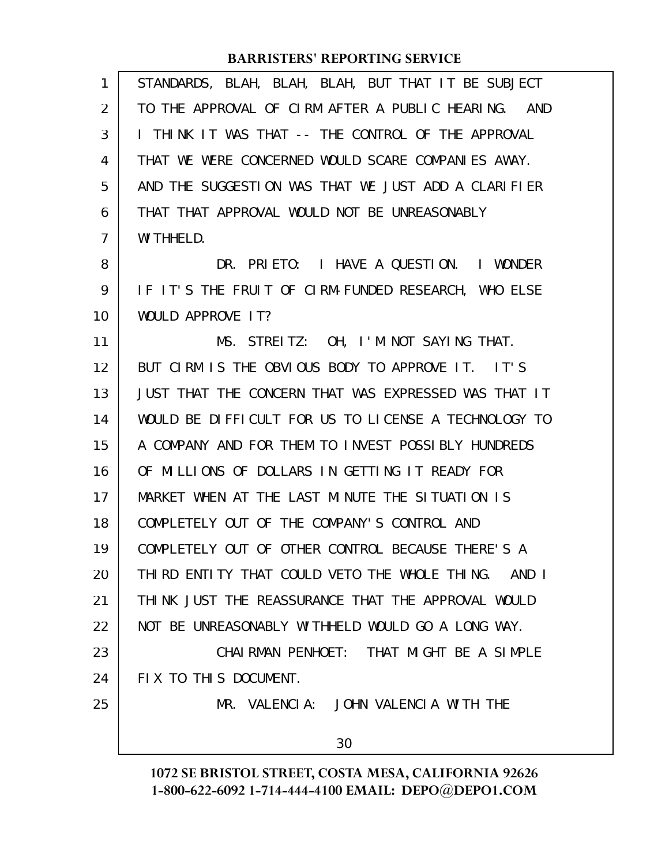| 1              | STANDARDS, BLAH, BLAH, BLAH, BUT THAT IT BE SUBJECT  |
|----------------|------------------------------------------------------|
| 2              | TO THE APPROVAL OF CIRM AFTER A PUBLIC HEARING. AND  |
| 3              | I THINK IT WAS THAT -- THE CONTROL OF THE APPROVAL   |
| 4              | THAT WE WERE CONCERNED WOULD SCARE COMPANIES AWAY.   |
| 5              | AND THE SUGGESTION WAS THAT WE JUST ADD A CLARIFIER  |
| 6              | THAT THAT APPROVAL WOULD NOT BE UNREASONABLY         |
| $\overline{7}$ | WI THHELD.                                           |
| 8              | DR. PRIETO: I HAVE A QUESTION. I WONDER              |
| 9              | IF IT'S THE FRUIT OF CIRM-FUNDED RESEARCH, WHO ELSE  |
| 10             | WOULD APPROVE IT?                                    |
| 11             | MS. STREITZ: OH, I'M NOT SAYING THAT.                |
| 12             | BUT CIRM IS THE OBVIOUS BODY TO APPROVE IT. IT'S     |
| 13             | JUST THAT THE CONCERN THAT WAS EXPRESSED WAS THAT IT |
| 14             | WOULD BE DIFFICULT FOR US TO LICENSE A TECHNOLOGY TO |
| 15             | A COMPANY AND FOR THEM TO INVEST POSSIBLY HUNDREDS   |
| 16             | OF MILLIONS OF DOLLARS IN GETTING IT READY FOR       |
| 17             | MARKET WHEN AT THE LAST MINUTE THE SITUATION IS      |
| 18             | COMPLETELY OUT OF THE COMPANY'S CONTROL AND          |
| 19             | COMPLETELY OUT OF OTHER CONTROL BECAUSE THERE'S A    |
| 20             | THIRD ENTITY THAT COULD VETO THE WHOLE THING. AND I  |
| 21             | THINK JUST THE REASSURANCE THAT THE APPROVAL WOULD   |
| 22             | NOT BE UNREASONABLY WITHHELD WOULD GO A LONG WAY.    |
| 23             | CHAIRMAN PENHOET: THAT MIGHT BE A SIMPLE             |
| 24             | FIX TO THIS DOCUMENT.                                |
| 25             | MR. VALENCIA: JOHN VALENCIA WITH THE                 |
|                | 30                                                   |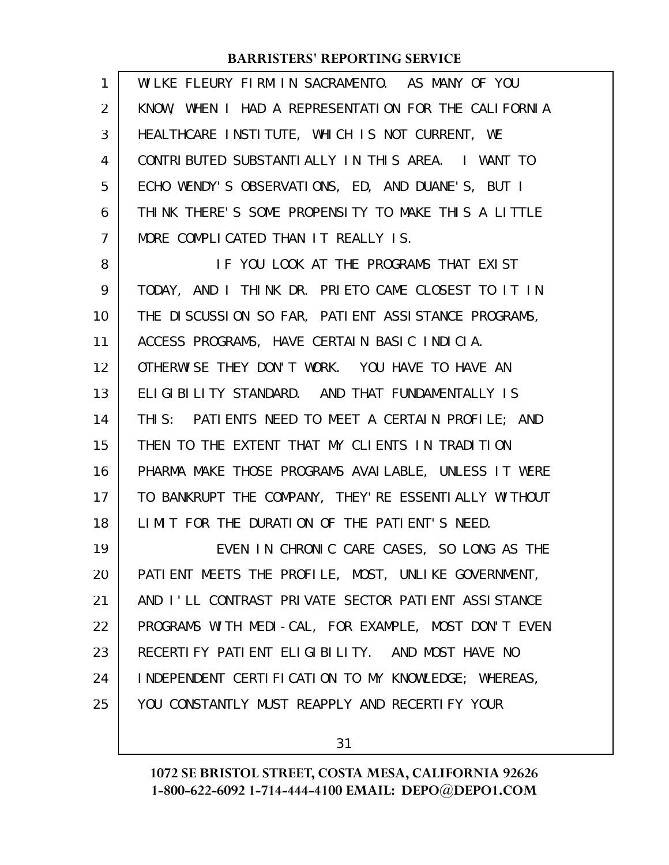| $\mathbf{1}$   | WILKE FLEURY FIRM IN SACRAMENTO. AS MANY OF YOU       |
|----------------|-------------------------------------------------------|
| 2              | KNOW, WHEN I HAD A REPRESENTATION FOR THE CALIFORNIA  |
| 3              | HEALTHCARE INSTITUTE, WHICH IS NOT CURRENT, WE        |
| 4              | CONTRIBUTED SUBSTANTIALLY IN THIS AREA. I WANT TO     |
| 5              | ECHO WENDY'S OBSERVATIONS, ED, AND DUANE'S, BUT I     |
| 6              | THINK THERE'S SOME PROPENSITY TO MAKE THIS A LITTLE   |
| $\overline{7}$ | MORE COMPLICATED THAN IT REALLY IS.                   |
| 8              | IF YOU LOOK AT THE PROGRAMS THAT EXIST                |
| 9              | TODAY, AND I THINK DR. PRIETO CAME CLOSEST TO IT IN   |
| 10             | THE DISCUSSION SO FAR, PATIENT ASSISTANCE PROGRAMS,   |
| 11             | ACCESS PROGRAMS, HAVE CERTAIN BASIC INDICIA.          |
| 12             | OTHERWISE THEY DON'T WORK. YOU HAVE TO HAVE AN        |
| 13             | ELIGIBILITY STANDARD. AND THAT FUNDAMENTALLY IS       |
| 14             | THIS: PATIENTS NEED TO MEET A CERTAIN PROFILE; AND    |
| 15             | THEN TO THE EXTENT THAT MY CLIENTS IN TRADITION       |
| 16             | PHARMA MAKE THOSE PROGRAMS AVAILABLE, UNLESS IT WERE  |
| 17             | TO BANKRUPT THE COMPANY, THEY' RE ESSENTIALLY WITHOUT |
| 18             | LIMIT FOR THE DURATION OF THE PATIENT'S NEED.         |
| 19             | EVEN IN CHRONIC CARE CASES, SO LONG AS THE            |
| 20             | PATIENT MEETS THE PROFILE, MOST, UNLIKE GOVERNMENT,   |
| 21             | AND I'LL CONTRAST PRIVATE SECTOR PATIENT ASSISTANCE   |
| 22             | PROGRAMS WITH MEDI-CAL, FOR EXAMPLE, MOST DON'T EVEN  |
| 23             | RECERTIFY PATIENT ELIGIBILITY. AND MOST HAVE NO       |
| 24             | INDEPENDENT CERTIFICATION TO MY KNOWLEDGE; WHEREAS,   |
| 25             | YOU CONSTANTLY MUST REAPPLY AND RECERTIFY YOUR        |
|                |                                                       |

31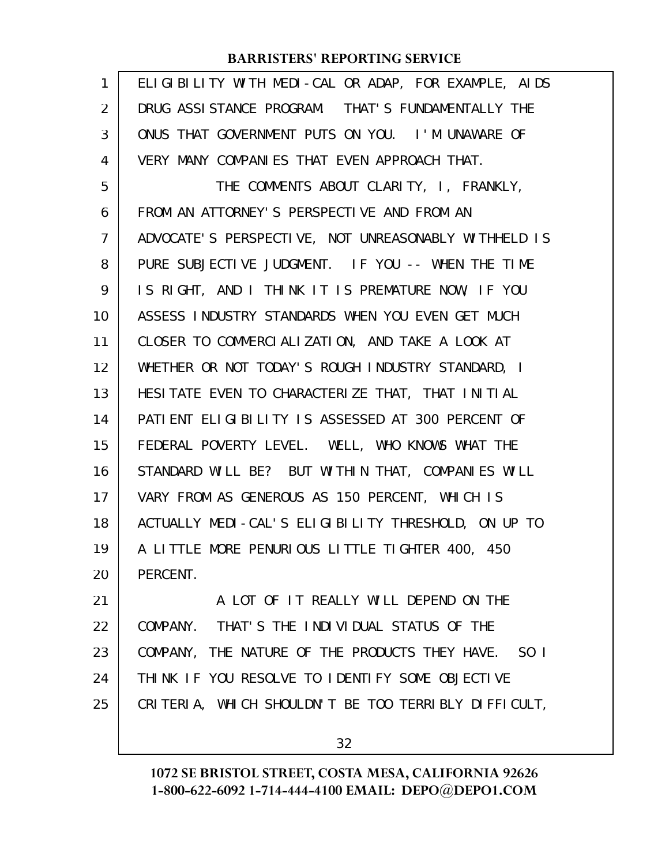| $\mathbf{1}$ | ELIGIBILITY WITH MEDI-CAL OR ADAP, FOR EXAMPLE, AIDS |
|--------------|------------------------------------------------------|
| 2            | DRUG ASSI STANCE PROGRAM. THAT'S FUNDAMENTALLY THE   |
| 3            | ONUS THAT GOVERNMENT PUTS ON YOU. I'M UNAWARE OF     |
| 4            | VERY MANY COMPANIES THAT EVEN APPROACH THAT.         |
| 5            | THE COMMENTS ABOUT CLARITY, I, FRANKLY,              |
| 6            | FROM AN ATTORNEY'S PERSPECTIVE AND FROM AN           |
| 7            | ADVOCATE'S PERSPECTIVE, NOT UNREASONABLY WITHHELD IS |
| 8            | PURE SUBJECTIVE JUDGMENT. IF YOU -- WHEN THE TIME    |
| 9            | IS RIGHT, AND I THINK IT IS PREMATURE NOW, IF YOU    |
| 10           | ASSESS INDUSTRY STANDARDS WHEN YOU EVEN GET MUCH     |
| 11           | CLOSER TO COMMERCIALIZATION, AND TAKE A LOOK AT      |
| 12           | WHETHER OR NOT TODAY'S ROUGH INDUSTRY STANDARD, I    |
| 13           | HESITATE EVEN TO CHARACTERIZE THAT, THAT INITIAL     |
| 14           | PATIENT ELIGIBILITY IS ASSESSED AT 300 PERCENT OF    |
| 15           | FEDERAL POVERTY LEVEL. WELL, WHO KNOWS WHAT THE      |
| 16           | STANDARD WILL BE? BUT WITHIN THAT, COMPANIES WILL    |
| 17           | VARY FROM AS GENEROUS AS 150 PERCENT, WHICH IS       |
| 18           | ACTUALLY MEDI-CAL'S ELIGIBILITY THRESHOLD, ON UP TO  |
| 19           | A LITTLE MORE PENURIOUS LITTLE TIGHTER 400, 450      |
| 20           | PERCENT.                                             |
| 21           | A LOT OF IT REALLY WILL DEPEND ON THE                |
| 22           | COMPANY. THAT'S THE INDIVIDUAL STATUS OF THE         |
| 23           | COMPANY, THE NATURE OF THE PRODUCTS THEY HAVE. SO I  |
| 24           | THINK IF YOU RESOLVE TO IDENTIFY SOME OBJECTIVE      |
| 25           | CRITERIA, WHICH SHOULDN'T BE TOO TERRIBLY DIFFICULT, |
|              |                                                      |

32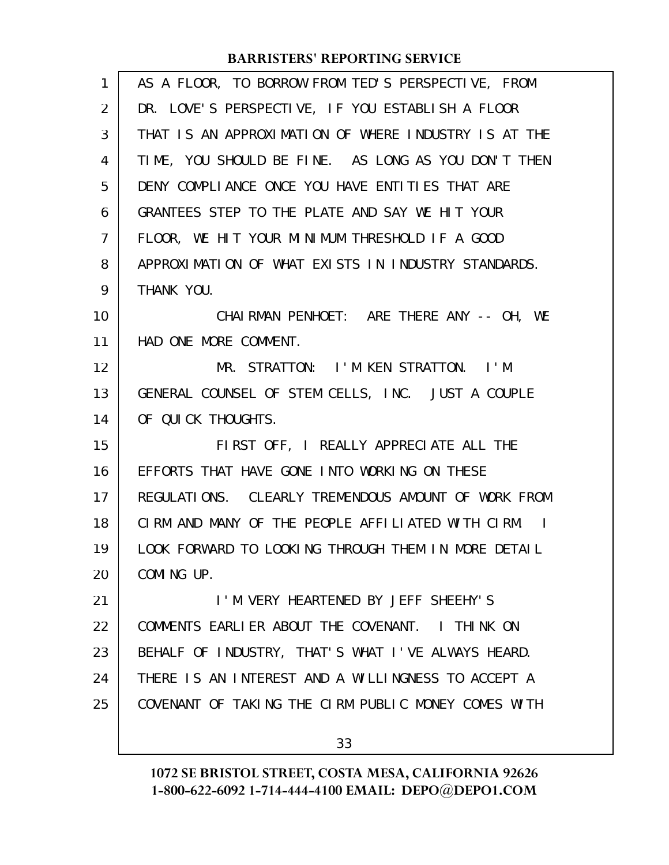| $\mathbf{1}$   | AS A FLOOR, TO BORROW FROM TED'S PERSPECTIVE, FROM   |
|----------------|------------------------------------------------------|
| 2              | DR. LOVE'S PERSPECTIVE, IF YOU ESTABLISH A FLOOR     |
| 3              | THAT IS AN APPROXIMATION OF WHERE INDUSTRY IS AT THE |
| 4              | TIME, YOU SHOULD BE FINE. AS LONG AS YOU DON'T THEN  |
| 5              | DENY COMPLIANCE ONCE YOU HAVE ENTITIES THAT ARE      |
| 6              | GRANTEES STEP TO THE PLATE AND SAY WE HIT YOUR       |
| $\overline{7}$ | FLOOR, WE HIT YOUR MINIMUM THRESHOLD IF A GOOD       |
| 8              | APPROXIMATION OF WHAT EXISTS IN INDUSTRY STANDARDS.  |
| 9              | THANK YOU.                                           |
| 10             | CHAIRMAN PENHOET: ARE THERE ANY -- OH, WE            |
| 11             | HAD ONE MORE COMMENT.                                |
| 12             | MR. STRATTON: I'M KEN STRATTON. I'M                  |
| 13             | GENERAL COUNSEL OF STEM CELLS, INC. JUST A COUPLE    |
| 14             | OF QUICK THOUGHTS.                                   |
| 15             | FIRST OFF, I REALLY APPRECIATE ALL THE               |
| 16             | EFFORTS THAT HAVE GONE INTO WORKING ON THESE         |
| 17             | REGULATIONS. CLEARLY TREMENDOUS AMOUNT OF WORK FROM  |
| 18             | CIRM AND MANY OF THE PEOPLE AFFILIATED WITH CIRM. I  |
| 19             | LOOK FORWARD TO LOOKING THROUGH THEM IN MORE DETAIL  |
| 20             | COMING UP.                                           |
| 21             | I'M VERY HEARTENED BY JEFF SHEEHY'S                  |
| 22             | COMMENTS EARLIER ABOUT THE COVENANT. I THINK ON      |
| 23             | BEHALF OF INDUSTRY, THAT'S WHAT I'VE ALWAYS HEARD.   |
| 24             | THERE IS AN INTEREST AND A WILLINGNESS TO ACCEPT A   |
| 25             | COVENANT OF TAKING THE CIRM PUBLIC MONEY COMES WITH  |
|                | 33                                                   |
|                |                                                      |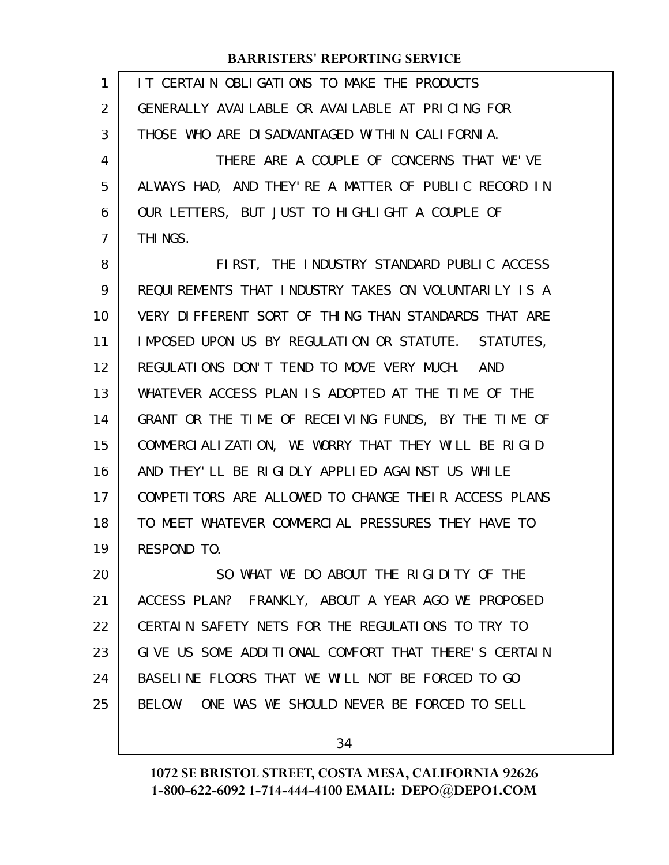| 1  | IT CERTAIN OBLIGATIONS TO MAKE THE PRODUCTS          |
|----|------------------------------------------------------|
| 2  | GENERALLY AVAILABLE OR AVAILABLE AT PRICING FOR      |
| 3  | THOSE WHO ARE DISADVANTAGED WITHIN CALIFORNIA.       |
| 4  | THERE ARE A COUPLE OF CONCERNS THAT WE'VE            |
| 5  | ALWAYS HAD, AND THEY'RE A MATTER OF PUBLIC RECORD IN |
| 6  | OUR LETTERS, BUT JUST TO HIGHLIGHT A COUPLE OF       |
| 7  | THI NGS.                                             |
| 8  | FIRST, THE INDUSTRY STANDARD PUBLIC ACCESS           |
| 9  | REQUIREMENTS THAT INDUSTRY TAKES ON VOLUNTARILY IS A |
| 10 | VERY DIFFERENT SORT OF THING THAN STANDARDS THAT ARE |
| 11 | IMPOSED UPON US BY REGULATION OR STATUTE. STATUTES,  |
| 12 | REGULATIONS DON'T TEND TO MOVE VERY MUCH. AND        |
| 13 | WHATEVER ACCESS PLAN IS ADOPTED AT THE TIME OF THE   |
| 14 | GRANT OR THE TIME OF RECEIVING FUNDS, BY THE TIME OF |
| 15 | COMMERCIALIZATION, WE WORRY THAT THEY WILL BE RIGID  |
| 16 | AND THEY'LL BE RIGIDLY APPLIED AGAINST US WHILE      |
| 17 | COMPETITORS ARE ALLOWED TO CHANGE THEIR ACCESS PLANS |
| 18 | TO MEET WHATEVER COMMERCIAL PRESSURES THEY HAVE TO   |
| 19 | RESPOND TO.                                          |
| 20 | SO WHAT WE DO ABOUT THE RIGIDITY OF THE              |
| 21 | ACCESS PLAN? FRANKLY, ABOUT A YEAR AGO WE PROPOSED   |
| 22 | CERTAIN SAFETY NETS FOR THE REGULATIONS TO TRY TO    |
| 23 | GIVE US SOME ADDITIONAL COMFORT THAT THERE'S CERTAIN |
| 24 | BASELINE FLOORS THAT WE WILL NOT BE FORCED TO GO     |
| 25 | BELOW. ONE WAS WE SHOULD NEVER BE FORCED TO SELL     |
|    |                                                      |

34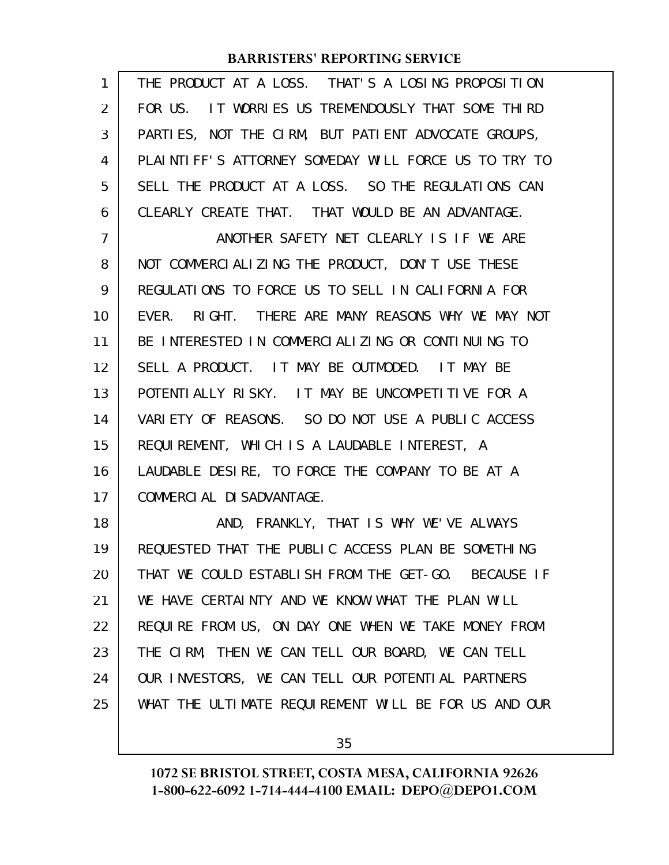| 1              | THE PRODUCT AT A LOSS. THAT'S A LOSING PROPOSITION   |
|----------------|------------------------------------------------------|
| $\overline{2}$ | FOR US. IT WORRIES US TREMENDOUSLY THAT SOME THIRD   |
| 3              | PARTIES, NOT THE CIRM, BUT PATIENT ADVOCATE GROUPS,  |
| 4              | PLAINTIFF'S ATTORNEY SOMEDAY WILL FORCE US TO TRY TO |
| 5              | SELL THE PRODUCT AT A LOSS. SO THE REGULATIONS CAN   |
| 6              | CLEARLY CREATE THAT. THAT WOULD BE AN ADVANTAGE.     |
| $\overline{7}$ | ANOTHER SAFETY NET CLEARLY IS IF WE ARE              |
| 8              | NOT COMMERCIALIZING THE PRODUCT, DON'T USE THESE     |
| 9              | REGULATIONS TO FORCE US TO SELL IN CALIFORNIA FOR    |
| 10             | EVER. RIGHT. THERE ARE MANY REASONS WHY WE MAY NOT   |
| 11             | BE INTERESTED IN COMMERCIALIZING OR CONTINUING TO    |
| 12             | SELL A PRODUCT. IT MAY BE OUTMODED. IT MAY BE        |
| 13             | POTENTIALLY RISKY. IT MAY BE UNCOMPETITIVE FOR A     |
| 14             | VARIETY OF REASONS. SO DO NOT USE A PUBLIC ACCESS    |
| 15             | REQUIREMENT, WHICH IS A LAUDABLE INTEREST, A         |
| 16             | LAUDABLE DESIRE, TO FORCE THE COMPANY TO BE AT A     |
| 17             | COMMERCIAL DI SADVANTAGE.                            |
| 18             | AND, FRANKLY, THAT IS WHY WE'VE ALWAYS               |
| 19             | REQUESTED THAT THE PUBLIC ACCESS PLAN BE SOMETHING   |
| 20             | THAT WE COULD ESTABLISH FROM THE GET-GO. BECAUSE IF  |
| 21             | WE HAVE CERTAINTY AND WE KNOW WHAT THE PLAN WILL     |
| 22             | REQUIRE FROM US, ON DAY ONE WHEN WE TAKE MONEY FROM  |
| 23             | THE CIRM, THEN WE CAN TELL OUR BOARD, WE CAN TELL    |
| 24             | OUR INVESTORS, WE CAN TELL OUR POTENTIAL PARTNERS    |
| 25             | WHAT THE ULTIMATE REQUIREMENT WILL BE FOR US AND OUR |
|                |                                                      |

35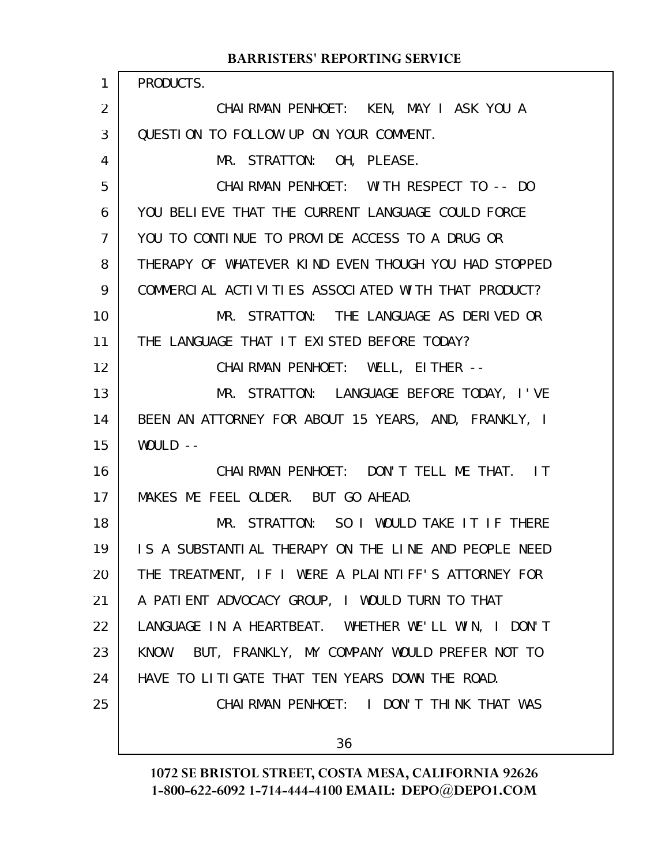#### PRODUCTS. CHAIRMAN PENHOET: KEN, MAY I ASK YOU A QUESTION TO FOLLOW UP ON YOUR COMMENT. MR. STRATTON: OH, PLEASE. CHAIRMAN PENHOET: WITH RESPECT TO -- DO YOU BELIEVE THAT THE CURRENT LANGUAGE COULD FORCE YOU TO CONTINUE TO PROVIDE ACCESS TO A DRUG OR THERAPY OF WHATEVER KIND EVEN THOUGH YOU HAD STOPPED COMMERCIAL ACTIVITIES ASSOCIATED WITH THAT PRODUCT? MR. STRATTON: THE LANGUAGE AS DERIVED OR THE LANGUAGE THAT IT EXISTED BEFORE TODAY? CHAIRMAN PENHOET: WELL, EITHER -- MR. STRATTON: LANGUAGE BEFORE TODAY, I'VE BEEN AN ATTORNEY FOR ABOUT 15 YEARS, AND, FRANKLY, I  $WOULD$  --CHAIRMAN PENHOET: DON'T TELL ME THAT. IT MAKES ME FEEL OLDER. BUT GO AHEAD. MR. STRATTON: SO I WOULD TAKE IT IF THERE IS A SUBSTANTIAL THERAPY ON THE LINE AND PEOPLE NEED THE TREATMENT, IF I WERE A PLAINTIFF'S ATTORNEY FOR A PATIENT ADVOCACY GROUP, I WOULD TURN TO THAT LANGUAGE IN A HEARTBEAT. WHETHER WE'LL WIN, I DON'T KNOW. BUT, FRANKLY, MY COMPANY WOULD PREFER NOT TO HAVE TO LITIGATE THAT TEN YEARS DOWN THE ROAD. CHAIRMAN PENHOET: I DON'T THINK THAT WAS 36 1 2 3 4 5 6 7 8 9 10 11 12 13 14 15 16 17 18 19 20 21 22 23 24 25

**BARRISTERS' REPORTING SERVICE**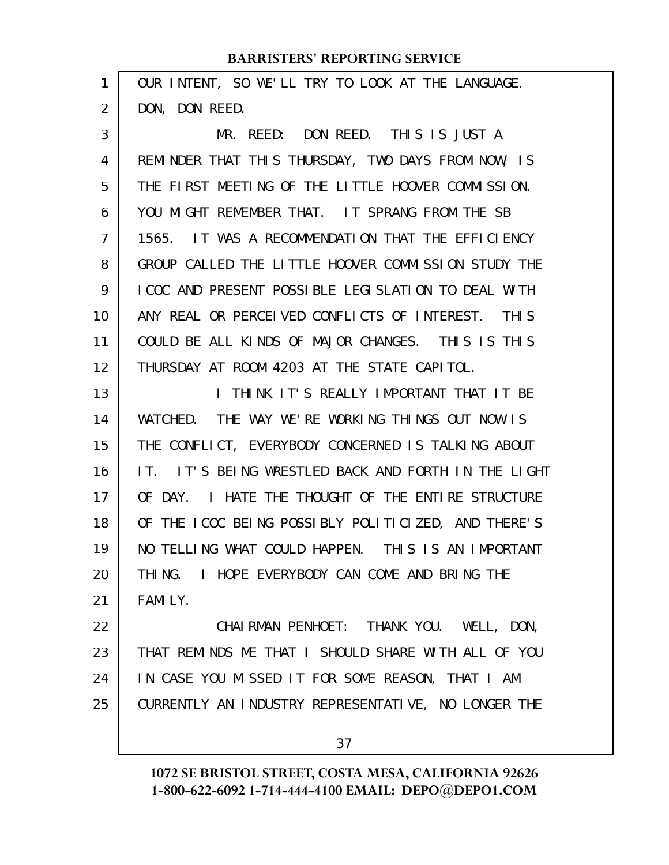| 1  | OUR INTENT, SO WE'LL TRY TO LOOK AT THE LANGUAGE.      |
|----|--------------------------------------------------------|
| 2  | DON, DON REED.                                         |
| 3  | MR. REED: DON REED. THIS IS JUST A                     |
| 4  | REMINDER THAT THIS THURSDAY, TWO DAYS FROM NOW, IS     |
| 5  | THE FIRST MEETING OF THE LITTLE HOOVER COMMISSION.     |
| 6  | YOU MIGHT REMEMBER THAT. IT SPRANG FROM THE SB         |
| 7  | 1565. IT WAS A RECOMMENDATION THAT THE EFFICIENCY      |
| 8  | GROUP CALLED THE LITTLE HOOVER COMMISSION STUDY THE    |
| 9  | I COC AND PRESENT POSSIBLE LEGISLATION TO DEAL WITH    |
| 10 | ANY REAL OR PERCEIVED CONFLICTS OF INTEREST. THIS      |
| 11 | COULD BE ALL KINDS OF MAJOR CHANGES. THIS IS THIS      |
| 12 | THURSDAY AT ROOM 4203 AT THE STATE CAPITOL.            |
| 13 | THINK IT'S REALLY IMPORTANT THAT IT BE<br>$\mathbf{I}$ |
| 14 | WATCHED. THE WAY WE'RE WORKING THINGS OUT NOW IS       |
| 15 | THE CONFLICT, EVERYBODY CONCERNED IS TALKING ABOUT     |
| 16 | IT'S BEING WRESTLED BACK AND FORTH IN THE LIGHT<br>TT. |
| 17 | OF DAY.<br>I HATE THE THOUGHT OF THE ENTIRE STRUCTURE  |
| 18 | OF THE ICOC BEING POSSIBLY POLITICIZED, AND THERE'S    |
| 19 | NO TELLING WHAT COULD HAPPEN. THIS IS AN IMPORTANT     |
| 20 | THING. I HOPE EVERYBODY CAN COME AND BRING THE         |
| 21 | FAMILY.                                                |
| 22 | CHAIRMAN PENHOET: THANK YOU. WELL, DON,                |
| 23 | THAT REMINDS ME THAT I SHOULD SHARE WITH ALL OF YOU    |
| 24 | IN CASE YOU MISSED IT FOR SOME REASON, THAT I AM       |
| 25 | CURRENTLY AN INDUSTRY REPRESENTATIVE, NO LONGER THE    |
|    |                                                        |

37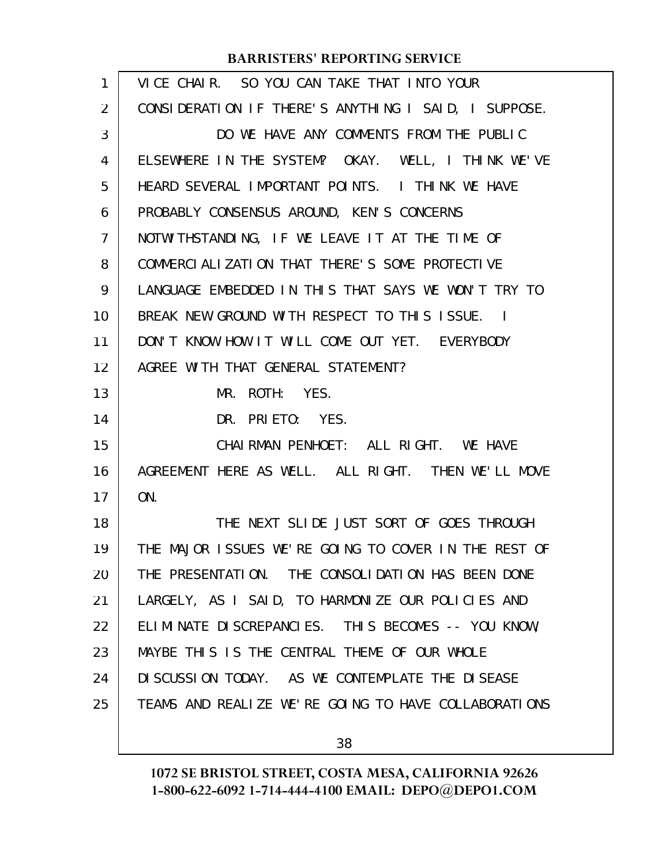| $\mathbf{1}$   | VICE CHAIR. SO YOU CAN TAKE THAT INTO YOUR           |
|----------------|------------------------------------------------------|
| 2              | CONSIDERATION IF THERE'S ANYTHING I SAID, I SUPPOSE. |
| 3              | DO WE HAVE ANY COMMENTS FROM THE PUBLIC              |
| 4              | ELSEWHERE IN THE SYSTEM? OKAY. WELL, I THINK WE'VE   |
| 5              | HEARD SEVERAL IMPORTANT POINTS. I THINK WE HAVE      |
| 6              | PROBABLY CONSENSUS AROUND, KEN'S CONCERNS            |
| $\overline{7}$ | NOTWITHSTANDING, IF WE LEAVE IT AT THE TIME OF       |
| 8              | COMMERCIALIZATION THAT THERE'S SOME PROTECTIVE       |
| 9              | LANGUAGE EMBEDDED IN THIS THAT SAYS WE WON'T TRY TO  |
| 10             | BREAK NEW GROUND WITH RESPECT TO THIS ISSUE. I       |
| 11             | DON'T KNOW HOW IT WILL COME OUT YET. EVERYBODY       |
| 12             | AGREE WITH THAT GENERAL STATEMENT?                   |
| 13             | MR. ROTH: YES.                                       |
| 14             | DR. PRIETO: YES.                                     |
| 15             | CHAIRMAN PENHOET: ALL RIGHT. WE HAVE                 |
| 16             | AGREEMENT HERE AS WELL. ALL RIGHT. THEN WE'LL MOVE   |
| 17             | ON.                                                  |
| 18             | THE NEXT SLIDE JUST SORT OF GOES THROUGH             |
| 19             | THE MAJOR ISSUES WE'RE GOING TO COVER IN THE REST OF |
| 20             | THE PRESENTATION. THE CONSOLIDATION HAS BEEN DONE    |
| 21             | LARGELY, AS I SAID, TO HARMONIZE OUR POLICIES AND    |
| 22             | ELIMINATE DISCREPANCIES. THIS BECOMES -- YOU KNOW,   |
| 23             | MAYBE THIS IS THE CENTRAL THEME OF OUR WHOLE         |
| 24             | DI SCUSSION TODAY. AS WE CONTEMPLATE THE DISEASE     |
| 25             | TEAMS AND REALIZE WE'RE GOING TO HAVE COLLABORATIONS |
|                |                                                      |

38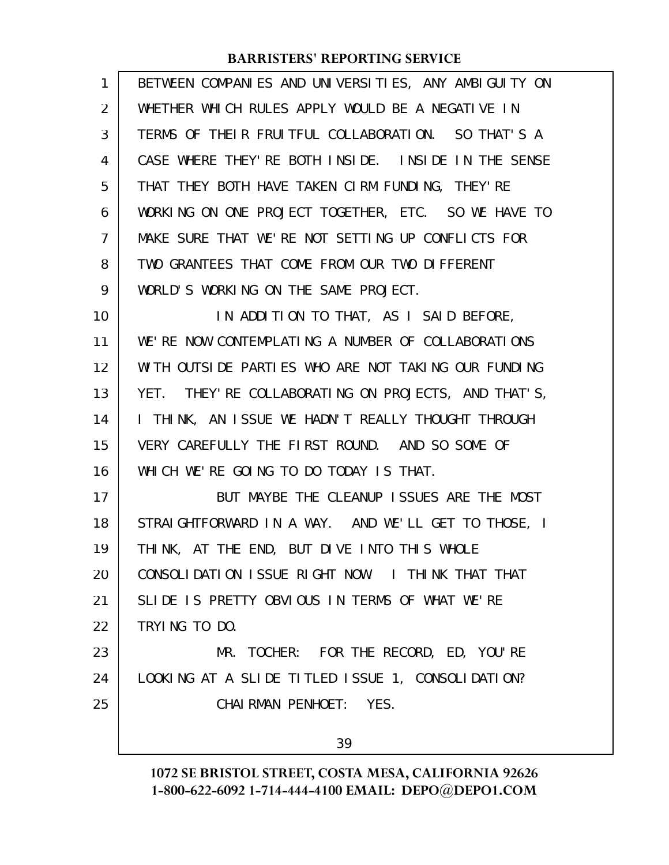| BETWEEN COMPANIES AND UNIVERSITIES, ANY AMBIGUITY ON |
|------------------------------------------------------|
| WHETHER WHICH RULES APPLY WOULD BE A NEGATIVE IN     |
| TERMS OF THEIR FRUITFUL COLLABORATION. SO THAT'S A   |
| CASE WHERE THEY' RE BOTH INSIDE. INSIDE IN THE SENSE |
| THAT THEY BOTH HAVE TAKEN CIRM FUNDING, THEY'RE      |
| WORKING ON ONE PROJECT TOGETHER, ETC. SO WE HAVE TO  |
| MAKE SURE THAT WE'RE NOT SETTING UP CONFLICTS FOR    |
| TWO GRANTEES THAT COME FROM OUR TWO DIFFERENT        |
| WORLD'S WORKING ON THE SAME PROJECT.                 |
| IN ADDITION TO THAT, AS I SAID BEFORE,               |
| WE'RE NOW CONTEMPLATING A NUMBER OF COLLABORATIONS   |
| WITH OUTSIDE PARTIES WHO ARE NOT TAKING OUR FUNDING  |
| YET. THEY' RE COLLABORATING ON PROJECTS, AND THAT'S, |
| I THINK, AN ISSUE WE HADN'T REALLY THOUGHT THROUGH   |
| VERY CAREFULLY THE FIRST ROUND. AND SO SOME OF       |
| WHICH WE'RE GOING TO DO TODAY IS THAT.               |
| BUT MAYBE THE CLEANUP ISSUES ARE THE MOST            |
| STRAIGHTFORWARD IN A WAY. AND WE'LL GET TO THOSE, I  |
| THINK, AT THE END, BUT DIVE INTO THIS WHOLE          |
| CONSOLIDATION ISSUE RIGHT NOW. I THINK THAT THAT     |
| SLIDE IS PRETTY OBVIOUS IN TERMS OF WHAT WE'RE       |
| TRYING TO DO.                                        |
| MR. TOCHER: FOR THE RECORD, ED, YOU'RE               |
| LOOKING AT A SLIDE TITLED ISSUE 1, CONSOLIDATION?    |
| CHAIRMAN PENHOET: YES.                               |
| 39                                                   |
|                                                      |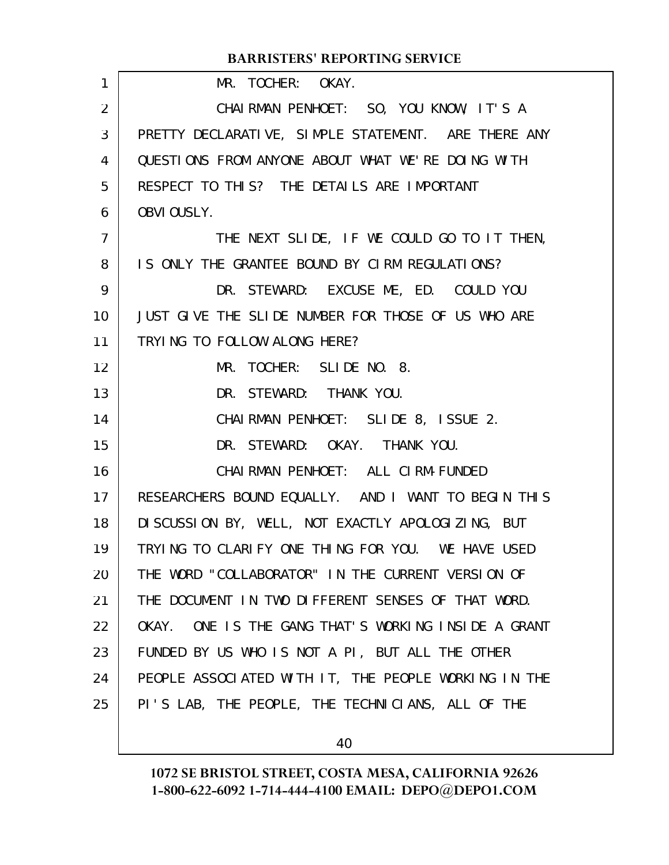| 1              | MR. TOCHER: OKAY.                                      |
|----------------|--------------------------------------------------------|
| 2              | CHAIRMAN PENHOET: SO, YOU KNOW, IT'S A                 |
| 3              | PRETTY DECLARATIVE, SIMPLE STATEMENT. ARE THERE ANY    |
| 4              | QUESTIONS FROM ANYONE ABOUT WHAT WE'RE DOING WITH      |
| 5              | RESPECT TO THIS? THE DETAILS ARE IMPORTANT             |
| 6              | OBVIOUSLY.                                             |
| $\overline{7}$ | THE NEXT SLIDE, IF WE COULD GO TO IT THEN,             |
| 8              | IS ONLY THE GRANTEE BOUND BY CIRM REGULATIONS?         |
| 9              | DR. STEWARD: EXCUSE ME, ED. COULD YOU                  |
| 10             | JUST GIVE THE SLIDE NUMBER FOR THOSE OF US WHO ARE     |
| 11             | TRYING TO FOLLOW ALONG HERE?                           |
| 12             | MR. TOCHER: SLIDE NO. 8.                               |
| 13             | DR. STEWARD: THANK YOU.                                |
| 14             | CHAIRMAN PENHOET: SLIDE 8, ISSUE 2.                    |
| 15             | DR. STEWARD: OKAY. THANK YOU.                          |
| 16             | CHAI RMAN PENHOET: ALL CI RM-FUNDED                    |
| 17             | RESEARCHERS BOUND EQUALLY. AND I WANT TO BEGIN THIS    |
| 18             | DI SCUSSION BY, WELL, NOT EXACTLY APOLOGIZING, BUT     |
| 19             | TRYING TO CLARIFY ONE THING FOR YOU. WE HAVE USED      |
| 20             | THE WORD "COLLABORATOR" IN THE CURRENT VERSION OF      |
| 21             | THE DOCUMENT IN TWO DIFFERENT SENSES OF THAT WORD.     |
| 22             | ONE IS THE GANG THAT'S WORKING INSIDE A GRANT<br>OKAY. |
| 23             | FUNDED BY US WHO IS NOT A PI, BUT ALL THE OTHER        |
| 24             | PEOPLE ASSOCIATED WITH IT, THE PEOPLE WORKING IN THE   |
| 25             | PI'S LAB, THE PEOPLE, THE TECHNICIANS, ALL OF THE      |
|                |                                                        |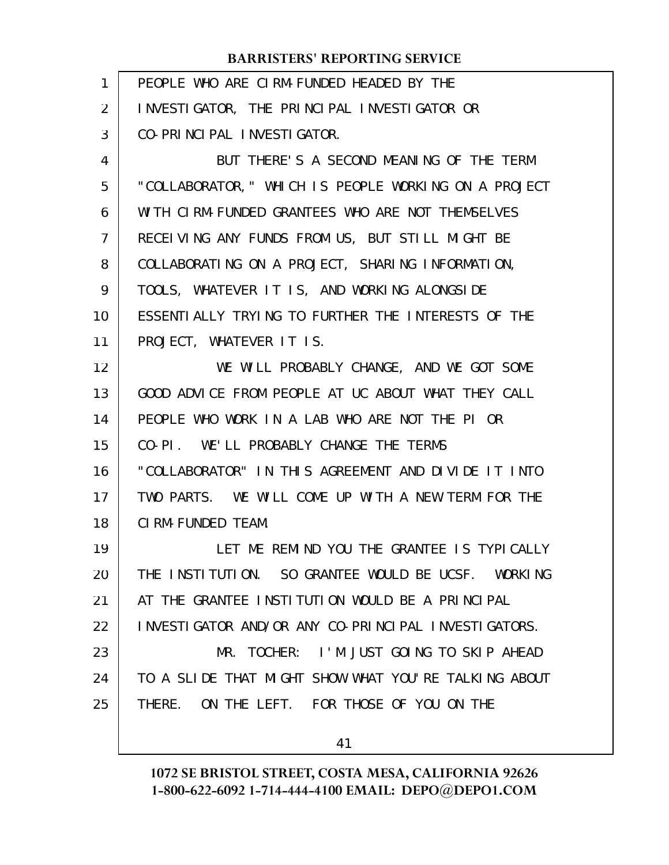| 1  | PEOPLE WHO ARE CIRM-FUNDED HEADED BY THE             |
|----|------------------------------------------------------|
| 2  | INVESTIGATOR, THE PRINCIPAL INVESTIGATOR OR          |
| 3  | CO-PRINCIPAL INVESTIGATOR.                           |
| 4  | BUT THERE'S A SECOND MEANING OF THE TERM             |
| 5  | "COLLABORATOR," WHICH IS PEOPLE WORKING ON A PROJECT |
| 6  | WITH CIRM-FUNDED GRANTEES WHO ARE NOT THEMSELVES     |
| 7  | RECEIVING ANY FUNDS FROM US, BUT STILL MIGHT BE      |
| 8  | COLLABORATING ON A PROJECT, SHARING INFORMATION,     |
| 9  | TOOLS, WHATEVER IT IS, AND WORKING ALONGSIDE         |
| 10 | ESSENTIALLY TRYING TO FURTHER THE INTERESTS OF THE   |
| 11 | PROJECT, WHATEVER IT IS.                             |
| 12 | WE WILL PROBABLY CHANGE, AND WE GOT SOME             |
| 13 | GOOD ADVICE FROM PEOPLE AT UC ABOUT WHAT THEY CALL   |
| 14 | PEOPLE WHO WORK IN A LAB WHO ARE NOT THE PI OR       |
| 15 | CO-PI. WE'LL PROBABLY CHANGE THE TERMS               |
| 16 | "COLLABORATOR" IN THIS AGREEMENT AND DIVIDE IT INTO  |
| 17 | TWO PARTS. WE WILL COME UP WITH A NEW TERM FOR THE   |
| 18 | CIRM-FUNDED TEAM.                                    |
| 19 | LET ME REMIND YOU THE GRANTEE IS TYPICALLY           |
| 20 | THE INSTITUTION. SO GRANTEE WOULD BE UCSF. WORKING   |
| 21 | AT THE GRANTEE INSTITUTION WOULD BE A PRINCIPAL      |
| 22 | INVESTIGATOR AND/OR ANY CO-PRINCIPAL INVESTIGATORS.  |
| 23 | MR. TOCHER: I'M JUST GOING TO SKIP AHEAD             |
| 24 | TO A SLIDE THAT MIGHT SHOW WHAT YOU'RE TALKING ABOUT |
| 25 | THERE. ON THE LEFT. FOR THOSE OF YOU ON THE          |
|    | 41                                                   |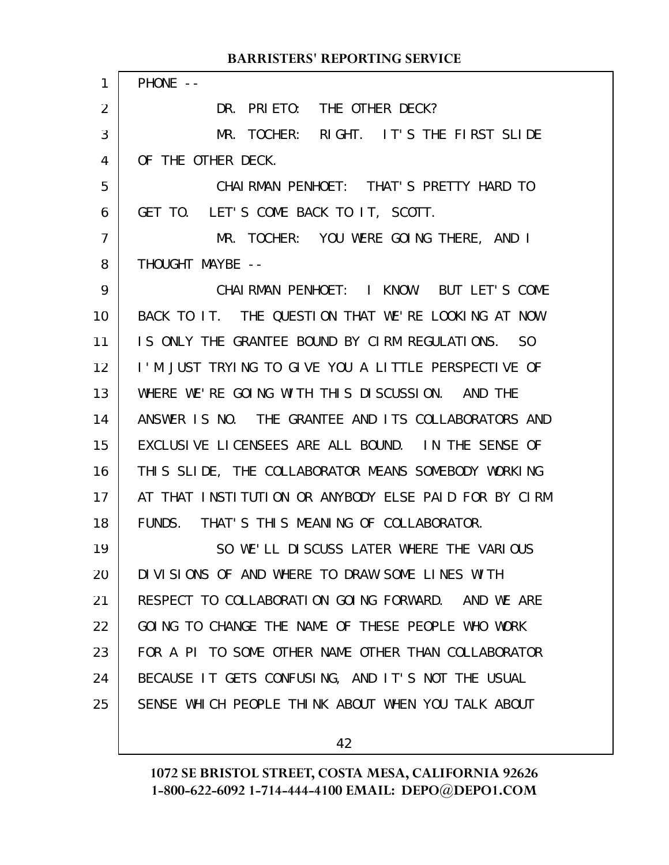| $\mathbf{1}$      | PHONE --                                             |
|-------------------|------------------------------------------------------|
| 2                 | DR. PRIETO: THE OTHER DECK?                          |
| 3                 | MR. TOCHER: RIGHT. IT'S THE FIRST SLIDE              |
| 4                 | OF THE OTHER DECK.                                   |
| 5                 | CHAIRMAN PENHOET: THAT'S PRETTY HARD TO              |
| 6                 | GET TO. LET'S COME BACK TO IT, SCOTT.                |
| $\overline{7}$    | MR. TOCHER: YOU WERE GOING THERE, AND I              |
| 8                 | THOUGHT MAYBE --                                     |
| 9                 | CHAIRMAN PENHOET: I KNOW. BUT LET'S COME             |
| 10 <sup>°</sup>   | BACK TO IT. THE QUESTION THAT WE'RE LOOKING AT NOW   |
| 11                | IS ONLY THE GRANTEE BOUND BY CIRM REGULATIONS. SO    |
| $12 \overline{ }$ | I'M JUST TRYING TO GIVE YOU A LITTLE PERSPECTIVE OF  |
| 13                | WHERE WE'RE GOING WITH THIS DISCUSSION. AND THE      |
| 14                | ANSWER IS NO. THE GRANTEE AND ITS COLLABORATORS AND  |
| 15                | EXCLUSIVE LICENSEES ARE ALL BOUND. IN THE SENSE OF   |
| 16                | THIS SLIDE, THE COLLABORATOR MEANS SOMEBODY WORKING  |
| 17                | AT THAT INSTITUTION OR ANYBODY ELSE PAID FOR BY CIRM |
| 18                | FUNDS. THAT'S THIS MEANING OF COLLABORATOR.          |
| 19                | SO WE'LL DISCUSS LATER WHERE THE VARIOUS             |
| 20                | DIVISIONS OF AND WHERE TO DRAW SOME LINES WITH       |
| 21                | RESPECT TO COLLABORATION GOING FORWARD. AND WE ARE   |
| 22                | GOING TO CHANGE THE NAME OF THESE PEOPLE WHO WORK    |
| 23                | FOR A PI TO SOME OTHER NAME OTHER THAN COLLABORATOR  |
| 24                | BECAUSE IT GETS CONFUSING, AND IT'S NOT THE USUAL    |
| 25                | SENSE WHICH PEOPLE THINK ABOUT WHEN YOU TALK ABOUT   |
|                   |                                                      |

42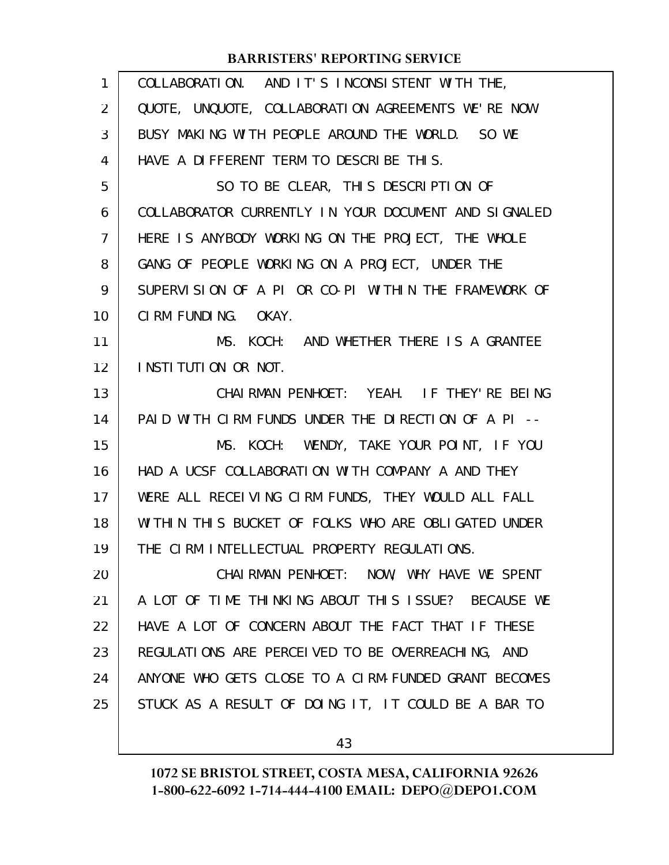| $\mathbf{1}$   | COLLABORATION. AND IT'S INCONSISTENT WITH THE,       |
|----------------|------------------------------------------------------|
| 2              | QUOTE, UNQUOTE, COLLABORATION AGREEMENTS WE'RE NOW   |
| 3              | BUSY MAKING WITH PEOPLE AROUND THE WORLD. SO WE      |
| 4              | HAVE A DIFFERENT TERM TO DESCRIBE THIS.              |
| 5              | SO TO BE CLEAR, THIS DESCRIPTION OF                  |
| 6              | COLLABORATOR CURRENTLY IN YOUR DOCUMENT AND SIGNALED |
| $\overline{7}$ | HERE IS ANYBODY WORKING ON THE PROJECT, THE WHOLE    |
| 8              | GANG OF PEOPLE WORKING ON A PROJECT, UNDER THE       |
| 9              | SUPERVISION OF A PI OR CO-PI WITHIN THE FRAMEWORK OF |
| 10             | CIRM FUNDING. OKAY.                                  |
| 11             | MS. KOCH: AND WHETHER THERE IS A GRANTEE             |
| 12             | INSTITUTION OR NOT.                                  |
| 13             | CHAIRMAN PENHOET: YEAH. IF THEY'RE BEING             |
| 14             | PAID WITH CIRM FUNDS UNDER THE DIRECTION OF A PI --  |
| 15             | MS. KOCH: WENDY, TAKE YOUR POINT, IF YOU             |
| 16             | HAD A UCSF COLLABORATION WITH COMPANY A AND THEY     |
| 17             | WERE ALL RECEIVING CIRM FUNDS, THEY WOULD ALL FALL   |
| 18             | WITHIN THIS BUCKET OF FOLKS WHO ARE OBLIGATED UNDER  |
| 19             | THE CIRM INTELLECTUAL PROPERTY REGULATIONS.          |
| 20             | CHAIRMAN PENHOET: NOW, WHY HAVE WE SPENT             |
| 21             | A LOT OF TIME THINKING ABOUT THIS ISSUE? BECAUSE WE  |
| 22             | HAVE A LOT OF CONCERN ABOUT THE FACT THAT IF THESE   |
| 23             | REGULATIONS ARE PERCEIVED TO BE OVERREACHING, AND    |
| 24             | ANYONE WHO GETS CLOSE TO A CIRM-FUNDED GRANT BECOMES |
| 25             | STUCK AS A RESULT OF DOING IT, IT COULD BE A BAR TO  |
|                |                                                      |

43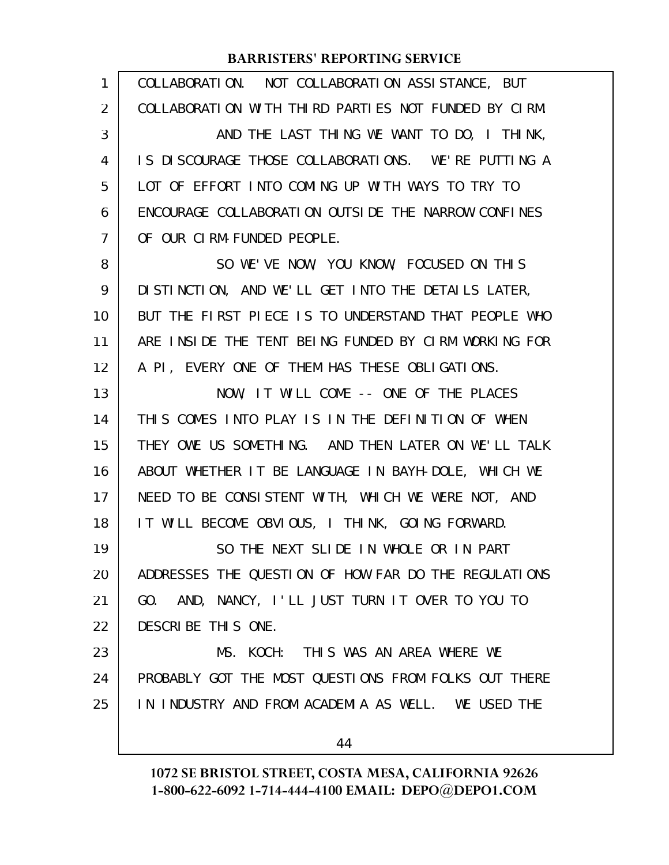| $\mathbf{1}$ | COLLABORATION. NOT COLLABORATION ASSISTANCE, BUT     |
|--------------|------------------------------------------------------|
| 2            | COLLABORATION WITH THIRD PARTIES NOT FUNDED BY CIRM. |
| 3            | AND THE LAST THING WE WANT TO DO, I THINK,           |
| 4            | IS DISCOURAGE THOSE COLLABORATIONS. WE'RE PUTTING A  |
| 5            | LOT OF EFFORT INTO COMING UP WITH WAYS TO TRY TO     |
| 6            | ENCOURAGE COLLABORATION OUTSIDE THE NARROW CONFINES  |
| 7            | OF OUR CIRM-FUNDED PEOPLE.                           |
| 8            | SO WE'VE NOW, YOU KNOW, FOCUSED ON THIS              |
| 9            | DISTINCTION, AND WE'LL GET INTO THE DETAILS LATER,   |
| 10           | BUT THE FIRST PIECE IS TO UNDERSTAND THAT PEOPLE WHO |
| 11           | ARE INSIDE THE TENT BEING FUNDED BY CIRM WORKING FOR |
| 12           | A PI, EVERY ONE OF THEM HAS THESE OBLIGATIONS.       |
| 13           | NOW, IT WILL COME -- ONE OF THE PLACES               |
| 14           | THIS COMES INTO PLAY IS IN THE DEFINITION OF WHEN    |
| 15           | THEY OWE US SOMETHING. AND THEN LATER ON WE'LL TALK  |
| 16           | ABOUT WHETHER IT BE LANGUAGE IN BAYH-DOLE, WHICH WE  |
| 17           | NEED TO BE CONSISTENT WITH, WHICH WE WERE NOT, AND   |
| 18           | IT WILL BECOME OBVIOUS, I THINK, GOING FORWARD.      |
| 19           | SO THE NEXT SLIDE IN WHOLE OR IN PART                |
| 20           | ADDRESSES THE QUESTION OF HOW FAR DO THE REGULATIONS |
| 21           | GO. AND, NANCY, I'LL JUST TURN IT OVER TO YOU TO     |
| 22           | DESCRIBE THIS ONE.                                   |
| 23           | MS. KOCH: THIS WAS AN AREA WHERE WE                  |
| 24           | PROBABLY GOT THE MOST QUESTIONS FROM FOLKS OUT THERE |
| 25           | IN INDUSTRY AND FROM ACADEMIA AS WELL. WE USED THE   |
|              | 44                                                   |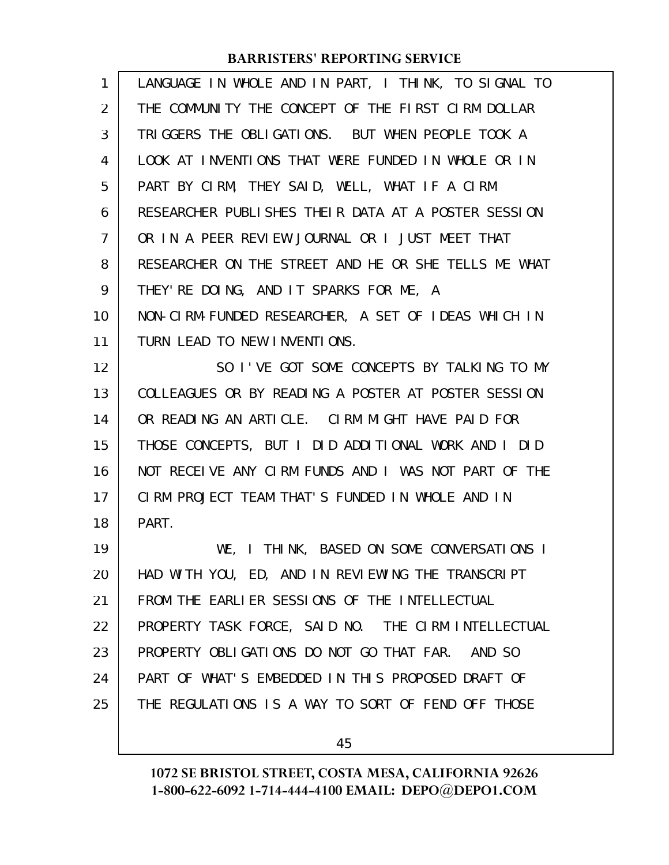| 1              | LANGUAGE IN WHOLE AND IN PART, I THINK, TO SIGNAL TO |
|----------------|------------------------------------------------------|
| $\overline{2}$ | THE COMMUNITY THE CONCEPT OF THE FIRST CIRM DOLLAR   |
| 3              | TRIGGERS THE OBLIGATIONS. BUT WHEN PEOPLE TOOK A     |
| 4              | LOOK AT INVENTIONS THAT WERE FUNDED IN WHOLE OR IN   |
| 5              | PART BY CIRM, THEY SAID, WELL, WHAT IF A CIRM        |
| 6              | RESEARCHER PUBLISHES THEIR DATA AT A POSTER SESSION  |
| 7              | OR IN A PEER REVIEW JOURNAL OR I JUST MEET THAT      |
| 8              | RESEARCHER ON THE STREET AND HE OR SHE TELLS ME WHAT |
| 9              | THEY'RE DOING, AND IT SPARKS FOR ME, A               |
| 10             | NON-CIRM-FUNDED RESEARCHER, A SET OF IDEAS WHICH IN  |
| 11             | TURN LEAD TO NEW INVENTIONS.                         |
| 12             | SO I'VE GOT SOME CONCEPTS BY TALKING TO MY           |
| 13             | COLLEAGUES OR BY READING A POSTER AT POSTER SESSION  |
| 14             | OR READING AN ARTICLE. CIRM MIGHT HAVE PAID FOR      |
| 15             | THOSE CONCEPTS, BUT I DID ADDITIONAL WORK AND I DID  |
| 16             | NOT RECEIVE ANY CIRM FUNDS AND I WAS NOT PART OF THE |
| 17             | CIRM PROJECT TEAM THAT'S FUNDED IN WHOLE AND IN      |
| 18             | PART.                                                |
| 19             | WE, I THINK, BASED ON SOME CONVERSATIONS I           |
| 20             | HAD WITH YOU, ED, AND IN REVIEWING THE TRANSCRIPT    |
| 21             | FROM THE EARLIER SESSIONS OF THE INTELLECTUAL        |
| 22             | PROPERTY TASK FORCE, SAID NO. THE CIRM INTELLECTUAL  |
| 23             | PROPERTY OBLIGATIONS DO NOT GO THAT FAR.<br>AND SO   |
| 24             | PART OF WHAT'S EMBEDDED IN THIS PROPOSED DRAFT OF    |
| 25             | THE REGULATIONS IS A WAY TO SORT OF FEND OFF THOSE   |
|                |                                                      |

45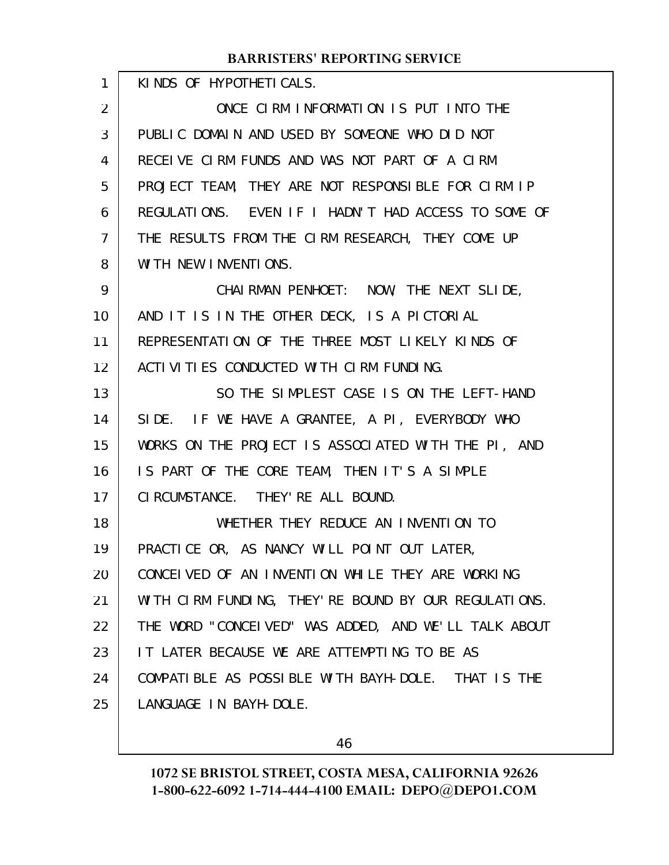| $\mathbf{1}$   | KINDS OF HYPOTHETICALS.                               |
|----------------|-------------------------------------------------------|
| 2              | ONCE CIRM INFORMATION IS PUT INTO THE                 |
| 3              | PUBLIC DOMAIN AND USED BY SOMEONE WHO DID NOT         |
| 4              | RECEIVE CIRM FUNDS AND WAS NOT PART OF A CIRM         |
| 5              | PROJECT TEAM, THEY ARE NOT RESPONSIBLE FOR CIRM IP    |
| 6              | REGULATIONS. EVEN IF I HADN'T HAD ACCESS TO SOME OF   |
| $\overline{7}$ | THE RESULTS FROM THE CIRM RESEARCH, THEY COME UP      |
| 8              | WITH NEW INVENTIONS.                                  |
| 9              | CHAIRMAN PENHOET: NOW, THE NEXT SLIDE,                |
| 10             | AND IT IS IN THE OTHER DECK, IS A PICTORIAL           |
| 11             | REPRESENTATION OF THE THREE MOST LIKELY KINDS OF      |
| 12             | ACTI VITIES CONDUCTED WITH CIRM FUNDING.              |
| 13             | SO THE SIMPLEST CASE IS ON THE LEFT-HAND              |
| 14             | SIDE. IF WE HAVE A GRANTEE, A PI, EVERYBODY WHO       |
| 15             | WORKS ON THE PROJECT IS ASSOCIATED WITH THE PI, AND   |
| 16             | IS PART OF THE CORE TEAM, THEN IT'S A SIMPLE          |
| 17             | CI RCUMSTANCE. THEY' RE ALL BOUND.                    |
| 18             | WHETHER THEY REDUCE AN INVENTION TO                   |
| 19             | PRACTICE OR, AS NANCY WILL POINT OUT LATER,           |
| 20             | CONCEIVED OF AN INVENTION WHILE THEY ARE WORKING      |
| 21             | WITH CIRM FUNDING, THEY' RE BOUND BY OUR REGULATIONS. |
| 22             | THE WORD "CONCEIVED" WAS ADDED, AND WE'LL TALK ABOUT  |
| 23             | IT LATER BECAUSE WE ARE ATTEMPTING TO BE AS           |
| 24             | COMPATIBLE AS POSSIBLE WITH BAYH-DOLE. THAT IS THE    |
| 25             | LANGUAGE IN BAYH-DOLE.                                |
|                |                                                       |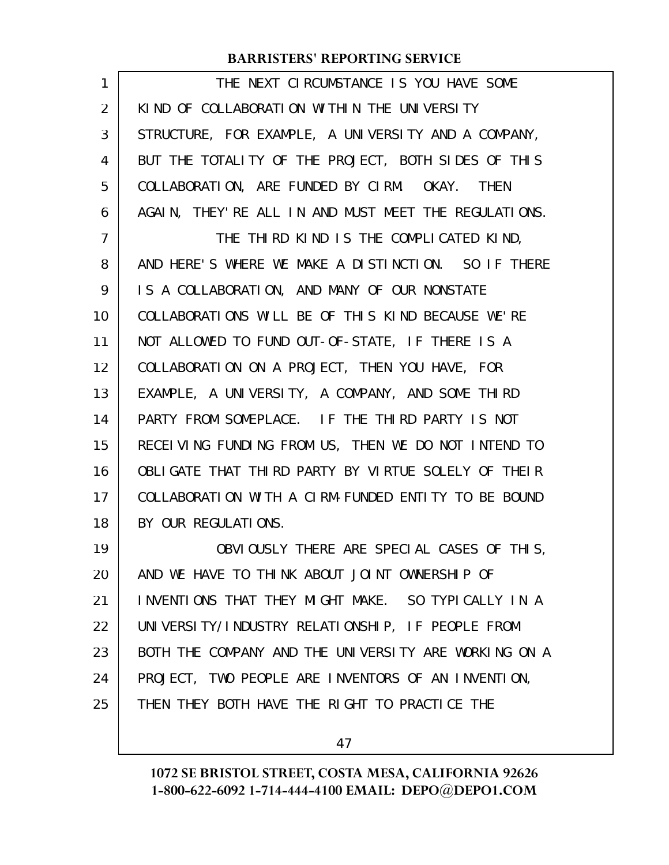| 1              | THE NEXT CLRCUMSTANCE IS YOU HAVE SOME                |
|----------------|-------------------------------------------------------|
| 2              | KIND OF COLLABORATION WITHIN THE UNIVERSITY           |
| 3              | STRUCTURE, FOR EXAMPLE, A UNIVERSITY AND A COMPANY,   |
| 4              | BUT THE TOTALITY OF THE PROJECT, BOTH SIDES OF THIS   |
| 5              | COLLABORATION, ARE FUNDED BY CIRM. OKAY. THEN         |
| 6              | AGAIN, THEY' RE ALL IN AND MUST MEET THE REGULATIONS. |
| $\overline{7}$ | THE THIRD KIND IS THE COMPLICATED KIND,               |
| 8              | AND HERE'S WHERE WE MAKE A DISTINCTION. SO IF THERE   |
| 9              | IS A COLLABORATION, AND MANY OF OUR NONSTATE          |
| 10             | COLLABORATIONS WILL BE OF THIS KIND BECAUSE WE'RE     |
| 11             | NOT ALLOWED TO FUND OUT-OF-STATE, IF THERE IS A       |
| 12             | COLLABORATION ON A PROJECT, THEN YOU HAVE, FOR        |
| 13             | EXAMPLE, A UNIVERSITY, A COMPANY, AND SOME THIRD      |
| 14             | PARTY FROM SOMEPLACE. IF THE THIRD PARTY IS NOT       |
| 15             | RECEIVING FUNDING FROM US, THEN WE DO NOT INTEND TO   |
| 16             | OBLIGATE THAT THIRD PARTY BY VIRTUE SOLELY OF THEIR   |
| 17             | COLLABORATION WITH A CIRM-FUNDED ENTITY TO BE BOUND   |
| 18             | BY OUR REGULATIONS.                                   |
| 19             | OBVIOUSLY THERE ARE SPECIAL CASES OF THIS,            |
| 20             | AND WE HAVE TO THINK ABOUT JOINT OWNERSHIP OF         |
| 21             | INVENTIONS THAT THEY MIGHT MAKE. SO TYPICALLY IN A    |
| 22             | UNIVERSITY/INDUSTRY RELATIONSHIP, IF PEOPLE FROM      |
| 23             | BOTH THE COMPANY AND THE UNIVERSITY ARE WORKING ON A  |
| 24             | PROJECT, TWO PEOPLE ARE INVENTORS OF AN INVENTION,    |
| 25             | THEN THEY BOTH HAVE THE RIGHT TO PRACTICE THE         |
|                |                                                       |

47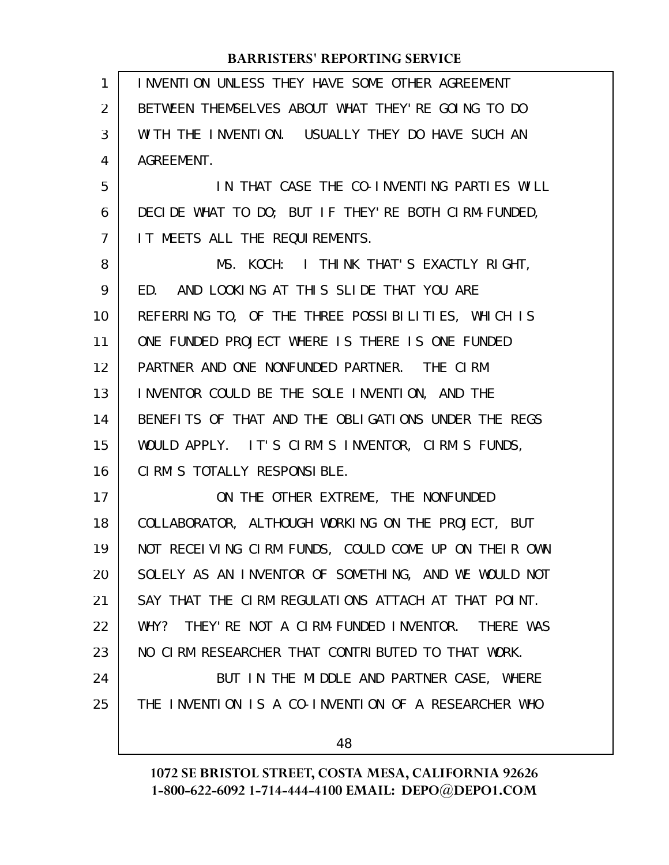| 1              | INVENTION UNLESS THEY HAVE SOME OTHER AGREEMENT      |
|----------------|------------------------------------------------------|
| 2              | BETWEEN THEMSELVES ABOUT WHAT THEY'RE GOING TO DO    |
| 3              | WITH THE INVENTION. USUALLY THEY DO HAVE SUCH AN     |
| 4              | AGREEMENT.                                           |
| 5              | IN THAT CASE THE CO-INVENTING PARTIES WILL           |
| 6              | DECIDE WHAT TO DO; BUT IF THEY' RE BOTH CIRM-FUNDED, |
| $\overline{7}$ | IT MEETS ALL THE REQUIREMENTS.                       |
| 8              | MS. KOCH: I THINK THAT'S EXACTLY RIGHT,              |
| 9              | ED. AND LOOKING AT THIS SLIDE THAT YOU ARE           |
| 10             | REFERRING TO, OF THE THREE POSSIBILITIES, WHICH IS   |
| 11             | ONE FUNDED PROJECT WHERE IS THERE IS ONE FUNDED      |
| 12             | PARTNER AND ONE NONFUNDED PARTNER. THE CIRM          |
| 13             | INVENTOR COULD BE THE SOLE INVENTION, AND THE        |
| 14             | BENEFITS OF THAT AND THE OBLIGATIONS UNDER THE REGS  |
| 15             | WOULD APPLY. IT'S CIRM'S INVENTOR, CIRM'S FUNDS,     |
| 16             | CIRM'S TOTALLY RESPONSIBLE.                          |
| 17             | ON THE OTHER EXTREME, THE NONFUNDED                  |
| 18             | COLLABORATOR, ALTHOUGH WORKING ON THE PROJECT, BUT   |
| 19             | NOT RECEIVING CIRM FUNDS, COULD COME UP ON THEIR OWN |
| 20             | SOLELY AS AN INVENTOR OF SOMETHING, AND WE WOULD NOT |
| 21             | SAY THAT THE CIRM REGULATIONS ATTACH AT THAT POINT.  |
| 22             | WHY? THEY'RE NOT A CIRM-FUNDED INVENTOR. THERE WAS   |
| 23             | NO CIRM RESEARCHER THAT CONTRIBUTED TO THAT WORK.    |
| 24             | BUT IN THE MIDDLE AND PARTNER CASE, WHERE            |
| 25             | THE INVENTION IS A CO-INVENTION OF A RESEARCHER WHO  |
|                | 48                                                   |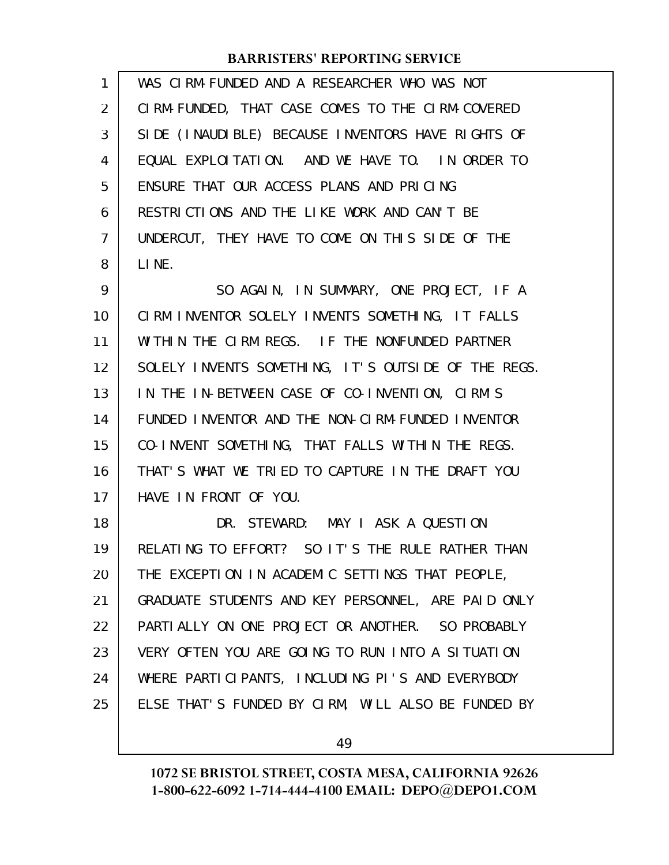| 1  | WAS CIRM-FUNDED AND A RESEARCHER WHO WAS NOT        |
|----|-----------------------------------------------------|
| 2  | CIRM-FUNDED, THAT CASE COMES TO THE CIRM-COVERED    |
| 3  | SIDE (INAUDIBLE) BECAUSE INVENTORS HAVE RIGHTS OF   |
| 4  | EQUAL EXPLOITATION. AND WE HAVE TO. IN ORDER TO     |
| 5  | ENSURE THAT OUR ACCESS PLANS AND PRICING            |
| 6  | RESTRICTIONS AND THE LIKE WORK AND CAN'T BE         |
| 7  | UNDERCUT, THEY HAVE TO COME ON THIS SIDE OF THE     |
| 8  | LINE.                                               |
| 9  | SO AGAIN, IN SUMMARY, ONE PROJECT, IF A             |
| 10 | CIRM INVENTOR SOLELY INVENTS SOMETHING, IT FALLS    |
| 11 | WITHIN THE CIRM REGS. IF THE NONFUNDED PARTNER      |
| 12 | SOLELY INVENTS SOMETHING, IT'S OUTSIDE OF THE REGS. |
| 13 | IN THE IN-BETWEEN CASE OF CO-INVENTION, CIRM'S      |
| 14 | FUNDED INVENTOR AND THE NON-CIRM-FUNDED INVENTOR    |
| 15 | CO-INVENT SOMETHING, THAT FALLS WITHIN THE REGS.    |
| 16 | THAT'S WHAT WE TRIED TO CAPTURE IN THE DRAFT YOU    |
| 17 | HAVE IN FRONT OF YOU.                               |
| 18 | DR. STEWARD: MAY I ASK A QUESTION                   |
| 19 | RELATING TO EFFORT? SO IT'S THE RULE RATHER THAN    |
| 20 | THE EXCEPTION IN ACADEMIC SETTINGS THAT PEOPLE,     |
| 21 | GRADUATE STUDENTS AND KEY PERSONNEL, ARE PAID ONLY  |
| 22 | PARTIALLY ON ONE PROJECT OR ANOTHER. SO PROBABLY    |
| 23 | VERY OFTEN YOU ARE GOING TO RUN INTO A SITUATION    |
| 24 | WHERE PARTICIPANTS, INCLUDING PI'S AND EVERYBODY    |
| 25 | ELSE THAT'S FUNDED BY CIRM, WILL ALSO BE FUNDED BY  |
|    |                                                     |

49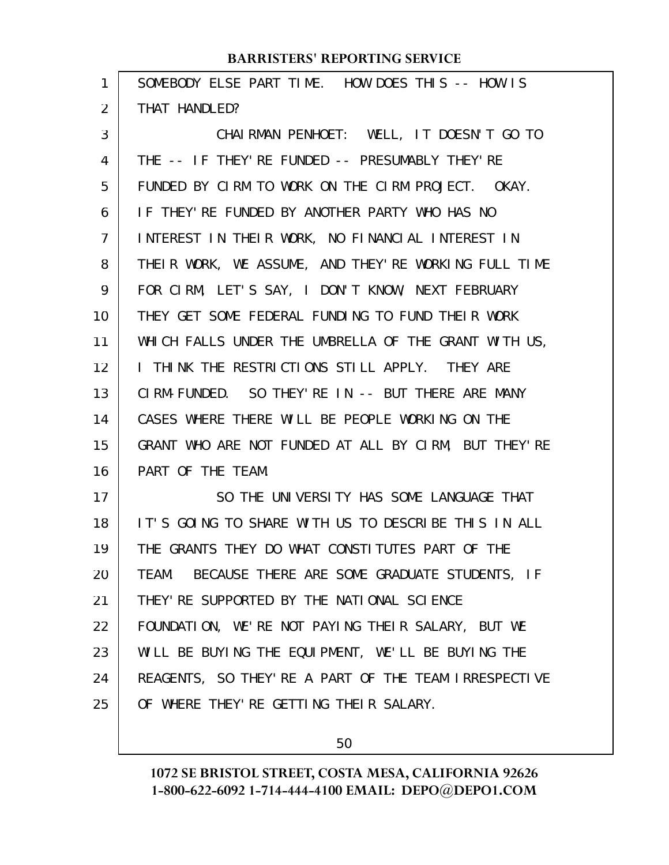| SOMEBODY ELSE PART TIME. HOW DOES THIS -- HOW IS      |
|-------------------------------------------------------|
| THAT HANDLED?                                         |
| CHAIRMAN PENHOET: WELL, IT DOESN'T GO TO              |
| THE -- IF THEY'RE FUNDED -- PRESUMABLY THEY'RE        |
| FUNDED BY CIRM TO WORK ON THE CIRM PROJECT. OKAY.     |
| IF THEY'RE FUNDED BY ANOTHER PARTY WHO HAS NO         |
| INTEREST IN THEIR WORK, NO FINANCIAL INTEREST IN      |
| THEIR WORK, WE ASSUME, AND THEY'RE WORKING FULL TIME  |
| FOR CIRM, LET'S SAY, I DON'T KNOW, NEXT FEBRUARY      |
| THEY GET SOME FEDERAL FUNDING TO FUND THEIR WORK      |
| WHICH FALLS UNDER THE UMBRELLA OF THE GRANT WITH US,  |
| I THINK THE RESTRICTIONS STILL APPLY. THEY ARE        |
| CIRM-FUNDED. SO THEY'RE IN -- BUT THERE ARE MANY      |
| CASES WHERE THERE WILL BE PEOPLE WORKING ON THE       |
| GRANT WHO ARE NOT FUNDED AT ALL BY CIRM, BUT THEY'RE  |
| PART OF THE TEAM.                                     |
| SO THE UNIVERSITY HAS SOME LANGUAGE THAT              |
| IT'S GOING TO SHARE WITH US TO DESCRIBE THIS IN ALL   |
| THE GRANTS THEY DO WHAT CONSTITUTES PART OF THE       |
| BECAUSE THERE ARE SOME GRADUATE STUDENTS, IF<br>TEAM. |
| THEY' RE SUPPORTED BY THE NATIONAL SCIENCE            |
| FOUNDATION, WE'RE NOT PAYING THEIR SALARY, BUT WE     |
| WILL BE BUYING THE EQUIPMENT, WE'LL BE BUYING THE     |
| REAGENTS, SO THEY' RE A PART OF THE TEAM IRRESPECTIVE |
| OF WHERE THEY' RE GETTING THEIR SALARY.               |
|                                                       |

50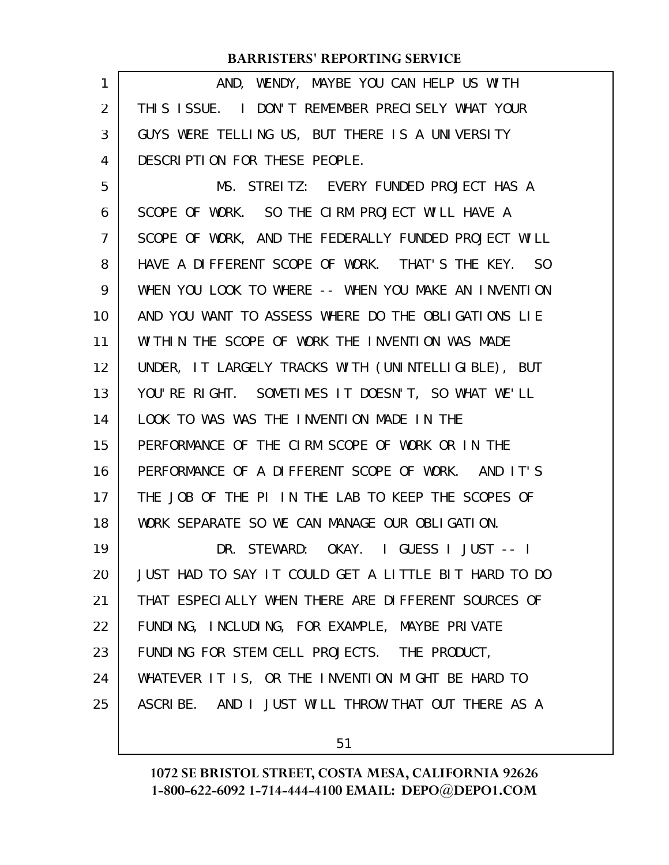| 1  | AND, WENDY, MAYBE YOU CAN HELP US WITH               |
|----|------------------------------------------------------|
| 2  | THIS ISSUE. I DON'T REMEMBER PRECISELY WHAT YOUR     |
| 3  | GUYS WERE TELLING US, BUT THERE IS A UNIVERSITY      |
| 4  | DESCRIPTION FOR THESE PEOPLE.                        |
| 5  | MS. STREITZ: EVERY FUNDED PROJECT HAS A              |
| 6  | SCOPE OF WORK. SO THE CIRM PROJECT WILL HAVE A       |
| 7  | SCOPE OF WORK, AND THE FEDERALLY FUNDED PROJECT WILL |
| 8  | HAVE A DIFFERENT SCOPE OF WORK. THAT'S THE KEY. SO   |
| 9  | WHEN YOU LOOK TO WHERE -- WHEN YOU MAKE AN INVENTION |
| 10 | AND YOU WANT TO ASSESS WHERE DO THE OBLIGATIONS LIE  |
| 11 | WITHIN THE SCOPE OF WORK THE INVENTION WAS MADE      |
| 12 | UNDER, IT LARGELY TRACKS WITH (UNINTELLIGIBLE), BUT  |
| 13 | YOU'RE RIGHT. SOMETIMES IT DOESN'T, SO WHAT WE'LL    |
| 14 | LOOK TO WAS WAS THE INVENTION MADE IN THE            |
| 15 | PERFORMANCE OF THE CIRM SCOPE OF WORK OR IN THE      |
| 16 | PERFORMANCE OF A DIFFERENT SCOPE OF WORK. AND IT'S   |
| 17 | THE JOB OF THE PI IN THE LAB TO KEEP THE SCOPES OF   |
| 18 | WORK SEPARATE SO WE CAN MANAGE OUR OBLIGATION.       |
| 19 | DR. STEWARD: OKAY. I GUESS I JUST -- I               |
| 20 | JUST HAD TO SAY IT COULD GET A LITTLE BIT HARD TO DO |
| 21 | THAT ESPECIALLY WHEN THERE ARE DIFFERENT SOURCES OF  |
| 22 | FUNDING, INCLUDING, FOR EXAMPLE, MAYBE PRIVATE       |
| 23 | FUNDING FOR STEM CELL PROJECTS. THE PRODUCT,         |
| 24 | WHATEVER IT IS, OR THE INVENTION MIGHT BE HARD TO    |
| 25 | ASCRIBE. AND I JUST WILL THROW THAT OUT THERE AS A   |
|    |                                                      |

51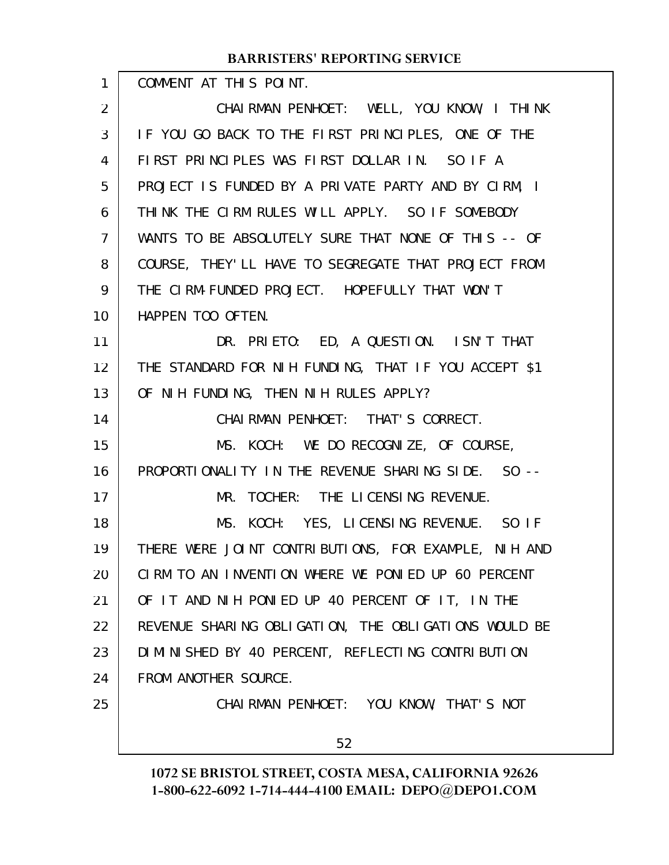COMMENT AT THIS POINT. CHAIRMAN PENHOET: WELL, YOU KNOW, I THINK IF YOU GO BACK TO THE FIRST PRINCIPLES, ONE OF THE FIRST PRINCIPLES WAS FIRST DOLLAR IN. SO IF A PROJECT IS FUNDED BY A PRIVATE PARTY AND BY CIRM, I THINK THE CIRM RULES WILL APPLY. SO IF SOMEBODY WANTS TO BE ABSOLUTELY SURE THAT NONE OF THIS -- OF COURSE, THEY'LL HAVE TO SEGREGATE THAT PROJECT FROM THE CIRM-FUNDED PROJECT. HOPEFULLY THAT WON'T HAPPEN TOO OFTEN. DR. PRIETO: ED, A QUESTION. ISN'T THAT THE STANDARD FOR NIH FUNDING, THAT IF YOU ACCEPT \$1 OF NIH FUNDING, THEN NIH RULES APPLY? CHAIRMAN PENHOET: THAT'S CORRECT. MS. KOCH: WE DO RECOGNIZE, OF COURSE, PROPORTIONALITY IN THE REVENUE SHARING SIDE. SO -- MR. TOCHER: THE LICENSING REVENUE. MS. KOCH: YES, LICENSING REVENUE. SO IF THERE WERE JOINT CONTRIBUTIONS, FOR EXAMPLE, NIH AND CIRM TO AN INVENTION WHERE WE PONIED UP 60 PERCENT OF IT AND NIH PONIED UP 40 PERCENT OF IT, IN THE REVENUE SHARING OBLIGATION, THE OBLIGATIONS WOULD BE DIMINISHED BY 40 PERCENT, REFLECTING CONTRIBUTION FROM ANOTHER SOURCE. CHAIRMAN PENHOET: YOU KNOW, THAT'S NOT **BARRISTERS' REPORTING SERVICE** 1 2 3 4 5 6 7 8 9 10 11 12 13 14 15 16 17 18 19 20 21 22 23 24 25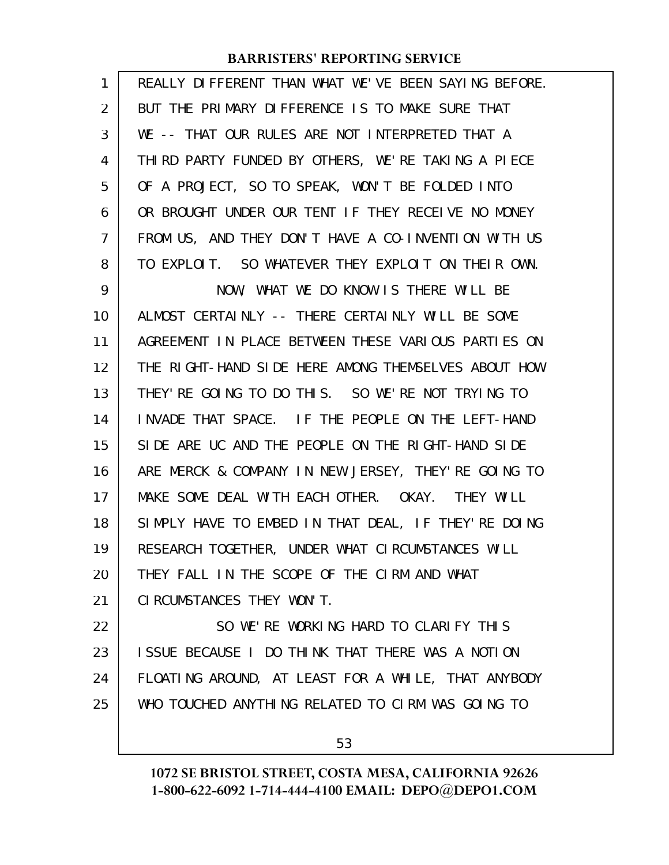| 1  | REALLY DIFFERENT THAN WHAT WE'VE BEEN SAYING BEFORE. |
|----|------------------------------------------------------|
| 2  | BUT THE PRIMARY DIFFERENCE IS TO MAKE SURE THAT      |
| 3  | WE -- THAT OUR RULES ARE NOT INTERPRETED THAT A      |
| 4  | THIRD PARTY FUNDED BY OTHERS, WE'RE TAKING A PIECE   |
| 5  | OF A PROJECT, SO TO SPEAK, WON'T BE FOLDED INTO      |
| 6  | OR BROUGHT UNDER OUR TENT IF THEY RECELVE NO MONEY   |
| 7  | FROM US, AND THEY DON'T HAVE A CO-INVENTION WITH US  |
| 8  | TO EXPLOIT. SO WHATEVER THEY EXPLOIT ON THEIR OWN.   |
| 9  | NOW, WHAT WE DO KNOW IS THERE WILL BE                |
| 10 | ALMOST CERTAINLY -- THERE CERTAINLY WILL BE SOME     |
| 11 | AGREEMENT IN PLACE BETWEEN THESE VARIOUS PARTIES ON  |
| 12 | THE RIGHT-HAND SIDE HERE AMONG THEMSELVES ABOUT HOW  |
| 13 | THEY' RE GOING TO DO THIS. SO WE' RE NOT TRYING TO   |
| 14 | INVADE THAT SPACE. IF THE PEOPLE ON THE LEFT-HAND    |
| 15 | SIDE ARE UC AND THE PEOPLE ON THE RIGHT-HAND SIDE    |
| 16 | ARE MERCK & COMPANY IN NEW JERSEY, THEY'RE GOING TO  |
| 17 | MAKE SOME DEAL WITH EACH OTHER. OKAY. THEY WILL      |
| 18 | SIMPLY HAVE TO EMBED IN THAT DEAL, IF THEY'RE DOING  |
| 19 | RESEARCH TOGETHER, UNDER WHAT CIRCUMSTANCES WILL     |
| 20 | THEY FALL IN THE SCOPE OF THE CIRM AND WHAT          |
| 21 | CI RCUMSTANCES THEY WON'T.                           |
| 22 | SO WE'RE WORKING HARD TO CLARIFY THIS                |
| 23 | ISSUE BECAUSE I DO THINK THAT THERE WAS A NOTION     |
| 24 | FLOATING AROUND, AT LEAST FOR A WHILE, THAT ANYBODY  |
| 25 | WHO TOUCHED ANYTHING RELATED TO CIRM WAS GOING TO    |
|    |                                                      |

53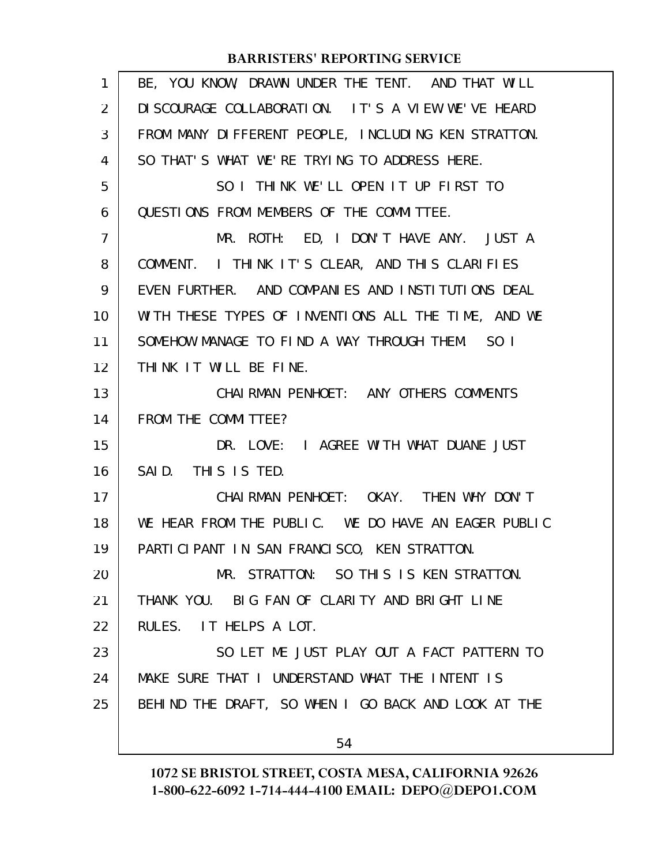| 1  | BE, YOU KNOW, DRAWN UNDER THE TENT. AND THAT WILL   |
|----|-----------------------------------------------------|
| 2  | DI SCOURAGE COLLABORATION. IT'S A VIEW WE'VE HEARD  |
| 3  | FROM MANY DIFFERENT PEOPLE, INCLUDING KEN STRATTON. |
| 4  | SO THAT'S WHAT WE'RE TRYING TO ADDRESS HERE.        |
| 5  | SO I THINK WE'LL OPEN IT UP FIRST TO                |
| 6  | QUESTIONS FROM MEMBERS OF THE COMMITTEE.            |
| 7  | MR. ROTH: ED, I DON'T HAVE ANY. JUST A              |
| 8  | COMMENT. I THINK IT'S CLEAR, AND THIS CLARIFIES     |
| 9  | EVEN FURTHER. AND COMPANIES AND INSTITUTIONS DEAL   |
| 10 | WITH THESE TYPES OF INVENTIONS ALL THE TIME, AND WE |
| 11 | SOMEHOW MANAGE TO FIND A WAY THROUGH THEM. SO I     |
| 12 | THINK IT WILL BE FINE.                              |
| 13 | CHAI RMAN PENHOET: ANY OTHERS COMMENTS              |
| 14 | FROM THE COMMITTEE?                                 |
| 15 | DR. LOVE: I AGREE WITH WHAT DUANE JUST              |
| 16 | SAID. THIS IS TED.                                  |
| 17 | CHAIRMAN PENHOET: OKAY. THEN WHY DON'T              |
| 18 | WE HEAR FROM THE PUBLIC. WE DO HAVE AN EAGER PUBLIC |
| 19 | PARTICIPANT IN SAN FRANCISCO, KEN STRATTON.         |
| 20 | MR. STRATTON: SO THIS IS KEN STRATTON.              |
| 21 | THANK YOU. BIG FAN OF CLARITY AND BRIGHT LINE       |
| 22 | RULES. IT HELPS A LOT.                              |
| 23 | SO LET ME JUST PLAY OUT A FACT PATTERN TO           |
| 24 | MAKE SURE THAT I UNDERSTAND WHAT THE INTENT IS      |
| 25 | BEHIND THE DRAFT, SO WHEN I GO BACK AND LOOK AT THE |
|    |                                                     |
|    | 54                                                  |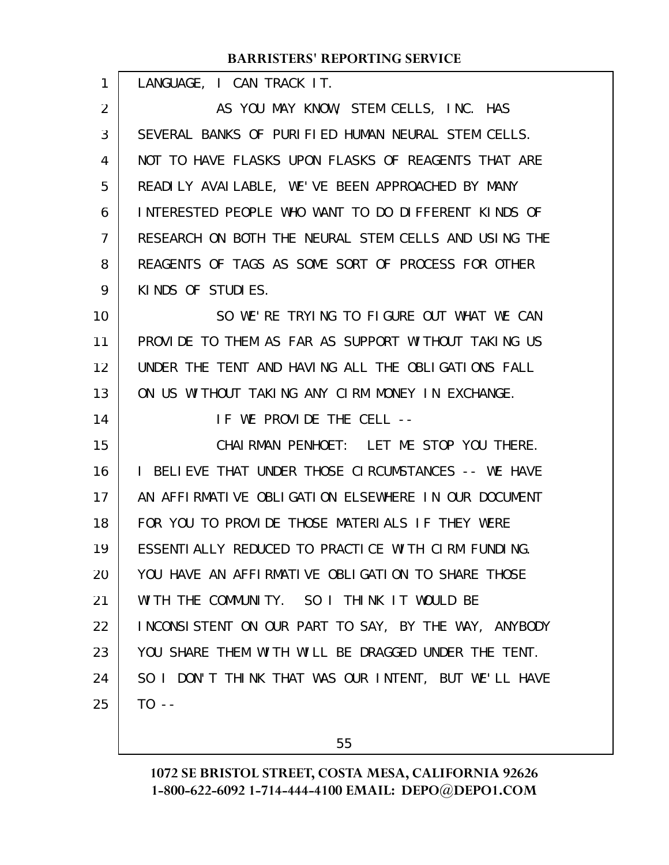| 1  | LANGUAGE, I CAN TRACK IT.                            |
|----|------------------------------------------------------|
| 2  | AS YOU MAY KNOW, STEM CELLS, INC. HAS                |
| 3  | SEVERAL BANKS OF PURIFIED HUMAN NEURAL STEM CELLS.   |
| 4  | NOT TO HAVE FLASKS UPON FLASKS OF REAGENTS THAT ARE  |
| 5  | READILY AVAILABLE, WE'VE BEEN APPROACHED BY MANY     |
| 6  | INTERESTED PEOPLE WHO WANT TO DO DIFFERENT KINDS OF  |
| 7  | RESEARCH ON BOTH THE NEURAL STEM CELLS AND USING THE |
| 8  | REAGENTS OF TAGS AS SOME SORT OF PROCESS FOR OTHER   |
| 9  | KINDS OF STUDIES.                                    |
| 10 | SO WE'RE TRYING TO FIGURE OUT WHAT WE CAN            |
| 11 | PROVIDE TO THEM AS FAR AS SUPPORT WITHOUT TAKING US  |
| 12 | UNDER THE TENT AND HAVING ALL THE OBLIGATIONS FALL   |
| 13 | ON US WITHOUT TAKING ANY CIRM MONEY IN EXCHANGE.     |
| 14 | IF WE PROVIDE THE CELL --                            |
| 15 | CHAIRMAN PENHOET: LET ME STOP YOU THERE.             |
| 16 | I BELIEVE THAT UNDER THOSE CIRCUMSTANCES -- WE HAVE  |
| 17 | AN AFFIRMATIVE OBLIGATION ELSEWHERE IN OUR DOCUMENT  |
| 18 | FOR YOU TO PROVIDE THOSE MATERIALS IF THEY WERE      |
| 19 | ESSENTIALLY REDUCED TO PRACTICE WITH CIRM FUNDING.   |
| 20 | YOU HAVE AN AFFIRMATIVE OBLIGATION TO SHARE THOSE    |
| 21 | WITH THE COMMUNITY. SO I THINK IT WOULD BE           |
| 22 | INCONSISTENT ON OUR PART TO SAY, BY THE WAY, ANYBODY |
| 23 | YOU SHARE THEM WITH WILL BE DRAGGED UNDER THE TENT.  |
| 24 | SO I DON'T THINK THAT WAS OUR INTENT, BUT WE'LL HAVE |
| 25 | $T0 - -$                                             |
|    |                                                      |

55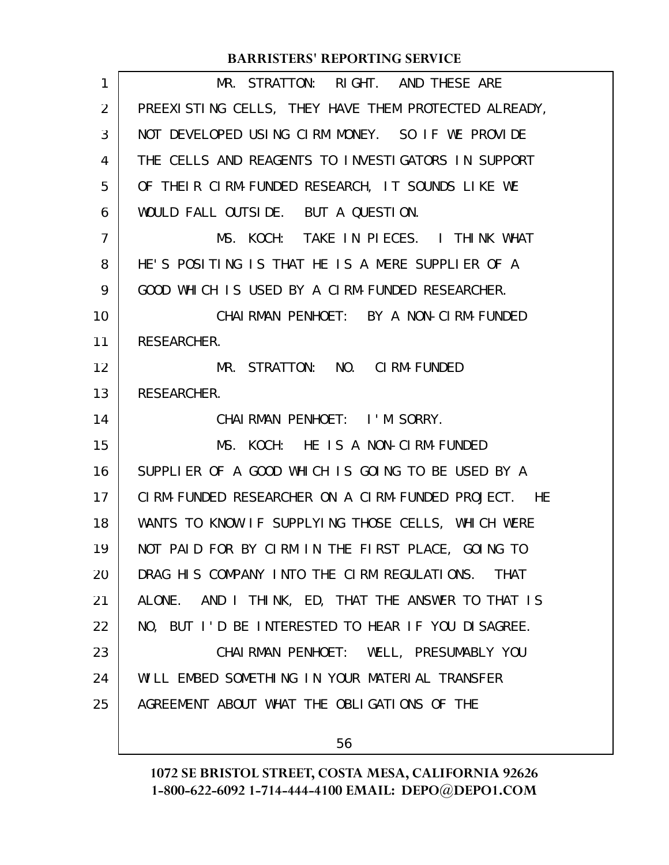| 1              | MR. STRATTON: RIGHT. AND THESE ARE                   |
|----------------|------------------------------------------------------|
| $\overline{2}$ | PREEXISTING CELLS, THEY HAVE THEM PROTECTED ALREADY, |
| 3              | NOT DEVELOPED USING CIRM MONEY. SO IF WE PROVIDE     |
| 4              | THE CELLS AND REAGENTS TO INVESTIGATORS IN SUPPORT   |
| 5              | OF THEIR CIRM-FUNDED RESEARCH, IT SOUNDS LIKE WE     |
| 6              | WOULD FALL OUTSIDE. BUT A QUESTION.                  |
| $\overline{7}$ | MS. KOCH: TAKE IN PIECES. I THINK WHAT               |
| 8              | HE'S POSITING IS THAT HE IS A MERE SUPPLIER OF A     |
| 9              | GOOD WHICH IS USED BY A CIRM-FUNDED RESEARCHER.      |
| 10             | CHAI RMAN PENHOET: BY A NON-CI RM-FUNDED             |
| 11             | RESEARCHER.                                          |
| 12             | MR. STRATTON: NO. CIRM-FUNDED                        |
| 13             | RESEARCHER.                                          |
| 14             | CHAIRMAN PENHOET: I'M SORRY.                         |
| 15             | MS. KOCH: HE IS A NON-CIRM-FUNDED                    |
| 16             | SUPPLIER OF A GOOD WHICH IS GOING TO BE USED BY A    |
| 17             | CIRM-FUNDED RESEARCHER ON A CIRM-FUNDED PROJECT. HE  |
| 18             | WANTS TO KNOW IF SUPPLYING THOSE CELLS, WHICH WERE   |
| 19             | NOT PAID FOR BY CIRM IN THE FIRST PLACE, GOING TO    |
| 20             | DRAG HIS COMPANY INTO THE CIRM REGULATIONS. THAT     |
| 21             | ALONE. AND I THINK, ED, THAT THE ANSWER TO THAT IS   |
| 22             | NO, BUT I'D BE INTERESTED TO HEAR IF YOU DISAGREE.   |
| 23             | CHAI RMAN PENHOET: WELL, PRESUMABLY YOU              |
| 24             | WILL EMBED SOMETHING IN YOUR MATERIAL TRANSFER       |
| 25             | AGREEMENT ABOUT WHAT THE OBLIGATIONS OF THE          |
|                | 56                                                   |
|                |                                                      |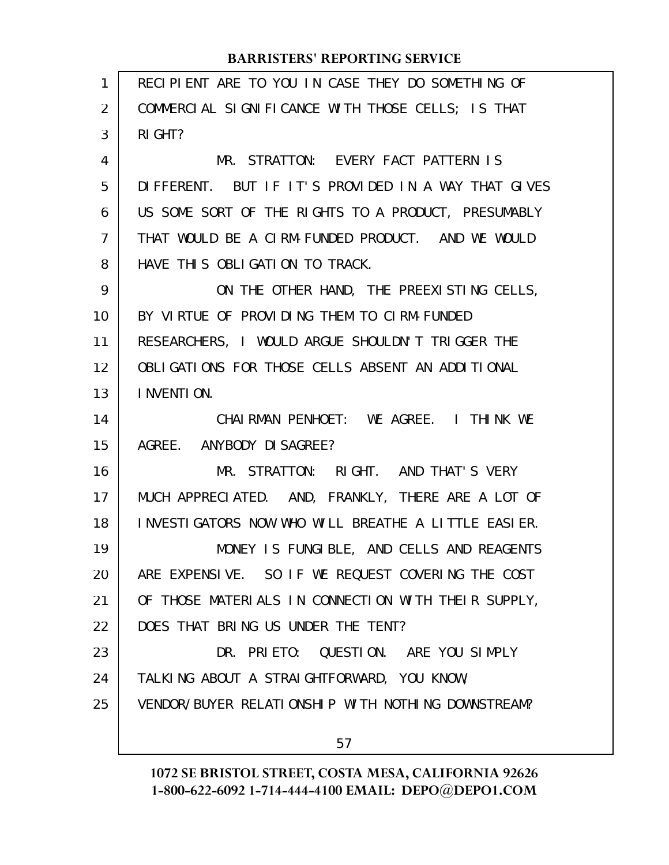| 1              | RECIPIENT ARE TO YOU IN CASE THEY DO SOMETHING OF   |
|----------------|-----------------------------------------------------|
| 2              | COMMERCIAL SIGNIFICANCE WITH THOSE CELLS; IS THAT   |
| 3              | RI GHT?                                             |
| 4              | MR. STRATTON: EVERY FACT PATTERN IS                 |
| 5              | DIFFERENT. BUT IF IT'S PROVIDED IN A WAY THAT GIVES |
| 6              | US SOME SORT OF THE RIGHTS TO A PRODUCT, PRESUMABLY |
| $\overline{7}$ | THAT WOULD BE A CIRM-FUNDED PRODUCT. AND WE WOULD   |
| 8              | HAVE THIS OBLIGATION TO TRACK.                      |
| 9              | ON THE OTHER HAND, THE PREEXISTING CELLS,           |
| 10             | BY VIRTUE OF PROVIDING THEM TO CIRM-FUNDED          |
| 11             | RESEARCHERS, I WOULD ARGUE SHOULDN'T TRIGGER THE    |
| 12             | OBLIGATIONS FOR THOSE CELLS ABSENT AN ADDITIONAL    |
| 13             | I NVENTI ON.                                        |
| 14             | CHAIRMAN PENHOET: WE AGREE. I THINK WE              |
| 15             | AGREE. ANYBODY DI SAGREE?                           |
| 16             | MR. STRATTON: RIGHT. AND THAT'S VERY                |
| 17             | MUCH APPRECIATED. AND, FRANKLY, THERE ARE A LOT OF  |
| 18             | INVESTIGATORS NOW WHO WILL BREATHE A LITTLE EASIER. |
| 19             | MONEY IS FUNGIBLE, AND CELLS AND REAGENTS           |
| 20             | ARE EXPENSIVE. SO IF WE REQUEST COVERING THE COST   |
| 21             | OF THOSE MATERIALS IN CONNECTION WITH THEIR SUPPLY, |
| 22             | DOES THAT BRING US UNDER THE TENT?                  |
| 23             | DR. PRIETO: QUESTION. ARE YOU SIMPLY                |
| 24             | TALKING ABOUT A STRAIGHTFORWARD, YOU KNOW,          |
| 25             | VENDOR/BUYER RELATIONSHIP WITH NOTHING DOWNSTREAM?  |
|                | 57                                                  |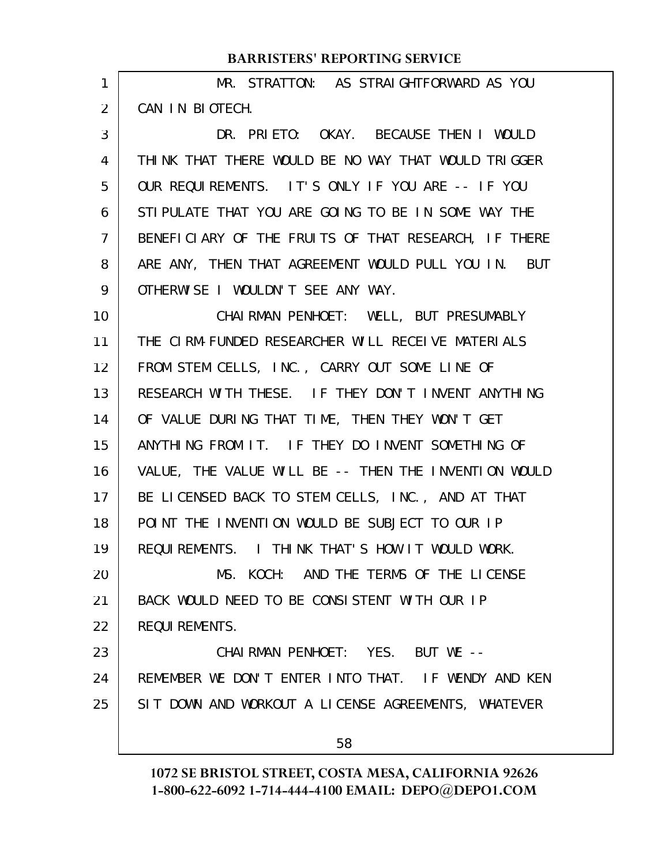| 1  | MR. STRATTON: AS STRAIGHTFORWARD AS YOU              |
|----|------------------------------------------------------|
| 2  | CAN IN BIOTECH.                                      |
| 3  | DR. PRIETO: OKAY. BECAUSE THEN I WOULD               |
| 4  | THINK THAT THERE WOULD BE NO WAY THAT WOULD TRIGGER  |
| 5  | OUR REQUIREMENTS. IT'S ONLY IF YOU ARE -- IF YOU     |
| 6  | STI PULATE THAT YOU ARE GOING TO BE IN SOME WAY THE  |
| 7  | BENEFICIARY OF THE FRUITS OF THAT RESEARCH, IF THERE |
| 8  | ARE ANY, THEN THAT AGREEMENT WOULD PULL YOU IN. BUT  |
| 9  | OTHERWISE I WOULDN'T SEE ANY WAY.                    |
| 10 | CHAI RMAN PENHOET: WELL, BUT PRESUMABLY              |
| 11 | THE CIRM-FUNDED RESEARCHER WILL RECEIVE MATERIALS    |
| 12 | FROM STEM CELLS, INC., CARRY OUT SOME LINE OF        |
| 13 | RESEARCH WITH THESE. IF THEY DON'T INVENT ANYTHING   |
| 14 | OF VALUE DURING THAT TIME, THEN THEY WON'T GET       |
| 15 | ANYTHING FROM IT. IF THEY DO INVENT SOMETHING OF     |
| 16 | VALUE, THE VALUE WILL BE -- THEN THE INVENTION WOULD |
| 17 | BE LICENSED BACK TO STEM CELLS, INC., AND AT THAT    |
| 18 | POINT THE INVENTION WOULD BE SUBJECT TO OUR IP       |
| 19 | REQUIREMENTS. I THINK THAT'S HOW IT WOULD WORK.      |
| 20 | MS. KOCH: AND THE TERMS OF THE LICENSE               |
| 21 | BACK WOULD NEED TO BE CONSISTENT WITH OUR IP         |
| 22 | <b>REQUI REMENTS.</b>                                |
| 23 | CHAIRMAN PENHOET: YES. BUT WE --                     |
| 24 | REMEMBER WE DON'T ENTER INTO THAT. IF WENDY AND KEN  |
| 25 | SIT DOWN AND WORKOUT A LICENSE AGREEMENTS, WHATEVER  |
|    | 58                                                   |
|    |                                                      |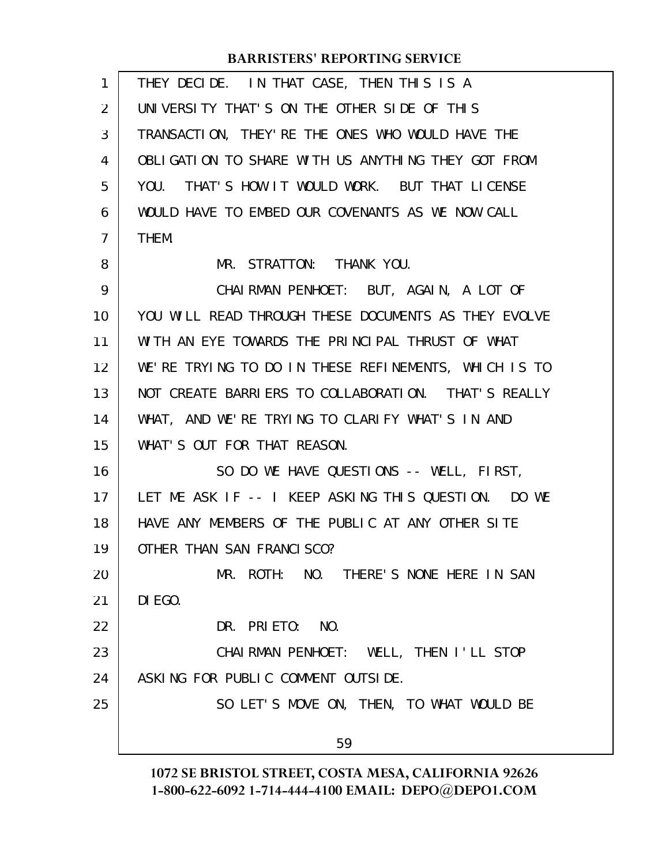| 1              | THEY DECIDE. IN THAT CASE, THEN THIS IS A            |
|----------------|------------------------------------------------------|
| $\overline{2}$ | UNIVERSITY THAT'S ON THE OTHER SIDE OF THIS          |
| 3              | TRANSACTION, THEY' RE THE ONES WHO WOULD HAVE THE    |
| 4              | OBLIGATION TO SHARE WITH US ANYTHING THEY GOT FROM   |
| 5              | YOU. THAT'S HOW IT WOULD WORK. BUT THAT LICENSE      |
| 6              | WOULD HAVE TO EMBED OUR COVENANTS AS WE NOW CALL     |
| $\overline{7}$ | THEM.                                                |
| 8              | MR. STRATTON: THANK YOU.                             |
| 9              | CHAIRMAN PENHOET: BUT, AGAIN, A LOT OF               |
| 10             | YOU WILL READ THROUGH THESE DOCUMENTS AS THEY EVOLVE |
| 11             | WITH AN EYE TOWARDS THE PRINCIPAL THRUST OF WHAT     |
| 12             | WE'RE TRYING TO DO IN THESE REFINEMENTS, WHICH IS TO |
| 13             | NOT CREATE BARRIERS TO COLLABORATION. THAT'S REALLY  |
| 14             | WHAT, AND WE'RE TRYING TO CLARIFY WHAT'S IN AND      |
| 15             | WHAT'S OUT FOR THAT REASON.                          |
| 16             | SO DO WE HAVE QUESTIONS -- WELL, FIRST,              |
| 17             | LET ME ASK IF -- I KEEP ASKING THIS QUESTION. DO WE  |
| 18             | HAVE ANY MEMBERS OF THE PUBLIC AT ANY OTHER SITE     |
| 19             | OTHER THAN SAN FRANCISCO?                            |
| 20             | MR. ROTH: NO. THERE'S NONE HERE IN SAN               |
| 21             | DI EGO.                                              |
| 22             | DR. PRIETO: NO.                                      |
| 23             | CHAIRMAN PENHOET: WELL, THEN I'LL STOP               |
| 24             | ASKING FOR PUBLIC COMMENT OUTSIDE.                   |
| 25             | SO LET'S MOVE ON, THEN, TO WHAT WOULD BE             |
|                | 59                                                   |
|                |                                                      |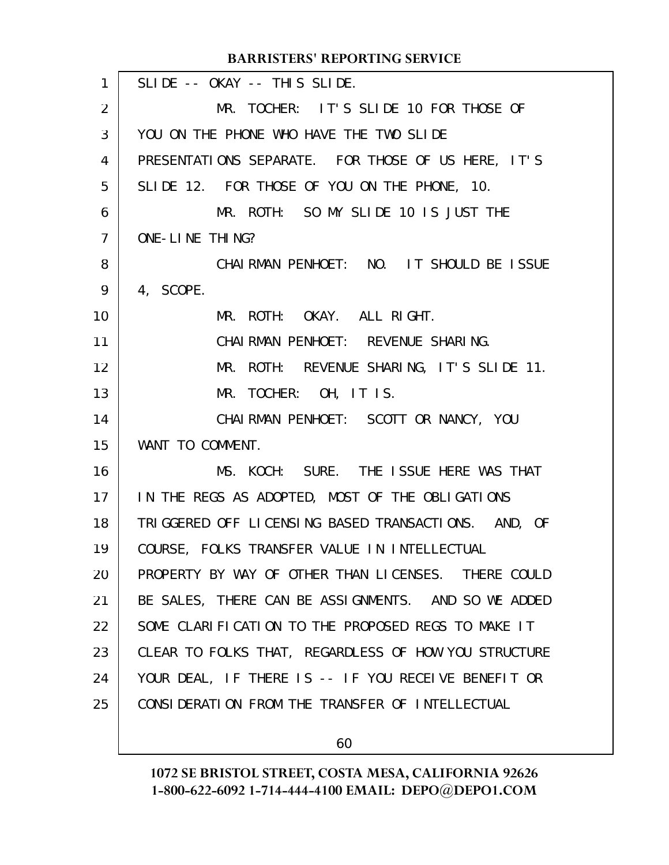|                | <b>DARRISTERS REPURTING SERVICE</b>                  |
|----------------|------------------------------------------------------|
| $\mathbf{1}$   | SLIDE -- OKAY -- THIS SLIDE.                         |
| $\overline{2}$ | MR. TOCHER: IT'S SLIDE 10 FOR THOSE OF               |
| 3              | YOU ON THE PHONE WHO HAVE THE TWO SLIDE              |
| $\overline{4}$ | PRESENTATIONS SEPARATE. FOR THOSE OF US HERE, IT'S   |
| 5              | SLIDE 12. FOR THOSE OF YOU ON THE PHONE, 10.         |
| 6              | MR. ROTH: SO MY SLIDE 10 IS JUST THE                 |
| $\overline{7}$ | ONE-LINE THING?                                      |
| 8              | CHAIRMAN PENHOET: NO. IT SHOULD BE ISSUE             |
| 9              | 4, SCOPE.                                            |
| 10             | MR. ROTH: OKAY. ALL RIGHT.                           |
| 11             | CHAIRMAN PENHOET: REVENUE SHARING.                   |
| 12             | MR. ROTH: REVENUE SHARING, IT'S SLIDE 11.            |
| 13             | MR. TOCHER: OH, IT IS.                               |
| 14             | CHAIRMAN PENHOET: SCOTT OR NANCY, YOU                |
| 15             | WANT TO COMMENT.                                     |
| 16             | MS. KOCH: SURE. THE ISSUE HERE WAS THAT              |
| 17             | IN THE REGS AS ADOPTED, MOST OF THE OBLIGATIONS      |
| 18             | TRIGGERED OFF LICENSING BASED TRANSACTIONS. AND, OF  |
| 19             | COURSE, FOLKS TRANSFER VALUE IN INTELLECTUAL         |
| 20             | PROPERTY BY WAY OF OTHER THAN LICENSES. THERE COULD  |
| 21             | BE SALES, THERE CAN BE ASSIGNMENTS. AND SO WE ADDED  |
| 22             | SOME CLARIFICATION TO THE PROPOSED REGS TO MAKE IT   |
| 23             | CLEAR TO FOLKS THAT, REGARDLESS OF HOW YOU STRUCTURE |
| 24             | YOUR DEAL, IF THERE IS -- IF YOU RECEIVE BENEFIT OR  |
| 25             | CONSIDERATION FROM THE TRANSFER OF INTELLECTUAL      |
|                |                                                      |

60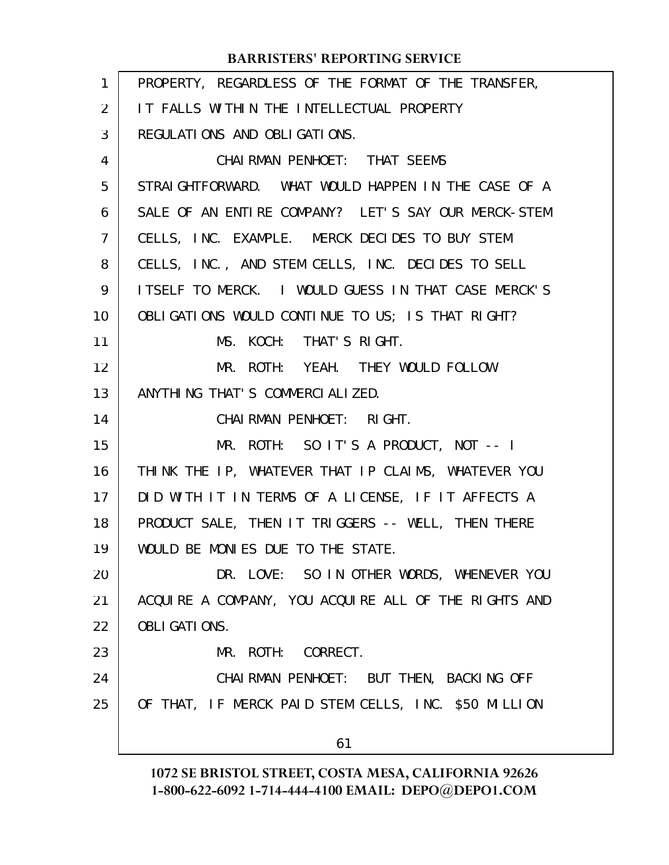| 1  | PROPERTY, REGARDLESS OF THE FORMAT OF THE TRANSFER,  |
|----|------------------------------------------------------|
| 2  | IT FALLS WITHIN THE INTELLECTUAL PROPERTY            |
| 3  | REGULATIONS AND OBLIGATIONS.                         |
| 4  | CHAI RMAN PENHOET: THAT SEEMS                        |
| 5  | STRAIGHTFORWARD. WHAT WOULD HAPPEN IN THE CASE OF A  |
| 6  | SALE OF AN ENTIRE COMPANY? LET'S SAY OUR MERCK-STEM  |
| 7  | CELLS, INC. EXAMPLE. MERCK DECIDES TO BUY STEM       |
| 8  | CELLS, INC., AND STEM CELLS, INC. DECIDES TO SELL    |
| 9  | ITSELF TO MERCK. I WOULD GUESS IN THAT CASE MERCK'S  |
| 10 | OBLIGATIONS WOULD CONTINUE TO US; IS THAT RIGHT?     |
| 11 | MS. KOCH: THAT'S RIGHT.                              |
| 12 | MR. ROTH: YEAH. THEY WOULD FOLLOW                    |
| 13 | ANYTHING THAT'S COMMERCIALIZED.                      |
| 14 | CHAI RMAN PENHOET: RIGHT.                            |
| 15 | MR. ROTH: SO IT'S A PRODUCT, NOT -- I                |
| 16 | THINK THE IP, WHATEVER THAT IP CLAIMS, WHATEVER YOU  |
| 17 | DID WITH IT IN TERMS OF A LICENSE, IF IT AFFECTS A   |
| 18 | PRODUCT SALE, THEN IT TRIGGERS -- WELL, THEN THERE   |
| 19 | WOULD BE MONIES DUE TO THE STATE.                    |
| 20 | DR. LOVE: SO IN OTHER WORDS, WHENEVER YOU            |
| 21 | ACQUIRE A COMPANY, YOU ACQUIRE ALL OF THE RIGHTS AND |
| 22 | <b>OBLI GATI ONS.</b>                                |
| 23 | MR. ROTH: CORRECT.                                   |
| 24 | CHAIRMAN PENHOET: BUT THEN, BACKING OFF              |
| 25 | OF THAT, IF MERCK PAID STEM CELLS, INC. \$50 MILLION |
|    | 61                                                   |
|    |                                                      |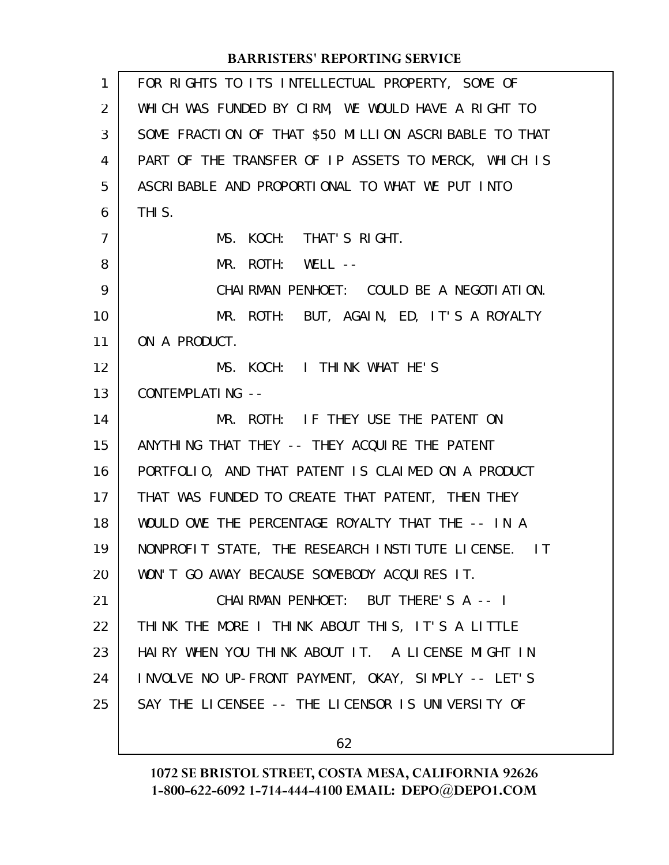| 1              | FOR RIGHTS TO ITS INTELLECTUAL PROPERTY, SOME OF      |
|----------------|-------------------------------------------------------|
| 2              | WHICH WAS FUNDED BY CIRM, WE WOULD HAVE A RIGHT TO    |
| 3              | SOME FRACTION OF THAT \$50 MILLION ASCRIBABLE TO THAT |
| 4              | PART OF THE TRANSFER OF IP ASSETS TO MERCK, WHICH IS  |
| 5              | ASCRIBABLE AND PROPORTIONAL TO WHAT WE PUT INTO       |
| 6              | THI S.                                                |
| $\overline{7}$ | MS. KOCH: THAT'S RIGHT.                               |
| 8              | $MR.$ ROTH: WELL $--$                                 |
| 9              | CHAIRMAN PENHOET: COULD BE A NEGOTI ATION.            |
| 10             | MR. ROTH: BUT, AGAIN, ED, IT'S A ROYALTY              |
| 11             | ON A PRODUCT.                                         |
| 12             | MS. KOCH: I THINK WHAT HE'S                           |
| 13             | CONTEMPLATING --                                      |
| 14             | MR. ROTH: IF THEY USE THE PATENT ON                   |
| 15             | ANYTHING THAT THEY -- THEY ACQUIRE THE PATENT         |
| 16             | PORTFOLIO, AND THAT PATENT IS CLAIMED ON A PRODUCT    |
| 17             | THAT WAS FUNDED TO CREATE THAT PATENT, THEN THEY      |
| 18             | WOULD OWE THE PERCENTAGE ROYALTY THAT THE -- IN A     |
| 19             | NONPROFIT STATE, THE RESEARCH INSTITUTE LICENSE. IT   |
| 20             | WON'T GO AWAY BECAUSE SOMEBODY ACQUIRES IT.           |
| 21             | CHAIRMAN PENHOET: BUT THERE'S A -- I                  |
| 22             | THINK THE MORE I THINK ABOUT THIS, IT'S A LITTLE      |
| 23             | HAIRY WHEN YOU THINK ABOUT IT. A LICENSE MIGHT IN     |
| 24             | INVOLVE NO UP-FRONT PAYMENT, OKAY, SIMPLY -- LET'S    |
| 25             | SAY THE LICENSEE -- THE LICENSOR IS UNIVERSITY OF     |
|                |                                                       |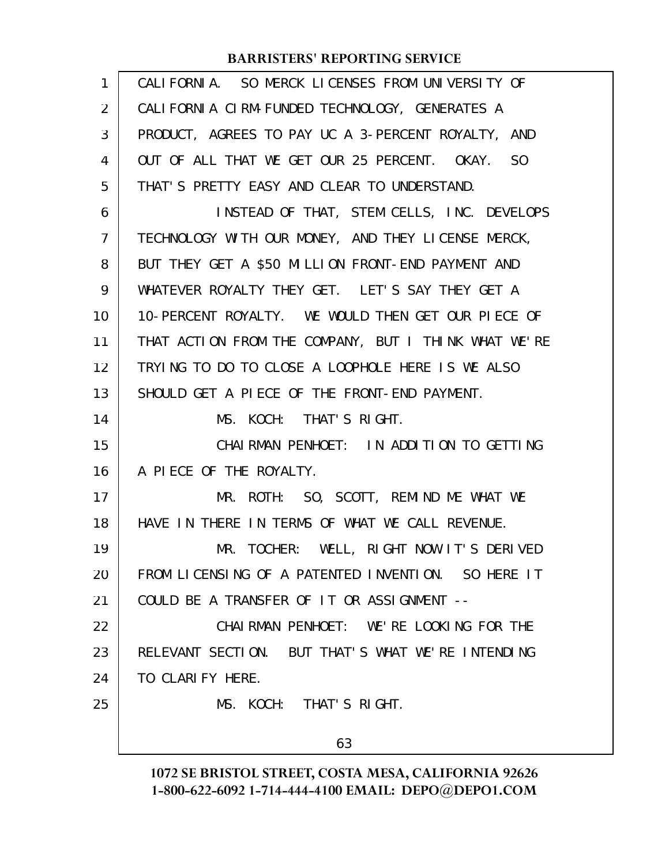| 1  | CALIFORNIA. SO MERCK LICENSES FROM UNIVERSITY OF     |
|----|------------------------------------------------------|
| 2  | CALIFORNIA CIRM-FUNDED TECHNOLOGY, GENERATES A       |
| 3  | PRODUCT, AGREES TO PAY UC A 3-PERCENT ROYALTY, AND   |
| 4  | OUT OF ALL THAT WE GET OUR 25 PERCENT. OKAY. SO      |
| 5  | THAT'S PRETTY EASY AND CLEAR TO UNDERSTAND.          |
| 6  | INSTEAD OF THAT, STEM CELLS, INC. DEVELOPS           |
| 7  | TECHNOLOGY WITH OUR MONEY, AND THEY LICENSE MERCK,   |
| 8  | BUT THEY GET A \$50 MILLION FRONT-END PAYMENT AND    |
| 9  | WHATEVER ROYALTY THEY GET. LET'S SAY THEY GET A      |
| 10 | 10-PERCENT ROYALTY. WE WOULD THEN GET OUR PIECE OF   |
| 11 | THAT ACTION FROM THE COMPANY, BUT I THINK WHAT WE'RE |
| 12 | TRYING TO DO TO CLOSE A LOOPHOLE HERE IS WE ALSO     |
| 13 | SHOULD GET A PIECE OF THE FRONT-END PAYMENT.         |
| 14 | MS. KOCH: THAT'S RIGHT.                              |
| 15 | CHAIRMAN PENHOET: IN ADDITION TO GETTING             |
| 16 | A PIECE OF THE ROYALTY.                              |
| 17 | MR. ROTH: SO, SCOTT, REMIND ME WHAT WE               |
| 18 | HAVE IN THERE IN TERMS OF WHAT WE CALL REVENUE.      |
| 19 | MR. TOCHER: WELL, RIGHT NOW IT'S DERIVED             |
| 20 | FROM LICENSING OF A PATENTED INVENTION. SO HERE IT   |
| 21 | COULD BE A TRANSFER OF IT OR ASSIGNMENT --           |
| 22 | CHAIRMAN PENHOET: WE'RE LOOKING FOR THE              |
| 23 | RELEVANT SECTION. BUT THAT'S WHAT WE'RE INTENDING    |
| 24 | TO CLARIFY HERE.                                     |
| 25 | MS. KOCH: THAT'S RIGHT.                              |
|    | 63                                                   |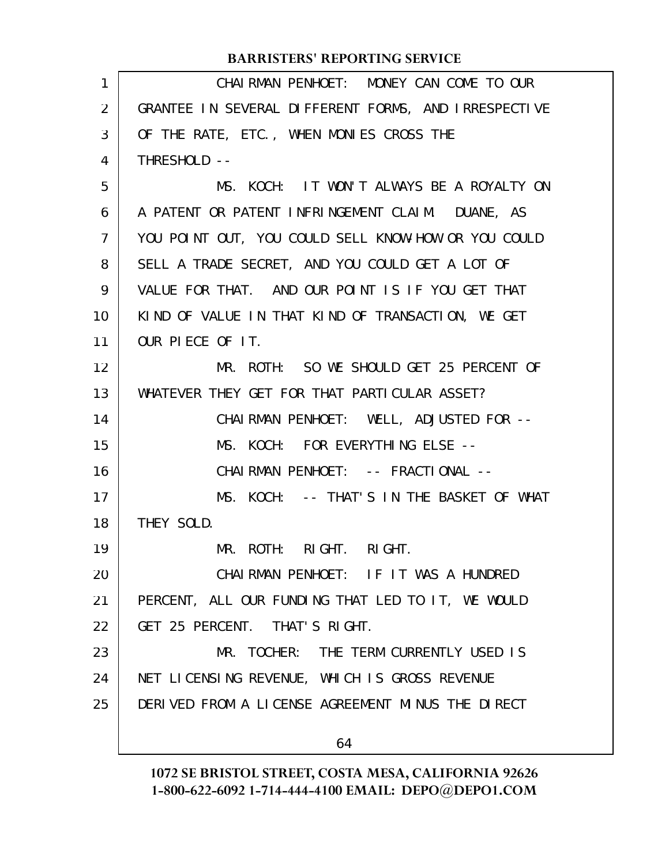| 1              | CHAIRMAN PENHOET: MONEY CAN COME TO OUR              |
|----------------|------------------------------------------------------|
| $\overline{2}$ | GRANTEE IN SEVERAL DIFFERENT FORMS, AND IRRESPECTIVE |
| 3              | OF THE RATE, ETC., WHEN MONIES CROSS THE             |
| 4              | THRESHOLD --                                         |
| 5              | MS. KOCH: IT WON'T ALWAYS BE A ROYALTY ON            |
| 6              | A PATENT OR PATENT INFRINGEMENT CLAIM. DUANE, AS     |
| 7              | YOU POINT OUT, YOU COULD SELL KNOW-HOW OR YOU COULD  |
| 8              | SELL A TRADE SECRET, AND YOU COULD GET A LOT OF      |
| 9              | VALUE FOR THAT. AND OUR POINT IS IF YOU GET THAT     |
| 10             | KIND OF VALUE IN THAT KIND OF TRANSACTION, WE GET    |
| 11             | OUR PIECE OF IT.                                     |
| 12             | MR. ROTH: SO WE SHOULD GET 25 PERCENT OF             |
| 13             | WHATEVER THEY GET FOR THAT PARTICULAR ASSET?         |
| 14             | CHAIRMAN PENHOET: WELL, ADJUSTED FOR --              |
| 15             | MS. KOCH: FOR EVERYTHING ELSE --                     |
| 16             | CHAI RMAN PENHOET: -- FRACTI ONAL --                 |
| 17             | MS. KOCH: -- THAT'S IN THE BASKET OF WHAT            |
| 18             | THEY SOLD.                                           |
| 19             | MR. ROTH: RIGHT. RIGHT.                              |
| 20             | CHAIRMAN PENHOET: IF IT WAS A HUNDRED                |
| 21             | PERCENT, ALL OUR FUNDING THAT LED TO IT, WE WOULD    |
| 22             | GET 25 PERCENT. THAT'S RIGHT.                        |
| 23             | MR. TOCHER: THE TERM CURRENTLY USED IS               |
| 24             | NET LICENSING REVENUE, WHICH IS GROSS REVENUE        |
| 25             | DERIVED FROM A LICENSE AGREEMENT MINUS THE DIRECT    |
|                | 64                                                   |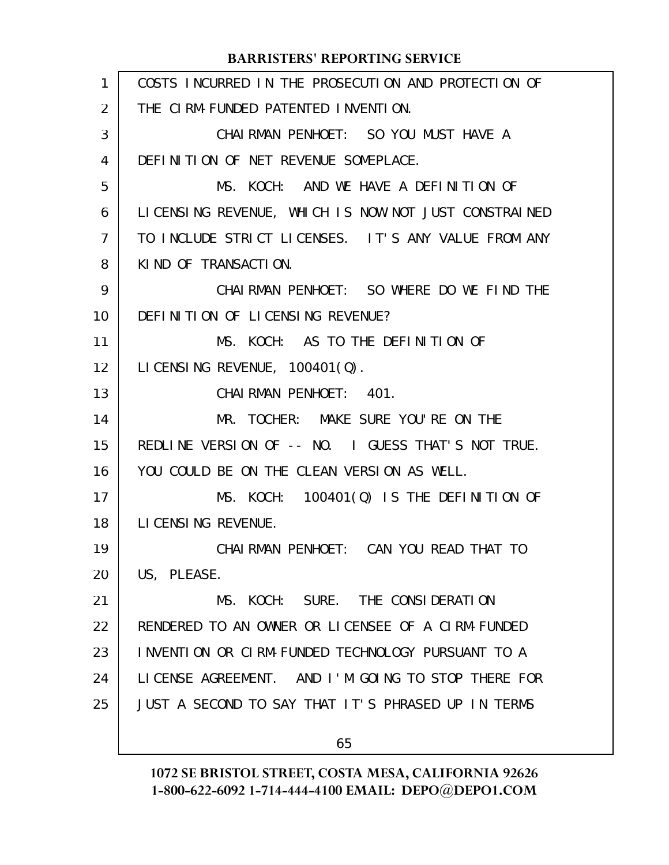| 1              | COSTS INCURRED IN THE PROSECUTION AND PROTECTION OF  |
|----------------|------------------------------------------------------|
| $\overline{2}$ | THE CIRM-FUNDED PATENTED INVENTION.                  |
| 3              | CHAIRMAN PENHOET: SO YOU MUST HAVE A                 |
| 4              | DEFINITION OF NET REVENUE SOMEPLACE.                 |
| 5              | MS. KOCH: AND WE HAVE A DEFINITION OF                |
| 6              | LICENSING REVENUE, WHICH IS NOW NOT JUST CONSTRAINED |
| 7              | TO INCLUDE STRICT LICENSES. IT'S ANY VALUE FROM ANY  |
| 8              | KIND OF TRANSACTION.                                 |
| 9              | CHAIRMAN PENHOET: SO WHERE DO WE FIND THE            |
| 10             | DEFINITION OF LICENSING REVENUE?                     |
| 11             | MS. KOCH: AS TO THE DEFINITION OF                    |
| 12             | LICENSING REVENUE, 100401(Q).                        |
| 13             | CHAIRMAN PENHOET: 401.                               |
| 14             | MR. TOCHER: MAKE SURE YOU'RE ON THE                  |
| 15             | REDLINE VERSION OF -- NO. I GUESS THAT'S NOT TRUE.   |
| 16             | YOU COULD BE ON THE CLEAN VERSION AS WELL.           |
| 17             | MS. KOCH: 100401(Q) IS THE DEFINITION OF             |
| 18             | LI CENSING REVENUE.                                  |
| 19             | CHAI RMAN PENHOET: CAN YOU READ THAT TO              |
| 20             | US, PLEASE.                                          |
| 21             | MS. KOCH: SURE. THE CONSIDERATION                    |
| 22             | RENDERED TO AN OWNER OR LICENSEE OF A CIRM-FUNDED    |
| 23             | INVENTION OR CIRM-FUNDED TECHNOLOGY PURSUANT TO A    |
| 24             | LICENSE AGREEMENT. AND I'M GOING TO STOP THERE FOR   |
| 25             | JUST A SECOND TO SAY THAT IT'S PHRASED UP IN TERMS   |
|                | 65                                                   |
|                |                                                      |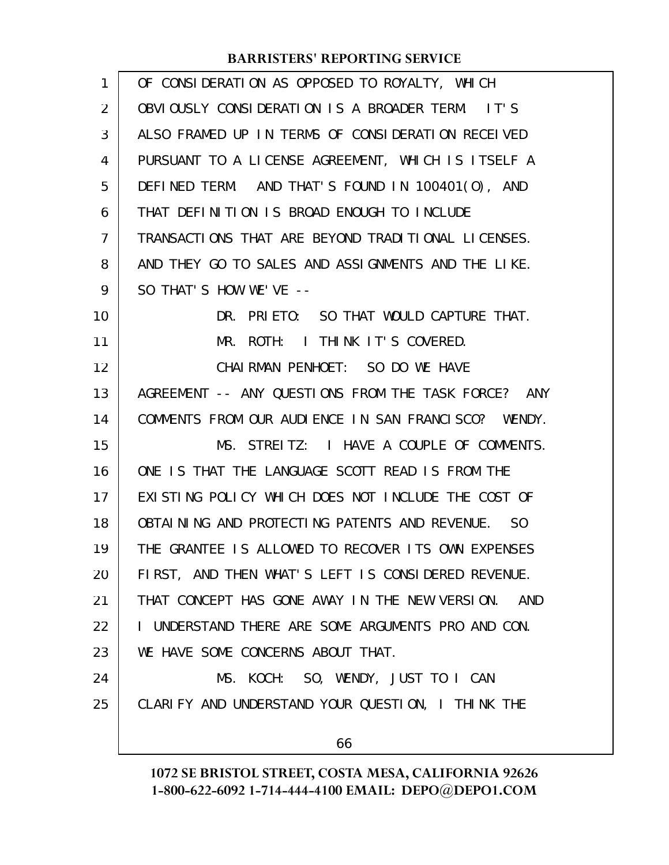| 1              | OF CONSIDERATION AS OPPOSED TO ROYALTY, WHICH         |
|----------------|-------------------------------------------------------|
| $\overline{2}$ | OBVIOUSLY CONSIDERATION IS A BROADER TERM. IT'S       |
| 3              | ALSO FRAMED UP IN TERMS OF CONSIDERATION RECEIVED     |
| 4              | PURSUANT TO A LICENSE AGREEMENT, WHICH IS ITSELF A    |
| 5              | DEFINED TERM. AND THAT'S FOUND IN 100401(0), AND      |
| 6              | THAT DEFINITION IS BROAD ENOUGH TO INCLUDE            |
| $\overline{7}$ | TRANSACTIONS THAT ARE BEYOND TRADITIONAL LICENSES.    |
| 8              | AND THEY GO TO SALES AND ASSIGNMENTS AND THE LIKE.    |
| 9              | SO THAT'S HOW WE'VE --                                |
| 10             | DR. PRIETO: SO THAT WOULD CAPTURE THAT.               |
| 11             | MR. ROTH: I THINK IT'S COVERED.                       |
| 12             | CHAI RMAN PENHOET: SO DO WE HAVE                      |
| 13             | AGREEMENT -- ANY QUESTIONS FROM THE TASK FORCE? ANY   |
| 14             | COMMENTS FROM OUR AUDIENCE IN SAN FRANCISCO? WENDY.   |
| 15             | MS. STREITZ: I HAVE A COUPLE OF COMMENTS.             |
| 16             | ONE IS THAT THE LANGUAGE SCOTT READ IS FROM THE       |
| 17             | EXISTING POLICY WHICH DOES NOT INCLUDE THE COST OF    |
| 18             | OBTAINING AND PROTECTING PATENTS AND REVENUE. SO      |
| 19             | THE GRANTEE IS ALLOWED TO RECOVER ITS OWN EXPENSES    |
| 20             | FIRST, AND THEN WHAT'S LEFT IS CONSIDERED REVENUE.    |
| 21             | THAT CONCEPT HAS GONE AWAY IN THE NEW VERSION.<br>AND |
| 22             | I UNDERSTAND THERE ARE SOME ARGUMENTS PRO AND CON.    |
| 23             | WE HAVE SOME CONCERNS ABOUT THAT.                     |
| 24             | MS. KOCH: SO, WENDY, JUST TO I CAN                    |
| 25             | CLARIFY AND UNDERSTAND YOUR QUESTION, I THINK THE     |
|                | 66                                                    |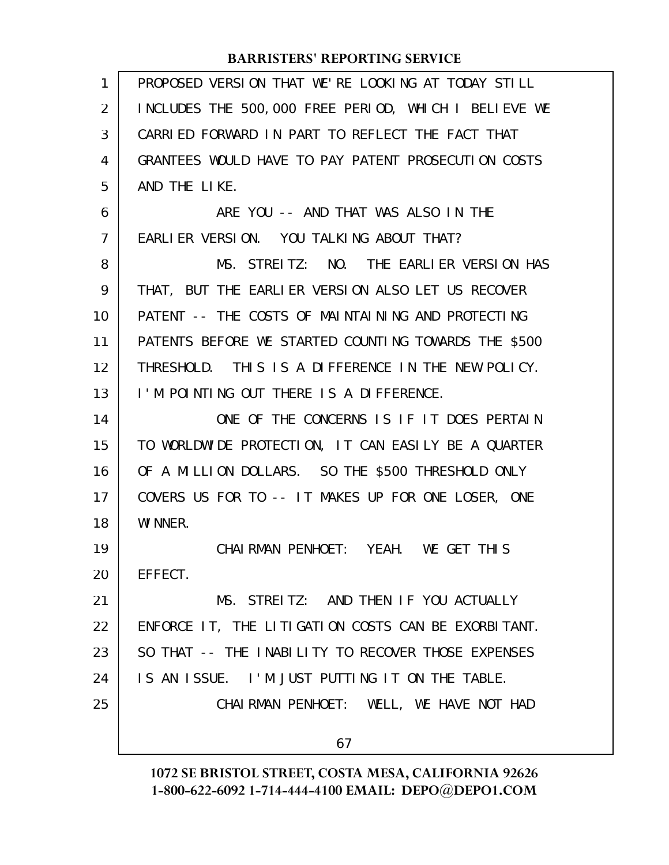| 1              | PROPOSED VERSION THAT WE'RE LOOKING AT TODAY STILL   |
|----------------|------------------------------------------------------|
| 2              | INCLUDES THE 500,000 FREE PERIOD, WHICH I BELIEVE WE |
| 3              | CARRIED FORWARD IN PART TO REFLECT THE FACT THAT     |
| 4              | GRANTEES WOULD HAVE TO PAY PATENT PROSECUTION COSTS  |
| 5              | AND THE LIKE.                                        |
| 6              | ARE YOU -- AND THAT WAS ALSO IN THE                  |
| $\overline{7}$ | EARLIER VERSION. YOU TALKING ABOUT THAT?             |
| 8              | MS. STREITZ: NO. THE EARLIER VERSION HAS             |
| 9              | THAT, BUT THE EARLIER VERSION ALSO LET US RECOVER    |
| 10             | PATENT -- THE COSTS OF MAINTAINING AND PROTECTING    |
| 11             | PATENTS BEFORE WE STARTED COUNTING TOWARDS THE \$500 |
| 12             | THRESHOLD. THIS IS A DIFFERENCE IN THE NEW POLICY.   |
| 13             | I'M POINTING OUT THERE IS A DIFFERENCE.              |
| 14             | ONE OF THE CONCERNS IS IF IT DOES PERTAIN            |
| 15             | TO WORLDWIDE PROTECTION, IT CAN EASILY BE A QUARTER  |
| 16             | OF A MILLION DOLLARS. SO THE \$500 THRESHOLD ONLY    |
| 17             | COVERS US FOR TO -- IT MAKES UP FOR ONE LOSER, ONE   |
| 18             | WI NNER.                                             |
| 19             | CHAIRMAN PENHOET: YEAH. WE GET THIS                  |
| 20             | EFFECT.                                              |
| 21             | MS. STREITZ: AND THEN IF YOU ACTUALLY                |
| 22             | ENFORCE IT, THE LITIGATION COSTS CAN BE EXORBITANT.  |
| 23             | SO THAT -- THE INABILITY TO RECOVER THOSE EXPENSES   |
| 24             | IS AN ISSUE. I'M JUST PUTTING IT ON THE TABLE.       |
| 25             | CHAIRMAN PENHOET: WELL, WE HAVE NOT HAD              |
|                |                                                      |
|                | 67                                                   |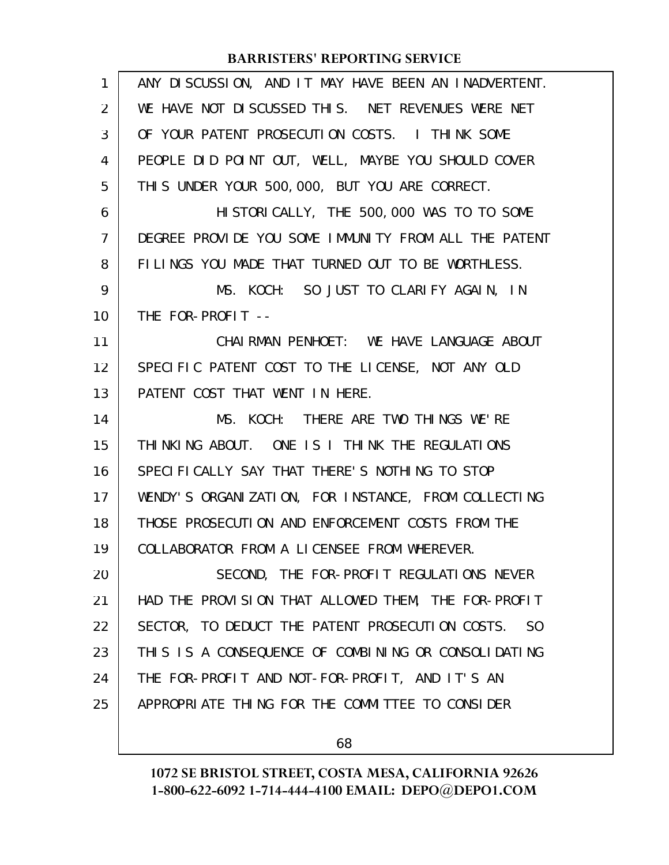| $\mathbf{1}$   | ANY DISCUSSION, AND IT MAY HAVE BEEN AN INADVERTENT. |
|----------------|------------------------------------------------------|
| $\overline{2}$ | WE HAVE NOT DISCUSSED THIS. NET REVENUES WERE NET    |
| 3              | OF YOUR PATENT PROSECUTION COSTS. I THINK SOME       |
| 4              | PEOPLE DID POINT OUT, WELL, MAYBE YOU SHOULD COVER   |
| 5              | THIS UNDER YOUR 500,000, BUT YOU ARE CORRECT.        |
| 6              | HI STORI CALLY, THE 500, 000 WAS TO TO SOME          |
| $\overline{7}$ | DEGREE PROVIDE YOU SOME IMMUNITY FROM ALL THE PATENT |
| 8              | FILINGS YOU MADE THAT TURNED OUT TO BE WORTHLESS.    |
| 9              | MS. KOCH: SO JUST TO CLARIFY AGAIN, IN               |
| 10             | THE FOR-PROFIT --                                    |
| 11             | CHAI RMAN PENHOET: WE HAVE LANGUAGE ABOUT            |
| 12             | SPECIFIC PATENT COST TO THE LICENSE, NOT ANY OLD     |
| 13             | PATENT COST THAT WENT IN HERE.                       |
| 14             | MS. KOCH: THERE ARE TWO THINGS WE'RE                 |
| 15             | THINKING ABOUT. ONE IS I THINK THE REGULATIONS       |
| 16             |                                                      |
|                | SPECIFICALLY SAY THAT THERE'S NOTHING TO STOP        |
| 17             | WENDY'S ORGANIZATION, FOR INSTANCE, FROM COLLECTING  |
| 18             | THOSE PROSECUTION AND ENFORCEMENT COSTS FROM THE     |
| 19             | COLLABORATOR FROM A LICENSEE FROM WHEREVER.          |
| 20             | SECOND, THE FOR-PROFIT REGULATIONS NEVER             |
| 21             | HAD THE PROVISION THAT ALLOWED THEM, THE FOR-PROFIT  |
| 22             | SECTOR, TO DEDUCT THE PATENT PROSECUTION COSTS. SO   |
| 23             | THIS IS A CONSEQUENCE OF COMBINING OR CONSOLIDATING  |
| 24             | THE FOR-PROFIT AND NOT-FOR-PROFIT, AND IT'S AN       |
| 25             | APPROPRIATE THING FOR THE COMMITTEE TO CONSIDER      |

68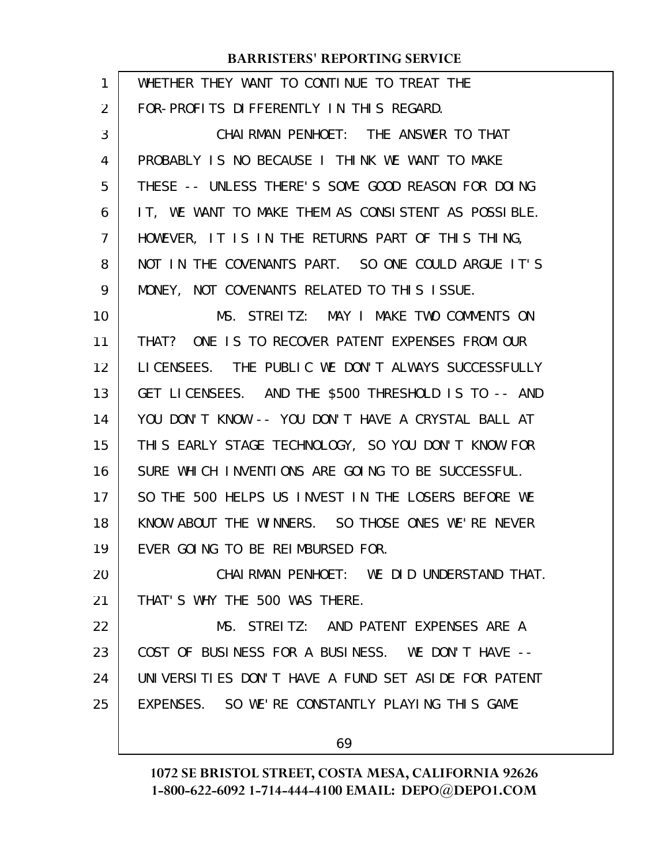| 1  | WHETHER THEY WANT TO CONTINUE TO TREAT THE          |
|----|-----------------------------------------------------|
| 2  | FOR-PROFITS DIFFERENTLY IN THIS REGARD.             |
| 3  | CHAI RMAN PENHOET: THE ANSWER TO THAT               |
| 4  | PROBABLY IS NO BECAUSE I THINK WE WANT TO MAKE      |
| 5  | THESE -- UNLESS THERE'S SOME GOOD REASON FOR DOING  |
| 6  | IT, WE WANT TO MAKE THEM AS CONSISTENT AS POSSIBLE. |
| 7  | HOWEVER, IT IS IN THE RETURNS PART OF THIS THING,   |
| 8  | NOT IN THE COVENANTS PART. SO ONE COULD ARGUE IT'S  |
| 9  | MONEY, NOT COVENANTS RELATED TO THIS ISSUE.         |
| 10 | MS. STREITZ: MAY I MAKE TWO COMMENTS ON             |
| 11 | THAT? ONE IS TO RECOVER PATENT EXPENSES FROM OUR    |
| 12 | LICENSEES. THE PUBLIC WE DON'T ALWAYS SUCCESSFULLY  |
| 13 | GET LICENSEES. AND THE \$500 THRESHOLD IS TO -- AND |
| 14 | YOU DON'T KNOW -- YOU DON'T HAVE A CRYSTAL BALL AT  |
| 15 | THIS EARLY STAGE TECHNOLOGY, SO YOU DON'T KNOW FOR  |
| 16 | SURE WHICH INVENTIONS ARE GOING TO BE SUCCESSFUL.   |
| 17 | SO THE 500 HELPS US INVEST IN THE LOSERS BEFORE WE  |
| 18 | KNOW ABOUT THE WINNERS. SO THOSE ONES WE'RE NEVER   |
| 19 | EVER GOING TO BE REIMBURSED FOR.                    |
| 20 | CHAIRMAN PENHOET: WE DID UNDERSTAND THAT.           |
| 21 | THAT'S WHY THE 500 WAS THERE.                       |
| 22 | MS. STREITZ: AND PATENT EXPENSES ARE A              |
| 23 | COST OF BUSINESS FOR A BUSINESS. WE DON'T HAVE --   |
| 24 | UNIVERSITIES DON'T HAVE A FUND SET ASIDE FOR PATENT |
| 25 | EXPENSES. SO WE'RE CONSTANTLY PLAYING THIS GAME     |
|    | 69                                                  |
|    |                                                     |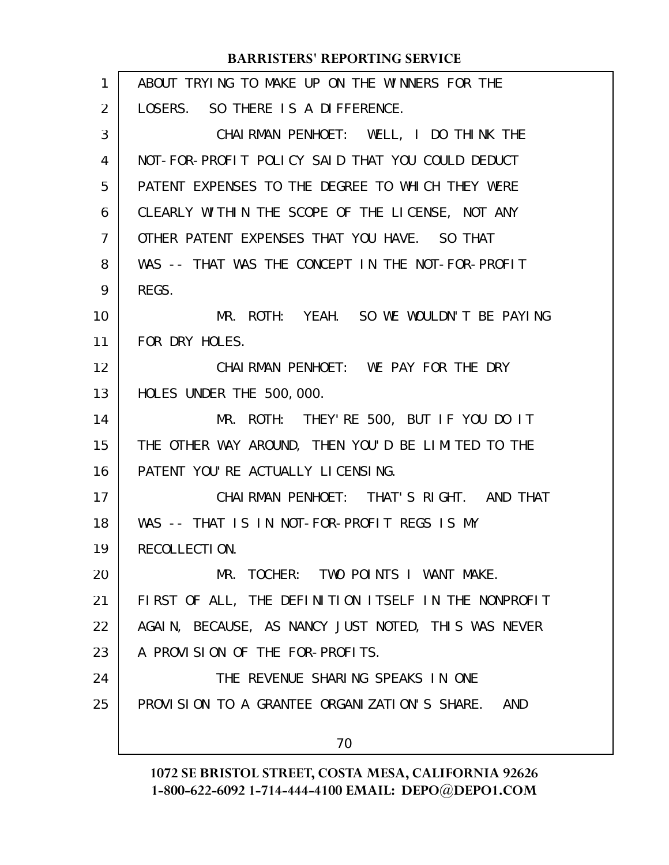| ABOUT TRYING TO MAKE UP ON THE WINNERS FOR THE       |
|------------------------------------------------------|
| LOSERS. SO THERE IS A DIFFERENCE.                    |
| CHAIRMAN PENHOET: WELL, I DO THINK THE               |
| NOT-FOR-PROFIT POLICY SAID THAT YOU COULD DEDUCT     |
| PATENT EXPENSES TO THE DEGREE TO WHICH THEY WERE     |
| CLEARLY WITHIN THE SCOPE OF THE LICENSE, NOT ANY     |
| OTHER PATENT EXPENSES THAT YOU HAVE. SO THAT         |
| WAS -- THAT WAS THE CONCEPT IN THE NOT-FOR-PROFIT    |
| REGS.                                                |
| MR. ROTH: YEAH. SO WE WOULDN'T BE PAYING             |
| FOR DRY HOLES.                                       |
| CHAIRMAN PENHOET: WE PAY FOR THE DRY                 |
| HOLES UNDER THE 500,000.                             |
| MR. ROTH: THEY'RE 500, BUT IF YOU DO IT              |
| THE OTHER WAY AROUND, THEN YOU'D BE LIMITED TO THE   |
| PATENT YOU'RE ACTUALLY LICENSING.                    |
| CHAI RMAN PENHOET: THAT'S RIGHT. AND THAT            |
| WAS -- THAT IS IN NOT-FOR-PROFIT REGS IS MY          |
| RECOLLECTION.                                        |
| MR. TOCHER: TWO POINTS I WANT MAKE.                  |
| FIRST OF ALL, THE DEFINITION ITSELF IN THE NONPROFIT |
| AGAIN, BECAUSE, AS NANCY JUST NOTED, THIS WAS NEVER  |
| A PROVISION OF THE FOR-PROFITS.                      |
| THE REVENUE SHARING SPEAKS IN ONE                    |
| PROVISION TO A GRANTEE ORGANIZATION'S SHARE. AND     |
| 70                                                   |
|                                                      |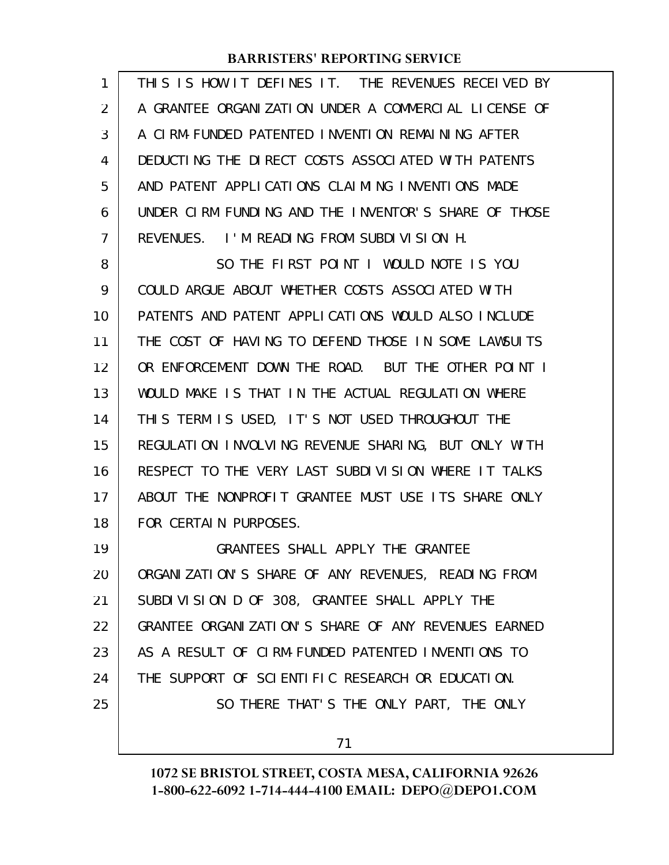| 1              | THIS IS HOW IT DEFINES IT. THE REVENUES RECEIVED BY  |
|----------------|------------------------------------------------------|
| 2              | A GRANTEE ORGANIZATION UNDER A COMMERCIAL LICENSE OF |
| 3              | A CLRM-FUNDED PATENTED INVENTION REMAINING AFTER     |
| 4              | DEDUCTING THE DIRECT COSTS ASSOCIATED WITH PATENTS   |
| 5              | AND PATENT APPLICATIONS CLAIMING INVENTIONS MADE     |
| 6              | UNDER CIRM FUNDING AND THE INVENTOR'S SHARE OF THOSE |
| $\overline{7}$ | REVENUES. I'M READING FROM SUBDIVISION H.            |
| 8              | SO THE FIRST POINT I WOULD NOTE IS YOU               |
| 9              | COULD ARGUE ABOUT WHETHER COSTS ASSOCIATED WITH      |
| 10             | PATENTS AND PATENT APPLICATIONS WOULD ALSO INCLUDE   |
| 11             | THE COST OF HAVING TO DEFEND THOSE IN SOME LAWSUITS  |
| 12             | OR ENFORCEMENT DOWN THE ROAD. BUT THE OTHER POINT I  |
| 13             | WOULD MAKE IS THAT IN THE ACTUAL REGULATION WHERE    |
| 14             | THIS TERM IS USED, IT'S NOT USED THROUGHOUT THE      |
| 15             | REGULATION INVOLVING REVENUE SHARING, BUT ONLY WITH  |
| 16             | RESPECT TO THE VERY LAST SUBDIVISION WHERE IT TALKS  |
| 17             | ABOUT THE NONPROFIT GRANTEE MUST USE ITS SHARE ONLY  |
| 18             | FOR CERTAIN PURPOSES.                                |
| 19             | GRANTEES SHALL APPLY THE GRANTEE                     |
| 20             | ORGANIZATION'S SHARE OF ANY REVENUES, READING FROM   |
| 21             | SUBDIVISION D OF 308, GRANTEE SHALL APPLY THE        |
| 22             | GRANTEE ORGANIZATION'S SHARE OF ANY REVENUES EARNED  |
| 23             | AS A RESULT OF CIRM-FUNDED PATENTED INVENTIONS TO    |
| 24             | THE SUPPORT OF SCIENTIFIC RESEARCH OR EDUCATION.     |
| 25             | SO THERE THAT'S THE ONLY PART, THE ONLY              |
|                |                                                      |

71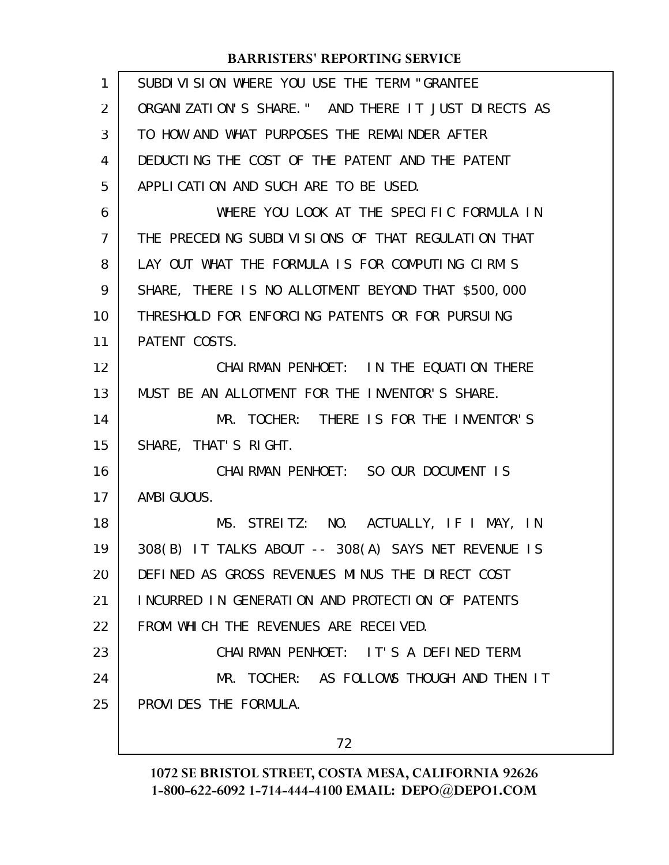| 1  | SUBDIVISION WHERE YOU USE THE TERM "GRANTEE         |
|----|-----------------------------------------------------|
| 2  | ORGANIZATION'S SHARE." AND THERE IT JUST DIRECTS AS |
| 3  | TO HOW AND WHAT PURPOSES THE REMAINDER AFTER        |
| 4  | DEDUCTING THE COST OF THE PATENT AND THE PATENT     |
| 5  | APPLICATION AND SUCH ARE TO BE USED.                |
| 6  | WHERE YOU LOOK AT THE SPECIFIC FORMULA IN           |
| 7  | THE PRECEDING SUBDIVISIONS OF THAT REGULATION THAT  |
| 8  | LAY OUT WHAT THE FORMULA IS FOR COMPUTING CIRM'S    |
| 9  | SHARE, THERE IS NO ALLOTMENT BEYOND THAT \$500,000  |
| 10 | THRESHOLD FOR ENFORCING PATENTS OR FOR PURSUING     |
| 11 | PATENT COSTS.                                       |
| 12 | CHAI RMAN PENHOET: IN THE EQUATION THERE            |
| 13 | MUST BE AN ALLOTMENT FOR THE INVENTOR'S SHARE.      |
| 14 | MR. TOCHER: THERE IS FOR THE INVENTOR'S             |
| 15 | SHARE, THAT'S RIGHT.                                |
| 16 | CHAIRMAN PENHOET: SO OUR DOCUMENT IS                |
| 17 | AMBI GUOUS.                                         |
| 18 | MS. STREITZ: NO. ACTUALLY, IF I MAY, IN             |
| 19 | 308(B) IT TALKS ABOUT -- 308(A) SAYS NET REVENUE IS |
| 20 | DEFINED AS GROSS REVENUES MINUS THE DIRECT COST     |
| 21 | INCURRED IN GENERATION AND PROTECTION OF PATENTS    |
| 22 | FROM WHICH THE REVENUES ARE RECEIVED.               |
| 23 | CHAIRMAN PENHOET: IT'S A DEFINED TERM.              |
| 24 | MR. TOCHER: AS FOLLOWS THOUGH AND THEN IT           |
| 25 | PROVIDES THE FORMULA.                               |
|    | 72                                                  |
|    |                                                     |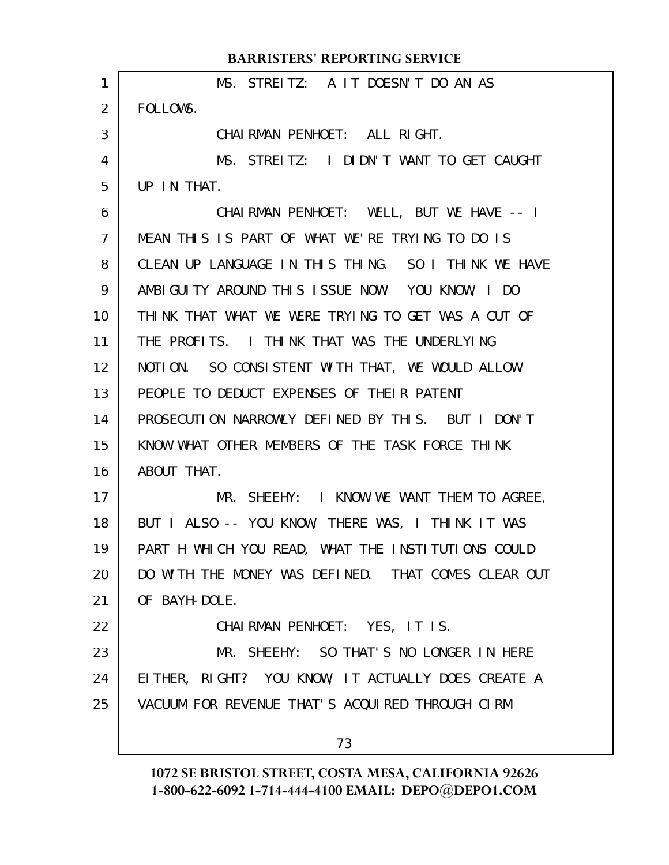|                 | <b>BARRISTERS' REPORTING SERVICE</b>                |
|-----------------|-----------------------------------------------------|
| 1               | MS. STREITZ: A IT DOESN'T DO AN AS                  |
| $\overline{2}$  | FOLLOWS.                                            |
| 3               | CHAIRMAN PENHOET: ALL RIGHT.                        |
| 4               | MS. STREITZ: I DIDN'T WANT TO GET CAUGHT            |
| 5               | UP IN THAT.                                         |
| 6               | CHAIRMAN PENHOET: WELL, BUT WE HAVE -- I            |
| $\overline{7}$  | MEAN THIS IS PART OF WHAT WE'RE TRYING TO DO IS     |
| 8               | CLEAN UP LANGUAGE IN THIS THING. SO I THINK WE HAVE |
| 9               | AMBIGUITY AROUND THIS ISSUE NOW. YOU KNOW, I DO     |
| 10              | THINK THAT WHAT WE WERE TRYING TO GET WAS A CUT OF  |
| 11              | THE PROFITS. I THINK THAT WAS THE UNDERLYING        |
| 12 <sup>2</sup> | NOTION. SO CONSISTENT WITH THAT, WE WOULD ALLOW     |
| 13              | PEOPLE TO DEDUCT EXPENSES OF THEIR PATENT           |
| 14              | PROSECUTION NARROWLY DEFINED BY THIS. BUT I DON'T   |
| 15              | KNOW WHAT OTHER MEMBERS OF THE TASK FORCE THINK     |
| 16              | ABOUT THAT.                                         |
| 17              | MR. SHEEHY: I KNOW WE WANT THEM TO AGREE,           |
| 18              | BUT I ALSO -- YOU KNOW, THERE WAS, I THINK IT WAS   |
| 19              | PART H WHICH YOU READ, WHAT THE INSTITUTIONS COULD  |
| 20              | DO WITH THE MONEY WAS DEFINED. THAT COMES CLEAR OUT |
| 21              | OF BAYH-DOLE.                                       |
| 22              | CHAIRMAN PENHOET: YES, IT IS.                       |
| 23              | MR. SHEEHY: SO THAT'S NO LONGER IN HERE             |
| 24              | EITHER, RIGHT? YOU KNOW, IT ACTUALLY DOES CREATE A  |
| 25              | VACUUM FOR REVENUE THAT'S ACQUIRED THROUGH CIRM     |
|                 | 73                                                  |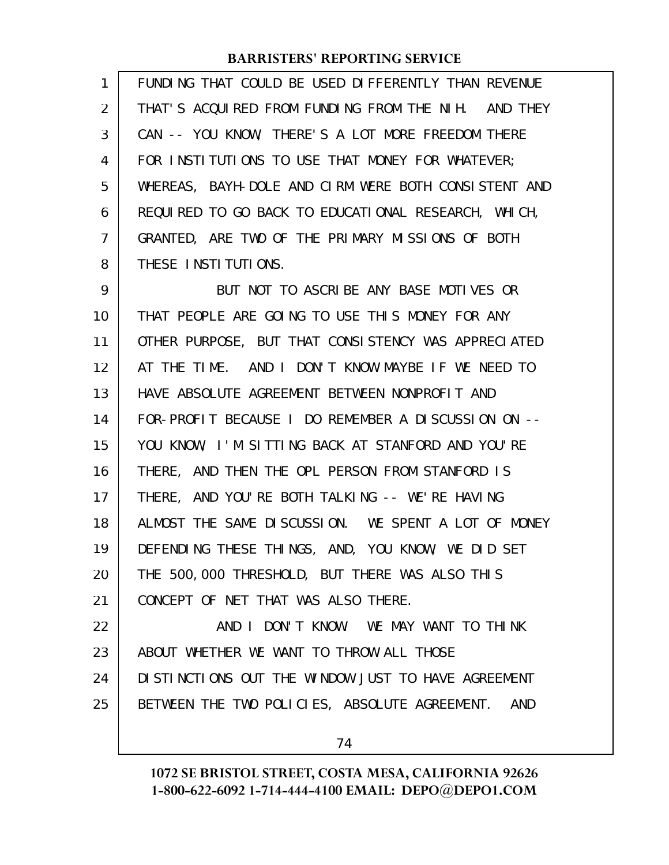| 1              | FUNDING THAT COULD BE USED DIFFERENTLY THAN REVENUE  |
|----------------|------------------------------------------------------|
| $\overline{2}$ | THAT'S ACQUIRED FROM FUNDING FROM THE NIH. AND THEY  |
| 3              | CAN -- YOU KNOW, THERE'S A LOT MORE FREEDOM THERE    |
| 4              | FOR INSTITUTIONS TO USE THAT MONEY FOR WHATEVER;     |
| 5              | WHEREAS, BAYH-DOLE AND CIRM WERE BOTH CONSISTENT AND |
| 6              | REQUIRED TO GO BACK TO EDUCATIONAL RESEARCH, WHICH,  |
| $\overline{7}$ | GRANTED, ARE TWO OF THE PRIMARY MISSIONS OF BOTH     |
| 8              | THESE INSTITUTIONS.                                  |
| 9              | BUT NOT TO ASCRIBE ANY BASE MOTIVES OR               |
| 10             | THAT PEOPLE ARE GOING TO USE THIS MONEY FOR ANY      |
| 11             | OTHER PURPOSE, BUT THAT CONSISTENCY WAS APPRECIATED  |
| 12             | AT THE TIME. AND I DON'T KNOW MAYBE IF WE NEED TO    |
| 13             | HAVE ABSOLUTE AGREEMENT BETWEEN NONPROFIT AND        |
| 14             | FOR-PROFIT BECAUSE I DO REMEMBER A DISCUSSION ON --  |
| 15             | YOU KNOW, I'M SITTING BACK AT STANFORD AND YOU'RE    |
| 16             | THERE, AND THEN THE OPL PERSON FROM STANFORD IS      |
| 17             | THERE, AND YOU'RE BOTH TALKING -- WE'RE HAVING       |
| 18             | ALMOST THE SAME DISCUSSION. WE SPENT A LOT OF MONEY  |
| 19             | DEFENDING THESE THINGS, AND, YOU KNOW, WE DID SET    |
| 20             | THE 500,000 THRESHOLD, BUT THERE WAS ALSO THIS       |
| 21             | CONCEPT OF NET THAT WAS ALSO THERE.                  |
| 22             | AND I DON'T KNOW. WE MAY WANT TO THINK               |
| 23             | ABOUT WHETHER WE WANT TO THROW ALL THOSE             |
| 24             | DI STINCTIONS OUT THE WINDOW JUST TO HAVE AGREEMENT  |
| 25             | BETWEEN THE TWO POLICIES, ABSOLUTE AGREEMENT.<br>AND |
|                |                                                      |

74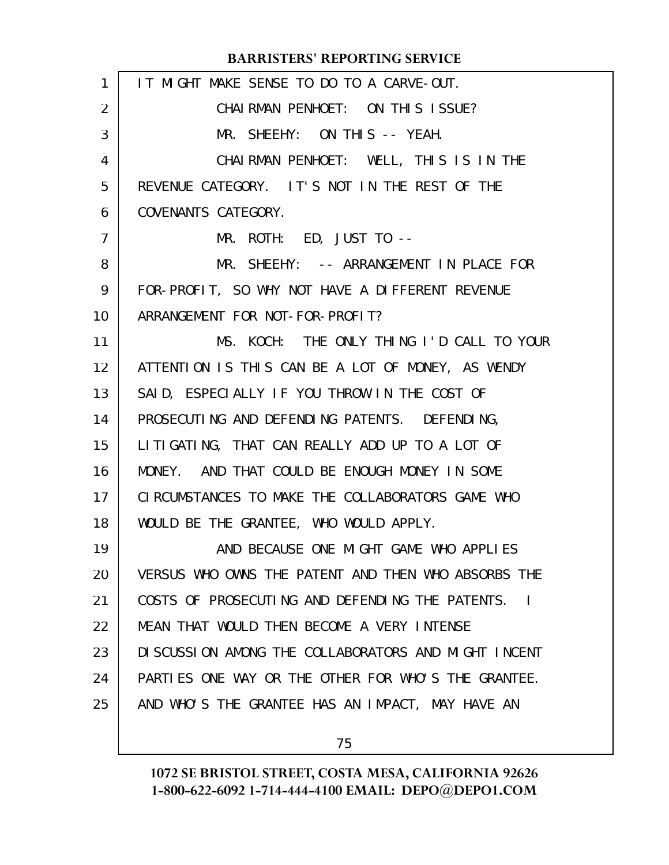| $\mathbf{1}$    | IT MIGHT MAKE SENSE TO DO TO A CARVE-OUT.            |
|-----------------|------------------------------------------------------|
| $\overline{2}$  | CHAI RMAN PENHOET: ON THIS ISSUE?                    |
| 3               | MR. SHEEHY: ON THIS -- YEAH.                         |
| 4               | CHAIRMAN PENHOET: WELL, THIS IS IN THE               |
| 5               | REVENUE CATEGORY. IT'S NOT IN THE REST OF THE        |
| 6               | COVENANTS CATEGORY.                                  |
| $\overline{7}$  | MR. ROTH: ED, JUST TO --                             |
| 8               | MR. SHEEHY: -- ARRANGEMENT IN PLACE FOR              |
| 9               | FOR-PROFIT, SO WHY NOT HAVE A DIFFERENT REVENUE      |
| 10              | ARRANGEMENT FOR NOT-FOR-PROFIT?                      |
| 11              | MS. KOCH: THE ONLY THING I'D CALL TO YOUR            |
| 12 <sup>2</sup> | ATTENTION IS THIS CAN BE A LOT OF MONEY, AS WENDY    |
| 13              | SAID, ESPECIALLY IF YOU THROW IN THE COST OF         |
| 14              | PROSECUTING AND DEFENDING PATENTS. DEFENDING,        |
| 15              | LITIGATING, THAT CAN REALLY ADD UP TO A LOT OF       |
| 16              | MONEY. AND THAT COULD BE ENOUGH MONEY IN SOME        |
| 17 <sub>1</sub> | CIRCUMSTANCES TO MAKE THE COLLABORATORS GAME WHO     |
| 18              | WOULD BE THE GRANTEE, WHO WOULD APPLY.               |
| 19              | AND BECAUSE ONE MIGHT GAME WHO APPLIES               |
| 20              | VERSUS WHO OWNS THE PATENT AND THEN WHO ABSORBS THE  |
| 21              | COSTS OF PROSECUTING AND DEFENDING THE PATENTS. I    |
| 22              | MEAN THAT WOULD THEN BECOME A VERY INTENSE           |
| 23              | DI SCUSSION AMONG THE COLLABORATORS AND MIGHT INCENT |
| 24              | PARTIES ONE WAY OR THE OTHER FOR WHO'S THE GRANTEE.  |
| 25              | AND WHO'S THE GRANTEE HAS AN IMPACT, MAY HAVE AN     |
|                 |                                                      |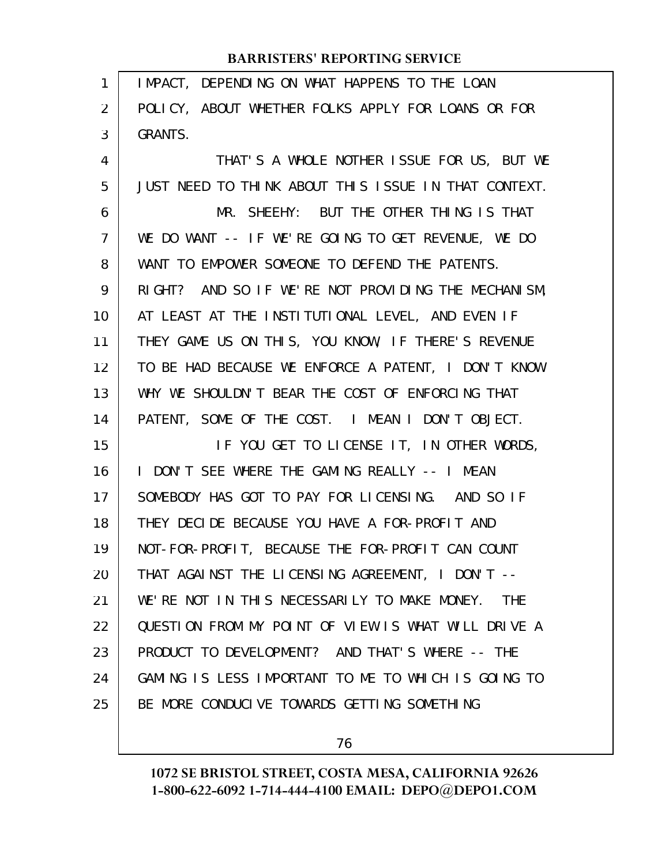| $\mathbf{1}$ | IMPACT, DEPENDING ON WHAT HAPPENS TO THE LOAN        |
|--------------|------------------------------------------------------|
| 2            | POLICY, ABOUT WHETHER FOLKS APPLY FOR LOANS OR FOR   |
| 3            | <b>GRANTS.</b>                                       |
| 4            | THAT'S A WHOLE NOTHER ISSUE FOR US, BUT WE           |
| 5            | JUST NEED TO THINK ABOUT THIS ISSUE IN THAT CONTEXT. |
| 6            | MR. SHEEHY: BUT THE OTHER THING IS THAT              |
| 7            | WE DO WANT -- IF WE'RE GOING TO GET REVENUE, WE DO   |
| 8            | WANT TO EMPOWER SOMEONE TO DEFEND THE PATENTS.       |
| 9            | RIGHT? AND SO IF WE'RE NOT PROVIDING THE MECHANISM,  |
| 10           | AT LEAST AT THE INSTITUTIONAL LEVEL, AND EVEN IF     |
| 11           | THEY GAME US ON THIS, YOU KNOW, IF THERE'S REVENUE   |
| 12           | TO BE HAD BECAUSE WE ENFORCE A PATENT, I DON'T KNOW  |
| 13           | WHY WE SHOULDN'T BEAR THE COST OF ENFORCING THAT     |
| 14           | PATENT, SOME OF THE COST. I MEAN I DON'T OBJECT.     |
| 15           | IF YOU GET TO LICENSE IT, IN OTHER WORDS,            |
| 16           | I DON'T SEE WHERE THE GAMING REALLY -- I MEAN        |
| 17           | SOMEBODY HAS GOT TO PAY FOR LICENSING. AND SO IF     |
| 18           | THEY DECIDE BECAUSE YOU HAVE A FOR-PROFIT AND        |
| 19           | NOT-FOR-PROFIT, BECAUSE THE FOR-PROFIT CAN COUNT     |
| 20           | THAT AGAINST THE LICENSING AGREEMENT, I DON'T --     |
| 21           | WE'RE NOT IN THIS NECESSARILY TO MAKE MONEY. THE     |
| 22           | QUESTION FROM MY POINT OF VIEW IS WHAT WILL DRIVE A  |
| 23           | PRODUCT TO DEVELOPMENT? AND THAT'S WHERE -- THE      |
| 24           | GAMING IS LESS IMPORTANT TO ME TO WHICH IS GOING TO  |
| 25           | BE MORE CONDUCIVE TOWARDS GETTING SOMETHING          |
|              |                                                      |

76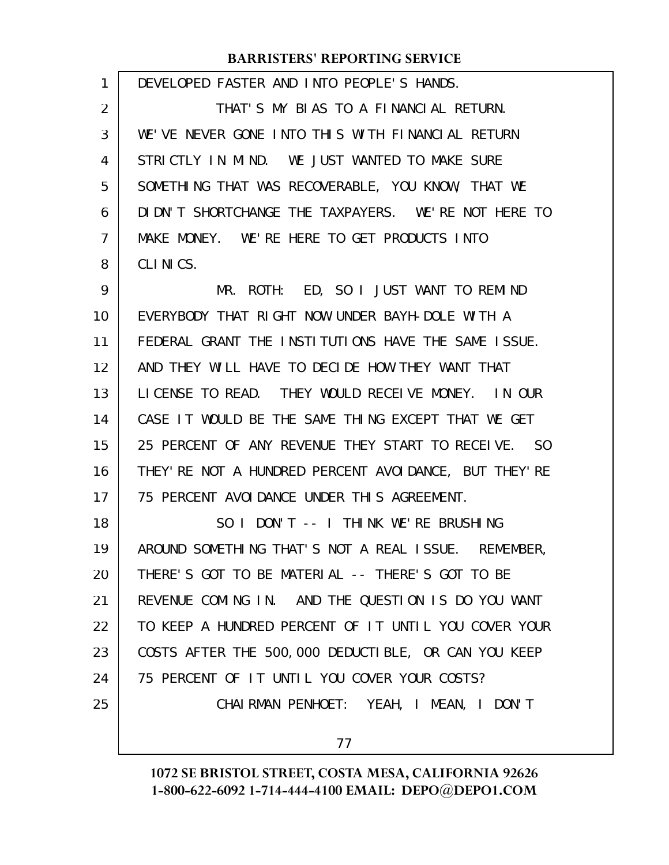| 1  | DEVELOPED FASTER AND INTO PEOPLE'S HANDS.               |
|----|---------------------------------------------------------|
| 2  | THAT'S MY BLAS TO A FINANCLAL RETURN.                   |
| 3  | WE'VE NEVER GONE INTO THIS WITH FINANCIAL RETURN        |
| 4  | STRICTLY IN MIND. WE JUST WANTED TO MAKE SURE           |
| 5  | SOMETHING THAT WAS RECOVERABLE, YOU KNOW, THAT WE       |
| 6  | DI DN'T SHORTCHANGE THE TAXPAYERS. WE'RE NOT HERE TO    |
| 7  | MAKE MONEY. WE'RE HERE TO GET PRODUCTS INTO             |
| 8  | CLINICS.                                                |
| 9  | ED, SO I JUST WANT TO REMIND<br>MR. ROTH:               |
| 10 | EVERYBODY THAT RIGHT NOW UNDER BAYH-DOLE WITH A         |
| 11 | FEDERAL GRANT THE INSTITUTIONS HAVE THE SAME ISSUE.     |
| 12 | AND THEY WILL HAVE TO DECIDE HOW THEY WANT THAT         |
| 13 | LICENSE TO READ. THEY WOULD RECEIVE MONEY. IN OUR       |
| 14 | CASE IT WOULD BE THE SAME THING EXCEPT THAT WE GET      |
| 15 | 25 PERCENT OF ANY REVENUE THEY START TO RECELVE. SO     |
| 16 | THEY' RE NOT A HUNDRED PERCENT AVOI DANCE, BUT THEY' RE |
| 17 | 75 PERCENT AVOIDANCE UNDER THIS AGREEMENT.              |
| 18 | SO I DON'T -- I THINK WE'RE BRUSHING                    |
| 19 | AROUND SOMETHING THAT'S NOT A REAL ISSUE. REMEMBER,     |
| 20 | THERE'S GOT TO BE MATERIAL -- THERE'S GOT TO BE         |
| 21 | REVENUE COMING IN. AND THE QUESTION IS DO YOU WANT      |
| 22 | TO KEEP A HUNDRED PERCENT OF IT UNTIL YOU COVER YOUR    |
| 23 | COSTS AFTER THE 500,000 DEDUCTIBLE, OR CAN YOU KEEP     |
| 24 | 75 PERCENT OF IT UNTIL YOU COVER YOUR COSTS?            |
| 25 | CHAIRMAN PENHOET: YEAH, I MEAN, I DON'T                 |
|    | 77                                                      |
|    |                                                         |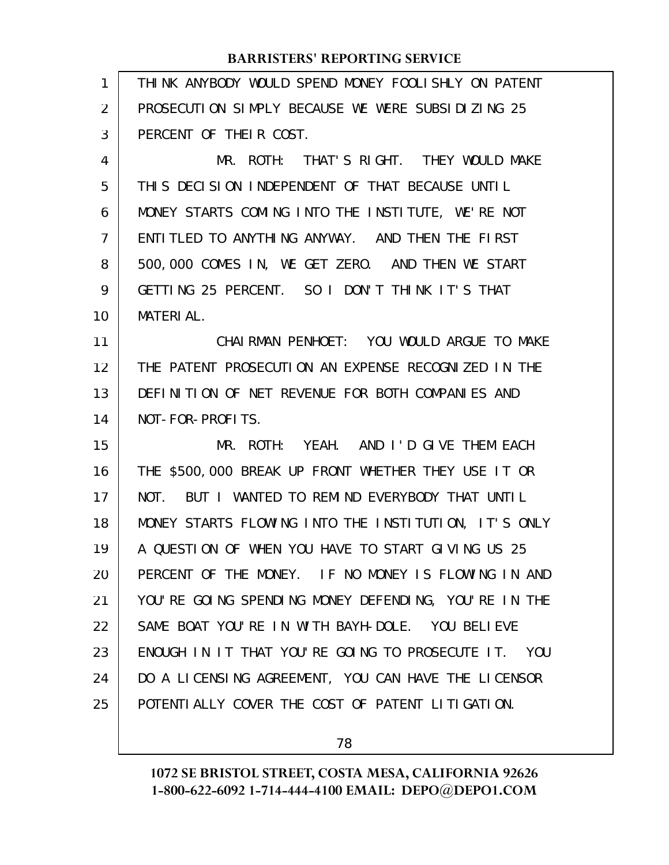| 1              | THINK ANYBODY WOULD SPEND MONEY FOOLISHLY ON PATENT  |
|----------------|------------------------------------------------------|
| 2              | PROSECUTION SIMPLY BECAUSE WE WERE SUBSIDIZING 25    |
| 3              | PERCENT OF THEIR COST.                               |
| 4              | MR. ROTH: THAT'S RIGHT. THEY WOULD MAKE              |
| 5              | THIS DECISION INDEPENDENT OF THAT BECAUSE UNTIL      |
| 6              | MONEY STARTS COMING INTO THE INSTITUTE, WE'RE NOT    |
| $\overline{7}$ | ENTITLED TO ANYTHING ANYWAY. AND THEN THE FIRST      |
| 8              | 500,000 COMES IN, WE GET ZERO. AND THEN WE START     |
| 9              | GETTING 25 PERCENT. SO I DON'T THINK IT'S THAT       |
| 10             | <b>MATERIAL.</b>                                     |
| 11             | CHAIRMAN PENHOET: YOU WOULD ARGUE TO MAKE            |
| 12             | THE PATENT PROSECUTION AN EXPENSE RECOGNIZED IN THE  |
| 13             | DEFINITION OF NET REVENUE FOR BOTH COMPANIES AND     |
| 14             | NOT-FOR-PROFITS.                                     |
| 15             | MR. ROTH: YEAH. AND I'D GIVE THEM EACH               |
| 16             | THE \$500,000 BREAK UP FRONT WHETHER THEY USE IT OR  |
| 17             | NOT. BUT I WANTED TO REMIND EVERYBODY THAT UNTIL     |
| 18             | MONEY STARTS FLOWING INTO THE INSTITUTION, IT'S ONLY |
| 19             | A QUESTION OF WHEN YOU HAVE TO START GIVING US 25    |
| 20             | PERCENT OF THE MONEY. IF NO MONEY IS FLOWING IN AND  |
| 21             | YOU'RE GOING SPENDING MONEY DEFENDING, YOU'RE IN THE |
| 22             | SAME BOAT YOU'RE IN WITH BAYH-DOLE. YOU BELIEVE      |
| 23             | ENOUGH IN IT THAT YOU'RE GOING TO PROSECUTE IT. YOU  |
| 24             | DO A LICENSING AGREEMENT, YOU CAN HAVE THE LICENSOR  |
| 25             | POTENTI ALLY COVER THE COST OF PATENT LITIGATION.    |
|                |                                                      |

78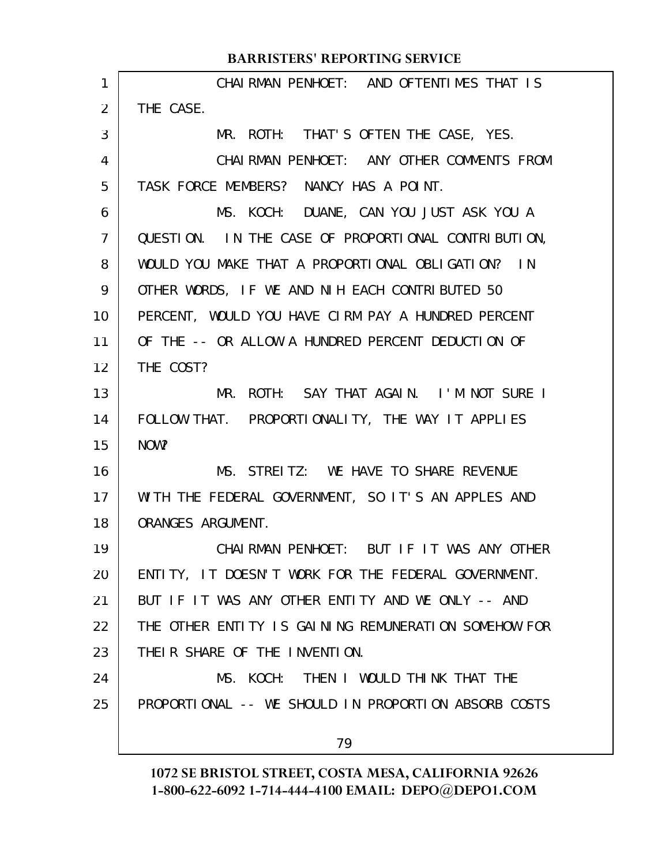|                | <b>BARRISTERS' REPORTING SERVICE</b>                 |
|----------------|------------------------------------------------------|
| 1              | CHAIRMAN PENHOET: AND OFTENTIMES THAT IS             |
| $\overline{2}$ | THE CASE.                                            |
| 3              | MR. ROTH: THAT'S OFTEN THE CASE, YES.                |
| 4              | CHAIRMAN PENHOET: ANY OTHER COMMENTS FROM            |
| 5              | TASK FORCE MEMBERS? NANCY HAS A POINT.               |
| 6              | MS. KOCH: DUANE, CAN YOU JUST ASK YOU A              |
| $\overline{7}$ | QUESTION. IN THE CASE OF PROPORTIONAL CONTRIBUTION,  |
| 8              | WOULD YOU MAKE THAT A PROPORTIONAL OBLIGATION? IN    |
| 9              | OTHER WORDS, IF WE AND NIH EACH CONTRIBUTED 50       |
| 10             | PERCENT, WOULD YOU HAVE CIRM PAY A HUNDRED PERCENT   |
| 11             | OF THE -- OR ALLOW A HUNDRED PERCENT DEDUCTION OF    |
| 12             | THE COST?                                            |
| 13             | MR. ROTH: SAY THAT AGAIN. I'M NOT SURE I             |
| 14             | FOLLOW THAT. PROPORTIONALITY, THE WAY IT APPLIES     |
| 15             | NOW?                                                 |
| 16             | MS. STREITZ: WE HAVE TO SHARE REVENUE                |
| 17             | WITH THE FEDERAL GOVERNMENT, SO IT'S AN APPLES AND   |
| 18             | ORANGES ARGUMENT.                                    |
| 19             | CHAIRMAN PENHOET: BUT IF IT WAS ANY OTHER            |
| 20             | ENTITY, IT DOESN'T WORK FOR THE FEDERAL GOVERNMENT.  |
| 21             | BUT IF IT WAS ANY OTHER ENTITY AND WE ONLY -- AND    |
| 22             | THE OTHER ENTITY IS GAINING REMUNERATION SOMEHOW FOR |
| 23             | THEIR SHARE OF THE INVENTION.                        |
| 24             | MS. KOCH: THEN I WOULD THINK THAT THE                |
| 25             | PROPORTIONAL -- WE SHOULD IN PROPORTION ABSORB COSTS |
|                |                                                      |
|                | 79                                                   |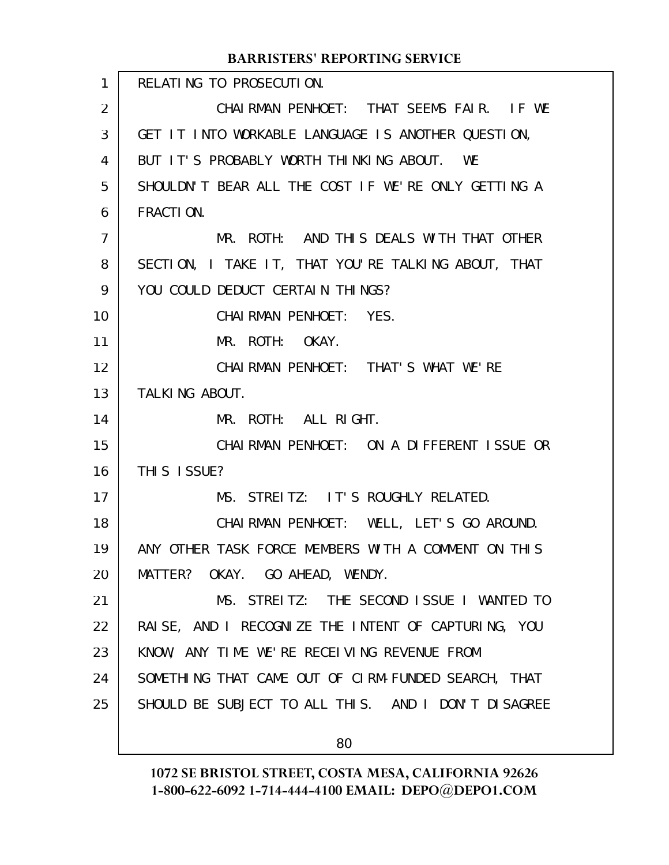|                | <b>BARRISTERS' REPORTING SERVICE</b>                |
|----------------|-----------------------------------------------------|
| $\mathbf{1}$   | RELATING TO PROSECUTION.                            |
| $\overline{2}$ | CHAIRMAN PENHOET: THAT SEEMS FAIR. IF WE            |
| 3              | GET IT INTO WORKABLE LANGUAGE IS ANOTHER QUESTION,  |
| 4              | BUT IT'S PROBABLY WORTH THINKING ABOUT. WE          |
| 5              | SHOULDN'T BEAR ALL THE COST IF WE'RE ONLY GETTING A |
| 6              | FRACTION.                                           |
| $\overline{7}$ | MR. ROTH: AND THIS DEALS WITH THAT OTHER            |
| 8              | SECTION, I TAKE IT, THAT YOU'RE TALKING ABOUT, THAT |
| 9              | YOU COULD DEDUCT CERTAIN THINGS?                    |
| 10             | CHAIRMAN PENHOET: YES.                              |
| 11             | MR. ROTH: OKAY.                                     |
| 12             | CHAIRMAN PENHOET: THAT'S WHAT WE'RE                 |
| 13             | TALKING ABOUT.                                      |
| 14             | MR. ROTH: ALL RIGHT.                                |
| 15             | CHAIRMAN PENHOET: ON A DIFFERENT ISSUE OR           |
| 16             | THIS ISSUE?                                         |
| 17             | MS. STREITZ: IT'S ROUGHLY RELATED.                  |
| 18             | CHAIRMAN PENHOET: WELL, LET'S GO AROUND.            |
| 19             | ANY OTHER TASK FORCE MEMBERS WITH A COMMENT ON THIS |
| 20             | MATTER? OKAY. GO AHEAD, WENDY.                      |
| 21             | MS. STREITZ: THE SECOND ISSUE I WANTED TO           |
| 22             | RAISE, AND I RECOGNIZE THE INTENT OF CAPTURING, YOU |
| 23             | KNOW, ANY TIME WE'RE RECEIVING REVENUE FROM         |
| 24             | SOMETHING THAT CAME OUT OF CIRM-FUNDED SEARCH, THAT |
| 25             | SHOULD BE SUBJECT TO ALL THIS. AND I DON'T DISAGREE |
|                | 80                                                  |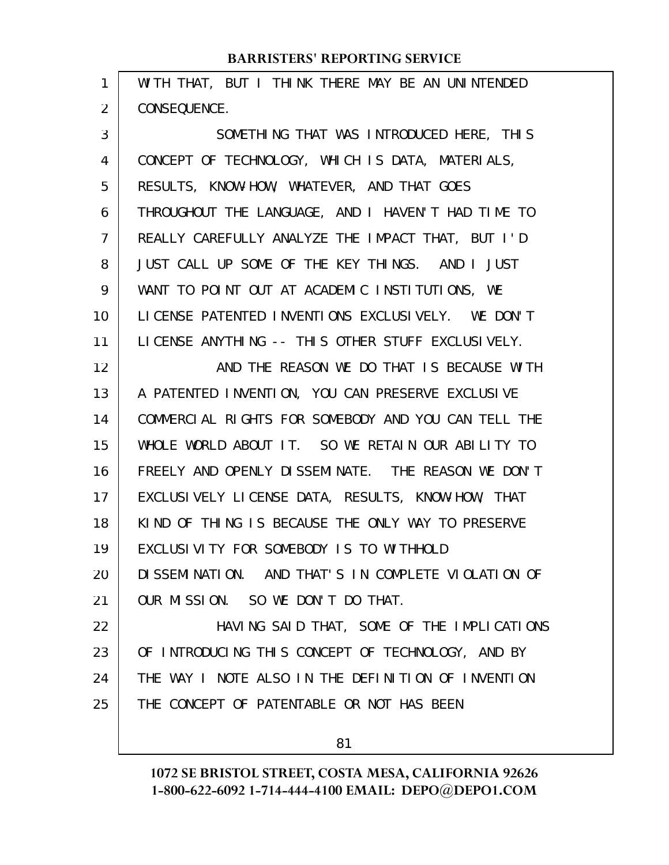| 1  | WITH THAT, BUT I THINK THERE MAY BE AN UNINTENDED   |
|----|-----------------------------------------------------|
| 2  | CONSEQUENCE.                                        |
| 3  | SOMETHING THAT WAS INTRODUCED HERE, THIS            |
| 4  | CONCEPT OF TECHNOLOGY, WHICH IS DATA, MATERIALS,    |
| 5  | RESULTS, KNOW-HOW, WHATEVER, AND THAT GOES          |
| 6  | THROUGHOUT THE LANGUAGE, AND I HAVEN'T HAD TIME TO  |
| 7  | REALLY CAREFULLY ANALYZE THE IMPACT THAT, BUT I'D   |
| 8  | JUST CALL UP SOME OF THE KEY THINGS. AND I JUST     |
| 9  | WANT TO POINT OUT AT ACADEMIC INSTITUTIONS, WE      |
| 10 | LICENSE PATENTED INVENTIONS EXCLUSIVELY. WE DON'T   |
| 11 | LICENSE ANYTHING -- THIS OTHER STUFF EXCLUSIVELY.   |
| 12 | AND THE REASON WE DO THAT IS BECAUSE WITH           |
| 13 | A PATENTED INVENTION, YOU CAN PRESERVE EXCLUSIVE    |
| 14 | COMMERCIAL RIGHTS FOR SOMEBODY AND YOU CAN TELL THE |
| 15 | WHOLE WORLD ABOUT IT. SO WE RETAIN OUR ABILITY TO   |
| 16 | FREELY AND OPENLY DISSEMINATE. THE REASON WE DON'T  |
| 17 | EXCLUSIVELY LICENSE DATA, RESULTS, KNOW-HOW, THAT   |
| 18 | KIND OF THING IS BECAUSE THE ONLY WAY TO PRESERVE   |
| 19 | EXCLUSIVITY FOR SOMEBODY IS TO WITHHOLD             |
| 20 | DI SSEMINATION. AND THAT'S IN COMPLETE VIOLATION OF |
| 21 | OUR MISSION. SO WE DON'T DO THAT.                   |
| 22 | HAVING SAID THAT, SOME OF THE IMPLICATIONS          |
| 23 | OF INTRODUCING THIS CONCEPT OF TECHNOLOGY, AND BY   |
| 24 | THE WAY I NOTE ALSO IN THE DEFINITION OF INVENTION  |
| 25 | THE CONCEPT OF PATENTABLE OR NOT HAS BEEN           |
|    |                                                     |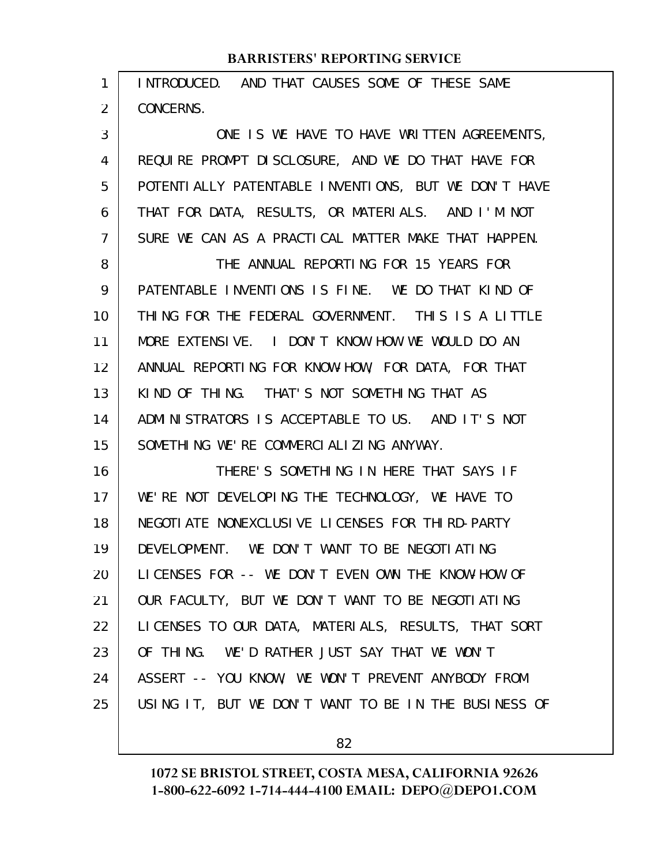| 1              | INTRODUCED. AND THAT CAUSES SOME OF THESE SAME        |
|----------------|-------------------------------------------------------|
| $\overline{2}$ | CONCERNS.                                             |
| 3              | ONE IS WE HAVE TO HAVE WRITTEN AGREEMENTS,            |
| 4              | REQUIRE PROMPT DISCLOSURE, AND WE DO THAT HAVE FOR    |
| 5              | POTENTI ALLY PATENTABLE INVENTIONS, BUT WE DON'T HAVE |
| 6              | THAT FOR DATA, RESULTS, OR MATERIALS. AND I'M NOT     |
| $\overline{7}$ | SURE WE CAN AS A PRACTICAL MATTER MAKE THAT HAPPEN.   |
| 8              | THE ANNUAL REPORTING FOR 15 YEARS FOR                 |
| 9              | PATENTABLE INVENTIONS IS FINE. WE DO THAT KIND OF     |
| 10             | THING FOR THE FEDERAL GOVERNMENT. THIS IS A LITTLE    |
| 11             | MORE EXTENSIVE. I DON'T KNOW HOW WE WOULD DO AN       |
| 12             | ANNUAL REPORTING FOR KNOW-HOW, FOR DATA, FOR THAT     |
| 13             | KIND OF THING. THAT'S NOT SOMETHING THAT AS           |
| 14             | ADMINISTRATORS IS ACCEPTABLE TO US. AND IT'S NOT      |
| 15             | SOMETHING WE'RE COMMERCIALIZING ANYWAY.               |
| 16             | THERE'S SOMETHING IN HERE THAT SAYS IF                |
| 17             | WE'RE NOT DEVELOPING THE TECHNOLOGY, WE HAVE TO       |
| 18             | NEGOTI ATE NONEXCLUSI VE LI CENSES FOR THI RD-PARTY   |
| 19             | DEVELOPMENT. WE DON'T WANT TO BE NEGOTIATING          |
| 20             | LICENSES FOR -- WE DON'T EVEN OWN THE KNOW-HOW OF     |
| 21             | OUR FACULTY, BUT WE DON'T WANT TO BE NEGOTIATING      |
| 22             | LICENSES TO OUR DATA, MATERIALS, RESULTS, THAT SORT   |
| 23             | OF THING. WE'D RATHER JUST SAY THAT WE WON'T          |
| 24             | ASSERT -- YOU KNOW, WE WON'T PREVENT ANYBODY FROM     |
| 25             | USING IT, BUT WE DON'T WANT TO BE IN THE BUSINESS OF  |
|                |                                                       |

82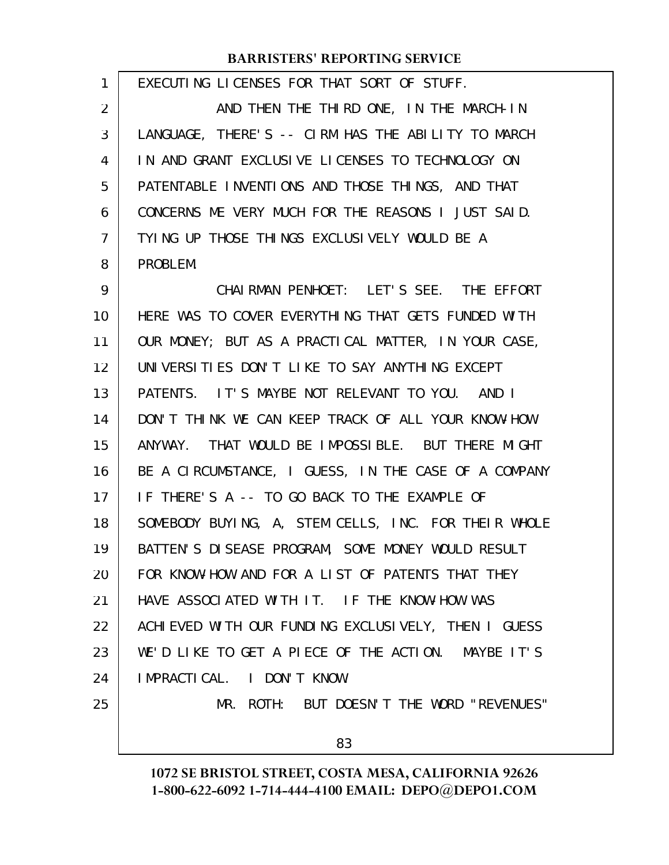| 1              | EXECUTING LICENSES FOR THAT SORT OF STUFF.           |
|----------------|------------------------------------------------------|
| 2              | AND THEN THE THIRD ONE, IN THE MARCH-IN              |
| 3              | LANGUAGE, THERE'S -- CIRM HAS THE ABILITY TO MARCH   |
| 4              | IN AND GRANT EXCLUSIVE LICENSES TO TECHNOLOGY ON     |
| 5              | PATENTABLE INVENTIONS AND THOSE THINGS, AND THAT     |
| 6              | CONCERNS ME VERY MUCH FOR THE REASONS I JUST SAID.   |
| $\overline{7}$ | TYING UP THOSE THINGS EXCLUSIVELY WOULD BE A         |
| 8              | PROBLEM.                                             |
| 9              | CHAIRMAN PENHOET: LET'S SEE. THE EFFORT              |
| 10             | HERE WAS TO COVER EVERYTHING THAT GETS FUNDED WITH   |
| 11             | OUR MONEY; BUT AS A PRACTICAL MATTER, IN YOUR CASE,  |
| 12             | UNIVERSITIES DON'T LIKE TO SAY ANYTHING EXCEPT       |
| 13             | PATENTS. IT'S MAYBE NOT RELEVANT TO YOU. AND I       |
| 14             | DON'T THINK WE CAN KEEP TRACK OF ALL YOUR KNOW-HOW   |
| 15             | ANYWAY. THAT WOULD BE IMPOSSIBLE. BUT THERE MIGHT    |
| 16             | BE A CIRCUMSTANCE, I GUESS, IN THE CASE OF A COMPANY |
| 17             | IF THERE'S A -- TO GO BACK TO THE EXAMPLE OF         |
| 18             | SOMEBODY BUYING, A, STEM CELLS, INC. FOR THEIR WHOLE |
| 19             | BATTEN'S DISEASE PROGRAM, SOME MONEY WOULD RESULT    |
| 20             | FOR KNOW-HOW AND FOR A LIST OF PATENTS THAT THEY     |
| 21             | HAVE ASSOCIATED WITH IT. IF THE KNOW-HOW WAS         |
| 22             | ACHIEVED WITH OUR FUNDING EXCLUSIVELY, THEN I GUESS  |
| 23             | WE'D LIKE TO GET A PIECE OF THE ACTION. MAYBE IT'S   |
| 24             | IMPRACTICAL. I DON'T KNOW.                           |
| 25             | MR. ROTH: BUT DOESN'T THE WORD "REVENUES"            |
|                |                                                      |
|                | 83                                                   |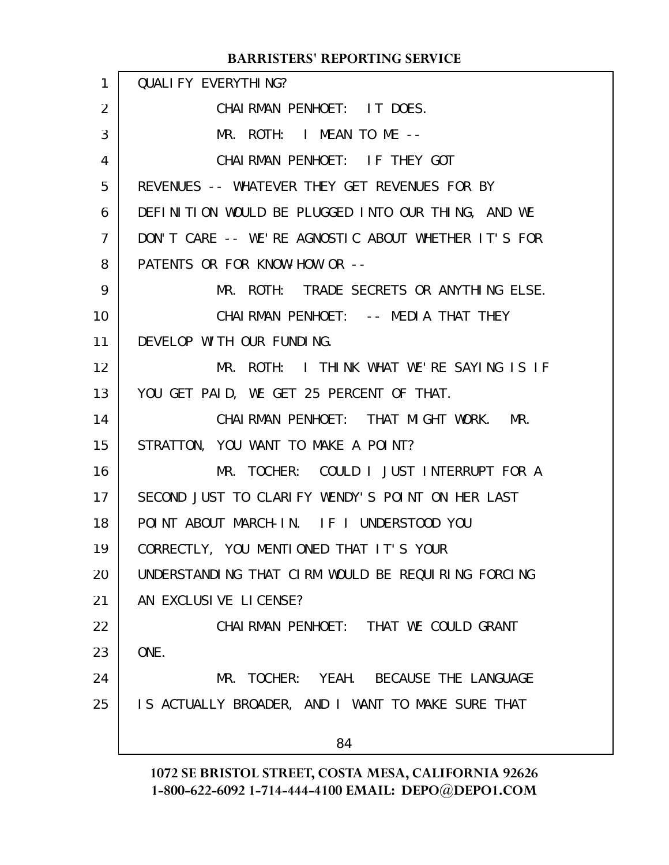| $\mathbf{1}$    | <b>QUALI FY EVERYTHING?</b>                         |
|-----------------|-----------------------------------------------------|
| 2               | CHAIRMAN PENHOET: IT DOES.                          |
| 3               | MR. ROTH: I MEAN TO ME --                           |
| 4               | CHAIRMAN PENHOET: IF THEY GOT                       |
| 5               | REVENUES -- WHATEVER THEY GET REVENUES FOR BY       |
| 6               | DEFINITION WOULD BE PLUGGED INTO OUR THING, AND WE  |
| $\overline{7}$  | DON'T CARE -- WE'RE AGNOSTIC ABOUT WHETHER IT'S FOR |
| 8               | PATENTS OR FOR KNOW-HOW OR --                       |
| 9               | MR. ROTH: TRADE SECRETS OR ANYTHING ELSE.           |
| 10              | CHAIRMAN PENHOET: -- MEDIA THAT THEY                |
| 11              | DEVELOP WITH OUR FUNDING.                           |
| 12 <sup>2</sup> | MR. ROTH: I THINK WHAT WE'RE SAYING IS IF           |
| 13              | YOU GET PAID, WE GET 25 PERCENT OF THAT.            |
| 14              | CHAIRMAN PENHOET: THAT MIGHT WORK. MR.              |
| 15              | STRATTON, YOU WANT TO MAKE A POINT?                 |
| 16              | MR. TOCHER: COULD I JUST INTERRUPT FOR A            |
| 17 <sub>1</sub> | SECOND JUST TO CLARIFY WENDY'S POINT ON HER LAST    |
| 18              | POINT ABOUT MARCH-IN. IF I UNDERSTOOD YOU           |
| 19              | CORRECTLY, YOU MENTIONED THAT IT'S YOUR             |
| 20              | UNDERSTANDING THAT CIRM WOULD BE REQUIRING FORCING  |
| 21              | AN EXCLUSIVE LICENSE?                               |
| 22              | CHAI RMAN PENHOET: THAT WE COULD GRANT              |
| 23              | ONE.                                                |
| 24              | MR. TOCHER: YEAH. BECAUSE THE LANGUAGE              |
| 25              | IS ACTUALLY BROADER, AND I WANT TO MAKE SURE THAT   |
|                 | 84                                                  |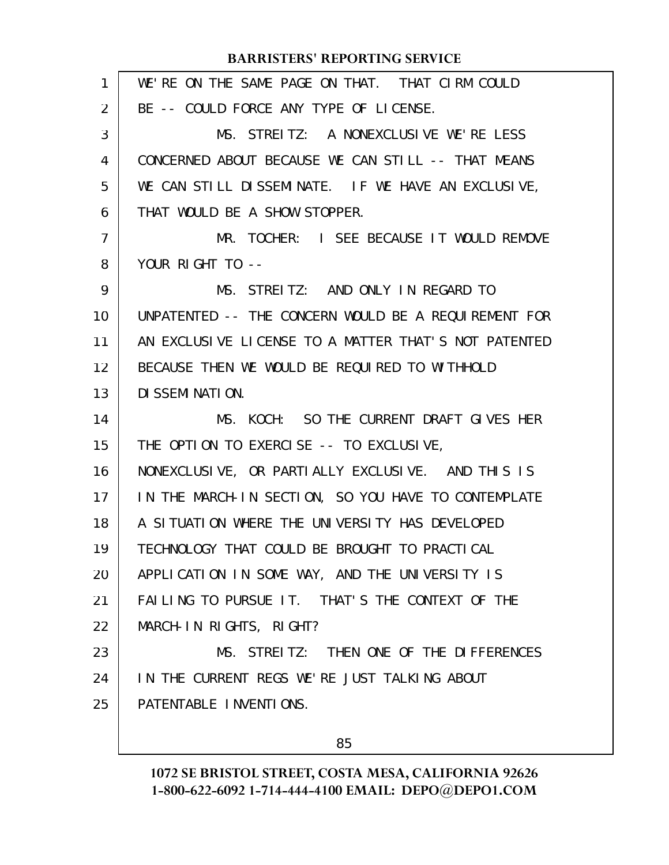| 1              | WE'RE ON THE SAME PAGE ON THAT. THAT CIRM COULD      |
|----------------|------------------------------------------------------|
| 2              | BE -- COULD FORCE ANY TYPE OF LICENSE.               |
| 3              | MS. STREITZ: A NONEXCLUSIVE WE'RE LESS               |
| 4              | CONCERNED ABOUT BECAUSE WE CAN STILL -- THAT MEANS   |
| 5              | WE CAN STILL DISSEMINATE. IF WE HAVE AN EXCLUSIVE,   |
| 6              | THAT WOULD BE A SHOW STOPPER.                        |
| $\overline{7}$ | MR. TOCHER: I SEE BECAUSE IT WOULD REMOVE            |
| 8              | YOUR RIGHT TO --                                     |
| 9              | MS. STREITZ: AND ONLY IN REGARD TO                   |
| 10             | UNPATENTED -- THE CONCERN WOULD BE A REQUIREMENT FOR |
| 11             | AN EXCLUSIVE LICENSE TO A MATTER THAT'S NOT PATENTED |
| 12             | BECAUSE THEN WE WOULD BE REQUIRED TO WITHHOLD        |
| 13             | DI SSEMI NATION.                                     |
|                |                                                      |
| 14             | MS. KOCH: SO THE CURRENT DRAFT GIVES HER             |
| 15             | THE OPTION TO EXERCISE -- TO EXCLUSIVE,              |
| 16             | NONEXCLUSIVE, OR PARTIALLY EXCLUSIVE. AND THIS IS    |
| 17             | IN THE MARCH-IN SECTION, SO YOU HAVE TO CONTEMPLATE  |
| 18             | A SITUATION WHERE THE UNIVERSITY HAS DEVELOPED       |
| 19             | TECHNOLOGY THAT COULD BE BROUGHT TO PRACTICAL        |
| 20             | APPLICATION IN SOME WAY, AND THE UNIVERSITY IS       |
| 21             | FAILING TO PURSUE IT. THAT'S THE CONTEXT OF THE      |
| 22             | MARCH-IN RIGHTS, RIGHT?                              |
| 23             | MS. STREITZ: THEN ONE OF THE DIFFERENCES             |
| 24             | IN THE CURRENT REGS WE'RE JUST TALKING ABOUT         |
| 25             | PATENTABLE INVENTIONS.                               |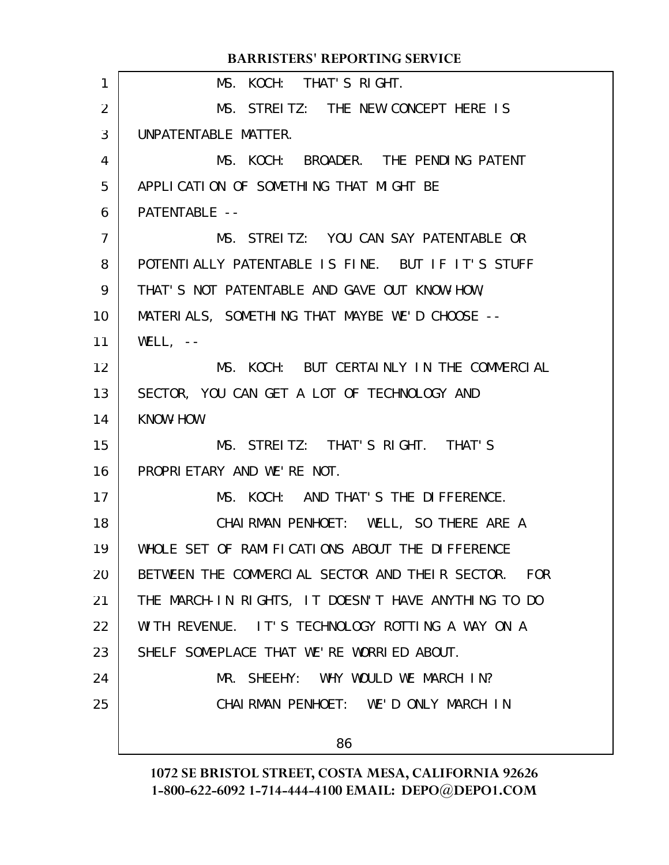MS. KOCH: THAT'S RIGHT. MS. STREITZ: THE NEW CONCEPT HERE IS UNPATENTABLE MATTER. MS. KOCH: BROADER. THE PENDING PATENT APPLICATION OF SOMETHING THAT MIGHT BE PATENTABLE --MS. STREITZ: YOU CAN SAY PATENTABLE OR POTENTIALLY PATENTABLE IS FINE. BUT IF IT'S STUFF THAT'S NOT PATENTABLE AND GAVE OUT KNOW-HOW, MATERIALS, SOMETHING THAT MAYBE WE'D CHOOSE --  $WELL, - -$ MS. KOCH: BUT CERTAINLY IN THE COMMERCIAL SECTOR, YOU CAN GET A LOT OF TECHNOLOGY AND KNOW-HOW. MS. STREITZ: THAT'S RIGHT. THAT'S PROPRIETARY AND WE'RE NOT. MS. KOCH: AND THAT'S THE DIFFERENCE. CHAIRMAN PENHOET: WELL, SO THERE ARE A WHOLE SET OF RAMIFICATIONS ABOUT THE DIFFERENCE BETWEEN THE COMMERCIAL SECTOR AND THEIR SECTOR. FOR THE MARCH-IN RIGHTS, IT DOESN'T HAVE ANYTHING TO DO WITH REVENUE. IT'S TECHNOLOGY ROTTING A WAY ON A SHELF SOMEPLACE THAT WE'RE WORRIED ABOUT. MR. SHEEHY: WHY WOULD WE MARCH IN? CHAIRMAN PENHOET: WE'D ONLY MARCH IN 86 1 2 3 4 5 6 7 8 9 10 11 12 13 14 15 16 17 18 19 20 21 22 23 24 25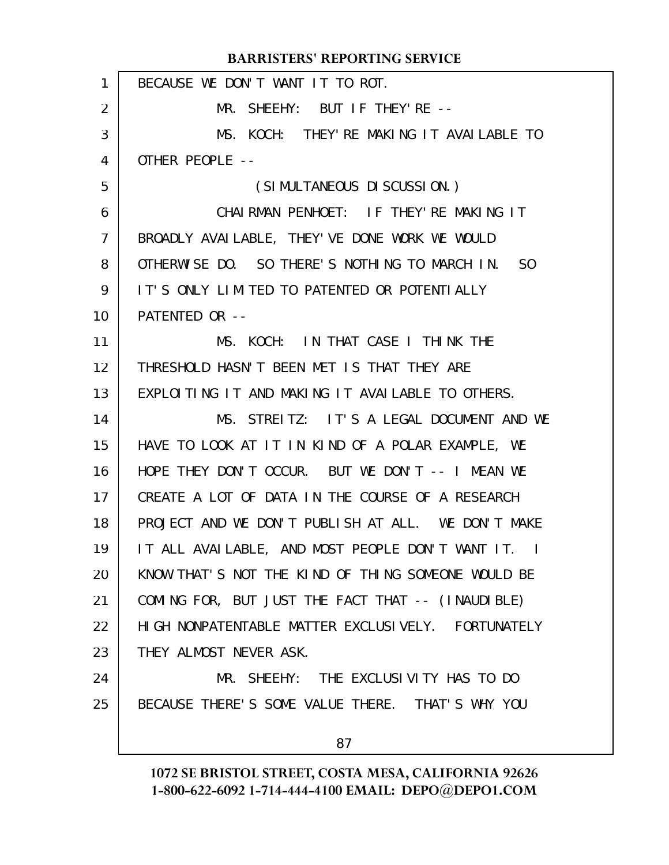| 1  | BECAUSE WE DON'T WANT IT TO ROT.                                |
|----|-----------------------------------------------------------------|
| 2  | MR. SHEEHY: BUT IF THEY'RE --                                   |
| 3  | MS. KOCH: THEY'RE MAKING IT AVAILABLE TO                        |
| 4  | OTHER PEOPLE --                                                 |
| 5  | (SIMULTANEOUS DI SCUSSION.)                                     |
| 6  | CHAIRMAN PENHOET: IF THEY'RE MAKING IT                          |
| 7  | BROADLY AVAILABLE, THEY'VE DONE WORK WE WOULD                   |
| 8  | OTHERWISE DO. SO THERE'S NOTHING TO MARCH IN.<br>S <sub>0</sub> |
| 9  | IT'S ONLY LIMITED TO PATENTED OR POTENTIALLY                    |
| 10 | PATENTED OR --                                                  |
| 11 | MS. KOCH: IN THAT CASE I THINK THE                              |
| 12 | THRESHOLD HASN'T BEEN MET IS THAT THEY ARE                      |
| 13 | EXPLOITING IT AND MAKING IT AVAILABLE TO OTHERS.                |
| 14 | MS. STREITZ: IT'S A LEGAL DOCUMENT AND WE                       |
| 15 | HAVE TO LOOK AT IT IN KIND OF A POLAR EXAMPLE, WE               |
| 16 | HOPE THEY DON'T OCCUR. BUT WE DON'T -- I MEAN WE                |
| 17 | CREATE A LOT OF DATA IN THE COURSE OF A RESEARCH                |
| 18 | PROJECT AND WE DON'T PUBLISH AT ALL. WE DON'T MAKE              |
| 19 | IT ALL AVAILABLE, AND MOST PEOPLE DON'T WANT IT. I              |
| 20 | KNOW THAT'S NOT THE KIND OF THING SOMEONE WOULD BE              |
| 21 | COMING FOR, BUT JUST THE FACT THAT -- (INAUDIBLE)               |
| 22 | HIGH NONPATENTABLE MATTER EXCLUSIVELY. FORTUNATELY              |
| 23 | THEY ALMOST NEVER ASK.                                          |
| 24 | MR. SHEEHY: THE EXCLUSIVITY HAS TO DO                           |
| 25 | BECAUSE THERE'S SOME VALUE THERE. THAT'S WHY YOU                |
|    | 87                                                              |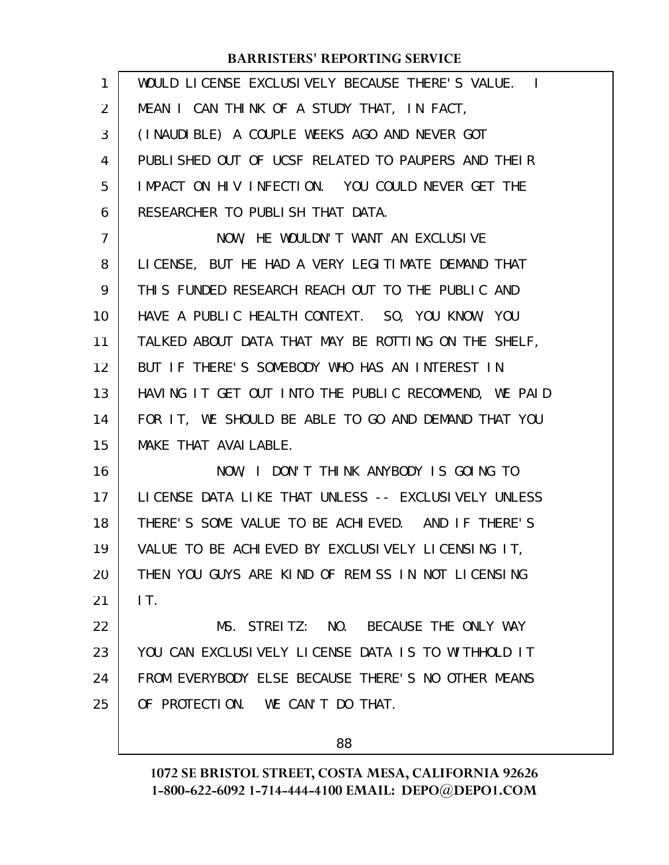| 1              | WOULD LICENSE EXCLUSIVELY BECAUSE THERE'S VALUE. I   |
|----------------|------------------------------------------------------|
| $\overline{2}$ | MEAN I CAN THINK OF A STUDY THAT, IN FACT,           |
| 3              | (INAUDIBLE) A COUPLE WEEKS AGO AND NEVER GOT         |
| 4              | PUBLISHED OUT OF UCSF RELATED TO PAUPERS AND THEIR   |
| 5              | IMPACT ON HIV INFECTION. YOU COULD NEVER GET THE     |
| 6              | RESEARCHER TO PUBLISH THAT DATA.                     |
| 7              | NOW, HE WOULDN'T WANT AN EXCLUSIVE                   |
| 8              | LICENSE, BUT HE HAD A VERY LEGITIMATE DEMAND THAT    |
| 9              | THIS FUNDED RESEARCH REACH OUT TO THE PUBLIC AND     |
| 10             | HAVE A PUBLIC HEALTH CONTEXT. SO, YOU KNOW, YOU      |
| 11             | TALKED ABOUT DATA THAT MAY BE ROTTING ON THE SHELF,  |
| 12             | BUT IF THERE'S SOMEBODY WHO HAS AN INTEREST IN       |
| 13             | HAVING IT GET OUT INTO THE PUBLIC RECOMMEND, WE PAID |
| 14             | FOR IT, WE SHOULD BE ABLE TO GO AND DEMAND THAT YOU  |
| 15             | MAKE THAT AVAI LABLE.                                |
| 16             | NOW, I DON'T THINK ANYBODY IS GOING TO               |
| 17             | LICENSE DATA LIKE THAT UNLESS -- EXCLUSIVELY UNLESS  |
| 18             | THERE'S SOME VALUE TO BE ACHIEVED. AND IF THERE'S    |
| 19             | VALUE TO BE ACHIEVED BY EXCLUSIVELY LICENSING IT,    |
| 20             | THEN YOU GUYS ARE KIND OF REMISS IN NOT LICENSING    |
| 21             | IT.                                                  |
| 22             | MS. STREITZ: NO. BECAUSE THE ONLY WAY                |
| 23             | YOU CAN EXCLUSIVELY LICENSE DATA IS TO WITHHOLD IT   |
| 24             | FROM EVERYBODY ELSE BECAUSE THERE'S NO OTHER MEANS   |
| 25             | OF PROTECTION. WE CAN'T DO THAT.                     |
|                |                                                      |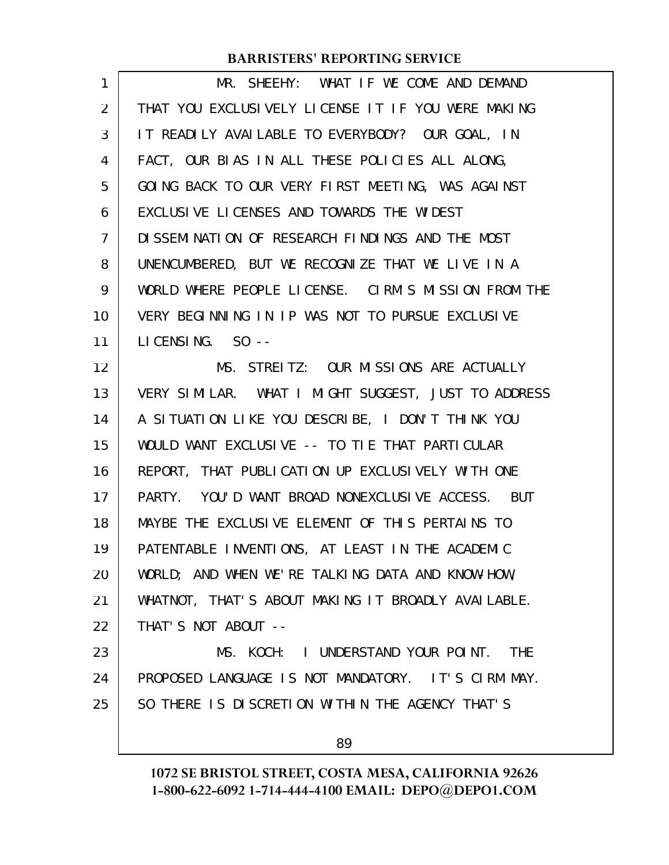| 1              | MR. SHEEHY: WHAT IF WE COME AND DEMAND              |
|----------------|-----------------------------------------------------|
| 2              | THAT YOU EXCLUSIVELY LICENSE IT IF YOU WERE MAKING  |
| 3              | IT READILY AVAILABLE TO EVERYBODY? OUR GOAL, IN     |
| 4              | FACT, OUR BIAS IN ALL THESE POLICIES ALL ALONG,     |
| 5              | GOING BACK TO OUR VERY FIRST MEETING, WAS AGAINST   |
| 6              | EXCLUSIVE LICENSES AND TOWARDS THE WIDEST           |
| $\overline{7}$ | DISSEMINATION OF RESEARCH FINDINGS AND THE MOST     |
| 8              | UNENCUMBERED, BUT WE RECOGNIZE THAT WE LIVE IN A    |
| 9              | WORLD WHERE PEOPLE LICENSE. CIRM'S MISSION FROM THE |
| 10             | VERY BEGINNING IN IP WAS NOT TO PURSUE EXCLUSIVE    |
| 11             | LICENSING. $SO -$                                   |
| 12             | MS. STREITZ: OUR MISSIONS ARE ACTUALLY              |
| 13             | VERY SIMILAR. WHAT I MIGHT SUGGEST, JUST TO ADDRESS |
| 14             | A SITUATION LIKE YOU DESCRIBE, I DON'T THINK YOU    |
| 15             | WOULD WANT EXCLUSIVE -- TO TIE THAT PARTICULAR      |
| 16             | REPORT, THAT PUBLICATION UP EXCLUSIVELY WITH ONE    |
| 17             | PARTY. YOU'D WANT BROAD NONEXCLUSIVE ACCESS. BUT    |
| 18             | MAYBE THE EXCLUSIVE ELEMENT OF THIS PERTAINS TO     |
| 19             | PATENTABLE INVENTIONS, AT LEAST IN THE ACADEMIC     |
| 20             | WORLD; AND WHEN WE'RE TALKING DATA AND KNOW-HOW,    |
| 21             | WHATNOT, THAT'S ABOUT MAKING IT BROADLY AVAILABLE.  |
| 22             | THAT'S NOT ABOUT --                                 |
| 23             | MS. KOCH: I UNDERSTAND YOUR POINT. THE              |
| 24             | PROPOSED LANGUAGE IS NOT MANDATORY. IT'S CIRM MAY.  |
| 25             | SO THERE IS DISCRETION WITHIN THE AGENCY THAT'S     |
|                | 89                                                  |
|                |                                                     |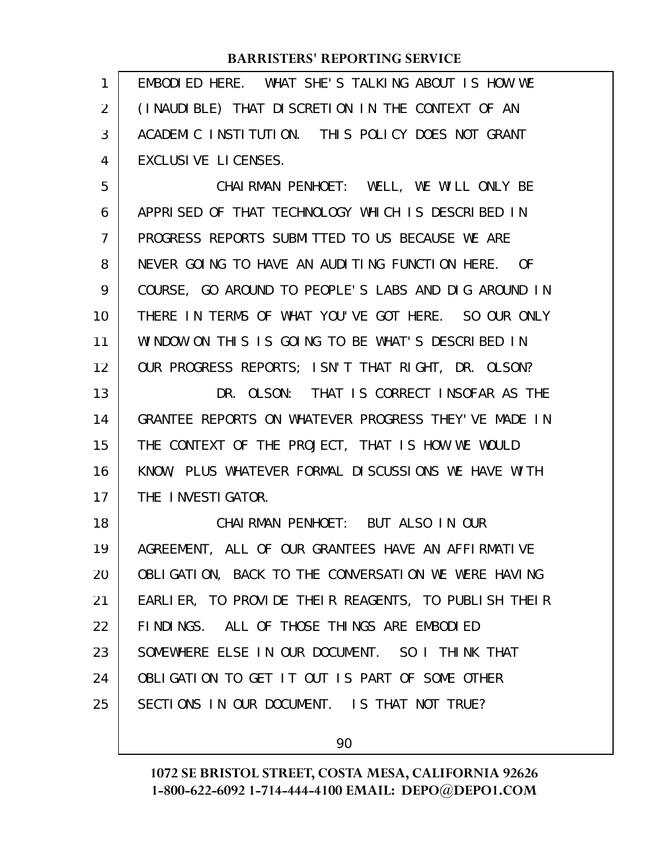| 1              | EMBODIED HERE. WHAT SHE'S TALKING ABOUT IS HOW WE    |
|----------------|------------------------------------------------------|
| 2              | (INAUDIBLE) THAT DISCRETION IN THE CONTEXT OF AN     |
| 3              | ACADEMIC INSTITUTION. THIS POLICY DOES NOT GRANT     |
| 4              | EXCLUSIVE LICENSES.                                  |
| 5              | CHAIRMAN PENHOET: WELL, WE WILL ONLY BE              |
| 6              | APPRISED OF THAT TECHNOLOGY WHICH IS DESCRIBED IN    |
| $\overline{7}$ | PROGRESS REPORTS SUBMITTED TO US BECAUSE WE ARE      |
| 8              | NEVER GOING TO HAVE AN AUDITING FUNCTION HERE. OF    |
| 9              | COURSE, GO AROUND TO PEOPLE'S LABS AND DIG AROUND IN |
| 10             | THERE IN TERMS OF WHAT YOU'VE GOT HERE. SO OUR ONLY  |
| 11             | WINDOW ON THIS IS GOING TO BE WHAT'S DESCRIBED IN    |
| 12             | OUR PROGRESS REPORTS; ISN'T THAT RIGHT, DR. OLSON?   |
| 13             | DR. OLSON: THAT IS CORRECT INSOFAR AS THE            |
| 14             | GRANTEE REPORTS ON WHATEVER PROGRESS THEY'VE MADE IN |
| 15             | THE CONTEXT OF THE PROJECT, THAT IS HOW WE WOULD     |
| 16             | KNOW, PLUS WHATEVER FORMAL DISCUSSIONS WE HAVE WITH  |
| 17             | THE INVESTIGATOR.                                    |
| 18             | CHAIRMAN PENHOET: BUT ALSO IN OUR                    |
| 19             | AGREEMENT, ALL OF OUR GRANTEES HAVE AN AFFIRMATIVE   |
| 20             | OBLIGATION, BACK TO THE CONVERSATION WE WERE HAVING  |
| 21             | EARLIER, TO PROVIDE THEIR REAGENTS, TO PUBLISH THEIR |
| 22             | FINDINGS. ALL OF THOSE THINGS ARE EMBODIED           |
| 23             | SOMEWHERE ELSE IN OUR DOCUMENT. SO I THINK THAT      |
| 24             | OBLIGATION TO GET IT OUT IS PART OF SOME OTHER       |
| 25             | SECTIONS IN OUR DOCUMENT. IS THAT NOT TRUE?          |
|                |                                                      |

90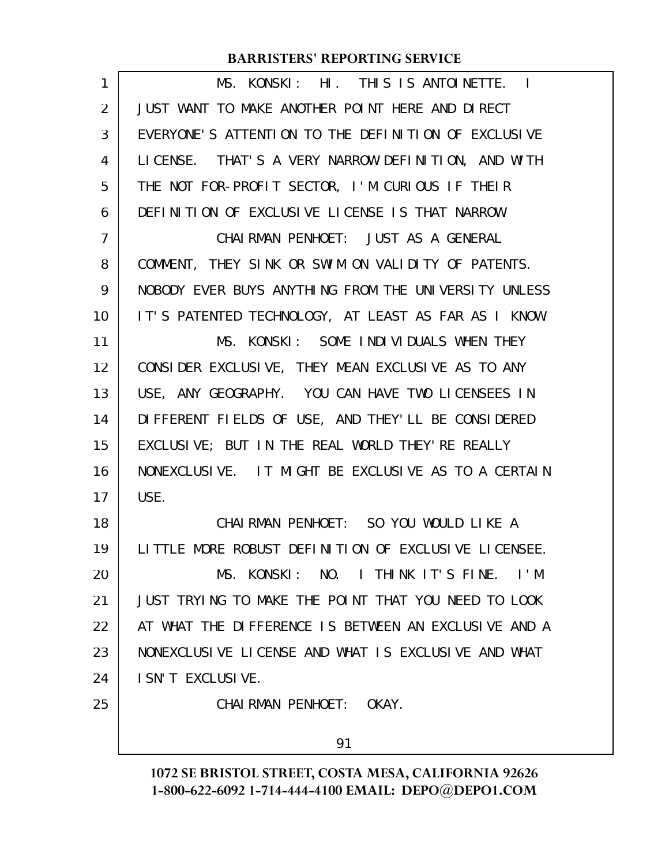| 1  | MS. KONSKI: HI. THIS IS ANTOINETTE. I                |
|----|------------------------------------------------------|
| 2  | JUST WANT TO MAKE ANOTHER POINT HERE AND DIRECT      |
| 3  | EVERYONE'S ATTENTION TO THE DEFINITION OF EXCLUSIVE  |
| 4  | LICENSE. THAT'S A VERY NARROW DEFINITION, AND WITH   |
| 5  | THE NOT FOR-PROFIT SECTOR, I'M CURIOUS IF THEIR      |
| 6  | DEFINITION OF EXCLUSIVE LICENSE IS THAT NARROW.      |
| 7  | CHAIRMAN PENHOET: JUST AS A GENERAL                  |
| 8  | COMMENT, THEY SINK OR SWIM ON VALIDITY OF PATENTS.   |
| 9  | NOBODY EVER BUYS ANYTHING FROM THE UNIVERSITY UNLESS |
| 10 | IT'S PATENTED TECHNOLOGY, AT LEAST AS FAR AS I KNOW. |
| 11 | MS. KONSKI: SOME INDIVIDUALS WHEN THEY               |
| 12 | CONSIDER EXCLUSIVE, THEY MEAN EXCLUSIVE AS TO ANY    |
| 13 | USE, ANY GEOGRAPHY. YOU CAN HAVE TWO LICENSEES IN    |
| 14 | DIFFERENT FIELDS OF USE, AND THEY'LL BE CONSIDERED   |
| 15 | EXCLUSIVE; BUT IN THE REAL WORLD THEY'RE REALLY      |
| 16 | NONEXCLUSIVE. IT MIGHT BE EXCLUSIVE AS TO A CERTAIN  |
| 17 | USE.                                                 |
| 18 | CHAIRMAN PENHOET: SO YOU WOULD LIKE A                |
| 19 | LITTLE MORE ROBUST DEFINITION OF EXCLUSIVE LICENSEE. |
| 20 | MS. KONSKI: NO. I THINK IT'S FINE. I'M               |
| 21 | JUST TRYING TO MAKE THE POINT THAT YOU NEED TO LOOK  |
| 22 | AT WHAT THE DIFFERENCE IS BETWEEN AN EXCLUSIVE AND A |
| 23 | NONEXCLUSIVE LICENSE AND WHAT IS EXCLUSIVE AND WHAT  |
| 24 | I SN'T EXCLUSIVE.                                    |
| 25 | CHAIRMAN PENHOET: OKAY.                              |
|    |                                                      |
|    | 91                                                   |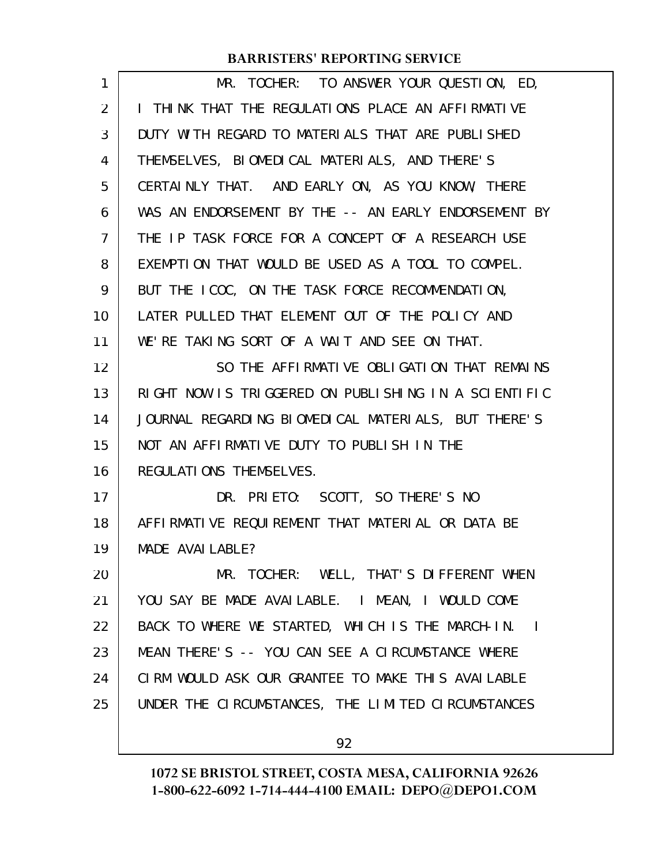| 1              | MR. TOCHER: TO ANSWER YOUR QUESTION, ED,             |
|----------------|------------------------------------------------------|
| $\overline{2}$ | I THINK THAT THE REGULATIONS PLACE AN AFFIRMATIVE    |
| 3              | DUTY WITH REGARD TO MATERIALS THAT ARE PUBLISHED     |
| 4              | THEMSELVES, BIOMEDICAL MATERIALS, AND THERE'S        |
| 5              | CERTAINLY THAT. AND EARLY ON, AS YOU KNOW, THERE     |
| 6              | WAS AN ENDORSEMENT BY THE -- AN EARLY ENDORSEMENT BY |
| 7              | THE IP TASK FORCE FOR A CONCEPT OF A RESEARCH USE    |
| 8              | EXEMPTION THAT WOULD BE USED AS A TOOL TO COMPEL.    |
| 9              | BUT THE ICOC, ON THE TASK FORCE RECOMMENDATION,      |
| 10             | LATER PULLED THAT ELEMENT OUT OF THE POLICY AND      |
| 11             | WE'RE TAKING SORT OF A WAIT AND SEE ON THAT.         |
| 12             | SO THE AFFIRMATIVE OBLIGATION THAT REMAINS           |
| 13             | RIGHT NOW IS TRIGGERED ON PUBLISHING IN A SCIENTIFIC |
| 14             | JOURNAL REGARDING BIOMEDICAL MATERIALS, BUT THERE'S  |
| 15             | NOT AN AFFIRMATIVE DUTY TO PUBLISH IN THE            |
| 16             | REGULATIONS THEMSELVES.                              |
| 17             | DR. PRIETO: SCOTT, SO THERE'S NO                     |
| 18             | AFFIRMATIVE REQUIREMENT THAT MATERIAL OR DATA BE     |
| 19             | MADE AVAI LABLE?                                     |
| 20             | MR. TOCHER: WELL, THAT'S DIFFERENT WHEN              |
| 21             | YOU SAY BE MADE AVAILABLE. I MEAN, I WOULD COME      |
| 22             | BACK TO WHERE WE STARTED, WHICH IS THE MARCH-IN. I   |
| 23             | MEAN THERE'S -- YOU CAN SEE A CIRCUMSTANCE WHERE     |
| 24             | CIRM WOULD ASK OUR GRANTEE TO MAKE THIS AVAILABLE    |
| 25             | UNDER THE CIRCUMSTANCES, THE LIMITED CIRCUMSTANCES   |
|                |                                                      |

92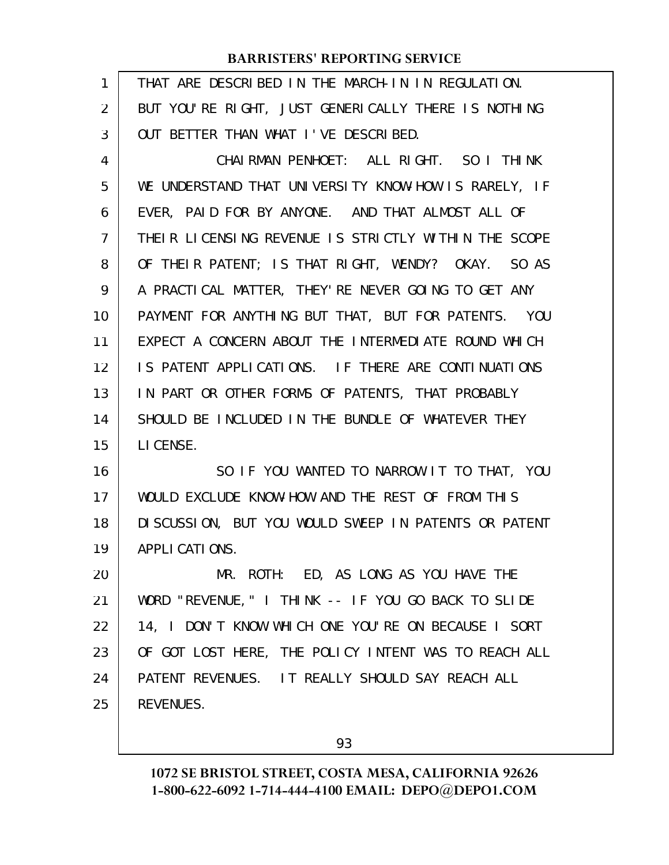| 1  | THAT ARE DESCRIBED IN THE MARCH-IN IN REGULATION.     |
|----|-------------------------------------------------------|
| 2  | BUT YOU'RE RIGHT, JUST GENERICALLY THERE IS NOTHING   |
| 3  | OUT BETTER THAN WHAT I'VE DESCRIBED.                  |
| 4  | CHAIRMAN PENHOET: ALL RIGHT. SO I THINK               |
| 5  | WE UNDERSTAND THAT UNIVERSITY KNOW-HOW IS RARELY, IF  |
| 6  | EVER, PAID FOR BY ANYONE. AND THAT ALMOST ALL OF      |
| 7  | THEIR LICENSING REVENUE IS STRICTLY WITHIN THE SCOPE  |
| 8  | OF THEIR PATENT; IS THAT RIGHT, WENDY? OKAY. SO AS    |
| 9  | A PRACTICAL MATTER, THEY'RE NEVER GOING TO GET ANY    |
| 10 | PAYMENT FOR ANYTHING BUT THAT, BUT FOR PATENTS. YOU   |
| 11 | EXPECT A CONCERN ABOUT THE INTERMEDIATE ROUND WHICH   |
| 12 | IS PATENT APPLICATIONS. IF THERE ARE CONTINUATIONS    |
| 13 | IN PART OR OTHER FORMS OF PATENTS, THAT PROBABLY      |
| 14 | SHOULD BE INCLUDED IN THE BUNDLE OF WHATEVER THEY     |
| 15 | LI CENSE.                                             |
| 16 | SO IF YOU WANTED TO NARROW IT TO THAT, YOU            |
| 17 | WOULD EXCLUDE KNOW-HOW AND THE REST OF FROM THIS      |
| 18 | DI SCUSSION, BUT YOU WOULD SWEEP IN PATENTS OR PATENT |
| 19 | APPLICATIONS.                                         |
| 20 | MR. ROTH: ED, AS LONG AS YOU HAVE THE                 |
| 21 | WORD "REVENUE, " I THINK -- IF YOU GO BACK TO SLIDE   |
| 22 | 14, I DON'T KNOW WHICH ONE YOU'RE ON BECAUSE I SORT   |
| 23 | OF GOT LOST HERE, THE POLICY INTENT WAS TO REACH ALL  |
| 24 | PATENT REVENUES. IT REALLY SHOULD SAY REACH ALL       |
| 25 | <b>REVENUES.</b>                                      |
|    |                                                       |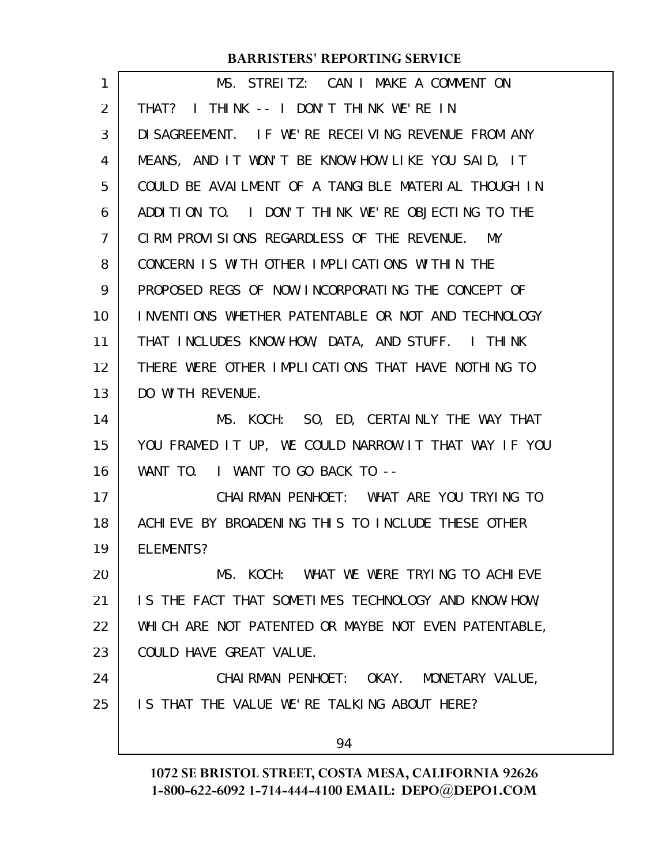| 1              | MS. STREITZ: CAN I MAKE A COMMENT ON                 |
|----------------|------------------------------------------------------|
| 2              | THAT? I THINK -- I DON'T THINK WE'RE IN              |
| 3              | DI SAGREEMENT. IF WE'RE RECELVING REVENUE FROM ANY   |
| 4              | MEANS, AND IT WON'T BE KNOW-HOW LIKE YOU SAID, IT    |
| 5              | COULD BE AVAILMENT OF A TANGLBLE MATERLAL THOUGH IN  |
| 6              | ADDITION TO. I DON'T THINK WE'RE OBJECTING TO THE    |
| $\overline{7}$ | CIRM PROVISIONS REGARDLESS OF THE REVENUE. MY        |
| 8              | CONCERN IS WITH OTHER IMPLICATIONS WITHIN THE        |
| 9              | PROPOSED REGS OF NOW INCORPORATING THE CONCEPT OF    |
| 10             | INVENTIONS WHETHER PATENTABLE OR NOT AND TECHNOLOGY  |
| 11             | THAT INCLUDES KNOW-HOW, DATA, AND STUFF. I THINK     |
| 12             | THERE WERE OTHER IMPLICATIONS THAT HAVE NOTHING TO   |
| 13             | DO WITH REVENUE.                                     |
| 14             | SO, ED, CERTAINLY THE WAY THAT<br>MS. KOCH:          |
| 15             | YOU FRAMED IT UP, WE COULD NARROW IT THAT WAY IF YOU |
| 16             | WANT TO. I WANT TO GO BACK TO --                     |
| 17             | CHAIRMAN PENHOET: WHAT ARE YOU TRYING TO             |
| 18             | ACHIEVE BY BROADENING THIS TO INCLUDE THESE OTHER    |
| 19             | ELEMENTS?                                            |
| 20             | MS. KOCH: WHAT WE WERE TRYING TO ACHIEVE             |
| 21             | IS THE FACT THAT SOMETIMES TECHNOLOGY AND KNOW-HOW,  |
| 22             | WHICH ARE NOT PATENTED OR MAYBE NOT EVEN PATENTABLE, |
| 23             | COULD HAVE GREAT VALUE.                              |
| 24             | CHAIRMAN PENHOET: OKAY. MONETARY VALUE,              |
| 25             | IS THAT THE VALUE WE'RE TALKING ABOUT HERE?          |
|                | 94                                                   |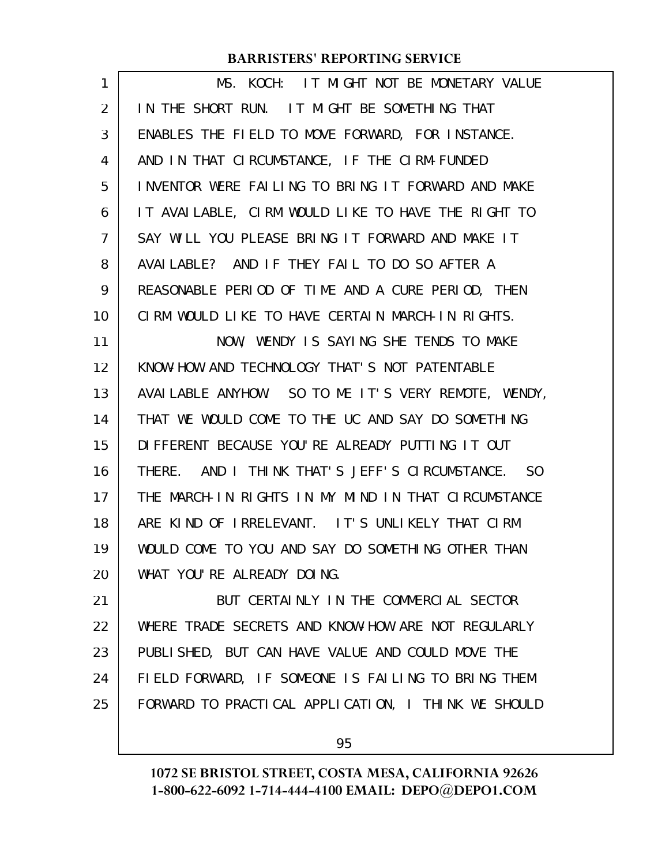| $\mathbf{1}$ | MS. KOCH: IT MIGHT NOT BE MONETARY VALUE            |
|--------------|-----------------------------------------------------|
| 2            | IN THE SHORT RUN. IT MIGHT BE SOMETHING THAT        |
| 3            | ENABLES THE FIELD TO MOVE FORWARD, FOR INSTANCE.    |
| 4            | AND IN THAT CIRCUMSTANCE, IF THE CIRM-FUNDED        |
| 5            | INVENTOR WERE FAILING TO BRING IT FORWARD AND MAKE  |
| 6            | IT AVAILABLE, CIRM WOULD LIKE TO HAVE THE RIGHT TO  |
| 7            | SAY WILL YOU PLEASE BRING IT FORWARD AND MAKE IT    |
| 8            | AVAILABLE? AND IF THEY FAIL TO DO SO AFTER A        |
| 9            | REASONABLE PERIOD OF TIME AND A CURE PERIOD, THEN   |
| 10           | CIRM WOULD LIKE TO HAVE CERTAIN MARCH-IN RIGHTS.    |
| 11           | NOW, WENDY IS SAYING SHE TENDS TO MAKE              |
| 12           | KNOW-HOW AND TECHNOLOGY THAT'S NOT PATENTABLE       |
| 13           | AVAILABLE ANYHOW. SO TO ME IT'S VERY REMOTE, WENDY, |
| 14           | THAT WE WOULD COME TO THE UC AND SAY DO SOMETHING   |
| 15           | DIFFERENT BECAUSE YOU'RE ALREADY PUTTING IT OUT     |
| 16           | THERE. AND I THINK THAT'S JEFF'S CIRCUMSTANCE. SO   |
| 17           | THE MARCH-IN RIGHTS IN MY MIND IN THAT CIRCUMSTANCE |
| 18           | ARE KIND OF IRRELEVANT. IT'S UNLIKELY THAT CIRM     |
| 19           | WOULD COME TO YOU AND SAY DO SOMETHING OTHER THAN   |
| 20           | WHAT YOU'RE ALREADY DOING.                          |
| 21           | BUT CERTAINLY IN THE COMMERCIAL SECTOR              |
| 22           | WHERE TRADE SECRETS AND KNOW-HOW ARE NOT REGULARLY  |
| 23           | PUBLISHED, BUT CAN HAVE VALUE AND COULD MOVE THE    |
| 24           | FIELD FORWARD, IF SOMEONE IS FAILING TO BRING THEM  |
| 25           | FORWARD TO PRACTICAL APPLICATION, I THINK WE SHOULD |
|              |                                                     |

95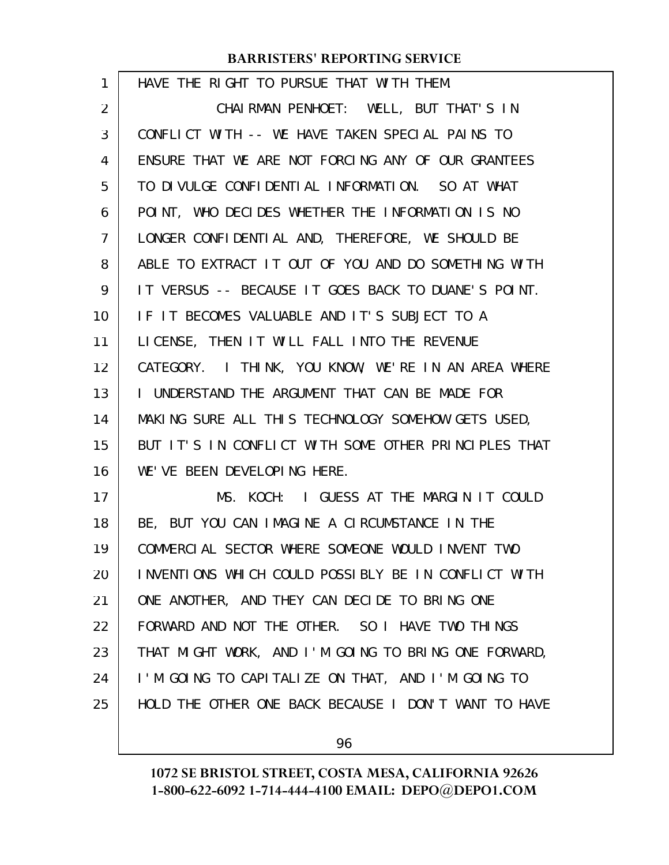| 1              | HAVE THE RIGHT TO PURSUE THAT WITH THEM.             |
|----------------|------------------------------------------------------|
| $\overline{2}$ | CHAIRMAN PENHOET: WELL, BUT THAT'S IN                |
| 3              | CONFLICT WITH -- WE HAVE TAKEN SPECIAL PAINS TO      |
| 4              | ENSURE THAT WE ARE NOT FORCING ANY OF OUR GRANTEES   |
| 5              | TO DIVULGE CONFIDENTIAL INFORMATION. SO AT WHAT      |
| 6              | POINT, WHO DECIDES WHETHER THE INFORMATION IS NO     |
| 7              | LONGER CONFIDENTIAL AND, THEREFORE, WE SHOULD BE     |
| 8              | ABLE TO EXTRACT IT OUT OF YOU AND DO SOMETHING WITH  |
| 9              | IT VERSUS -- BECAUSE IT GOES BACK TO DUANE'S POINT.  |
| 10             | IF IT BECOMES VALUABLE AND IT'S SUBJECT TO A         |
| 11             | LICENSE, THEN IT WILL FALL INTO THE REVENUE          |
| 12             | CATEGORY. I THINK, YOU KNOW, WE'RE IN AN AREA WHERE  |
| 13             | I UNDERSTAND THE ARGUMENT THAT CAN BE MADE FOR       |
| 14             | MAKING SURE ALL THIS TECHNOLOGY SOMEHOW GETS USED,   |
| 15             | BUT IT'S IN CONFLICT WITH SOME OTHER PRINCIPLES THAT |
| 16             | WE'VE BEEN DEVELOPING HERE.                          |
| 17             | MS. KOCH: I GUESS AT THE MARGIN IT COULD             |
| 18             | BE, BUT YOU CAN IMAGINE A CIRCUMSTANCE IN THE        |
| 19             | COMMERCIAL SECTOR WHERE SOMEONE WOULD INVENT TWO     |
| 20             | INVENTIONS WHICH COULD POSSIBLY BE IN CONFLICT WITH  |
| 21             | ONE ANOTHER, AND THEY CAN DECIDE TO BRING ONE        |
| 22             | FORWARD AND NOT THE OTHER. SO I HAVE TWO THINGS      |
| 23             | THAT MIGHT WORK, AND I'M GOING TO BRING ONE FORWARD, |
| 24             | I'M GOING TO CAPITALIZE ON THAT, AND I'M GOING TO    |
| 25             | HOLD THE OTHER ONE BACK BECAUSE I DON'T WANT TO HAVE |
|                |                                                      |

96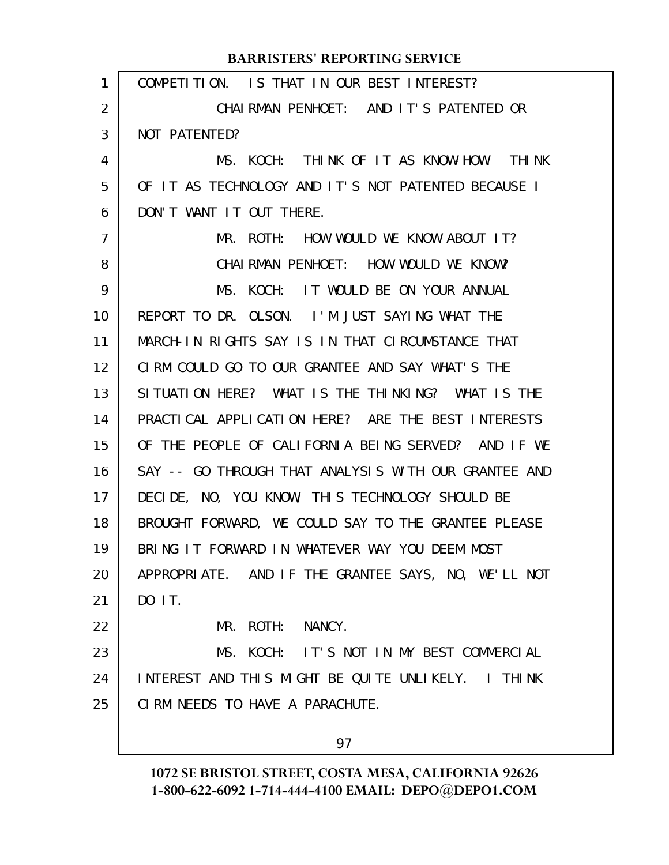#### COMPETITION. IS THAT IN OUR BEST INTEREST? CHAIRMAN PENHOET: AND IT'S PATENTED OR NOT PATENTED? MS. KOCH: THINK OF IT AS KNOW-HOW. THINK OF IT AS TECHNOLOGY AND IT'S NOT PATENTED BECAUSE I DON'T WANT IT OUT THERE. MR. ROTH: HOW WOULD WE KNOW ABOUT IT? CHAIRMAN PENHOET: HOW WOULD WE KNOW? MS. KOCH: IT WOULD BE ON YOUR ANNUAL REPORT TO DR. OLSON. I'M JUST SAYING WHAT THE MARCH-IN RIGHTS SAY IS IN THAT CIRCUMSTANCE THAT CIRM COULD GO TO OUR GRANTEE AND SAY WHAT'S THE SITUATION HERE? WHAT IS THE THINKING? WHAT IS THE PRACTICAL APPLICATION HERE? ARE THE BEST INTERESTS OF THE PEOPLE OF CALIFORNIA BEING SERVED? AND IF WE SAY -- GO THROUGH THAT ANALYSIS WITH OUR GRANTEE AND DECIDE, NO, YOU KNOW, THIS TECHNOLOGY SHOULD BE BROUGHT FORWARD, WE COULD SAY TO THE GRANTEE PLEASE BRING IT FORWARD IN WHATEVER WAY YOU DEEM MOST APPROPRIATE. AND IF THE GRANTEE SAYS, NO, WE'LL NOT  $DO$   $IT$ . MR. ROTH: NANCY. MS. KOCH: IT'S NOT IN MY BEST COMMERCIAL INTEREST AND THIS MIGHT BE QUITE UNLIKELY. I THINK CIRM NEEDS TO HAVE A PARACHUTE. **BARRISTERS' REPORTING SERVICE** 1 2 3 4 5 6 7 8 9 10 11 12 13 14 15 16 17 18 19 20 21 22 23 24 25

97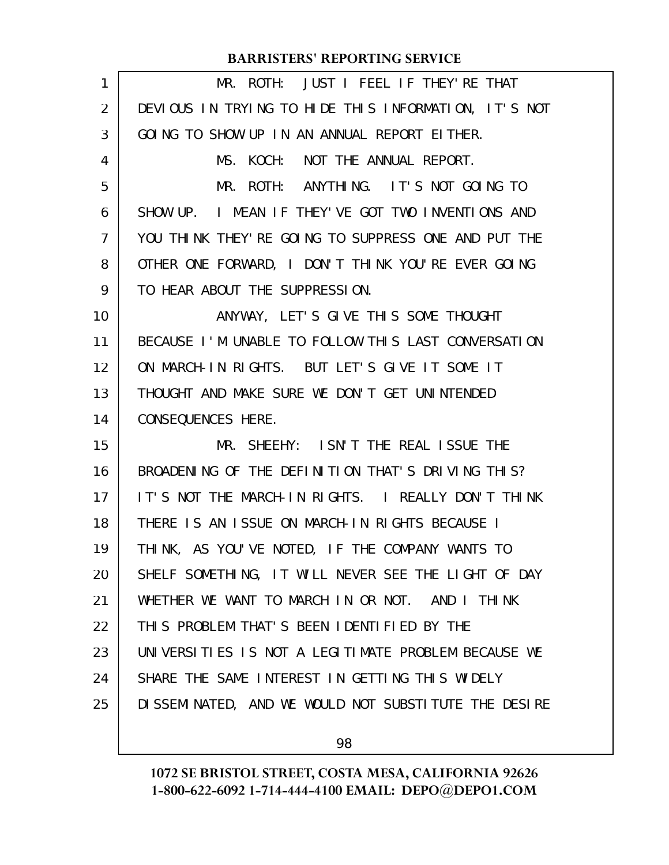| $\mathbf{1}$ | MR. ROTH: JUST I FEEL IF THEY'RE THAT                 |
|--------------|-------------------------------------------------------|
| 2            | DEVIOUS IN TRYING TO HIDE THIS INFORMATION, IT'S NOT  |
| 3            | GOING TO SHOW UP IN AN ANNUAL REPORT EITHER.          |
| 4            | MS. KOCH: NOT THE ANNUAL REPORT.                      |
| 5            | MR. ROTH: ANYTHING. IT'S NOT GOING TO                 |
| 6            | SHOW UP. I MEAN IF THEY'VE GOT TWO INVENTIONS AND     |
| 7            | YOU THINK THEY' RE GOING TO SUPPRESS ONE AND PUT THE  |
| 8            | OTHER ONE FORWARD, I DON'T THINK YOU'RE EVER GOING    |
| 9            | TO HEAR ABOUT THE SUPPRESSION.                        |
| 10           | ANYWAY, LET'S GIVE THIS SOME THOUGHT                  |
| 11           | BECAUSE I'M UNABLE TO FOLLOW THIS LAST CONVERSATION   |
| 12           | ON MARCH-IN RIGHTS. BUT LET'S GIVE IT SOME IT         |
| 13           | THOUGHT AND MAKE SURE WE DON'T GET UNINTENDED         |
| 14           | CONSEQUENCES HERE.                                    |
| 15           | MR. SHEEHY: ISN'T THE REAL ISSUE THE                  |
| 16           | BROADENING OF THE DEFINITION THAT'S DRIVING THIS?     |
| 17           | IT'S NOT THE MARCH-IN RIGHTS. I REALLY DON'T THINK    |
| 18           | THERE IS AN ISSUE ON MARCH-IN RIGHTS BECAUSE I        |
| 19           | THINK, AS YOU'VE NOTED, IF THE COMPANY WANTS TO       |
| 20           | SHELF SOMETHING, IT WILL NEVER SEE THE LIGHT OF DAY   |
| 21           | WHETHER WE WANT TO MARCH IN OR NOT. AND I THINK       |
| 22           | THIS PROBLEM THAT'S BEEN IDENTIFIED BY THE            |
| 23           | UNIVERSITIES IS NOT A LEGITIMATE PROBLEM BECAUSE WE   |
| 24           | SHARE THE SAME INTEREST IN GETTING THIS WIDELY        |
| 25           | DI SSEMINATED, AND WE WOULD NOT SUBSTITUTE THE DESIRE |
|              |                                                       |

98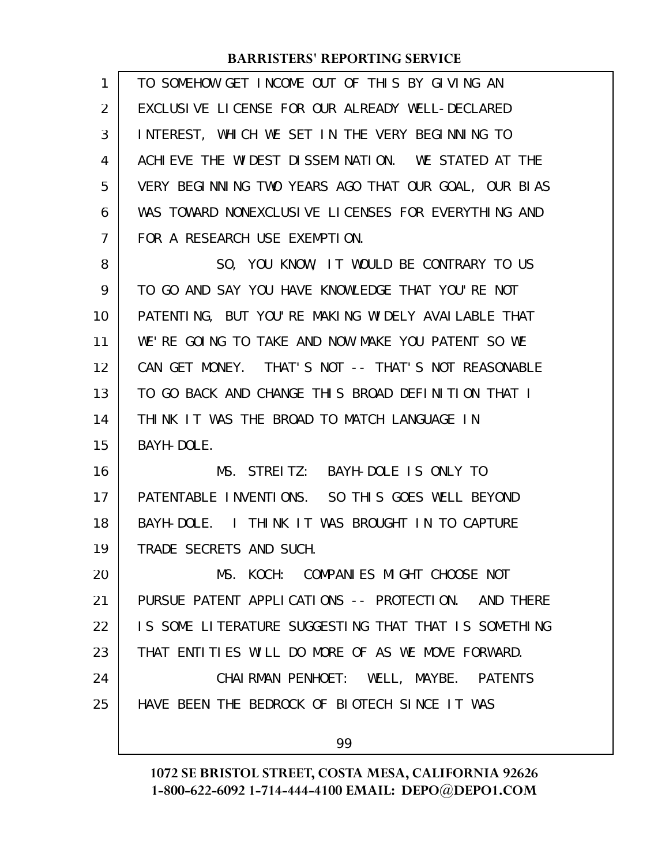| $\mathbf{1}$ | TO SOMEHOW GET INCOME OUT OF THIS BY GIVING AN       |
|--------------|------------------------------------------------------|
| 2            | EXCLUSIVE LICENSE FOR OUR ALREADY WELL-DECLARED      |
| 3            | INTEREST, WHICH WE SET IN THE VERY BEGINNING TO      |
| 4            | ACHIEVE THE WIDEST DISSEMINATION. WE STATED AT THE   |
| 5            | VERY BEGINNING TWO YEARS AGO THAT OUR GOAL, OUR BIAS |
| 6            | WAS TOWARD NONEXCLUSIVE LICENSES FOR EVERYTHING AND  |
| 7            | FOR A RESEARCH USE EXEMPTION.                        |
| 8            | SO, YOU KNOW, IT WOULD BE CONTRARY TO US             |
| 9            | TO GO AND SAY YOU HAVE KNOWLEDGE THAT YOU'RE NOT     |
| 10           | PATENTING, BUT YOU'RE MAKING WIDELY AVAILABLE THAT   |
| 11           | WE'RE GOING TO TAKE AND NOW MAKE YOU PATENT SO WE    |
| 12           | CAN GET MONEY. THAT'S NOT -- THAT'S NOT REASONABLE   |
| 13           | TO GO BACK AND CHANGE THIS BROAD DEFINITION THAT I   |
| 14           | THINK IT WAS THE BROAD TO MATCH LANGUAGE IN          |
| 15           | BAYH-DOLE.                                           |
| 16           | MS. STREITZ: BAYH-DOLE IS ONLY TO                    |
| 17           | PATENTABLE INVENTIONS. SO THIS GOES WELL BEYOND      |
| 18           | BAYH-DOLE. I THINK IT WAS BROUGHT IN TO CAPTURE      |
| 19           | TRADE SECRETS AND SUCH.                              |
| 20           | MS. KOCH: COMPANIES MIGHT CHOOSE NOT                 |
| 21           | PURSUE PATENT APPLICATIONS -- PROTECTION. AND THERE  |
| 22           | IS SOME LITERATURE SUGGESTING THAT THAT IS SOMETHING |
| 23           | THAT ENTITIES WILL DO MORE OF AS WE MOVE FORWARD.    |
| 24           | CHAI RMAN PENHOET: WELL, MAYBE. PATENTS              |
| 25           | HAVE BEEN THE BEDROCK OF BIOTECH SINCE IT WAS        |
|              | 99                                                   |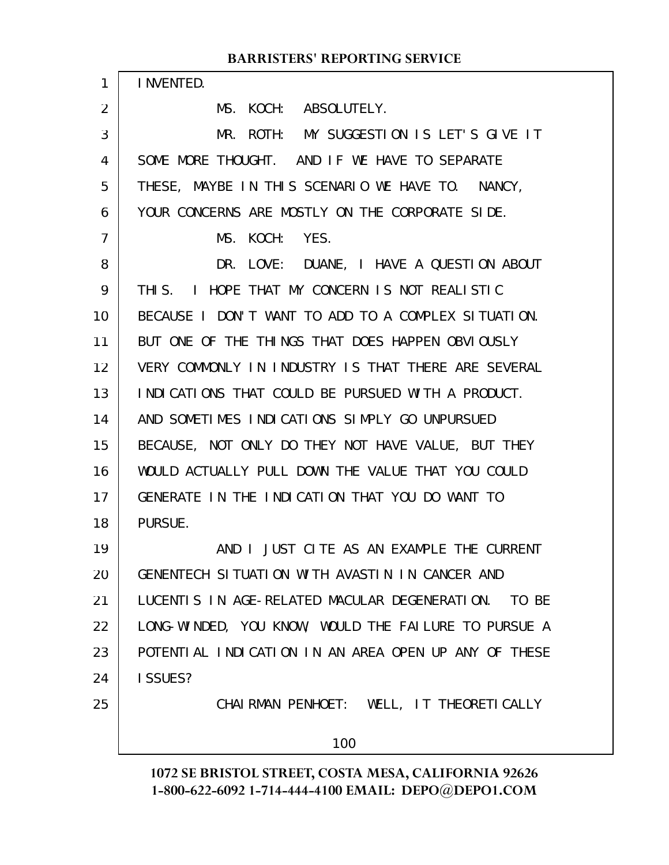#### INVENTED. MS. KOCH: ABSOLUTELY. MR. ROTH: MY SUGGESTION IS LET'S GIVE IT SOME MORE THOUGHT. AND IF WE HAVE TO SEPARATE THESE, MAYBE IN THIS SCENARIO WE HAVE TO. NANCY, YOUR CONCERNS ARE MOSTLY ON THE CORPORATE SIDE. MS. KOCH: YES. DR. LOVE: DUANE, I HAVE A QUESTION ABOUT THIS. I HOPE THAT MY CONCERN IS NOT REALISTIC BECAUSE I DON'T WANT TO ADD TO A COMPLEX SITUATION. BUT ONE OF THE THINGS THAT DOES HAPPEN OBVIOUSLY VERY COMMONLY IN INDUSTRY IS THAT THERE ARE SEVERAL INDICATIONS THAT COULD BE PURSUED WITH A PRODUCT. AND SOMETIMES INDICATIONS SIMPLY GO UNPURSUED BECAUSE, NOT ONLY DO THEY NOT HAVE VALUE, BUT THEY WOULD ACTUALLY PULL DOWN THE VALUE THAT YOU COULD GENERATE IN THE INDICATION THAT YOU DO WANT TO PURSUE. AND I JUST CITE AS AN EXAMPLE THE CURRENT GENENTECH SITUATION WITH AVASTIN IN CANCER AND LUCENTIS IN AGE-RELATED MACULAR DEGENERATION. TO BE LONG-WINDED, YOU KNOW, WOULD THE FAILURE TO PURSUE A POTENTIAL INDICATION IN AN AREA OPEN UP ANY OF THESE I SSUES? CHAIRMAN PENHOET: WELL, IT THEORETICALLY 100 1 2 3 4 5 6 7 8 9 10 11 12 13 14 15 16 17 18 19 20 21 22 23 24 25

**BARRISTERS' REPORTING SERVICE**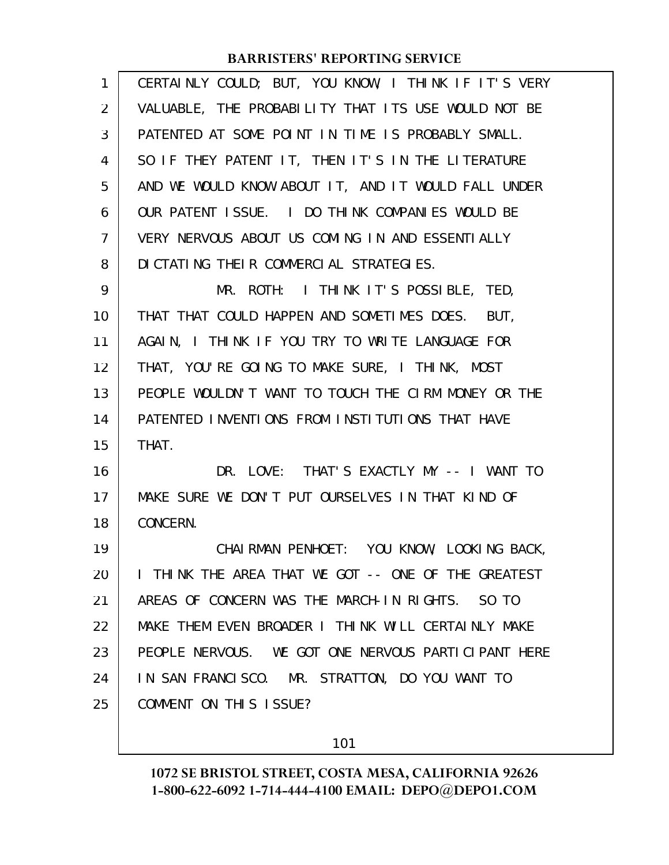| 1  | CERTAINLY COULD; BUT, YOU KNOW, I THINK IF IT'S VERY |
|----|------------------------------------------------------|
| 2  | VALUABLE, THE PROBABILITY THAT ITS USE WOULD NOT BE  |
| 3  | PATENTED AT SOME POINT IN TIME IS PROBABLY SMALL.    |
| 4  | SO IF THEY PATENT IT, THEN IT'S IN THE LITERATURE    |
| 5  | AND WE WOULD KNOW ABOUT IT, AND IT WOULD FALL UNDER  |
| 6  | OUR PATENT ISSUE. I DO THINK COMPANIES WOULD BE      |
| 7  | VERY NERVOUS ABOUT US COMING IN AND ESSENTIALLY      |
| 8  | DI CTATING THEIR COMMERCIAL STRATEGIES.              |
| 9  | MR. ROTH: I THINK IT'S POSSIBLE, TED,                |
| 10 | THAT THAT COULD HAPPEN AND SOMETIMES DOES. BUT,      |
| 11 | AGAIN, I THINK IF YOU TRY TO WRITE LANGUAGE FOR      |
| 12 | THAT, YOU'RE GOING TO MAKE SURE, I THINK, MOST       |
| 13 | PEOPLE WOULDN'T WANT TO TOUCH THE CIRM MONEY OR THE  |
| 14 | PATENTED INVENTIONS FROM INSTITUTIONS THAT HAVE      |
| 15 | THAT.                                                |
| 16 | DR. LOVE: THAT'S EXACTLY MY -- I WANT TO             |
| 17 | MAKE SURE WE DON'T PUT OURSELVES IN THAT KIND OF     |
| 18 | CONCERN.                                             |
| 19 | CHAIRMAN PENHOET: YOU KNOW, LOOKING BACK,            |
| 20 | I THINK THE AREA THAT WE GOT -- ONE OF THE GREATEST  |
| 21 | AREAS OF CONCERN WAS THE MARCH-IN RIGHTS. SO TO      |
| 22 | MAKE THEM EVEN BROADER I THINK WILL CERTAINLY MAKE   |
| 23 | PEOPLE NERVOUS. WE GOT ONE NERVOUS PARTICIPANT HERE  |
| 24 | IN SAN FRANCISCO. MR. STRATTON, DO YOU WANT TO       |
| 25 | COMMENT ON THIS ISSUE?                               |
|    |                                                      |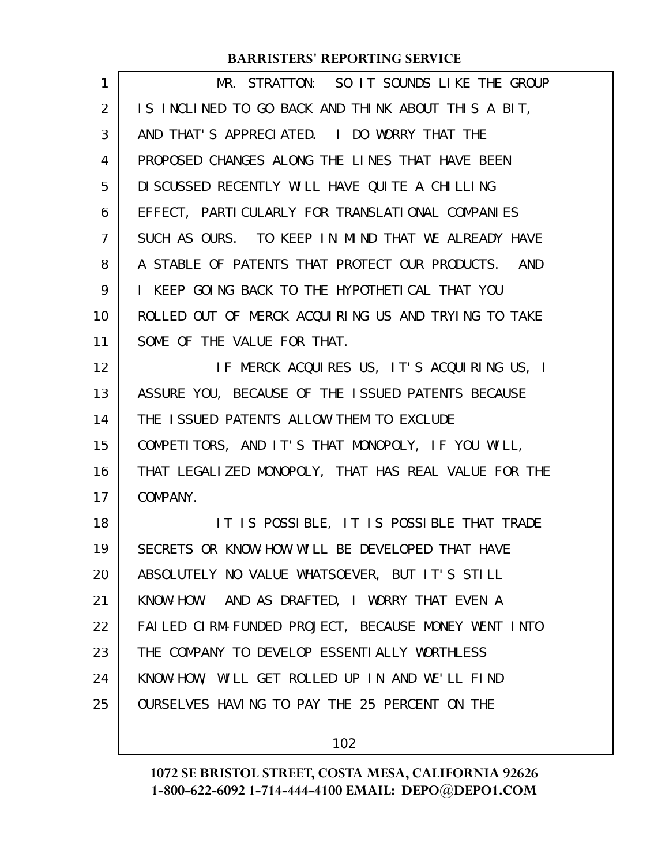| 1  | MR. STRATTON: SO IT SOUNDS LIKE THE GROUP            |
|----|------------------------------------------------------|
| 2  | IS INCLINED TO GO BACK AND THINK ABOUT THIS A BIT,   |
| 3  | AND THAT'S APPRECIATED. I DO WORRY THAT THE          |
| 4  | PROPOSED CHANGES ALONG THE LINES THAT HAVE BEEN      |
| 5  | DI SCUSSED RECENTLY WILL HAVE QUITE A CHILLING       |
| 6  | EFFECT, PARTICULARLY FOR TRANSLATIONAL COMPANIES     |
| 7  | SUCH AS OURS. TO KEEP IN MIND THAT WE ALREADY HAVE   |
| 8  | A STABLE OF PATENTS THAT PROTECT OUR PRODUCTS. AND   |
| 9  | I KEEP GOING BACK TO THE HYPOTHETICAL THAT YOU       |
| 10 | ROLLED OUT OF MERCK ACQUIRING US AND TRYING TO TAKE  |
| 11 | SOME OF THE VALUE FOR THAT.                          |
| 12 | IF MERCK ACQUIRES US, IT'S ACQUIRING US, I           |
| 13 | ASSURE YOU, BECAUSE OF THE ISSUED PATENTS BECAUSE    |
| 14 | THE ISSUED PATENTS ALLOW THEM TO EXCLUDE             |
|    |                                                      |
| 15 | COMPETITORS, AND IT'S THAT MONOPOLY, IF YOU WILL,    |
| 16 | THAT LEGALIZED MONOPOLY, THAT HAS REAL VALUE FOR THE |
| 17 | COMPANY.                                             |
| 18 | IT IS POSSIBLE, IT IS POSSIBLE THAT TRADE            |
| 19 | SECRETS OR KNOW-HOW WILL BE DEVELOPED THAT HAVE      |
| 20 | ABSOLUTELY NO VALUE WHATSOEVER, BUT IT'S STILL       |
| 21 | KNOW-HOW. AND AS DRAFTED, I WORRY THAT EVEN A        |
| 22 | FAILED CIRM-FUNDED PROJECT, BECAUSE MONEY WENT INTO  |
| 23 | THE COMPANY TO DEVELOP ESSENTIALLY WORTHLESS         |
| 24 | KNOW-HOW, WILL GET ROLLED UP IN AND WE'LL FIND       |
| 25 | OURSELVES HAVING TO PAY THE 25 PERCENT ON THE        |

102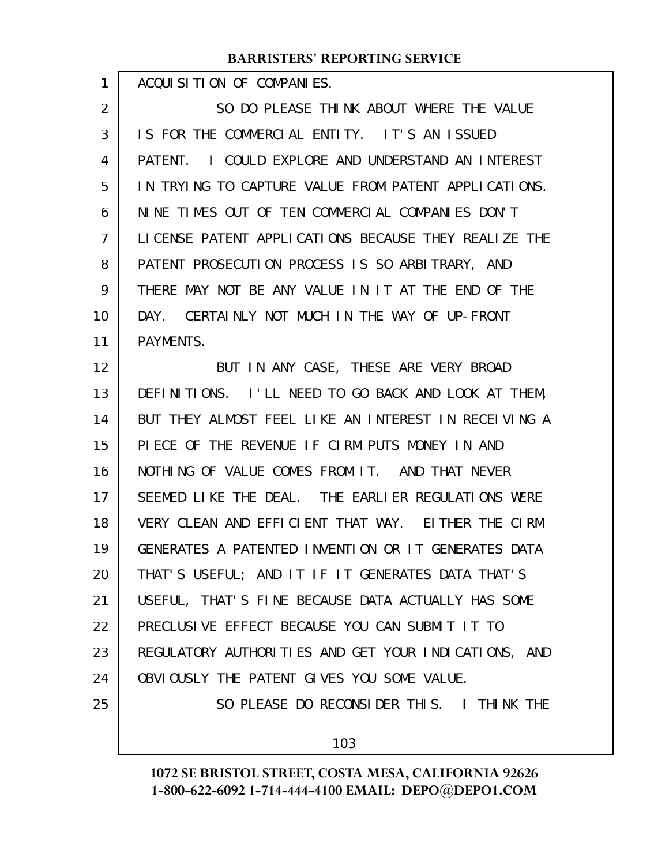ACQUISITION OF COMPANIES.

1

25

SO DO PLEASE THINK ABOUT WHERE THE VALUE IS FOR THE COMMERCIAL ENTITY. IT'S AN ISSUED PATENT. I COULD EXPLORE AND UNDERSTAND AN INTEREST IN TRYING TO CAPTURE VALUE FROM PATENT APPLICATIONS. NINE TIMES OUT OF TEN COMMERCIAL COMPANIES DON'T LICENSE PATENT APPLICATIONS BECAUSE THEY REALIZE THE PATENT PROSECUTION PROCESS IS SO ARBITRARY, AND THERE MAY NOT BE ANY VALUE IN IT AT THE END OF THE DAY. CERTAINLY NOT MUCH IN THE WAY OF UP-FRONT PAYMENTS. BUT IN ANY CASE, THESE ARE VERY BROAD DEFINITIONS. I'LL NEED TO GO BACK AND LOOK AT THEM, BUT THEY ALMOST FEEL LIKE AN INTEREST IN RECEIVING A PIECE OF THE REVENUE IF CIRM PUTS MONEY IN AND NOTHING OF VALUE COMES FROM IT. AND THAT NEVER SEEMED LIKE THE DEAL. THE EARLIER REGULATIONS WERE VERY CLEAN AND EFFICIENT THAT WAY. EITHER THE CIRM GENERATES A PATENTED INVENTION OR IT GENERATES DATA THAT'S USEFUL; AND IT IF IT GENERATES DATA THAT'S USEFUL, THAT'S FINE BECAUSE DATA ACTUALLY HAS SOME PRECLUSIVE EFFECT BECAUSE YOU CAN SUBMIT IT TO 2 3 4 5 6 7 8 9 10 11 12 13 14 15 16 17 18 19 20 21 22

REGULATORY AUTHORITIES AND GET YOUR INDICATIONS, AND OBVIOUSLY THE PATENT GIVES YOU SOME VALUE. 23 24

SO PLEASE DO RECONSIDER THIS. I THINK THE

103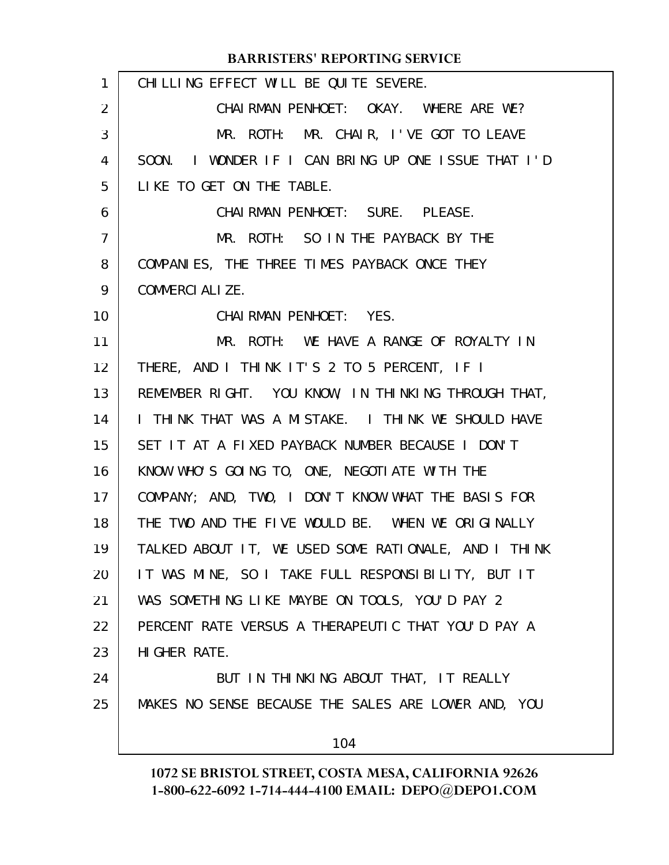| CHILLING EFFECT WILL BE QUITE SEVERE.                |
|------------------------------------------------------|
| CHAIRMAN PENHOET: OKAY. WHERE ARE WE?                |
| MR. ROTH: MR. CHAIR, I'VE GOT TO LEAVE               |
| SOON. I WONDER IF I CAN BRING UP ONE ISSUE THAT I'D  |
| LIKE TO GET ON THE TABLE.                            |
| CHAIRMAN PENHOET: SURE. PLEASE.                      |
| MR. ROTH: SO IN THE PAYBACK BY THE                   |
| COMPANIES, THE THREE TIMES PAYBACK ONCE THEY         |
| COMMERCIALIZE.                                       |
| CHAIRMAN PENHOET: YES.                               |
| MR. ROTH: WE HAVE A RANGE OF ROYALTY IN              |
| THERE, AND I THINK IT'S 2 TO 5 PERCENT, IF I         |
| REMEMBER RIGHT. YOU KNOW, IN THINKING THROUGH THAT,  |
| I THINK THAT WAS A MISTAKE. I THINK WE SHOULD HAVE   |
| SET IT AT A FIXED PAYBACK NUMBER BECAUSE I DON'T     |
| KNOW WHO'S GOING TO, ONE, NEGOTIATE WITH THE         |
| COMPANY; AND, TWO, I DON'T KNOW WHAT THE BASIS FOR   |
| THE TWO AND THE FIVE WOULD BE. WHEN WE ORIGINALLY    |
| TALKED ABOUT IT, WE USED SOME RATIONALE, AND I THINK |
| IT WAS MINE, SO I TAKE FULL RESPONSIBILITY, BUT IT   |
| WAS SOMETHING LIKE MAYBE ON TOOLS, YOU'D PAY 2       |
| PERCENT RATE VERSUS A THERAPEUTIC THAT YOU'D PAY A   |
| HI GHER RATE.                                        |
| BUT IN THINKING ABOUT THAT, IT REALLY                |
| MAKES NO SENSE BECAUSE THE SALES ARE LOWER AND, YOU  |
| 104                                                  |
|                                                      |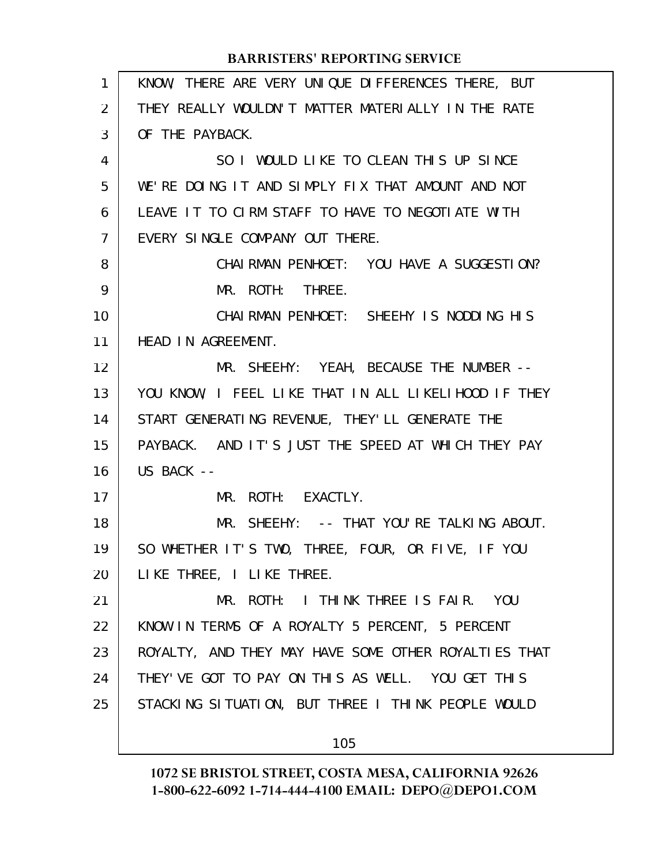| 1  | KNOW, THERE ARE VERY UNIQUE DIFFERENCES THERE, BUT   |
|----|------------------------------------------------------|
| 2  | THEY REALLY WOULDN'T MATTER MATERIALLY IN THE RATE   |
| 3  | OF THE PAYBACK.                                      |
| 4  | SO I WOULD LIKE TO CLEAN THIS UP SINCE               |
| 5  | WE'RE DOING IT AND SIMPLY FIX THAT AMOUNT AND NOT    |
| 6  | LEAVE IT TO CIRM STAFF TO HAVE TO NEGOTIATE WITH     |
| 7  | EVERY SINGLE COMPANY OUT THERE.                      |
| 8  | CHAI RMAN PENHOET: YOU HAVE A SUGGESTION?            |
| 9  | MR. ROTH: THREE.                                     |
| 10 | CHAIRMAN PENHOET: SHEEHY IS NODDING HIS              |
| 11 | HEAD IN AGREEMENT.                                   |
| 12 | MR. SHEEHY: YEAH, BECAUSE THE NUMBER --              |
| 13 | YOU KNOW, I FEEL LIKE THAT IN ALL LIKELIHOOD IF THEY |
| 14 | START GENERATING REVENUE, THEY'LL GENERATE THE       |
| 15 | PAYBACK. AND IT'S JUST THE SPEED AT WHICH THEY PAY   |
| 16 | US BACK --                                           |
| 17 | MR. ROTH: EXACTLY.                                   |
| 18 | MR. SHEEHY: -- THAT YOU'RE TALKING ABOUT.            |
| 19 | SO WHETHER IT'S TWO, THREE, FOUR, OR FIVE, IF YOU    |
| 20 | LIKE THREE, I LIKE THREE.                            |
| 21 | MR. ROTH: I THINK THREE IS FAIR. YOU                 |
| 22 | KNOW IN TERMS OF A ROYALTY 5 PERCENT, 5 PERCENT      |
| 23 | ROYALTY, AND THEY MAY HAVE SOME OTHER ROYALTIES THAT |
| 24 | THEY' VE GOT TO PAY ON THIS AS WELL. YOU GET THIS    |
| 25 | STACKING SITUATION, BUT THREE I THINK PEOPLE WOULD   |
|    |                                                      |
|    | 105                                                  |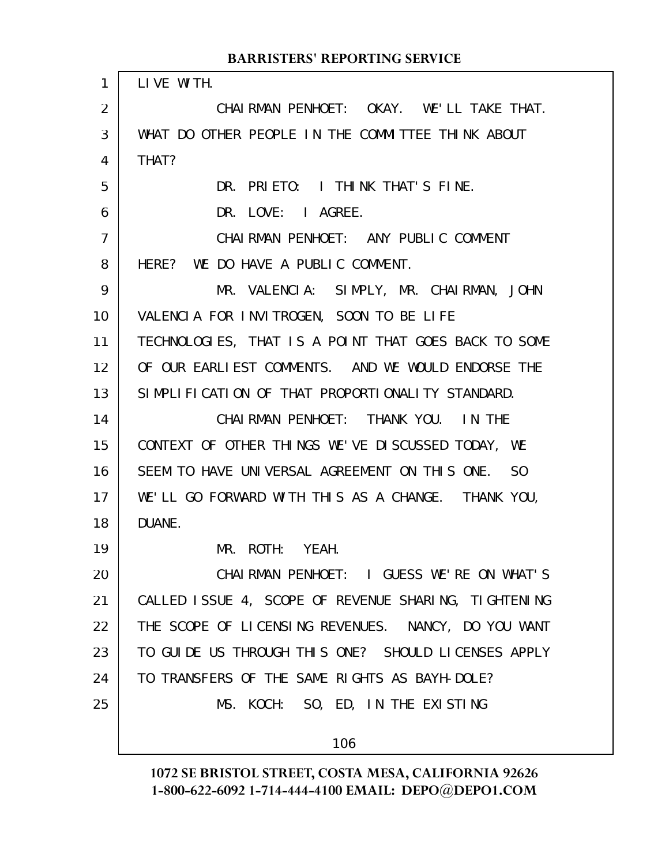| 1              | LIVE WITH.                                           |
|----------------|------------------------------------------------------|
| 2              | CHAIRMAN PENHOET: OKAY. WE'LL TAKE THAT.             |
| 3              | WHAT DO OTHER PEOPLE IN THE COMMITTEE THINK ABOUT    |
| 4              | THAT?                                                |
| 5              | DR. PRIETO: I THINK THAT'S FINE.                     |
| 6              | DR. LOVE: I AGREE.                                   |
| $\overline{7}$ | CHAIRMAN PENHOET: ANY PUBLIC COMMENT                 |
| 8              | HERE? WE DO HAVE A PUBLIC COMMENT.                   |
| 9              | MR. VALENCIA: SIMPLY, MR. CHAIRMAN, JOHN             |
| 10             | VALENCIA FOR INVITROGEN, SOON TO BE LIFE             |
| 11             | TECHNOLOGIES, THAT IS A POINT THAT GOES BACK TO SOME |
| 12             | OF OUR EARLIEST COMMENTS. AND WE WOULD ENDORSE THE   |
| 13             | SIMPLIFICATION OF THAT PROPORTIONALITY STANDARD.     |
| 14             | CHAIRMAN PENHOET: THANK YOU. IN THE                  |
| 15             | CONTEXT OF OTHER THINGS WE'VE DISCUSSED TODAY, WE    |
| 16             | SEEM TO HAVE UNIVERSAL AGREEMENT ON THIS ONE. SO     |
| 17             | WE'LL GO FORWARD WITH THIS AS A CHANGE. THANK YOU,   |
| 18             | DUANE.                                               |
| 19             | MR. ROTH: YEAH.                                      |
| 20             | CHAIRMAN PENHOET: I GUESS WE'RE ON WHAT'S            |
| 21             | CALLED ISSUE 4, SCOPE OF REVENUE SHARING, TIGHTENING |
| 22             | THE SCOPE OF LICENSING REVENUES. NANCY, DO YOU WANT  |
| 23             | TO GUIDE US THROUGH THIS ONE? SHOULD LICENSES APPLY  |
| 24             | TO TRANSFERS OF THE SAME RIGHTS AS BAYH-DOLE?        |
| 25             | MS. KOCH: SO, ED, IN THE EXISTING                    |
|                |                                                      |
|                | 106                                                  |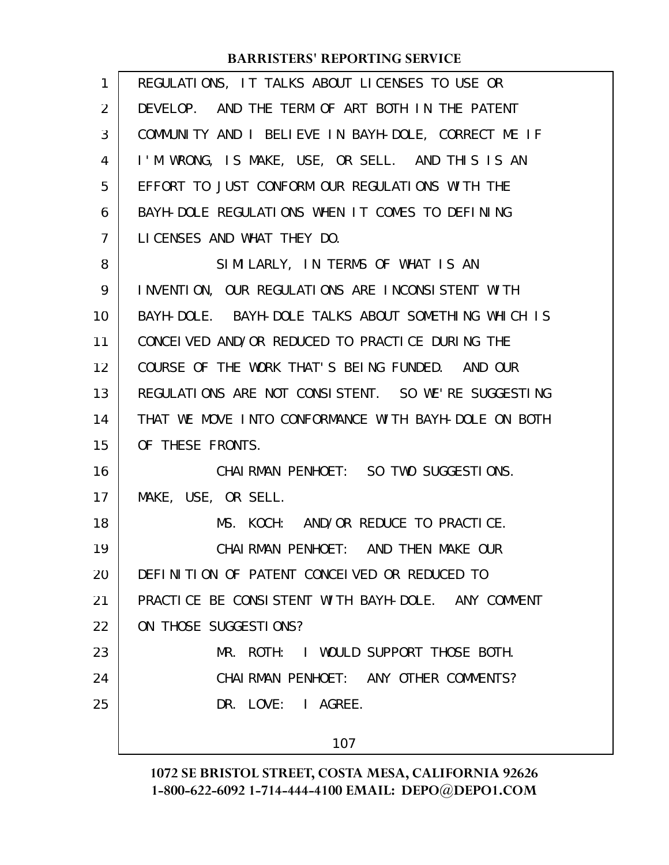| 1  | REGULATIONS, IT TALKS ABOUT LICENSES TO USE OR       |
|----|------------------------------------------------------|
| 2  | DEVELOP. AND THE TERM OF ART BOTH IN THE PATENT      |
| 3  | COMMUNITY AND I BELIEVE IN BAYH-DOLE, CORRECT ME IF  |
| 4  | I'M WRONG, IS MAKE, USE, OR SELL. AND THIS IS AN     |
| 5  | EFFORT TO JUST CONFORM OUR REGULATIONS WITH THE      |
| 6  | BAYH-DOLE REGULATIONS WHEN IT COMES TO DEFINING      |
| 7  | LICENSES AND WHAT THEY DO.                           |
| 8  | SIMILARLY, IN TERMS OF WHAT IS AN                    |
| 9  | INVENTION, OUR REGULATIONS ARE INCONSISTENT WITH     |
| 10 | BAYH-DOLE. BAYH-DOLE TALKS ABOUT SOMETHING WHICH IS  |
| 11 | CONCELVED AND/OR REDUCED TO PRACTICE DURING THE      |
| 12 | COURSE OF THE WORK THAT'S BEING FUNDED. AND OUR      |
| 13 | REGULATIONS ARE NOT CONSISTENT. SO WE'RE SUGGESTING  |
| 14 | THAT WE MOVE INTO CONFORMANCE WITH BAYH-DOLE ON BOTH |
| 15 | OF THESE FRONTS.                                     |
| 16 | CHAI RMAN PENHOET: SO TWO SUGGESTIONS.               |
| 17 | MAKE, USE, OR SELL.                                  |
| 18 | MS. KOCH: AND/OR REDUCE TO PRACTICE.                 |
| 19 | CHAI RMAN PENHOET: AND THEN MAKE OUR                 |
| 20 | DEFINITION OF PATENT CONCEIVED OR REDUCED TO         |
| 21 | PRACTICE BE CONSISTENT WITH BAYH-DOLE. ANY COMMENT   |
| 22 | ON THOSE SUGGESTIONS?                                |
| 23 | MR. ROTH: I WOULD SUPPORT THOSE BOTH.                |
| 24 | CHAIRMAN PENHOET: ANY OTHER COMMENTS?                |
| 25 | DR. LOVE: I AGREE.                                   |
|    | 107                                                  |
|    |                                                      |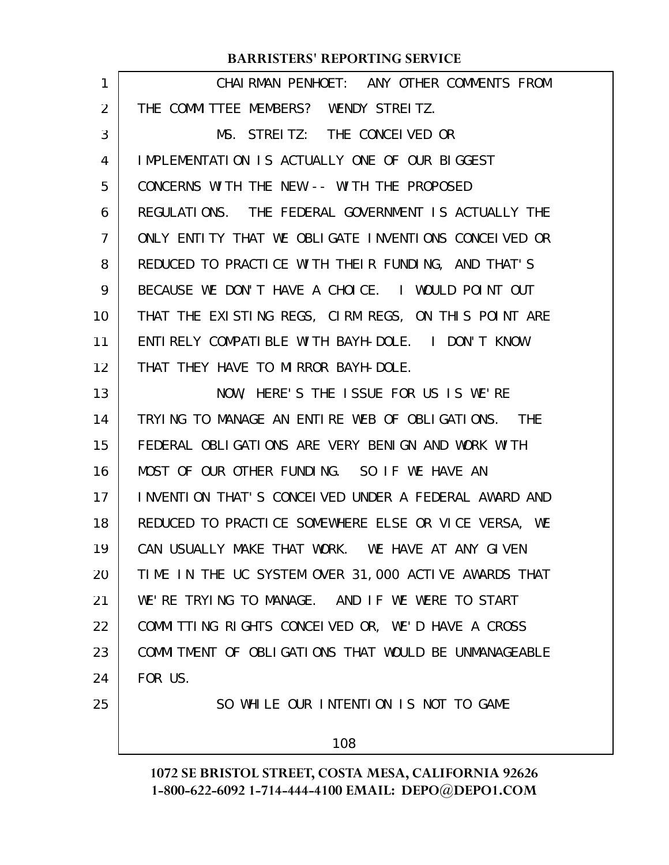| 1  | CHAIRMAN PENHOET: ANY OTHER COMMENTS FROM            |
|----|------------------------------------------------------|
| 2  | THE COMMITTEE MEMBERS? WENDY STREITZ.                |
| 3  | MS. STREITZ: THE CONCEIVED OR                        |
| 4  | IMPLEMENTATION IS ACTUALLY ONE OF OUR BIGGEST        |
| 5  | CONCERNS WITH THE NEW -- WITH THE PROPOSED           |
| 6  | REGULATIONS. THE FEDERAL GOVERNMENT IS ACTUALLY THE  |
| 7  | ONLY ENTITY THAT WE OBLIGATE INVENTIONS CONCEIVED OR |
| 8  | REDUCED TO PRACTICE WITH THEIR FUNDING, AND THAT'S   |
| 9  | BECAUSE WE DON'T HAVE A CHOICE. I WOULD POINT OUT    |
| 10 | THAT THE EXISTING REGS, CIRM REGS, ON THIS POINT ARE |
| 11 | ENTIRELY COMPATIBLE WITH BAYH-DOLE. I DON'T KNOW     |
| 12 | THAT THEY HAVE TO MIRROR BAYH-DOLE.                  |
| 13 | NOW, HERE'S THE ISSUE FOR US IS WE'RE                |
| 14 | TRYING TO MANAGE AN ENTIRE WEB OF OBLIGATIONS. THE   |
| 15 | FEDERAL OBLIGATIONS ARE VERY BENIGN AND WORK WITH    |
| 16 | MOST OF OUR OTHER FUNDING. SO IF WE HAVE AN          |
| 17 | INVENTION THAT'S CONCEIVED UNDER A FEDERAL AWARD AND |
| 18 | REDUCED TO PRACTICE SOMEWHERE ELSE OR VICE VERSA, WE |
| 19 | CAN USUALLY MAKE THAT WORK. WE HAVE AT ANY GIVEN     |
| 20 | TIME IN THE UC SYSTEM OVER 31,000 ACTIVE AWARDS THAT |
| 21 | WE'RE TRYING TO MANAGE. AND IF WE WERE TO START      |
| 22 | COMMITTING RIGHTS CONCELVED OR, WE'D HAVE A CROSS    |
| 23 | COMMITMENT OF OBLIGATIONS THAT WOULD BE UNMANAGEABLE |
| 24 | FOR US.                                              |
| 25 | SO WHILE OUR INTENTION IS NOT TO GAME                |
|    | 108                                                  |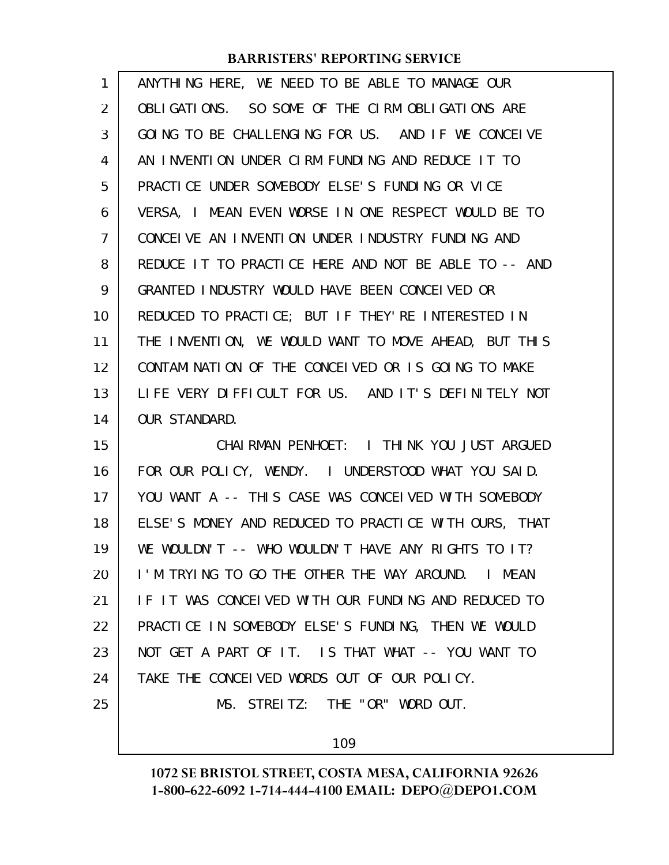| 1              | ANYTHING HERE, WE NEED TO BE ABLE TO MANAGE OUR                    |
|----------------|--------------------------------------------------------------------|
| 2              | OBLIGATIONS. SO SOME OF THE CIRM OBLIGATIONS ARE                   |
| 3              | GOING TO BE CHALLENGING FOR US. AND IF WE CONCEIVE                 |
| 4              | AN INVENTION UNDER CIRM FUNDING AND REDUCE IT TO                   |
| 5              | PRACTICE UNDER SOMEBODY ELSE'S FUNDING OR VICE                     |
| 6              | VERSA, I MEAN EVEN WORSE IN ONE RESPECT WOULD BE TO                |
| $\overline{7}$ | CONCEIVE AN INVENTION UNDER INDUSTRY FUNDING AND                   |
| 8              | REDUCE IT TO PRACTICE HERE AND NOT BE ABLE TO -- AND               |
| 9              | GRANTED INDUSTRY WOULD HAVE BEEN CONCEIVED OR                      |
| 10             | REDUCED TO PRACTICE; BUT IF THEY'RE INTERESTED IN                  |
| 11             | THE INVENTION, WE WOULD WANT TO MOVE AHEAD, BUT THIS               |
| 12             | CONTAMINATION OF THE CONCEIVED OR IS GOING TO MAKE                 |
| 13             | LIFE VERY DIFFICULT FOR US. AND IT'S DEFINITELY NOT                |
| 14             | <b>OUR STANDARD.</b>                                               |
| 15             | CHAIRMAN PENHOET: I THINK YOU JUST ARGUED                          |
| 16             | FOR OUR POLICY, WENDY. I UNDERSTOOD WHAT YOU SAID.                 |
| 17             | YOU WANT A -- THIS CASE WAS CONCEIVED WITH SOMEBODY                |
| 18             | ELSE'S MONEY AND REDUCED TO PRACTICE WITH OURS, THAT               |
| 19             | WE WOULDN'T -- WHO WOULDN'T HAVE ANY RIGHTS TO IT?                 |
| 20             | I'M TRYING TO GO THE OTHER THE WAY AROUND.<br>MEAN<br>$\mathbf{L}$ |
| 21             | IF IT WAS CONCEIVED WITH OUR FUNDING AND REDUCED TO                |
| 22             | PRACTICE IN SOMEBODY ELSE'S FUNDING, THEN WE WOULD                 |
| 23             | NOT GET A PART OF IT. IS THAT WHAT -- YOU WANT TO                  |
| 24             | TAKE THE CONCELVED WORDS OUT OF OUR POLICY.                        |
| 25             | MS. STREITZ: THE "OR" WORD OUT.                                    |
|                |                                                                    |

109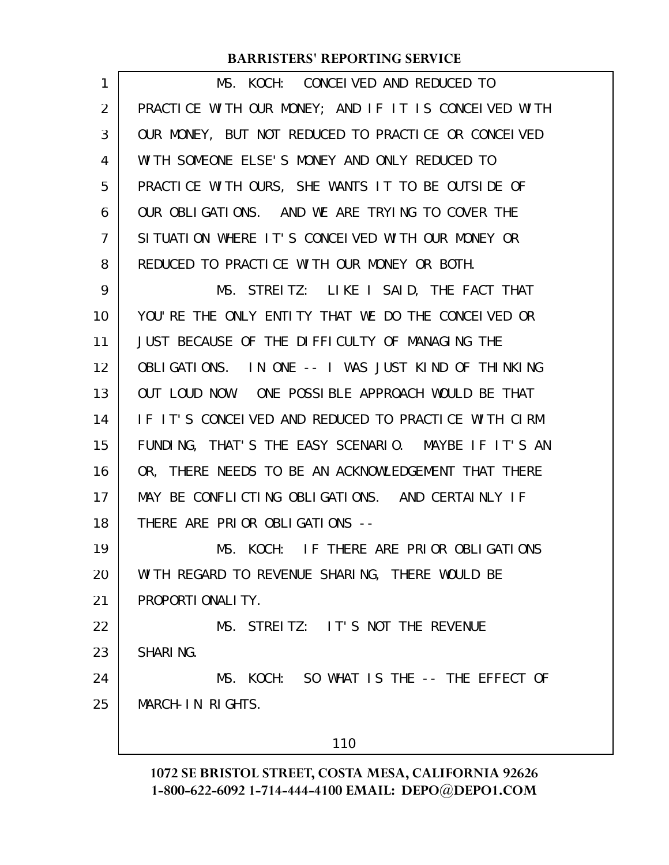| 1  | MS. KOCH: CONCEIVED AND REDUCED TO                   |
|----|------------------------------------------------------|
| 2  | PRACTICE WITH OUR MONEY; AND IF IT IS CONCEIVED WITH |
| 3  | OUR MONEY, BUT NOT REDUCED TO PRACTICE OR CONCEIVED  |
| 4  | WITH SOMEONE ELSE'S MONEY AND ONLY REDUCED TO        |
| 5  | PRACTICE WITH OURS, SHE WANTS IT TO BE OUTSIDE OF    |
| 6  | OUR OBLIGATIONS. AND WE ARE TRYING TO COVER THE      |
| 7  | SITUATION WHERE IT'S CONCEIVED WITH OUR MONEY OR     |
| 8  | REDUCED TO PRACTICE WITH OUR MONEY OR BOTH.          |
| 9  | MS. STREITZ: LIKE I SAID, THE FACT THAT              |
| 10 | YOU'RE THE ONLY ENTITY THAT WE DO THE CONCEIVED OR   |
| 11 | JUST BECAUSE OF THE DIFFICULTY OF MANAGING THE       |
| 12 | OBLIGATIONS. IN ONE -- I WAS JUST KIND OF THINKING   |
| 13 | OUT LOUD NOW. ONE POSSIBLE APPROACH WOULD BE THAT    |
| 14 | IF IT'S CONCEIVED AND REDUCED TO PRACTICE WITH CIRM  |
| 15 | FUNDING, THAT'S THE EASY SCENARIO. MAYBE IF IT'S AN  |
| 16 | OR, THERE NEEDS TO BE AN ACKNOWLEDGEMENT THAT THERE  |
| 17 | MAY BE CONFLICTING OBLIGATIONS. AND CERTAINLY IF     |
| 18 | THERE ARE PRIOR OBLIGATIONS --                       |
| 19 | MS. KOCH: IF THERE ARE PRIOR OBLIGATIONS             |
| 20 | WITH REGARD TO REVENUE SHARING, THERE WOULD BE       |
| 21 | PROPORTI ONALI TY.                                   |
| 22 | MS. STREITZ: IT'S NOT THE REVENUE                    |
| 23 | SHARING.                                             |
| 24 | MS. KOCH: SO WHAT IS THE -- THE EFFECT OF            |
| 25 | MARCH-IN RIGHTS.                                     |
|    | 110                                                  |
|    |                                                      |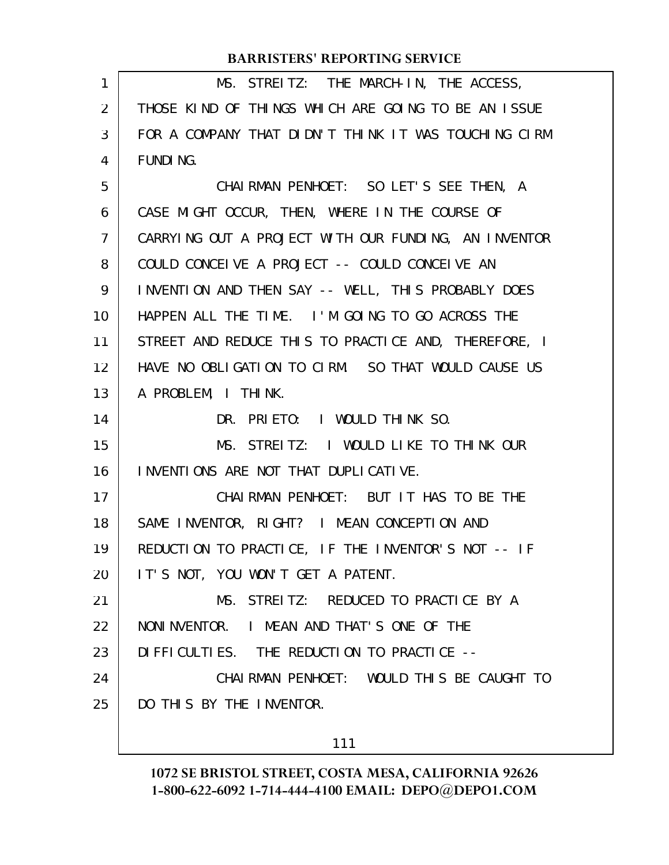| $\mathbf{1}$   | MS. STREITZ: THE MARCH-IN, THE ACCESS,               |
|----------------|------------------------------------------------------|
| $\overline{2}$ | THOSE KIND OF THINGS WHICH ARE GOING TO BE AN ISSUE  |
| 3              | FOR A COMPANY THAT DIDN'T THINK IT WAS TOUCHING CIRM |
| 4              | <b>FUNDING.</b>                                      |
| 5              | CHAIRMAN PENHOET: SO LET'S SEE THEN, A               |
| 6              | CASE MIGHT OCCUR, THEN, WHERE IN THE COURSE OF       |
| $\overline{7}$ | CARRYING OUT A PROJECT WITH OUR FUNDING, AN INVENTOR |
| 8              | COULD CONCEIVE A PROJECT -- COULD CONCEIVE AN        |
| 9              | INVENTION AND THEN SAY -- WELL, THIS PROBABLY DOES   |
| 10             | HAPPEN ALL THE TIME. I'M GOING TO GO ACROSS THE      |
| 11             | STREET AND REDUCE THIS TO PRACTICE AND, THEREFORE, I |
| 12             | HAVE NO OBLIGATION TO CIRM. SO THAT WOULD CAUSE US   |
| 13             | A PROBLEM, I THINK.                                  |
| 14             | DR. PRIETO: I WOULD THINK SO.                        |
| 15             | MS. STREITZ: I WOULD LIKE TO THINK OUR               |
| 16             | I NVENTIONS ARE NOT THAT DUPLICATIVE.                |
| 17             | CHAIRMAN PENHOET: BUT IT HAS TO BE THE               |
| 18             | SAME INVENTOR, RIGHT? I MEAN CONCEPTION AND          |
| 19             | REDUCTION TO PRACTICE, IF THE INVENTOR'S NOT -- IF   |
| 20             | IT'S NOT, YOU WON'T GET A PATENT.                    |
| 21             | MS. STREITZ: REDUCED TO PRACTICE BY A                |
| 22             | NONINVENTOR. I MEAN AND THAT'S ONE OF THE            |
| 23             | DIFFICULTIES. THE REDUCTION TO PRACTICE --           |
| 24             | CHAIRMAN PENHOET: WOULD THIS BE CAUGHT TO            |
| 25             | DO THIS BY THE INVENTOR.                             |
|                |                                                      |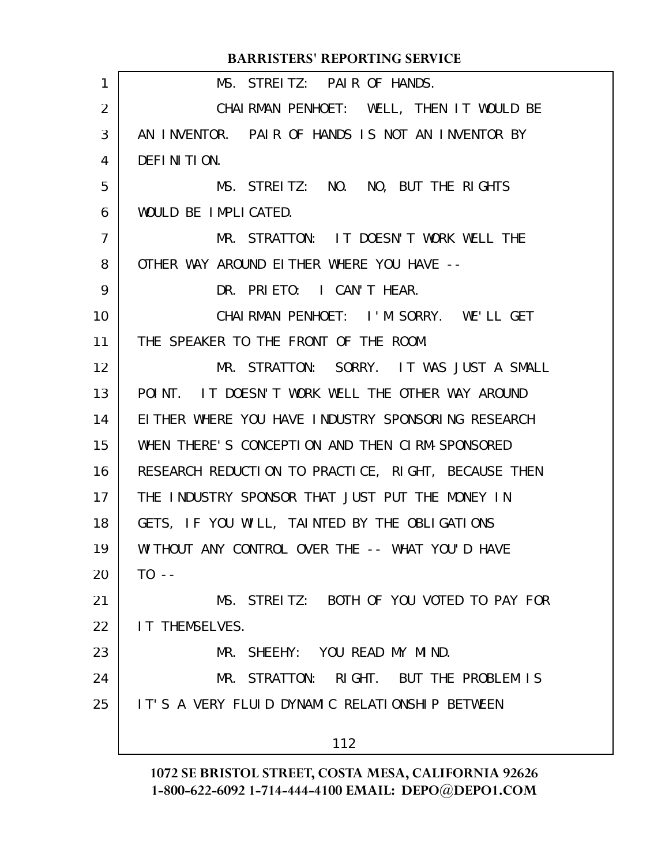|                 | <b>BARRISTERS' REPORTING SERVICE</b>                |
|-----------------|-----------------------------------------------------|
| $\mathbf{1}$    | MS. STREITZ: PAIR OF HANDS.                         |
| $\overline{2}$  | CHAIRMAN PENHOET: WELL, THEN IT WOULD BE            |
| 3               | AN INVENTOR. PAIR OF HANDS IS NOT AN INVENTOR BY    |
| $\overline{4}$  | DEFINITION.                                         |
| 5               | MS. STREITZ: NO. NO, BUT THE RIGHTS                 |
| 6               | WOULD BE IMPLICATED.                                |
| $\overline{7}$  | MR. STRATTON: IT DOESN'T WORK WELL THE              |
| 8               | OTHER WAY AROUND EITHER WHERE YOU HAVE --           |
| 9               | DR. PRIETO: I CAN'T HEAR.                           |
| 10              | CHAIRMAN PENHOET: I'M SORRY. WE'LL GET              |
| 11              | THE SPEAKER TO THE FRONT OF THE ROOM.               |
| 12 <sup>2</sup> | MR. STRATTON: SORRY. IT WAS JUST A SMALL            |
| 13              | POINT. IT DOESN'T WORK WELL THE OTHER WAY AROUND    |
| 14              | EITHER WHERE YOU HAVE INDUSTRY SPONSORING RESEARCH  |
| 15              | WHEN THERE'S CONCEPTION AND THEN CIRM-SPONSORED     |
| 16              | RESEARCH REDUCTION TO PRACTICE, RIGHT, BECAUSE THEN |
| 17              | THE INDUSTRY SPONSOR THAT JUST PUT THE MONEY IN     |
| 18              | GETS, IF YOU WILL, TAINTED BY THE OBLIGATIONS       |
| 19              | WITHOUT ANY CONTROL OVER THE -- WHAT YOU'D HAVE     |
| 20              | $T0 - -$                                            |
| 21              | MS. STREITZ: BOTH OF YOU VOTED TO PAY FOR           |
| 22              | <b>IT THEMSELVES.</b>                               |
| 23              | MR. SHEEHY: YOU READ MY MIND.                       |
| 24              | MR. STRATTON: RIGHT. BUT THE PROBLEM IS             |
| 25              | IT'S A VERY FLUID DYNAMIC RELATIONSHIP BETWEEN      |
|                 | 112                                                 |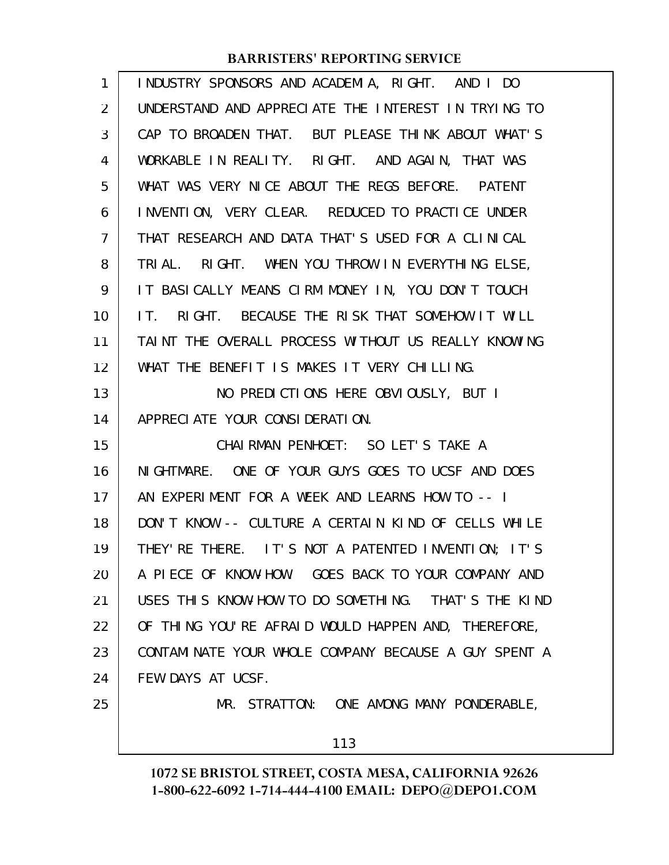| 1              | INDUSTRY SPONSORS AND ACADEMIA, RIGHT. AND I DO      |
|----------------|------------------------------------------------------|
| 2              | UNDERSTAND AND APPRECIATE THE INTEREST IN TRYING TO  |
| 3              | CAP TO BROADEN THAT. BUT PLEASE THINK ABOUT WHAT'S   |
| 4              | WORKABLE IN REALITY. RIGHT. AND AGAIN, THAT WAS      |
| 5              | WHAT WAS VERY NICE ABOUT THE REGS BEFORE. PATENT     |
| 6              | INVENTION, VERY CLEAR. REDUCED TO PRACTICE UNDER     |
| $\overline{7}$ | THAT RESEARCH AND DATA THAT'S USED FOR A CLINICAL    |
| 8              | TRIAL. RIGHT. WHEN YOU THROW IN EVERYTHING ELSE,     |
| 9              | IT BASICALLY MEANS CIRM MONEY IN, YOU DON'T TOUCH    |
| 10             | IT. RIGHT. BECAUSE THE RISK THAT SOMEHOW IT WILL     |
| 11             | TAINT THE OVERALL PROCESS WITHOUT US REALLY KNOWING  |
| 12             | WHAT THE BENEFIT IS MAKES IT VERY CHILLING.          |
| 13             | NO PREDICTIONS HERE OBVIOUSLY, BUT I                 |
| 14             | APPRECIATE YOUR CONSIDERATION.                       |
| 15             | CHAIRMAN PENHOET: SO LET'S TAKE A                    |
| 16             | NIGHTMARE. ONE OF YOUR GUYS GOES TO UCSF AND DOES    |
| 17             | AN EXPERIMENT FOR A WEEK AND LEARNS HOW TO -- I      |
| 18             | DON'T KNOW -- CULTURE A CERTAIN KIND OF CELLS WHILE  |
| 19             | THEY' RE THERE. IT'S NOT A PATENTED INVENTION; IT'S  |
| 20             | A PIECE OF KNOW-HOW. GOES BACK TO YOUR COMPANY AND   |
| 21             | USES THIS KNOW-HOW TO DO SOMETHING. THAT'S THE KIND  |
| 22             | OF THING YOU'RE AFRAID WOULD HAPPEN AND, THEREFORE,  |
| 23             | CONTAMINATE YOUR WHOLE COMPANY BECAUSE A GUY SPENT A |
| 24             | FEW DAYS AT UCSF.                                    |
| 25             | MR. STRATTON: ONE AMONG MANY PONDERABLE,             |
|                | 113                                                  |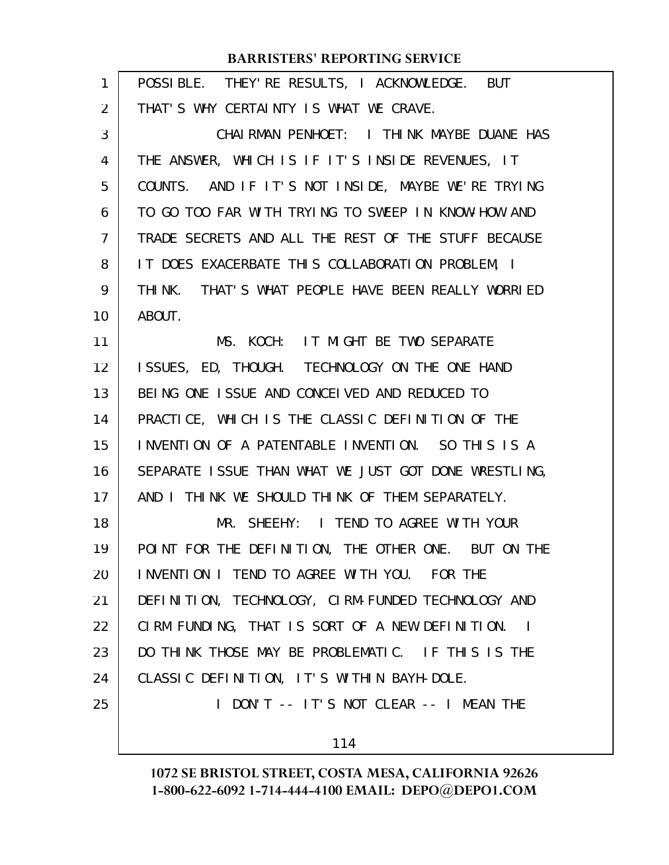| 1              | POSSIBLE. THEY' RE RESULTS, I ACKNOWLEDGE. BUT       |
|----------------|------------------------------------------------------|
| 2              | THAT'S WHY CERTAINTY IS WHAT WE CRAVE.               |
| 3              | CHAI RMAN PENHOET: I THINK MAYBE DUANE HAS           |
| 4              | THE ANSWER, WHICH IS IF IT'S INSIDE REVENUES, IT     |
| 5              | COUNTS. AND IF IT'S NOT INSIDE, MAYBE WE'RE TRYING   |
| 6              | TO GO TOO FAR WITH TRYING TO SWEEP IN KNOW-HOW AND   |
| $\overline{7}$ | TRADE SECRETS AND ALL THE REST OF THE STUFF BECAUSE  |
| 8              | IT DOES EXACERBATE THIS COLLABORATION PROBLEM, I     |
| 9              | THINK. THAT'S WHAT PEOPLE HAVE BEEN REALLY WORRIED   |
| 10             | ABOUT.                                               |
| 11             | MS. KOCH: IT MIGHT BE TWO SEPARATE                   |
| 12             | ISSUES, ED, THOUGH. TECHNOLOGY ON THE ONE HAND       |
| 13             | BEING ONE ISSUE AND CONCEIVED AND REDUCED TO         |
| 14             | PRACTICE, WHICH IS THE CLASSIC DEFINITION OF THE     |
| 15             | INVENTION OF A PATENTABLE INVENTION. SO THIS IS A    |
| 16             | SEPARATE ISSUE THAN WHAT WE JUST GOT DONE WRESTLING, |
| 17             | AND I THINK WE SHOULD THINK OF THEM SEPARATELY.      |
| 18             | MR. SHEEHY: I TEND TO AGREE WITH YOUR                |
| 19             | POINT FOR THE DEFINITION, THE OTHER ONE. BUT ON THE  |
| 20             | INVENTION I TEND TO AGREE WITH YOU. FOR THE          |
| 21             | DEFINITION, TECHNOLOGY, CIRM-FUNDED TECHNOLOGY AND   |
| 22             | CIRM FUNDING, THAT IS SORT OF A NEW DEFINITION. I    |
| 23             | DO THINK THOSE MAY BE PROBLEMATIC. IF THIS IS THE    |
| 24             | CLASSIC DEFINITION, IT'S WITHIN BAYH-DOLE.           |
| 25             | I DON'T -- IT'S NOT CLEAR -- I MEAN THE              |
|                | 114                                                  |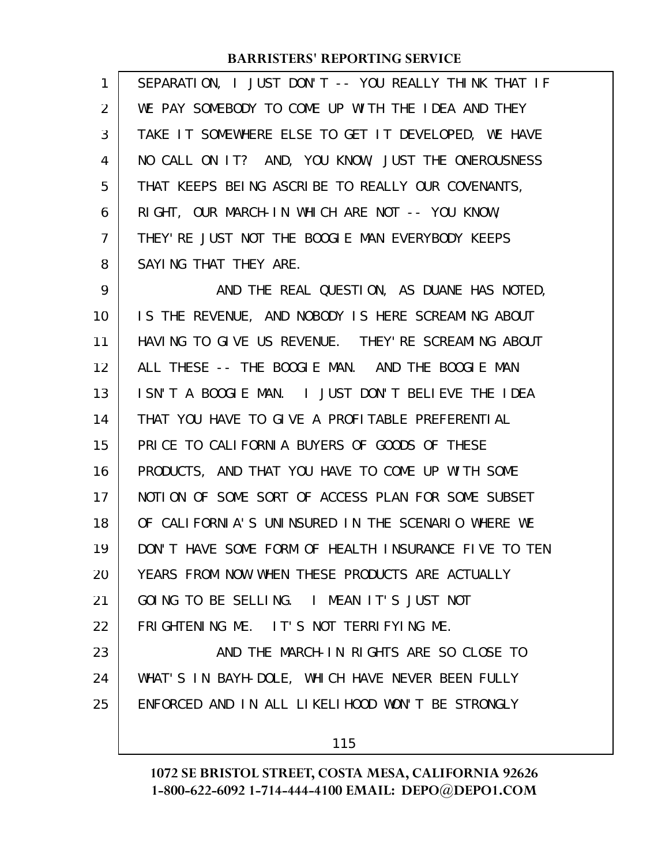| 1              | SEPARATION, I JUST DON'T -- YOU REALLY THINK THAT IF |
|----------------|------------------------------------------------------|
| 2              | WE PAY SOMEBODY TO COME UP WITH THE IDEA AND THEY    |
| 3              | TAKE IT SOMEWHERE ELSE TO GET IT DEVELOPED, WE HAVE  |
| 4              | NO CALL ON IT? AND, YOU KNOW, JUST THE ONEROUSNESS   |
| 5              | THAT KEEPS BEING ASCRIBE TO REALLY OUR COVENANTS,    |
| 6              | RIGHT, OUR MARCH-IN WHICH ARE NOT -- YOU KNOW,       |
| $\overline{7}$ | THEY' RE JUST NOT THE BOOGLE MAN EVERYBODY KEEPS     |
| 8              | SAYING THAT THEY ARE.                                |
| 9              | AND THE REAL QUESTION, AS DUANE HAS NOTED,           |
| 10             | IS THE REVENUE, AND NOBODY IS HERE SCREAMING ABOUT   |
| 11             | HAVING TO GIVE US REVENUE. THEY' RE SCREAMING ABOUT  |
| 12             | ALL THESE -- THE BOOGLE MAN. AND THE BOOGLE MAN      |
| 13             | ISN'T A BOOGLE MAN. I JUST DON'T BELIEVE THE IDEA    |
| 14             | THAT YOU HAVE TO GIVE A PROFITABLE PREFERENTIAL      |
| 15             | PRICE TO CALIFORNIA BUYERS OF GOODS OF THESE         |
| 16             | PRODUCTS, AND THAT YOU HAVE TO COME UP WITH SOME     |
| 17             | NOTION OF SOME SORT OF ACCESS PLAN FOR SOME SUBSET   |
| 18             | OF CALIFORNIA'S UNINSURED IN THE SCENARIO WHERE WE   |
| 19             | DON'T HAVE SOME FORM OF HEALTH INSURANCE FIVE TO TEN |
| 20             | YEARS FROM NOW WHEN THESE PRODUCTS ARE ACTUALLY      |
| 21             | GOING TO BE SELLING. I MEAN IT'S JUST NOT            |
| 22             | FRIGHTENING ME. IT'S NOT TERRIFYING ME.              |
| 23             | AND THE MARCH-IN RIGHTS ARE SO CLOSE TO              |
| 24             | WHAT'S IN BAYH-DOLE, WHICH HAVE NEVER BEEN FULLY     |
| 25             | ENFORCED AND IN ALL LIKELIHOOD WON'T BE STRONGLY     |
|                | 115                                                  |
|                |                                                      |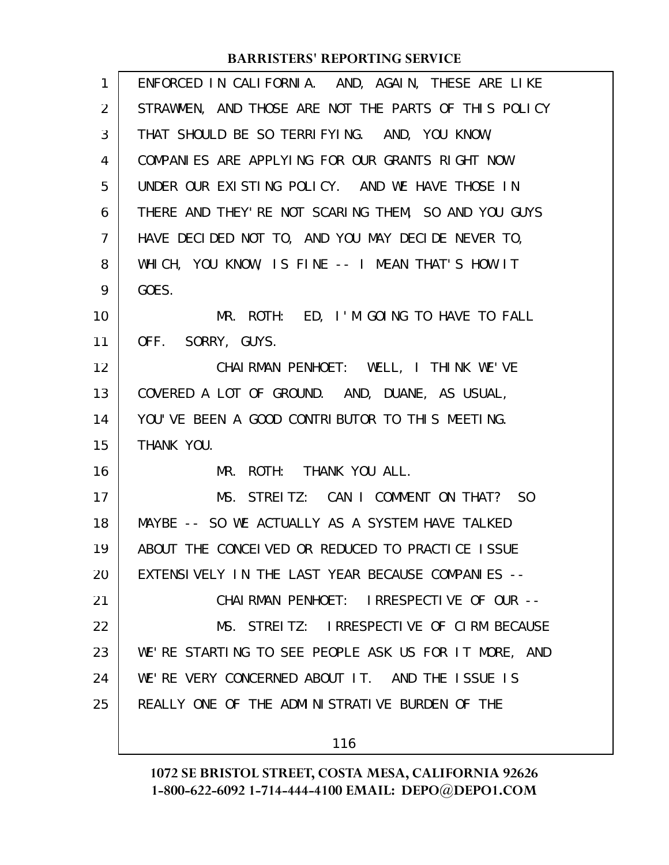| 1              | ENFORCED IN CALIFORNIA. AND, AGAIN, THESE ARE LIKE   |
|----------------|------------------------------------------------------|
| $\overline{2}$ | STRAWMEN, AND THOSE ARE NOT THE PARTS OF THIS POLICY |
| 3              | THAT SHOULD BE SO TERRIFYING. AND, YOU KNOW,         |
| 4              | COMPANIES ARE APPLYING FOR OUR GRANTS RIGHT NOW      |
| 5              | UNDER OUR EXISTING POLICY. AND WE HAVE THOSE IN      |
| 6              | THERE AND THEY' RE NOT SCARING THEM, SO AND YOU GUYS |
| $\overline{7}$ | HAVE DECIDED NOT TO, AND YOU MAY DECIDE NEVER TO,    |
| 8              | WHICH, YOU KNOW, IS FINE -- I MEAN THAT'S HOW IT     |
| 9              | GOES.                                                |
| 10             | MR. ROTH: ED, I'M GOING TO HAVE TO FALL              |
| 11             | OFF. SORRY, GUYS.                                    |
| 12             | CHAIRMAN PENHOET: WELL, I THINK WE'VE                |
| 13             | COVERED A LOT OF GROUND. AND, DUANE, AS USUAL,       |
| 14             | YOU'VE BEEN A GOOD CONTRIBUTOR TO THIS MEETING.      |
| 15             | THANK YOU.                                           |
| 16             | MR. ROTH: THANK YOU ALL.                             |
| 17             | MS. STREITZ: CAN I COMMENT ON THAT? SO               |
| 18             | MAYBE -- SO WE ACTUALLY AS A SYSTEM HAVE TALKED      |
| 19             | ABOUT THE CONCELVED OR REDUCED TO PRACTICE ISSUE     |
| 20             | EXTENSIVELY IN THE LAST YEAR BECAUSE COMPANIES --    |
| 21             | CHAIRMAN PENHOET: IRRESPECTIVE OF OUR --             |
| 22             | MS. STREITZ: IRRESPECTIVE OF CIRM BECAUSE            |
| 23             | WE'RE STARTING TO SEE PEOPLE ASK US FOR IT MORE, AND |
| 24             | WE'RE VERY CONCERNED ABOUT IT. AND THE ISSUE IS      |
| 25             | REALLY ONE OF THE ADMINISTRATIVE BURDEN OF THE       |
|                | 116                                                  |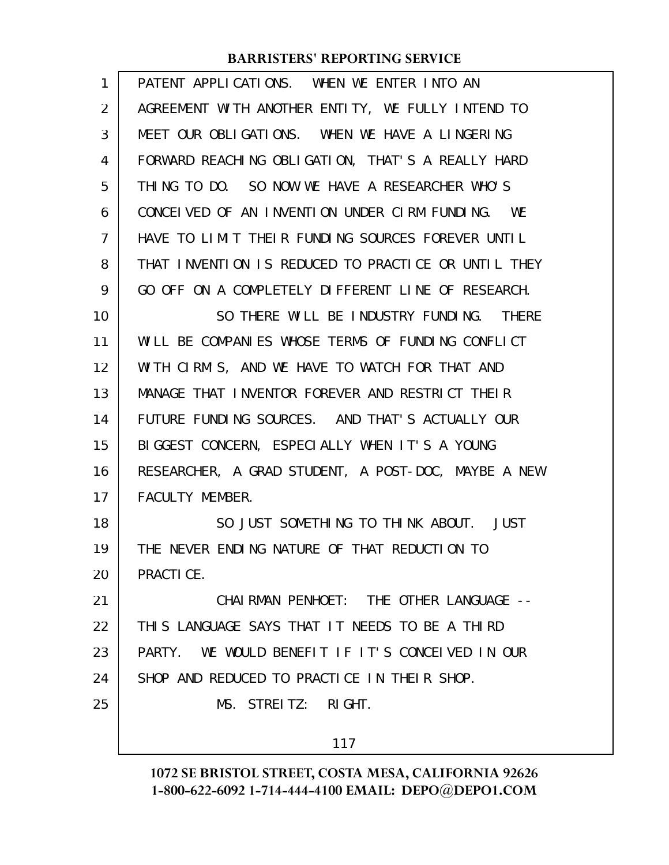| 1  | PATENT APPLICATIONS. WHEN WE ENTER INTO AN          |
|----|-----------------------------------------------------|
| 2  | AGREEMENT WITH ANOTHER ENTITY, WE FULLY INTEND TO   |
| 3  | MEET OUR OBLIGATIONS. WHEN WE HAVE A LINGERING      |
| 4  | FORWARD REACHING OBLIGATION, THAT'S A REALLY HARD   |
| 5  | THING TO DO. SO NOW WE HAVE A RESEARCHER WHO'S      |
| 6  | CONCELVED OF AN INVENTION UNDER CIRM FUNDING. WE    |
| 7  | HAVE TO LIMIT THEIR FUNDING SOURCES FOREVER UNTIL   |
| 8  | THAT INVENTION IS REDUCED TO PRACTICE OR UNTIL THEY |
| 9  | GO OFF ON A COMPLETELY DIFFERENT LINE OF RESEARCH.  |
| 10 | SO THERE WILL BE INDUSTRY FUNDING. THERE            |
| 11 | WILL BE COMPANIES WHOSE TERMS OF FUNDING CONFLICT   |
| 12 | WITH CIRM'S, AND WE HAVE TO WATCH FOR THAT AND      |
| 13 | MANAGE THAT INVENTOR FOREVER AND RESTRICT THEIR     |
| 14 | FUTURE FUNDING SOURCES. AND THAT'S ACTUALLY OUR     |
| 15 | BIGGEST CONCERN, ESPECIALLY WHEN IT'S A YOUNG       |
| 16 | RESEARCHER, A GRAD STUDENT, A POST-DOC, MAYBE A NEW |
| 17 | FACULTY MEMBER.                                     |
| 18 | SO JUST SOMETHING TO THINK ABOUT. JUST              |
| 19 | THE NEVER ENDING NATURE OF THAT REDUCTION TO        |
| 20 | PRACTICE.                                           |
| 21 | CHAI RMAN PENHOET: THE OTHER LANGUAGE --            |
| 22 | THIS LANGUAGE SAYS THAT IT NEEDS TO BE A THIRD      |
| 23 | PARTY. WE WOULD BENEFIT IF IT'S CONCEIVED IN OUR    |
| 24 | SHOP AND REDUCED TO PRACTICE IN THEIR SHOP.         |
| 25 | MS. STREITZ: RIGHT.                                 |
|    | 117                                                 |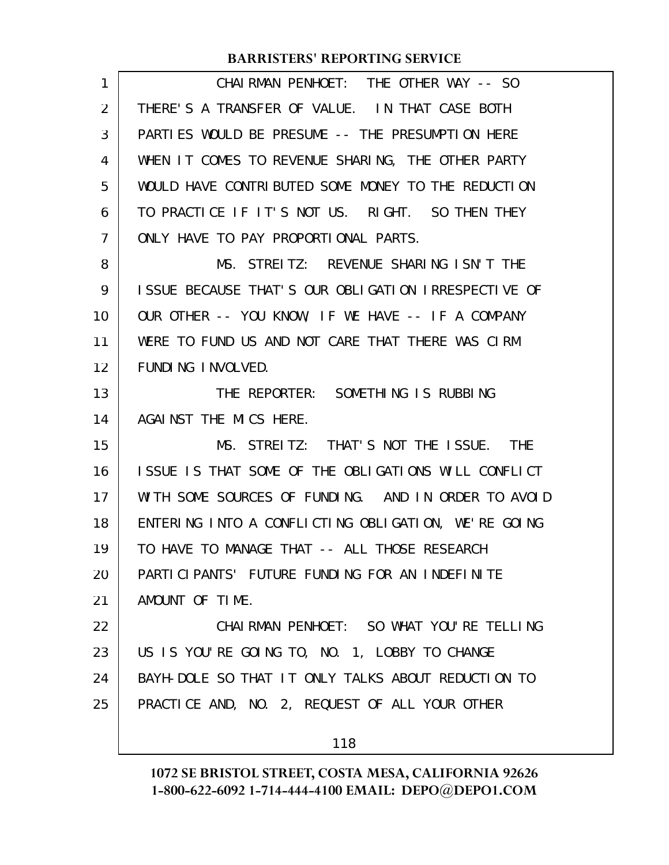| 1  | CHAIRMAN PENHOET: THE OTHER WAY -- SO               |
|----|-----------------------------------------------------|
| 2  | THERE'S A TRANSFER OF VALUE. IN THAT CASE BOTH      |
| 3  | PARTIES WOULD BE PRESUME -- THE PRESUMPTION HERE    |
| 4  | WHEN IT COMES TO REVENUE SHARING, THE OTHER PARTY   |
| 5  | WOULD HAVE CONTRIBUTED SOME MONEY TO THE REDUCTION  |
| 6  | TO PRACTICE IF IT'S NOT US. RIGHT. SO THEN THEY     |
| 7  | ONLY HAVE TO PAY PROPORTIONAL PARTS.                |
| 8  | MS. STREITZ: REVENUE SHARING ISN'T THE              |
| 9  | ISSUE BECAUSE THAT'S OUR OBLIGATION IRRESPECTIVE OF |
| 10 | OUR OTHER -- YOU KNOW, IF WE HAVE -- IF A COMPANY   |
| 11 | WERE TO FUND US AND NOT CARE THAT THERE WAS CIRM    |
| 12 | FUNDING INVOLVED.                                   |
| 13 | THE REPORTER: SOMETHING IS RUBBING                  |
| 14 | AGAINST THE MICS HERE.                              |
| 15 | MS. STREITZ: THAT'S NOT THE ISSUE. THE              |
| 16 | ISSUE IS THAT SOME OF THE OBLIGATIONS WILL CONFLICT |
| 17 | WITH SOME SOURCES OF FUNDING. AND IN ORDER TO AVOID |
| 18 | ENTERING INTO A CONFLICTING OBLIGATION, WE'RE GOING |
| 19 | TO HAVE TO MANAGE THAT -- ALL THOSE RESEARCH        |
| 20 | PARTICIPANTS' FUTURE FUNDING FOR AN INDEFINITE      |
| 21 | AMOUNT OF TIME.                                     |
| 22 | CHAIRMAN PENHOET: SO WHAT YOU'RE TELLING            |
| 23 | US IS YOU'RE GOING TO, NO. 1, LOBBY TO CHANGE       |
| 24 | BAYH-DOLE SO THAT IT ONLY TALKS ABOUT REDUCTION TO  |
| 25 | PRACTICE AND, NO. 2, REQUEST OF ALL YOUR OTHER      |
|    | 118                                                 |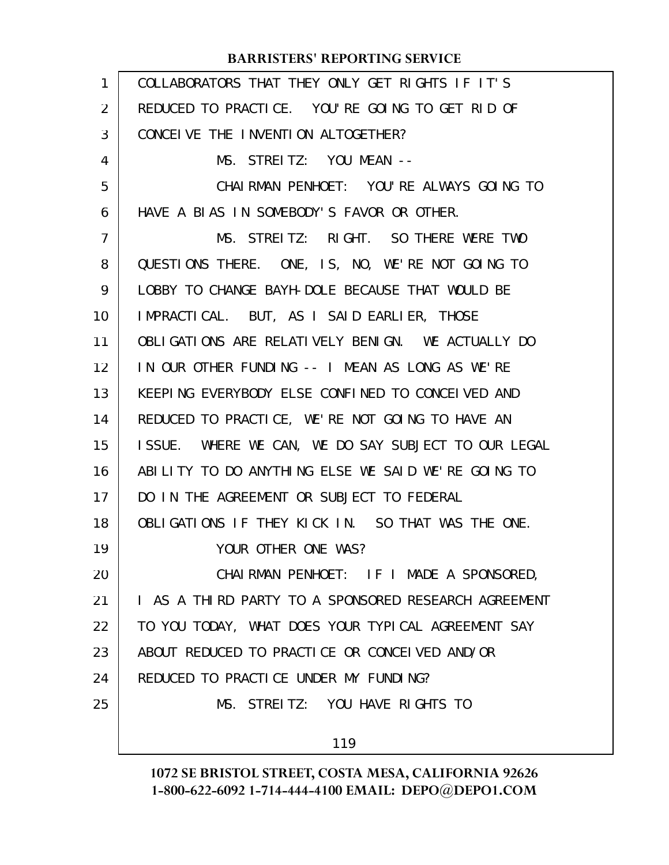| $\mathbf{1}$ | COLLABORATORS THAT THEY ONLY GET RIGHTS IF IT'S      |
|--------------|------------------------------------------------------|
| 2            | REDUCED TO PRACTICE. YOU'RE GOING TO GET RID OF      |
| 3            | CONCEIVE THE INVENTION ALTOGETHER?                   |
| 4            | MS. STREITZ: YOU MEAN --                             |
| 5            | CHAIRMAN PENHOET: YOU'RE ALWAYS GOING TO             |
| 6            | HAVE A BLAS IN SOMEBODY'S FAVOR OR OTHER.            |
| 7            | MS. STREITZ: RIGHT. SO THERE WERE TWO                |
| 8            | QUESTIONS THERE. ONE, IS, NO, WE'RE NOT GOING TO     |
| 9            | LOBBY TO CHANGE BAYH-DOLE BECAUSE THAT WOULD BE      |
| 10           | IMPRACTICAL. BUT, AS I SAID EARLIER, THOSE           |
| 11           | OBLIGATIONS ARE RELATIVELY BENIGN. WE ACTUALLY DO    |
| 12           | IN OUR OTHER FUNDING -- I MEAN AS LONG AS WE'RE      |
| 13           | KEEPING EVERYBODY ELSE CONFINED TO CONCEIVED AND     |
| 14           | REDUCED TO PRACTICE, WE'RE NOT GOING TO HAVE AN      |
| 15           | ISSUE. WHERE WE CAN, WE DO SAY SUBJECT TO OUR LEGAL  |
| 16           | ABILITY TO DO ANYTHING ELSE WE SAID WE'RE GOING TO   |
| 17           | DO IN THE AGREEMENT OR SUBJECT TO FEDERAL            |
| 18           | OBLIGATIONS IF THEY KICK IN. SO THAT WAS THE ONE.    |
| 19           | YOUR OTHER ONE WAS?                                  |
| 20           | CHAIRMAN PENHOET: IF I MADE A SPONSORED,             |
| 21           | I AS A THIRD PARTY TO A SPONSORED RESEARCH AGREEMENT |
| 22           | TO YOU TODAY, WHAT DOES YOUR TYPICAL AGREEMENT SAY   |
| 23           | ABOUT REDUCED TO PRACTICE OR CONCEIVED AND/OR        |
| 24           | REDUCED TO PRACTICE UNDER MY FUNDING?                |
| 25           | MS. STREITZ: YOU HAVE RIGHTS TO                      |
|              | 119                                                  |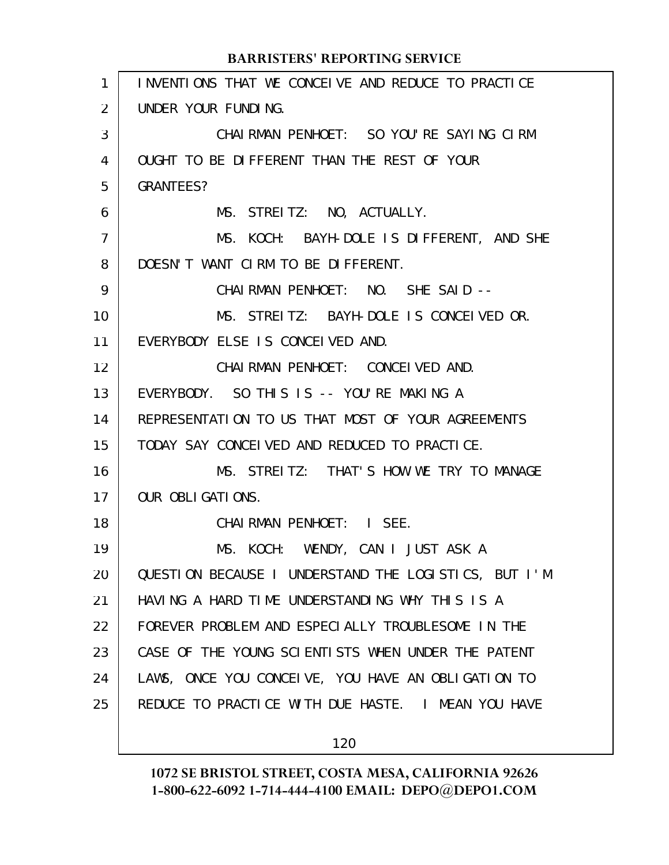#### INVENTIONS THAT WE CONCEIVE AND REDUCE TO PRACTICE UNDER YOUR FUNDING. CHAIRMAN PENHOET: SO YOU'RE SAYING CIRM OUGHT TO BE DIFFERENT THAN THE REST OF YOUR GRANTEES? MS. STREITZ: NO, ACTUALLY. MS. KOCH: BAYH-DOLE IS DIFFERENT, AND SHE DOESN'T WANT CIRM TO BE DIFFERENT. CHAIRMAN PENHOET: NO. SHE SAID -- MS. STREITZ: BAYH-DOLE IS CONCEIVED OR. EVERYBODY ELSE IS CONCEIVED AND. CHAIRMAN PENHOET: CONCEIVED AND. EVERYBODY. SO THIS IS -- YOU'RE MAKING A REPRESENTATION TO US THAT MOST OF YOUR AGREEMENTS TODAY SAY CONCEIVED AND REDUCED TO PRACTICE. MS. STREITZ: THAT'S HOW WE TRY TO MANAGE OUR OBLIGATIONS. CHAIRMAN PENHOET: I SEE. MS. KOCH: WENDY, CAN I JUST ASK A QUESTION BECAUSE I UNDERSTAND THE LOGISTICS, BUT I'M HAVING A HARD TIME UNDERSTANDING WHY THIS IS A FOREVER PROBLEM AND ESPECIALLY TROUBLESOME IN THE CASE OF THE YOUNG SCIENTISTS WHEN UNDER THE PATENT LAWS, ONCE YOU CONCEIVE, YOU HAVE AN OBLIGATION TO REDUCE TO PRACTICE WITH DUE HASTE. I MEAN YOU HAVE **BARRISTERS' REPORTING SERVICE** 1 2 3 4 5 6 7 8 9 10 11 12 13 14 15 16 17 18 19 20 21 22 23 24 25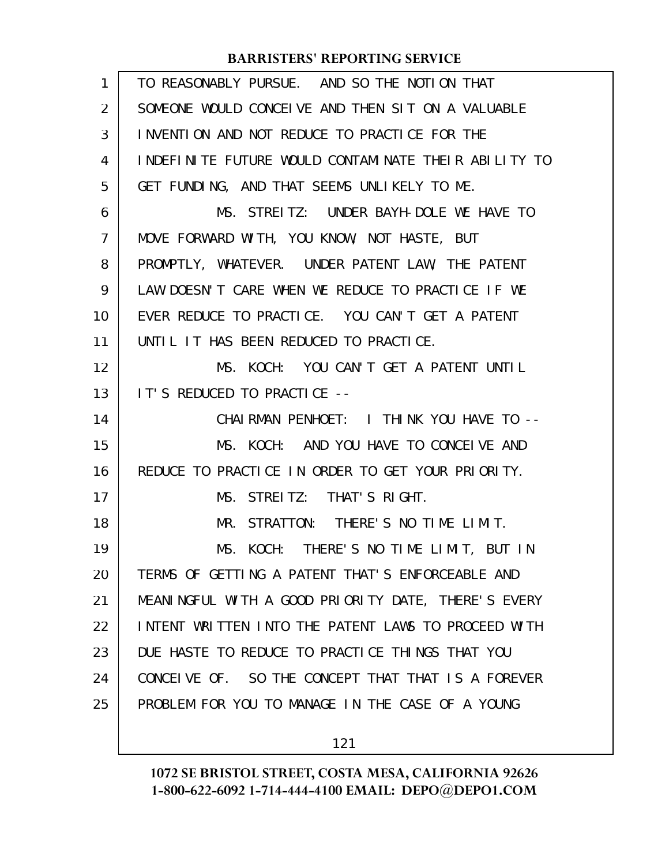| $\mathbf{1}$   | TO REASONABLY PURSUE. AND SO THE NOTION THAT         |
|----------------|------------------------------------------------------|
| 2              | SOMEONE WOULD CONCELVE AND THEN SIT ON A VALUABLE    |
| 3              | INVENTION AND NOT REDUCE TO PRACTICE FOR THE         |
| 4              | INDEFINITE FUTURE WOULD CONTAMINATE THEIR ABILITY TO |
| 5              | GET FUNDING, AND THAT SEEMS UNLIKELY TO ME.          |
| 6              | MS. STREITZ: UNDER BAYH-DOLE WE HAVE TO              |
| $\overline{7}$ | MOVE FORWARD WITH, YOU KNOW, NOT HASTE, BUT          |
| 8              | PROMPTLY, WHATEVER. UNDER PATENT LAW, THE PATENT     |
| 9              | LAW DOESN'T CARE WHEN WE REDUCE TO PRACTICE IF WE    |
| 10             | EVER REDUCE TO PRACTICE. YOU CAN'T GET A PATENT      |
| 11             | UNTIL IT HAS BEEN REDUCED TO PRACTICE.               |
| 12             | MS. KOCH: YOU CAN'T GET A PATENT UNTIL               |
| 13             | IT'S REDUCED TO PRACTICE --                          |
| 14             | CHAIRMAN PENHOET: I THINK YOU HAVE TO --             |
| 15             | MS. KOCH: AND YOU HAVE TO CONCEIVE AND               |
| 16             | REDUCE TO PRACTICE IN ORDER TO GET YOUR PRIORITY.    |
| 17             | MS. STREITZ: THAT'S RIGHT.                           |
| 18             | MR. STRATTON: THERE'S NO TIME LIMIT.                 |
| 19             | MS. KOCH: THERE'S NO TIME LIMIT, BUT IN              |
| 20             | TERMS OF GETTING A PATENT THAT'S ENFORCEABLE AND     |
| 21             | MEANINGFUL WITH A GOOD PRIORITY DATE, THERE'S EVERY  |
| 22             | INTENT WRITTEN INTO THE PATENT LAWS TO PROCEED WITH  |
| 23             | DUE HASTE TO REDUCE TO PRACTICE THINGS THAT YOU      |
| 24             | CONCEIVE OF. SO THE CONCEPT THAT THAT IS A FOREVER   |
| 25             | PROBLEM FOR YOU TO MANAGE IN THE CASE OF A YOUNG     |
|                |                                                      |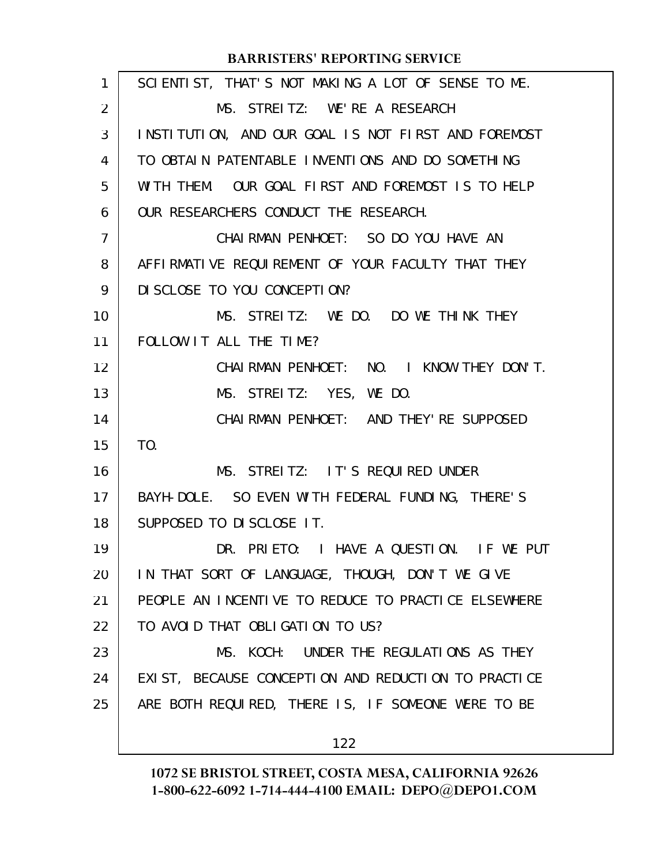| 1  | SCIENTIST, THAT'S NOT MAKING A LOT OF SENSE TO ME.  |
|----|-----------------------------------------------------|
| 2  | MS. STREITZ: WE'RE A RESEARCH                       |
| 3  | INSTITUTION, AND OUR GOAL IS NOT FIRST AND FOREMOST |
| 4  | TO OBTAIN PATENTABLE INVENTIONS AND DO SOMETHING    |
| 5  | WITH THEM. OUR GOAL FIRST AND FOREMOST IS TO HELP   |
| 6  | OUR RESEARCHERS CONDUCT THE RESEARCH.               |
| 7  | CHAI RMAN PENHOET: SO DO YOU HAVE AN                |
| 8  | AFFIRMATIVE REQUIREMENT OF YOUR FACULTY THAT THEY   |
| 9  | DI SCLOSE TO YOU CONCEPTION?                        |
| 10 | MS. STREITZ: WE DO. DO WE THINK THEY                |
| 11 | FOLLOW IT ALL THE TIME?                             |
| 12 | CHAIRMAN PENHOET: NO. I KNOW THEY DON'T.            |
| 13 | MS. STREITZ: YES, WE DO.                            |
| 14 | CHAI RMAN PENHOET: AND THEY' RE SUPPOSED            |
| 15 | T <sub>0</sub> .                                    |
| 16 | MS. STREITZ: IT'S REQUIRED UNDER                    |
| 17 | BAYH-DOLE. SO EVEN WITH FEDERAL FUNDING, THERE'S    |
| 18 | SUPPOSED TO DISCLOSE IT.                            |
| 19 | DR. PRIETO: I HAVE A QUESTION. IF WE PUT            |
| 20 | IN THAT SORT OF LANGUAGE, THOUGH, DON'T WE GIVE     |
| 21 | PEOPLE AN INCENTIVE TO REDUCE TO PRACTICE ELSEWHERE |
| 22 | TO AVOID THAT OBLIGATION TO US?                     |
| 23 | MS. KOCH: UNDER THE REGULATIONS AS THEY             |
| 24 | EXIST, BECAUSE CONCEPTION AND REDUCTION TO PRACTICE |
| 25 | ARE BOTH REQUIRED, THERE IS, IF SOMEONE WERE TO BE  |
|    | 122                                                 |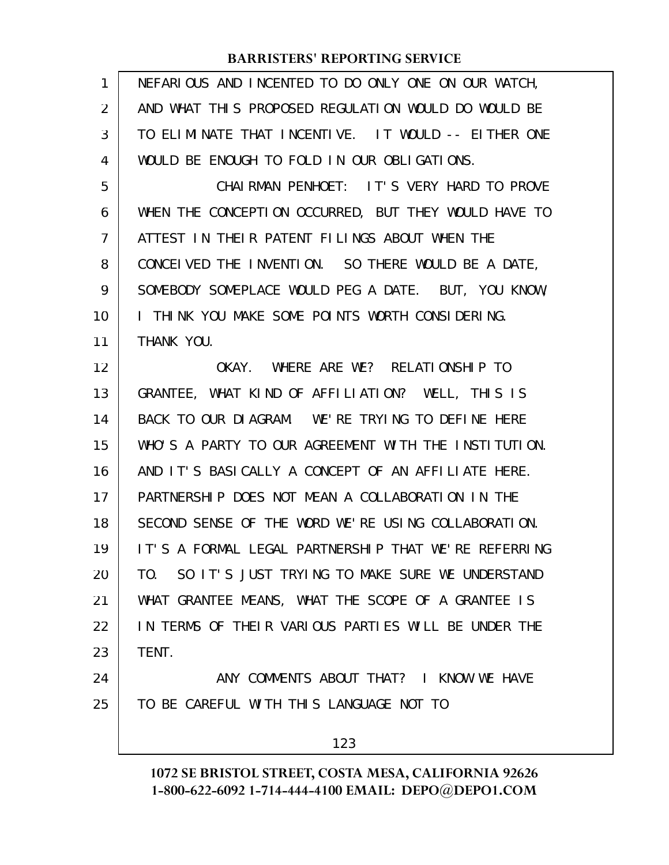| 1              | NEFARIOUS AND INCENTED TO DO ONLY ONE ON OUR WATCH,  |
|----------------|------------------------------------------------------|
| 2              | AND WHAT THIS PROPOSED REGULATION WOULD DO WOULD BE  |
| 3              | TO ELIMINATE THAT INCENTIVE. IT WOULD -- EITHER ONE  |
| 4              | WOULD BE ENOUGH TO FOLD IN OUR OBLIGATIONS.          |
| 5              | CHAIRMAN PENHOET: IT'S VERY HARD TO PROVE            |
| 6              | WHEN THE CONCEPTION OCCURRED, BUT THEY WOULD HAVE TO |
| $\overline{7}$ | ATTEST IN THEIR PATENT FILINGS ABOUT WHEN THE        |
| 8              | CONCEIVED THE INVENTION. SO THERE WOULD BE A DATE,   |
| 9              | SOMEBODY SOMEPLACE WOULD PEG A DATE. BUT, YOU KNOW,  |
| 10             | I THINK YOU MAKE SOME POINTS WORTH CONSIDERING.      |
| 11             | THANK YOU.                                           |
| 12             | OKAY. WHERE ARE WE? RELATIONSHIP TO                  |
| 13             | GRANTEE, WHAT KIND OF AFFILIATION? WELL, THIS IS     |
| 14             | BACK TO OUR DIAGRAM. WE'RE TRYING TO DEFINE HERE     |
| 15             | WHO'S A PARTY TO OUR AGREEMENT WITH THE INSTITUTION. |
| 16             | AND IT'S BASICALLY A CONCEPT OF AN AFFILIATE HERE.   |
| 17             | PARTNERSHIP DOES NOT MEAN A COLLABORATION IN THE     |
| 18             | SECOND SENSE OF THE WORD WE'RE USING COLLABORATION.  |
| 19             | IT'S A FORMAL LEGAL PARTNERSHIP THAT WE'RE REFERRING |
| 20             | TO. SO IT'S JUST TRYING TO MAKE SURE WE UNDERSTAND   |
| 21             | WHAT GRANTEE MEANS, WHAT THE SCOPE OF A GRANTEE IS   |
| 22             | IN TERMS OF THEIR VARIOUS PARTIES WILL BE UNDER THE  |
| 23             | TENT.                                                |
| 24             | ANY COMMENTS ABOUT THAT? I KNOW WE HAVE              |
| 25             | TO BE CAREFUL WITH THIS LANGUAGE NOT TO              |
|                | 123                                                  |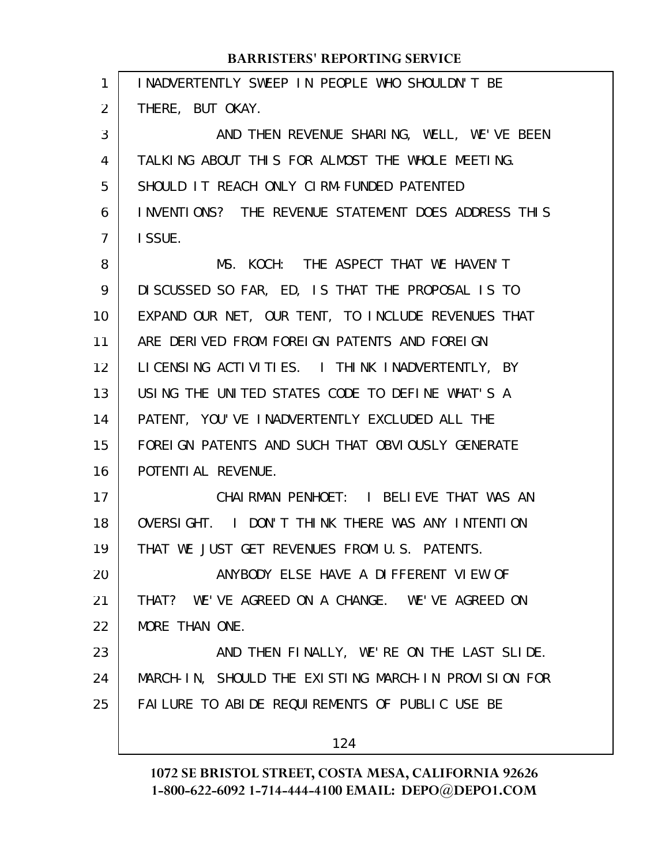| $\mathbf{1}$      | INADVERTENTLY SWEEP IN PEOPLE WHO SHOULDN'T BE       |
|-------------------|------------------------------------------------------|
| $\overline{2}$    | THERE, BUT OKAY.                                     |
| 3                 | AND THEN REVENUE SHARING, WELL, WE'VE BEEN           |
| 4                 | TALKING ABOUT THIS FOR ALMOST THE WHOLE MEETING.     |
| 5                 | SHOULD IT REACH ONLY CIRM-FUNDED PATENTED            |
| 6                 | INVENTIONS? THE REVENUE STATEMENT DOES ADDRESS THIS  |
| 7                 | I SSUE.                                              |
| 8                 | MS. KOCH: THE ASPECT THAT WE HAVEN'T                 |
| 9                 | DISCUSSED SO FAR, ED, IS THAT THE PROPOSAL IS TO     |
| 10                | EXPAND OUR NET, OUR TENT, TO INCLUDE REVENUES THAT   |
| 11                | ARE DERIVED FROM FOREIGN PATENTS AND FOREIGN         |
| $12 \overline{ }$ | LICENSING ACTIVITIES. I THINK INADVERTENTLY, BY      |
| 13                | USING THE UNITED STATES CODE TO DEFINE WHAT'S A      |
| 14                | PATENT, YOU'VE INADVERTENTLY EXCLUDED ALL THE        |
| 15                | FOREI GN PATENTS AND SUCH THAT OBVIOUSLY GENERATE    |
| 16                | POTENTI AL REVENUE.                                  |
| 17                | CHAIRMAN PENHOET: I BELIEVE THAT WAS AN              |
| 18                | OVERSIGHT. I DON'T THINK THERE WAS ANY INTENTION     |
| 19                | THAT WE JUST GET REVENUES FROM U.S. PATENTS.         |
| 20                | ANYBODY ELSE HAVE A DIFFERENT VIEW OF                |
| 21                | THAT? WE'VE AGREED ON A CHANGE. WE'VE AGREED ON      |
| 22                | MORE THAN ONE.                                       |
| 23                | AND THEN FINALLY, WE'RE ON THE LAST SLIDE.           |
| 24                | MARCH-IN, SHOULD THE EXISTING MARCH-IN PROVISION FOR |
| 25                | FAILURE TO ABIDE REQUIREMENTS OF PUBLIC USE BE       |
|                   | 124                                                  |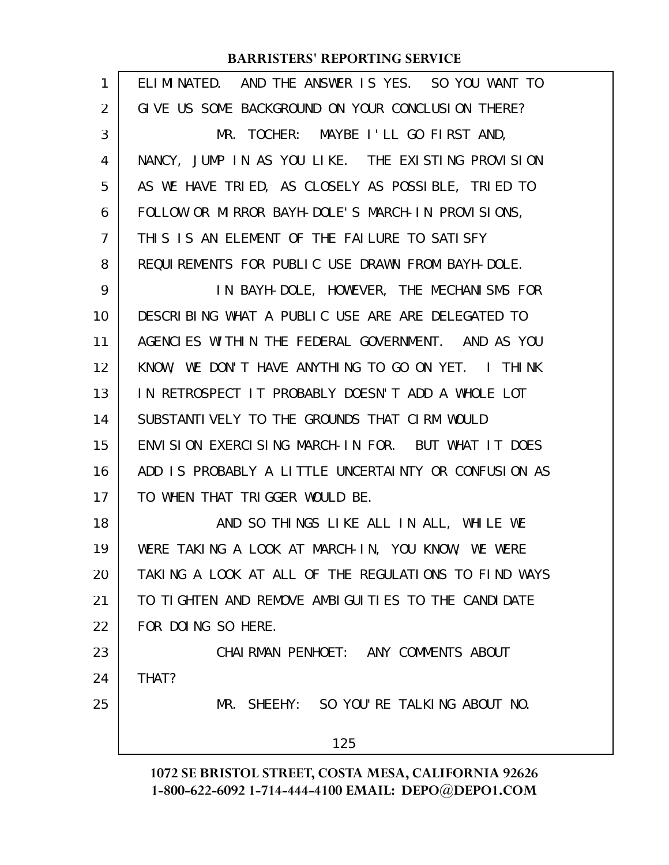| 1  | ELIMINATED. AND THE ANSWER IS YES. SO YOU WANT TO    |
|----|------------------------------------------------------|
| 2  | GIVE US SOME BACKGROUND ON YOUR CONCLUSION THERE?    |
| 3  | MR. TOCHER: MAYBE I'LL GO FIRST AND,                 |
| 4  | NANCY, JUMP IN AS YOU LIKE. THE EXISTING PROVISION   |
| 5  | AS WE HAVE TRIED, AS CLOSELY AS POSSIBLE, TRIED TO   |
| 6  | FOLLOW OR MIRROR BAYH-DOLE'S MARCH-IN PROVISIONS,    |
| 7  | THIS IS AN ELEMENT OF THE FAILURE TO SATISFY         |
| 8  | REQUIREMENTS FOR PUBLIC USE DRAWN FROM BAYH-DOLE.    |
| 9  | IN BAYH-DOLE, HOWEVER, THE MECHANISMS FOR            |
| 10 | DESCRIBING WHAT A PUBLIC USE ARE ARE DELEGATED TO    |
| 11 | AGENCIES WITHIN THE FEDERAL GOVERNMENT. AND AS YOU   |
| 12 | KNOW, WE DON'T HAVE ANYTHING TO GO ON YET. I THINK   |
| 13 | IN RETROSPECT IT PROBABLY DOESN'T ADD A WHOLE LOT    |
| 14 | SUBSTANTIVELY TO THE GROUNDS THAT CIRM WOULD         |
| 15 | ENVISION EXERCISING MARCH-IN FOR. BUT WHAT IT DOES   |
| 16 | ADD IS PROBABLY A LITTLE UNCERTAINTY OR CONFUSION AS |
| 17 | TO WHEN THAT TRIGGER WOULD BE.                       |
| 18 | AND SO THINGS LIKE ALL IN ALL, WHILE WE              |
| 19 | WERE TAKING A LOOK AT MARCH-IN, YOU KNOW, WE WERE    |
| 20 | TAKING A LOOK AT ALL OF THE REGULATIONS TO FIND WAYS |
| 21 | TO TIGHTEN AND REMOVE AMBIGUITIES TO THE CANDIDATE   |
| 22 | FOR DOING SO HERE.                                   |
| 23 | CHAIRMAN PENHOET: ANY COMMENTS ABOUT                 |
| 24 | THAT?                                                |
| 25 | MR. SHEEHY: SO YOU'RE TALKING ABOUT NO.              |
|    | 125                                                  |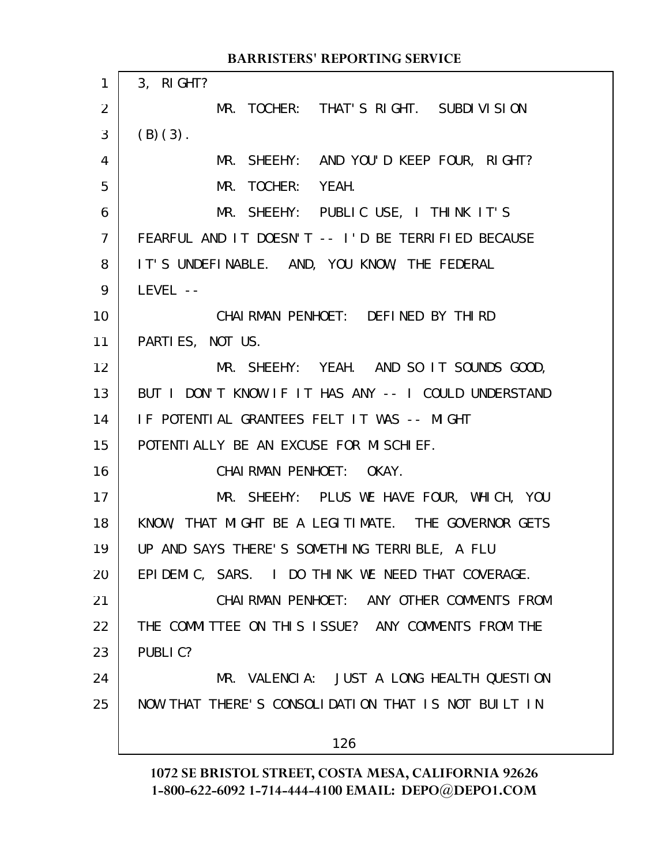|                 | <b>BARRISTERS' REPORTING SERVICE</b>                 |
|-----------------|------------------------------------------------------|
| 1               | 3, RIGHT?                                            |
| $\overline{2}$  | MR. TOCHER: THAT'S RIGHT. SUBDIVISION                |
| 3               | $(B)(3)$ .                                           |
| 4               | MR. SHEEHY: AND YOU'D KEEP FOUR, RIGHT?              |
| 5               | MR. TOCHER: YEAH.                                    |
| 6               | MR. SHEEHY: PUBLIC USE, I THINK IT'S                 |
| $\overline{7}$  | FEARFUL AND IT DOESN'T -- I'D BE TERRIFIED BECAUSE   |
| 8               | IT'S UNDEFINABLE. AND, YOU KNOW, THE FEDERAL         |
| 9               | LEVEL --                                             |
| 10              | CHAI RMAN PENHOET: DEFINED BY THIRD                  |
| 11              | PARTIES, NOT US.                                     |
| 12 <sup>2</sup> | MR. SHEEHY: YEAH. AND SO IT SOUNDS GOOD,             |
| 13              | BUT I DON'T KNOW IF IT HAS ANY -- I COULD UNDERSTAND |
| 14              | IF POTENTIAL GRANTEES FELT IT WAS -- MIGHT           |
| 15              | POTENTI ALLY BE AN EXCUSE FOR MISCHIEF.              |
| 16              | CHAIRMAN PENHOET: OKAY.                              |
| 17              | MR. SHEEHY: PLUS WE HAVE FOUR, WHICH, YOU            |
| 18              | KNOW, THAT MIGHT BE A LEGITIMATE. THE GOVERNOR GETS  |
| 19              | UP AND SAYS THERE'S SOMETHING TERRIBLE, A FLU        |
| 20              | EPIDEMIC, SARS. I DO THINK WE NEED THAT COVERAGE.    |
| 21              | CHAIRMAN PENHOET: ANY OTHER COMMENTS FROM            |
| 22              | THE COMMITTEE ON THIS ISSUE? ANY COMMENTS FROM THE   |
| 23              | PUBLIC?                                              |
| 24              | MR. VALENCIA: JUST A LONG HEALTH QUESTION            |
| 25              | NOW THAT THERE'S CONSOLIDATION THAT IS NOT BUILT IN  |
|                 | 126                                                  |
|                 |                                                      |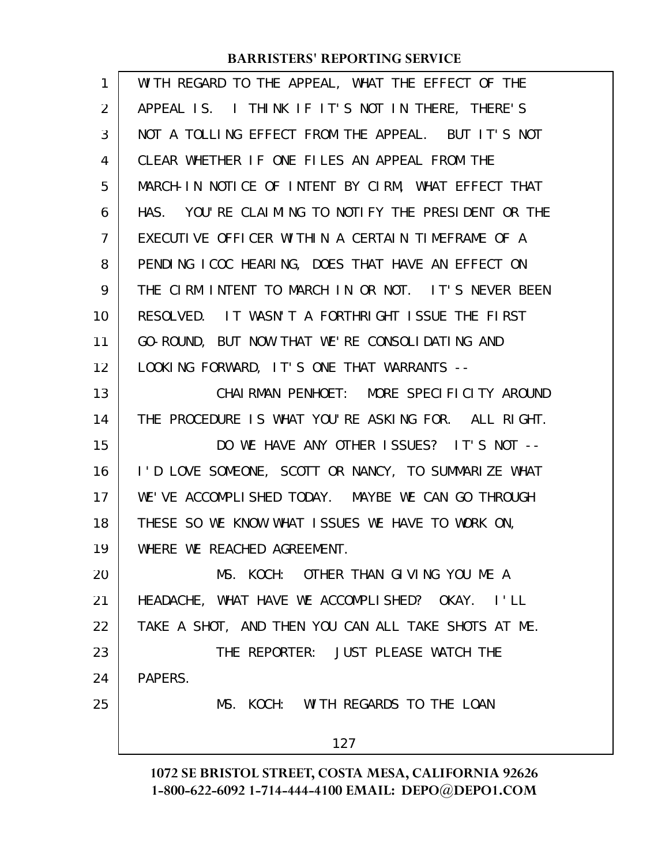| $\mathbf{1}$   | WITH REGARD TO THE APPEAL, WHAT THE EFFECT OF THE   |
|----------------|-----------------------------------------------------|
| $\overline{2}$ | APPEAL IS. I THINK IF IT'S NOT IN THERE, THERE'S    |
| 3              | NOT A TOLLING EFFECT FROM THE APPEAL. BUT IT'S NOT  |
| 4              | CLEAR WHETHER IF ONE FILES AN APPEAL FROM THE       |
| 5              | MARCH-IN NOTICE OF INTENT BY CIRM, WHAT EFFECT THAT |
| 6              | HAS. YOU'RE CLAIMING TO NOTIFY THE PRESIDENT OR THE |
| 7              | EXECUTIVE OFFICER WITHIN A CERTAIN TIMEFRAME OF A   |
| 8              | PENDING ICOC HEARING, DOES THAT HAVE AN EFFECT ON   |
| 9              | THE CIRM INTENT TO MARCH IN OR NOT. IT'S NEVER BEEN |
| 10             | RESOLVED. IT WASN'T A FORTHRIGHT ISSUE THE FIRST    |
| 11             | GO-ROUND, BUT NOW THAT WE'RE CONSOLIDATING AND      |
| 12             | LOOKING FORWARD, IT'S ONE THAT WARRANTS --          |
| 13             | CHAIRMAN PENHOET: MORE SPECIFICITY AROUND           |
| 14             | THE PROCEDURE IS WHAT YOU'RE ASKING FOR. ALL RIGHT. |
| 15             | DO WE HAVE ANY OTHER ISSUES? IT'S NOT --            |
| 16             | I'D LOVE SOMEONE, SCOTT OR NANCY, TO SUMMARIZE WHAT |
| 17             | WE'VE ACCOMPLISHED TODAY. MAYBE WE CAN GO THROUGH   |
| 18             | THESE SO WE KNOW WHAT ISSUES WE HAVE TO WORK ON,    |
| 19             | WHERE WE REACHED AGREEMENT.                         |
| 20             | MS. KOCH: OTHER THAN GIVING YOU ME A                |
| 21             | HEADACHE, WHAT HAVE WE ACCOMPLISHED? OKAY. I'LL     |
| 22             | TAKE A SHOT, AND THEN YOU CAN ALL TAKE SHOTS AT ME. |
| 23             | THE REPORTER: JUST PLEASE WATCH THE                 |
| 24             | PAPERS.                                             |
| 25             | MS. KOCH: WITH REGARDS TO THE LOAN                  |
|                | 127                                                 |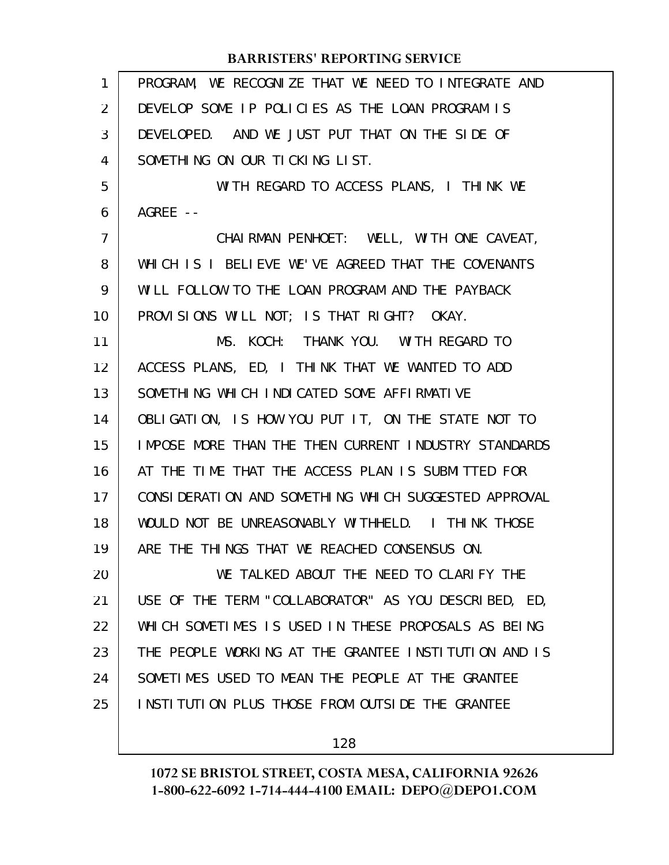| 1              | PROGRAM, WE RECOGNIZE THAT WE NEED TO INTEGRATE AND         |
|----------------|-------------------------------------------------------------|
| $\overline{2}$ | DEVELOP SOME IP POLICIES AS THE LOAN PROGRAM IS             |
| 3              | DEVELOPED. AND WE JUST PUT THAT ON THE SIDE OF              |
| 4              | SOMETHING ON OUR TICKING LIST.                              |
| 5              | WITH REGARD TO ACCESS PLANS, I THINK WE                     |
| 6              | AGREE $--$                                                  |
| 7              | CHAIRMAN PENHOET: WELL, WITH ONE CAVEAT,                    |
| 8              | WHICH IS I BELIEVE WE'VE AGREED THAT THE COVENANTS          |
| 9              | WILL FOLLOW TO THE LOAN PROGRAM AND THE PAYBACK             |
| 10             | PROVISIONS WILL NOT; IS THAT RIGHT? OKAY.                   |
| 11             | MS. KOCH: THANK YOU. WITH REGARD TO                         |
| 12             | ACCESS PLANS, ED, I THINK THAT WE WANTED TO ADD             |
| 13             | SOMETHING WHICH INDICATED SOME AFFIRMATIVE                  |
| 14             | OBLIGATION, IS HOW YOU PUT IT, ON THE STATE NOT TO          |
| 15             | <b>IMPOSE MORE THAN THE THEN CURRENT INDUSTRY STANDARDS</b> |
| 16             | AT THE TIME THAT THE ACCESS PLAN IS SUBMITTED FOR           |
| 17             | CONSIDERATION AND SOMETHING WHICH SUGGESTED APPROVAL        |
| 18             | WOULD NOT BE UNREASONABLY WITHHELD. I THINK THOSE           |
| 19             | ARE THE THINGS THAT WE REACHED CONSENSUS ON.                |
| 20             | WE TALKED ABOUT THE NEED TO CLARIFY THE                     |
| 21             | USE OF THE TERM "COLLABORATOR" AS YOU DESCRIBED, ED,        |
| 22             | WHICH SOMETIMES IS USED IN THESE PROPOSALS AS BEING         |
| 23             | THE PEOPLE WORKING AT THE GRANTEE INSTITUTION AND IS        |
| 24             | SOMETIMES USED TO MEAN THE PEOPLE AT THE GRANTEE            |
| 25             | INSTITUTION PLUS THOSE FROM OUTSIDE THE GRANTEE             |
|                |                                                             |

128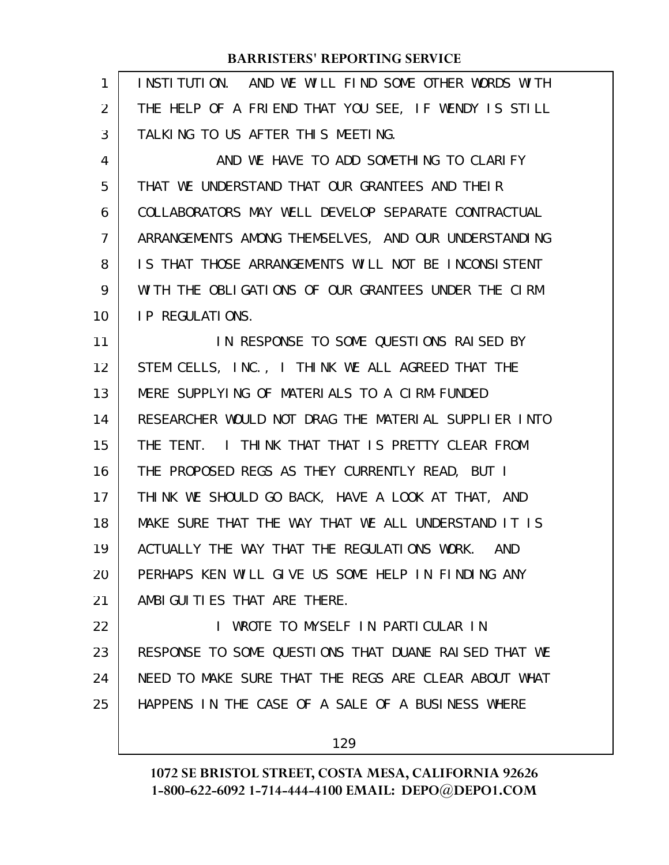| 1  | INSTITUTION. AND WE WILL FIND SOME OTHER WORDS WITH  |
|----|------------------------------------------------------|
| 2  | THE HELP OF A FRIEND THAT YOU SEE, IF WENDY IS STILL |
| 3  | TALKING TO US AFTER THIS MEETING.                    |
| 4  | AND WE HAVE TO ADD SOMETHING TO CLARIFY              |
| 5  | THAT WE UNDERSTAND THAT OUR GRANTEES AND THEIR       |
| 6  | COLLABORATORS MAY WELL DEVELOP SEPARATE CONTRACTUAL  |
| 7  | ARRANGEMENTS AMONG THEMSELVES, AND OUR UNDERSTANDING |
| 8  | IS THAT THOSE ARRANGEMENTS WILL NOT BE INCONSISTENT  |
| 9  | WITH THE OBLIGATIONS OF OUR GRANTEES UNDER THE CIRM  |
| 10 | <b>IP REGULATIONS.</b>                               |
| 11 | IN RESPONSE TO SOME QUESTIONS RAISED BY              |
| 12 | STEM CELLS, INC., I THINK WE ALL AGREED THAT THE     |
| 13 | MERE SUPPLYING OF MATERIALS TO A CIRM-FUNDED         |
| 14 | RESEARCHER WOULD NOT DRAG THE MATERIAL SUPPLIER INTO |
| 15 | THE TENT. I THINK THAT THAT IS PRETTY CLEAR FROM     |
| 16 | THE PROPOSED REGS AS THEY CURRENTLY READ, BUT I      |
| 17 | THINK WE SHOULD GO BACK, HAVE A LOOK AT THAT, AND    |
| 18 | MAKE SURE THAT THE WAY THAT WE ALL UNDERSTAND IT IS  |
| 19 | ACTUALLY THE WAY THAT THE REGULATIONS WORK. AND      |
| 20 | PERHAPS KEN WILL GIVE US SOME HELP IN FINDING ANY    |
| 21 | AMBI GUI TI ES THAT ARE THERE.                       |
| 22 | I WROTE TO MYSELF IN PARTICULAR IN                   |
| 23 | RESPONSE TO SOME QUESTIONS THAT DUANE RAISED THAT WE |
| 24 | NEED TO MAKE SURE THAT THE REGS ARE CLEAR ABOUT WHAT |
| 25 | HAPPENS IN THE CASE OF A SALE OF A BUSINESS WHERE    |
|    | 129                                                  |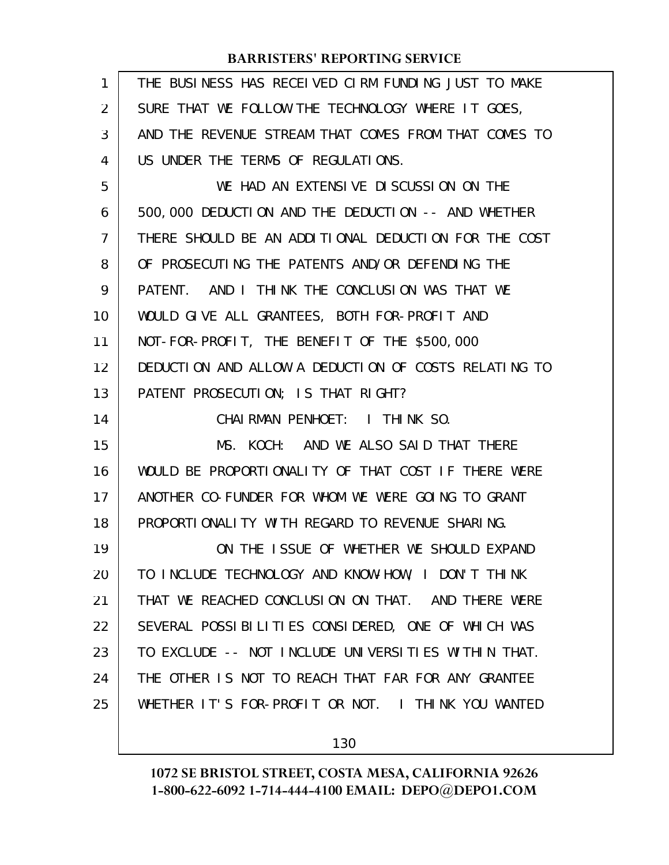| $\mathbf{1}$ | THE BUSINESS HAS RECEIVED CIRM FUNDING JUST TO MAKE  |
|--------------|------------------------------------------------------|
| 2            | SURE THAT WE FOLLOW THE TECHNOLOGY WHERE IT GOES,    |
| 3            | AND THE REVENUE STREAM THAT COMES FROM THAT COMES TO |
| 4            | US UNDER THE TERMS OF REGULATIONS.                   |
| 5            | WE HAD AN EXTENSIVE DISCUSSION ON THE                |
| 6            | 500,000 DEDUCTION AND THE DEDUCTION -- AND WHETHER   |
| 7            | THERE SHOULD BE AN ADDITIONAL DEDUCTION FOR THE COST |
| 8            | OF PROSECUTING THE PATENTS AND/OR DEFENDING THE      |
| 9            | PATENT. AND I THINK THE CONCLUSION WAS THAT WE       |
| 10           | WOULD GIVE ALL GRANTEES, BOTH FOR-PROFIT AND         |
| 11           | NOT-FOR-PROFIT, THE BENEFIT OF THE \$500,000         |
| 12           | DEDUCTION AND ALLOW A DEDUCTION OF COSTS RELATING TO |
| 13           | PATENT PROSECUTION; IS THAT RIGHT?                   |
| 14           | CHAIRMAN PENHOET: I THINK SO.                        |
| 15           | MS. KOCH: AND WE ALSO SAID THAT THERE                |
| 16           | WOULD BE PROPORTIONALITY OF THAT COST IF THERE WERE  |
| 17           | ANOTHER CO-FUNDER FOR WHOM WE WERE GOING TO GRANT    |
| 18           | PROPORTIONALITY WITH REGARD TO REVENUE SHARING.      |
| 19           | ON THE ISSUE OF WHETHER WE SHOULD EXPAND             |
| 20           | TO INCLUDE TECHNOLOGY AND KNOW-HOW, I DON'T THINK    |
| 21           | THAT WE REACHED CONCLUSION ON THAT. AND THERE WERE   |
| 22           | SEVERAL POSSIBILITIES CONSIDERED, ONE OF WHICH WAS   |
| 23           | TO EXCLUDE -- NOT INCLUDE UNIVERSITIES WITHIN THAT.  |
| 24           | THE OTHER IS NOT TO REACH THAT FAR FOR ANY GRANTEE   |
| 25           | WHETHER IT'S FOR-PROFIT OR NOT. I THINK YOU WANTED   |
|              |                                                      |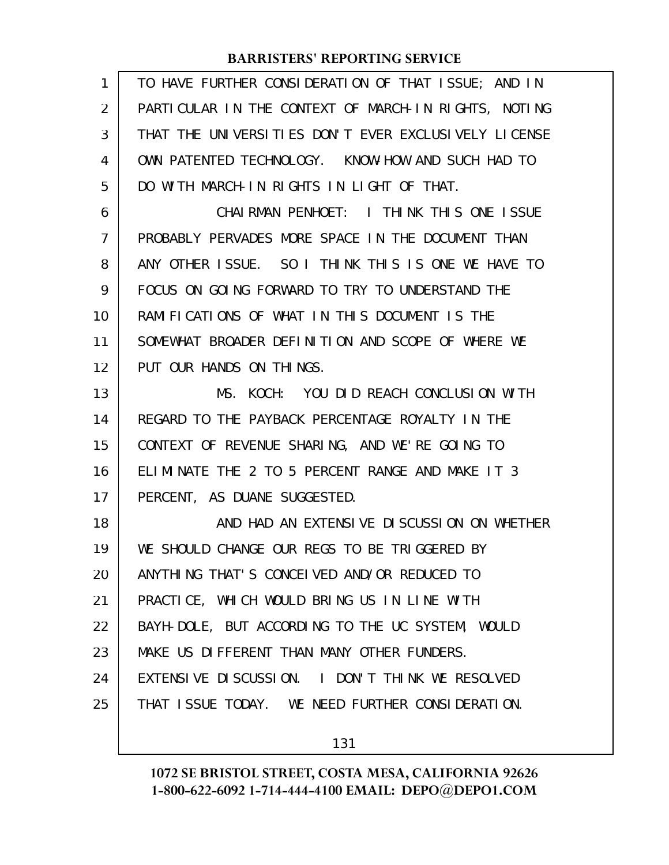| 1  | TO HAVE FURTHER CONSIDERATION OF THAT ISSUE; AND IN  |
|----|------------------------------------------------------|
| 2  | PARTICULAR IN THE CONTEXT OF MARCH-IN RIGHTS, NOTING |
| 3  | THAT THE UNIVERSITIES DON'T EVER EXCLUSIVELY LICENSE |
| 4  | OWN PATENTED TECHNOLOGY. KNOW-HOW AND SUCH HAD TO    |
| 5  | DO WITH MARCH-IN RIGHTS IN LIGHT OF THAT.            |
| 6  | CHAIRMAN PENHOET: I THINK THIS ONE ISSUE             |
| 7  | PROBABLY PERVADES MORE SPACE IN THE DOCUMENT THAN    |
| 8  | ANY OTHER ISSUE. SO I THINK THIS IS ONE WE HAVE TO   |
| 9  | FOCUS ON GOING FORWARD TO TRY TO UNDERSTAND THE      |
| 10 | RAMIFICATIONS OF WHAT IN THIS DOCUMENT IS THE        |
| 11 | SOMEWHAT BROADER DEFINITION AND SCOPE OF WHERE WE    |
| 12 | PUT OUR HANDS ON THINGS.                             |
| 13 | MS. KOCH: YOU DID REACH CONCLUSION WITH              |
| 14 | REGARD TO THE PAYBACK PERCENTAGE ROYALTY IN THE      |
| 15 | CONTEXT OF REVENUE SHARING, AND WE'RE GOING TO       |
| 16 | ELIMINATE THE 2 TO 5 PERCENT RANGE AND MAKE IT 3     |
| 17 | PERCENT, AS DUANE SUGGESTED.                         |
| 18 | AND HAD AN EXTENSIVE DISCUSSION ON WHETHER           |
| 19 | WE SHOULD CHANGE OUR REGS TO BE TRIGGERED BY         |
| 20 | ANYTHING THAT'S CONCELVED AND/OR REDUCED TO          |
| 21 | PRACTICE, WHICH WOULD BRING US IN LINE WITH          |
| 22 | BAYH-DOLE, BUT ACCORDING TO THE UC SYSTEM, WOULD     |
| 23 | MAKE US DIFFERENT THAN MANY OTHER FUNDERS.           |
| 24 | EXTENSIVE DISCUSSION. I DON'T THINK WE RESOLVED      |
| 25 | THAT I SSUE TODAY. WE NEED FURTHER CONSIDERATION.    |
|    |                                                      |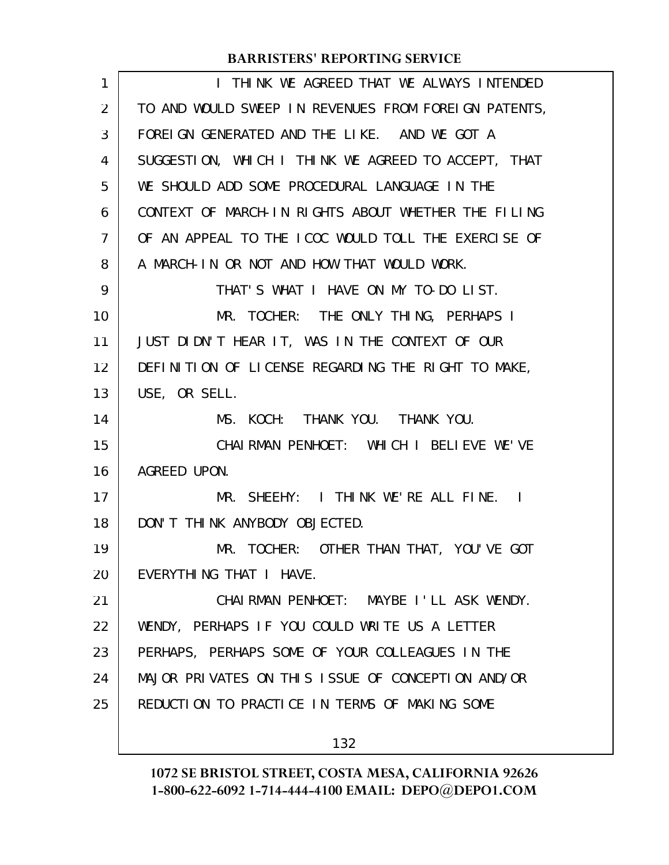| $\mathbf{1}$   | I THINK WE AGREED THAT WE ALWAYS INTENDED            |
|----------------|------------------------------------------------------|
| 2              | TO AND WOULD SWEEP IN REVENUES FROM FOREIGN PATENTS, |
| 3              | FOREIGN GENERATED AND THE LIKE. AND WE GOT A         |
| 4              | SUGGESTION, WHICH I THINK WE AGREED TO ACCEPT, THAT  |
| 5              | WE SHOULD ADD SOME PROCEDURAL LANGUAGE IN THE        |
| 6              | CONTEXT OF MARCH-IN RIGHTS ABOUT WHETHER THE FILING  |
| $\overline{7}$ | OF AN APPEAL TO THE ICOC WOULD TOLL THE EXERCISE OF  |
| 8              | A MARCH-IN OR NOT AND HOW THAT WOULD WORK.           |
| 9              | THAT'S WHAT I HAVE ON MY TO-DO LIST.                 |
| 10             | MR. TOCHER: THE ONLY THING, PERHAPS I                |
| 11             | JUST DIDN'T HEAR IT, WAS IN THE CONTEXT OF OUR       |
| 12             | DEFINITION OF LICENSE REGARDING THE RIGHT TO MAKE,   |
| 13             | USE, OR SELL.                                        |
| 14             | MS. KOCH: THANK YOU. THANK YOU.                      |
| 15             | CHAIRMAN PENHOET: WHICH I BELIEVE WE'VE              |
| 16             | AGREED UPON.                                         |
| 17             | MR. SHEEHY: I THINK WE'RE ALL FINE. I                |
| 18             | DON'T THINK ANYBODY OBJECTED.                        |
| 19             | MR. TOCHER: OTHER THAN THAT, YOU'VE GOT              |
| 20             | EVERYTHING THAT I HAVE.                              |
| 21             | CHAIRMAN PENHOET: MAYBE I'LL ASK WENDY.              |
| 22             | WENDY, PERHAPS IF YOU COULD WRITE US A LETTER        |
| 23             | PERHAPS, PERHAPS SOME OF YOUR COLLEAGUES IN THE      |
| 24             | MAJOR PRIVATES ON THIS ISSUE OF CONCEPTION AND/OR    |
| 25             | REDUCTION TO PRACTICE IN TERMS OF MAKING SOME        |
|                | 132                                                  |
|                |                                                      |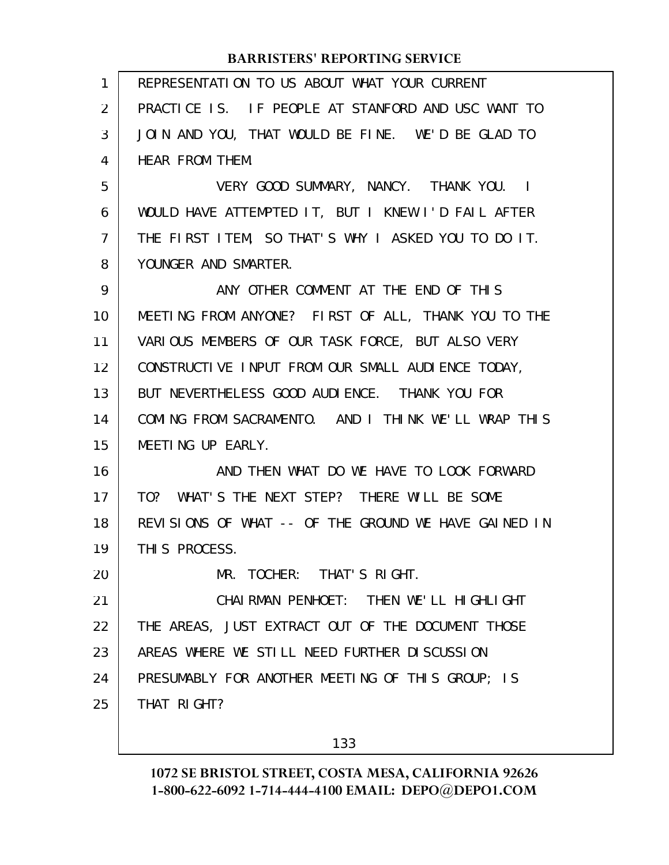| 1  | REPRESENTATION TO US ABOUT WHAT YOUR CURRENT         |
|----|------------------------------------------------------|
| 2  | PRACTICE IS. IF PEOPLE AT STANFORD AND USC WANT TO   |
| 3  | JOIN AND YOU, THAT WOULD BE FINE. WE'D BE GLAD TO    |
| 4  | HEAR FROM THEM.                                      |
| 5  | VERY GOOD SUMMARY, NANCY. THANK YOU. I               |
| 6  | WOULD HAVE ATTEMPTED IT, BUT I KNEW I'D FAIL AFTER   |
| 7  | THE FIRST ITEM, SO THAT'S WHY I ASKED YOU TO DO IT.  |
| 8  | YOUNGER AND SMARTER.                                 |
| 9  | ANY OTHER COMMENT AT THE END OF THIS                 |
| 10 | MEETING FROM ANYONE? FIRST OF ALL, THANK YOU TO THE  |
| 11 | VARIOUS MEMBERS OF OUR TASK FORCE, BUT ALSO VERY     |
| 12 | CONSTRUCTIVE INPUT FROM OUR SMALL AUDIENCE TODAY,    |
| 13 | BUT NEVERTHELESS GOOD AUDIENCE. THANK YOU FOR        |
| 14 | COMING FROM SACRAMENTO. AND I THINK WE'LL WRAP THIS  |
| 15 | MEETING UP EARLY.                                    |
| 16 | AND THEN WHAT DO WE HAVE TO LOOK FORWARD             |
| 17 | TO? WHAT'S THE NEXT STEP? THERE WILL BE SOME         |
| 18 | REVISIONS OF WHAT -- OF THE GROUND WE HAVE GAINED IN |
| 19 | THIS PROCESS.                                        |
| 20 | MR. TOCHER: THAT'S RIGHT.                            |
| 21 | CHAI RMAN PENHOET: THEN WE'LL HIGHLIGHT              |
| 22 | THE AREAS, JUST EXTRACT OUT OF THE DOCUMENT THOSE    |
| 23 | AREAS WHERE WE STILL NEED FURTHER DISCUSSION         |
| 24 | PRESUMABLY FOR ANOTHER MEETING OF THIS GROUP; IS     |
| 25 | THAT RIGHT?                                          |
|    |                                                      |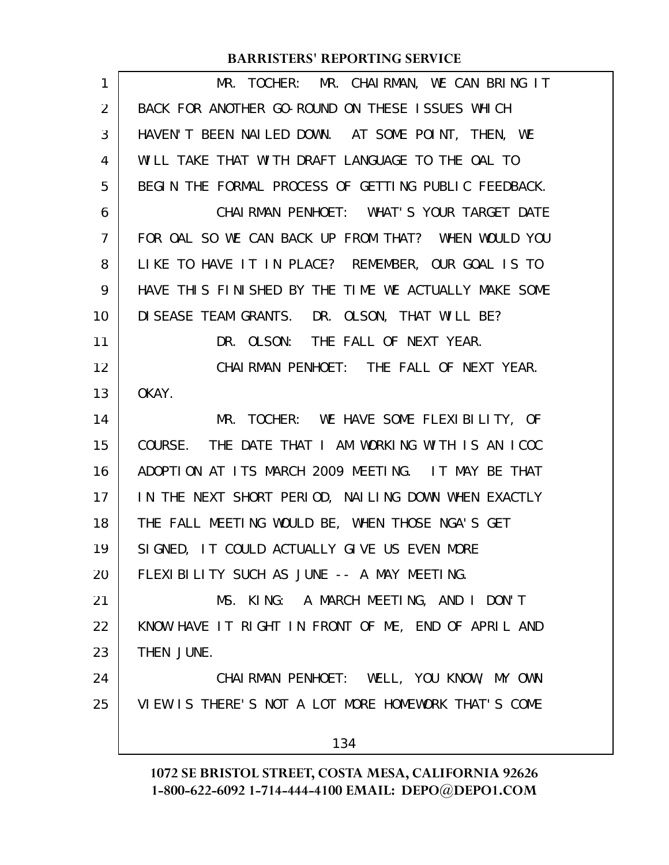| $\mathbf{1}$   | MR. TOCHER: MR. CHAIRMAN, WE CAN BRING IT            |
|----------------|------------------------------------------------------|
| 2              | BACK FOR ANOTHER GO-ROUND ON THESE ISSUES WHICH      |
| 3              | HAVEN'T BEEN NAILED DOWN. AT SOME POINT, THEN, WE    |
| 4              | WILL TAKE THAT WITH DRAFT LANGUAGE TO THE OAL TO     |
| 5              | BEGIN THE FORMAL PROCESS OF GETTING PUBLIC FEEDBACK. |
| 6              | CHAIRMAN PENHOET: WHAT'S YOUR TARGET DATE            |
| $\overline{7}$ | FOR OAL SO WE CAN BACK UP FROM THAT? WHEN WOULD YOU  |
| 8              | LIKE TO HAVE IT IN PLACE? REMEMBER, OUR GOAL IS TO   |
| 9              | HAVE THIS FINISHED BY THE TIME WE ACTUALLY MAKE SOME |
| 10             | DI SEASE TEAM GRANTS. DR. OLSON, THAT WILL BE?       |
| 11             | DR. OLSON: THE FALL OF NEXT YEAR.                    |
| 12             | CHAIRMAN PENHOET: THE FALL OF NEXT YEAR.             |
| 13             | OKAY.                                                |
| 14             | MR. TOCHER: WE HAVE SOME FLEXIBILITY, OF             |
| 15             | COURSE. THE DATE THAT I AM WORKING WITH IS AN ICOC   |
| 16             | ADOPTION AT ITS MARCH 2009 MEETING. IT MAY BE THAT   |
| 17             | IN THE NEXT SHORT PERIOD, NAILING DOWN WHEN EXACTLY  |
| 18             | THE FALL MEETING WOULD BE, WHEN THOSE NGA'S GET      |
| 19             | SIGNED, IT COULD ACTUALLY GIVE US EVEN MORE          |
| 20             | FLEXIBILITY SUCH AS JUNE -- A MAY MEETING.           |
| 21             | MS. KING: A MARCH MEETING, AND I DON'T               |
| 22             | KNOW HAVE IT RIGHT IN FRONT OF ME, END OF APRIL AND  |
| 23             | THEN JUNE.                                           |
| 24             | CHAIRMAN PENHOET: WELL, YOU KNOW, MY OWN             |
| 25             | VIEW IS THERE'S NOT A LOT MORE HOMEWORK THAT'S COME  |
|                | 134                                                  |
|                |                                                      |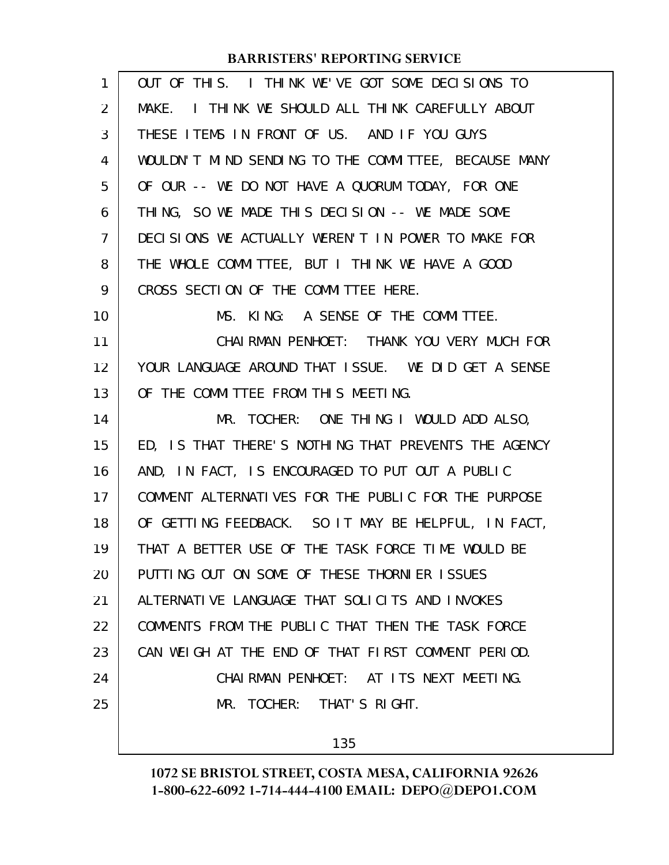| 1              | OUT OF THIS. I THINK WE'VE GOT SOME DECISIONS TO     |
|----------------|------------------------------------------------------|
| 2              | MAKE. I THINK WE SHOULD ALL THINK CAREFULLY ABOUT    |
| 3              | THESE ITEMS IN FRONT OF US. AND IF YOU GUYS          |
| 4              | WOULDN'T MIND SENDING TO THE COMMITTEE, BECAUSE MANY |
| 5              | OF OUR -- WE DO NOT HAVE A QUORUM TODAY, FOR ONE     |
| 6              | THING, SO WE MADE THIS DECISION -- WE MADE SOME      |
| $\overline{7}$ | DECISIONS WE ACTUALLY WEREN'T IN POWER TO MAKE FOR   |
| 8              | THE WHOLE COMMITTEE, BUT I THINK WE HAVE A GOOD      |
| 9              | CROSS SECTION OF THE COMMITTEE HERE.                 |
| 10             | MS. KING: A SENSE OF THE COMMITTEE.                  |
| 11             | CHAIRMAN PENHOET: THANK YOU VERY MUCH FOR            |
| 12             | YOUR LANGUAGE AROUND THAT ISSUE. WE DID GET A SENSE  |
| 13             | OF THE COMMITTEE FROM THIS MEETING.                  |
| 14             | MR. TOCHER: ONE THING I WOULD ADD ALSO,              |
| 15             | ED, IS THAT THERE'S NOTHING THAT PREVENTS THE AGENCY |
| 16             | AND, IN FACT, IS ENCOURAGED TO PUT OUT A PUBLIC      |
| 17             | COMMENT ALTERNATIVES FOR THE PUBLIC FOR THE PURPOSE  |
| 18             | OF GETTING FEEDBACK. SO IT MAY BE HELPFUL, IN FACT,  |
| 19             | THAT A BETTER USE OF THE TASK FORCE TIME WOULD BE    |
| 20             | PUTTING OUT ON SOME OF THESE THORNIER ISSUES         |
| 21             | ALTERNATIVE LANGUAGE THAT SOLICITS AND INVOKES       |
| 22             | COMMENTS FROM THE PUBLIC THAT THEN THE TASK FORCE    |
| 23             | CAN WEIGH AT THE END OF THAT FIRST COMMENT PERIOD.   |
| 24             | CHAIRMAN PENHOET: AT ITS NEXT MEETING.               |
| 25             | MR. TOCHER: THAT'S RIGHT.                            |
|                | 135                                                  |
|                |                                                      |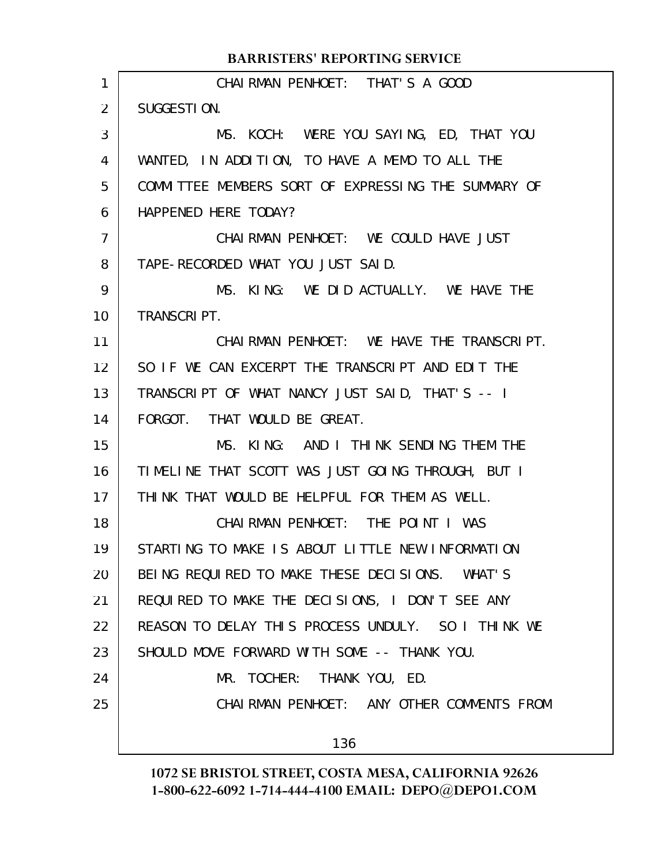|                | <b>BARRISTERS' REPORTING SERVICE</b>                |
|----------------|-----------------------------------------------------|
| 1              | CHAI RMAN PENHOET: THAT'S A GOOD                    |
| 2              | SUGGESTION.                                         |
| 3              | MS. KOCH: WERE YOU SAYING, ED, THAT YOU             |
| 4              | WANTED, IN ADDITION, TO HAVE A MEMO TO ALL THE      |
| 5              | COMMITTEE MEMBERS SORT OF EXPRESSING THE SUMMARY OF |
| 6              | HAPPENED HERE TODAY?                                |
| $\overline{7}$ | CHAIRMAN PENHOET: WE COULD HAVE JUST                |
| 8              | TAPE-RECORDED WHAT YOU JUST SAID.                   |
| 9              | MS. KING: WE DID ACTUALLY. WE HAVE THE              |
| 10             | <b>TRANSCRIPT.</b>                                  |
| 11             | CHAIRMAN PENHOET: WE HAVE THE TRANSCRIPT.           |
| 12             | SO IF WE CAN EXCERPT THE TRANSCRIPT AND EDIT THE    |
| 13             | TRANSCRIPT OF WHAT NANCY JUST SAID, THAT'S -- I     |
| 14             | FORGOT. THAT WOULD BE GREAT.                        |
| 15             | MS. KING: AND I THINK SENDING THEM THE              |
| 16             | TIMELINE THAT SCOTT WAS JUST GOING THROUGH, BUT I   |
| 17             | THINK THAT WOULD BE HELPFUL FOR THEM AS WELL.       |
| 18             | CHAIRMAN PENHOET: THE POINT I WAS                   |
| 19             | STARTING TO MAKE IS ABOUT LITTLE NEW INFORMATION    |
| 20             | BEING REQUIRED TO MAKE THESE DECISIONS. WHAT'S      |
| 21             | REQUIRED TO MAKE THE DECISIONS, I DON'T SEE ANY     |
| 22             | REASON TO DELAY THIS PROCESS UNDULY. SO I THINK WE  |
| 23             | SHOULD MOVE FORWARD WITH SOME -- THANK YOU.         |
| 24             | MR. TOCHER: THANK YOU, ED.                          |
| 25             | CHAIRMAN PENHOET: ANY OTHER COMMENTS FROM           |
|                | 136                                                 |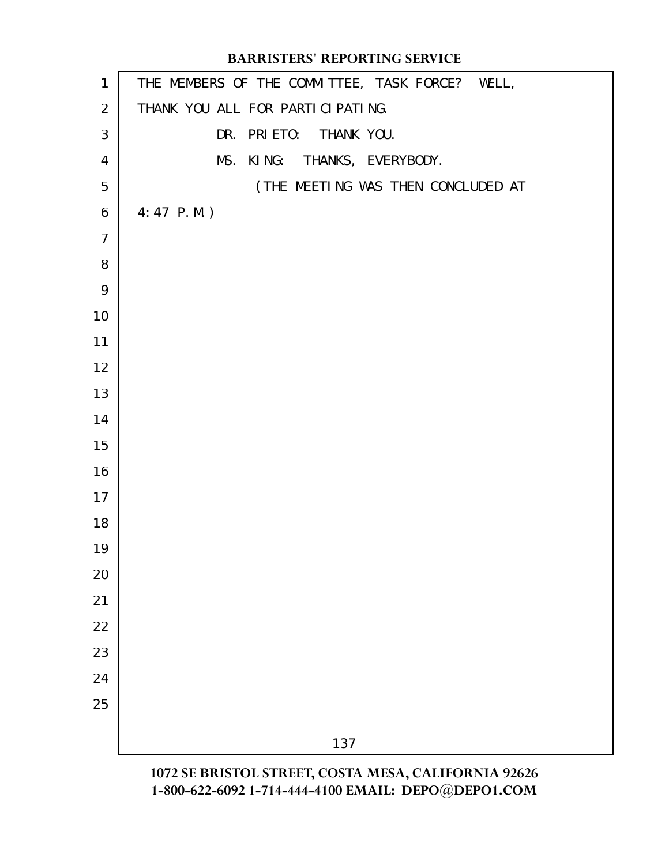# THE MEMBERS OF THE COMMITTEE, TASK FORCE? WELL, THANK YOU ALL FOR PARTICIPATING. DR. PRIETO: THANK YOU. MS. KING: THANKS, EVERYBODY. (THE MEETING WAS THEN CONCLUDED AT 4:47 P.M.) **BARRISTERS' REPORTING SERVICE**